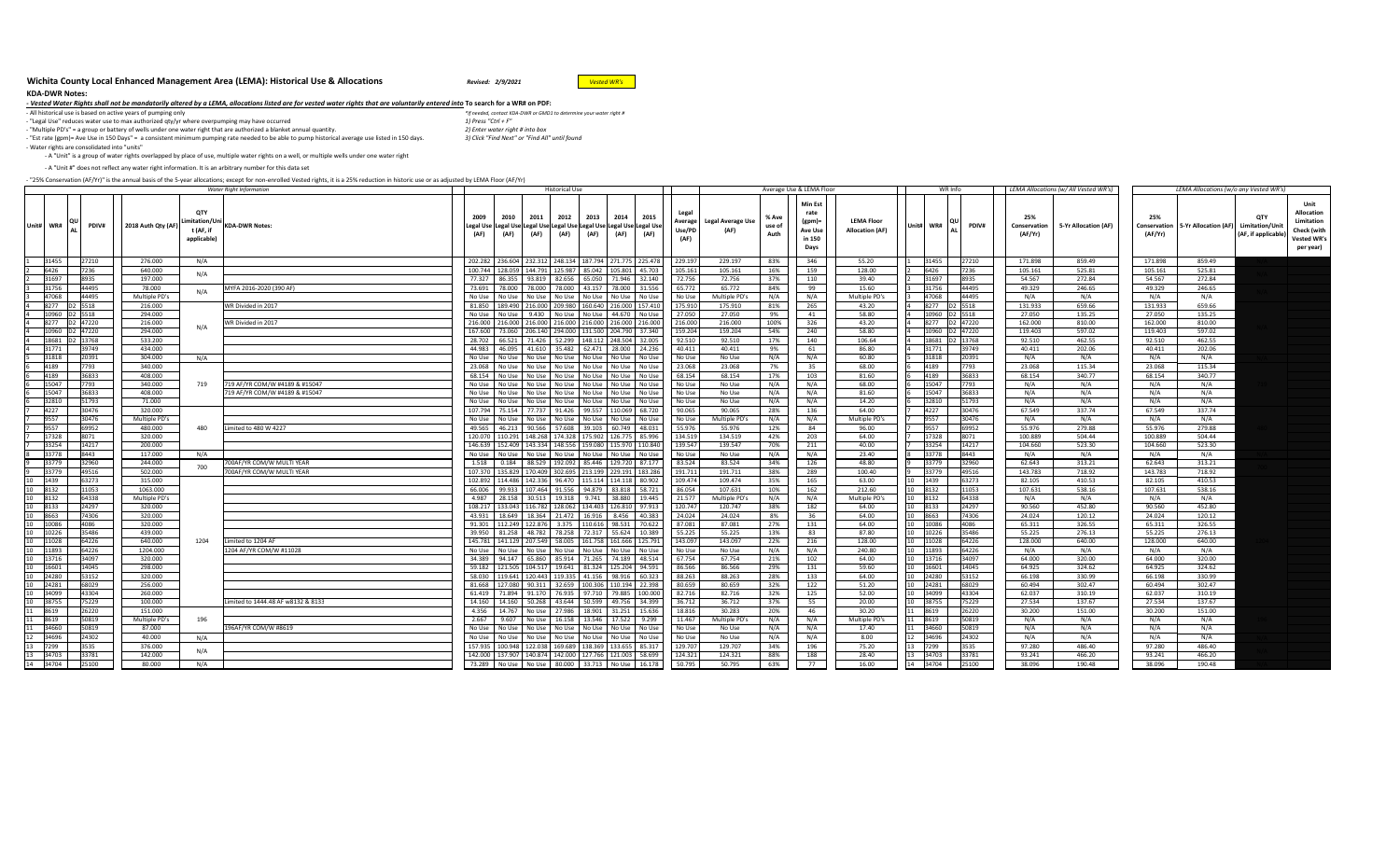## **Wichita County Local Enhanced Management Area (LEMA): Historical Use & Allocations** *Revised:*

## **KDA‐DWR Notes:**

## *‐ Vested Water Rights shall not be mandatorily altered by a LEMA, allocations listed are for vested water rights that are voluntarily entered into* **To search for a WR# on PDF:**

• All historical use is based on active years of pumping only *active to active of the oright #if needed, contact KDA* DWR or GMD1 to determine *your water right #*<br>- "Legal Use" reduces water use to max authorized qty/γ ‐ "Legal Use" reduces water use to max authorized qty/yr where overpumping may have occurred *1) Press "Ctrl + F"*

‐ "Multiple PD's" = a group or battery of wells under one water right that are authorized a blanket annual quantity. *2) Enter water right # into box* - "Est rate (gpm)= Ave Use in 150 Days" = a consistent minimum pumping rate needed to be able to pump historical average use listed in 150 days.

‐ Water rights are consolidated into "units"

- A "Unit" is a group of water rights overlapped by place of use, multiple water rights on a well, or multiple wells under one water right

‐ A "Unit #" does not reflect any water right information. It is an arbitrary number for this data set

‐ "25% Conservation (AF/Yr)" is the annual basis of the 5‐year allocations; except for non‐enrolled Vested rights, it is a 25% reduction in historic use or as adjusted by LEMA Floor (AF/Yr)

|                                        |       |                    |                                                       | <b>Water Right Information</b>                                   |              |                 |              | <b>Historical Use</b>                                                                                    |                |              |                                    |                                  |                         | Average Use & LEMA Floor                                                |                                             |        | WR Info        |                |                                | LEMA Allocations (w/ All Vested WR's) |                | LEMA Allocations (w/o any Vested WR's) |                                            |                                                                                    |
|----------------------------------------|-------|--------------------|-------------------------------------------------------|------------------------------------------------------------------|--------------|-----------------|--------------|----------------------------------------------------------------------------------------------------------|----------------|--------------|------------------------------------|----------------------------------|-------------------------|-------------------------------------------------------------------------|---------------------------------------------|--------|----------------|----------------|--------------------------------|---------------------------------------|----------------|----------------------------------------|--------------------------------------------|------------------------------------------------------------------------------------|
| Unit# WR#                              | PDIV# | 2018 Auth Qty (AF) | <b>OTY</b><br>mitation/Un<br>t (AF, if<br>applicable) | <b>(DA-DWR Notes:</b>                                            | 2009<br>(AF) | 2010<br>(AF)    | 2011<br>(AF) | 2012<br>2013<br>Legal Use Legal Use Legal Use Legal Use Legal Use Legal Use Legal Use<br>(AF)<br>(AF)    | 2014<br>(AF)   | 2015<br>(AF) | Legal<br>Average<br>Use/PD<br>(AF) | <b>Legal Average Use</b><br>(AF) | % Ave<br>use of<br>Auth | <b>Min Est</b><br>rate<br>$(gpm)$ =<br><b>Ave Use</b><br>in 150<br>Days | <b>LEMA Floor</b><br><b>Allocation (AF)</b> |        | Unit# WR#      | PDIV#          | 25%<br>Conservation<br>(AF/Yr) | 5-Yr Allocation (AF)                  | 25%<br>(AF/Yr) | Conservation 5-Yr Allocation (AF)      | OTY<br>Limitation/Un<br>(AF, if applicable | Unit<br>Allocation<br>Limitation<br>Check (with<br><b>Vested WR's</b><br>per year) |
| 31455 27210                            |       | 276.000            | N/A                                                   |                                                                  |              |                 |              | 202.282 236.604 232.312 248.134 187.794 271.775 225.478                                                  |                |              | 229.197                            | 229.197                          | 83%                     | 346                                                                     | 55.20                                       |        | 31455          | 27210          | 171.898                        | 859.49                                | 171.898        | 859.49                                 |                                            |                                                                                    |
| 7236<br>6426                           |       | 640.000            | N/A                                                   |                                                                  |              |                 |              | 100.744 128.059 144.791 125.987 85.042 105.801 45.703                                                    |                |              | 105.161                            | 105.161                          | 16%                     | 159                                                                     | 128.00                                      |        | 6426           | 7236           | 105.161                        | 525.81                                | 105.161        | 525.81                                 |                                            |                                                                                    |
| 31697<br>8935                          |       | 197.000            |                                                       |                                                                  |              |                 |              | 77.327 86.355 93.819 82.656 65.050 71.946 32.140                                                         |                |              | 72.756                             | 72.756                           | 37%                     | 110                                                                     | 39.40                                       |        | 31697          | 8935           | 54.567                         | 272.84                                | 54.567         | 272.84                                 |                                            |                                                                                    |
| 44495<br>31756                         |       | 78.000             | N/A                                                   | MYFA 2016-2020 (390 AF)                                          |              |                 |              | 73.691 78.000 78.000 78.000 43.157 78.000 31.556                                                         |                |              | 65.772                             | 65.772                           | 84%                     | 99                                                                      | 15.60                                       |        | 31756          | 44495          | 49.329                         | 246.65                                | 49.329         | 246.65                                 |                                            |                                                                                    |
| 47068<br>44495                         |       | Multiple PD's      |                                                       |                                                                  |              |                 |              | No Use No Use No Use No Use No Use No Use No Use                                                         |                |              | No Use                             | Multiple PD's                    | N/A                     | N/A                                                                     | Multiple PD's                               |        | 47068          | 44495          | N/A                            | N/A                                   | N/A            | N/A                                    |                                            |                                                                                    |
| 8277 D2 5518                           |       | 216.000            |                                                       | WR Divided in 2017                                               |              |                 |              | 81.850   189.490   216.000   209.980   160.640   216.000   157.410                                       |                |              | 175.910                            | 175.910                          | 81%                     | 265                                                                     | 43.20                                       |        | 8277 D2 5518   |                | 131.933                        | 659.66                                | 131.933        | 659.66                                 |                                            |                                                                                    |
| 10960 D2 5518                          |       | 294.000            |                                                       |                                                                  | No Use       | No Use          | 9.430        | No Use No Use                                                                                            | 44.670 No Use  |              | 27.050                             | 27.050                           | 9%                      | 41                                                                      | 58.80                                       |        | 10960 D2 5518  |                | 27.050                         | 135.25                                | 27.050         | 135.25                                 |                                            |                                                                                    |
| 8277 D2 47220                          |       | 216.000            | N/A                                                   | <b>NR Divided in 2017</b>                                        |              | 216.000 216.000 |              | 216.000 216.000 216.000 216.000 216.000                                                                  |                |              | 216.000                            | 216.000                          | 100%                    | 326                                                                     | 43.20                                       |        | 8277 D2 47220  |                | 162,000                        | 810.00                                | 162.000        | 810.00                                 |                                            |                                                                                    |
| 10960 D2 47220                         |       | 294.000            |                                                       |                                                                  |              |                 |              | 167.600 73.060 206.140 294.000 131.500 204.790 37.340                                                    |                |              | 159.204                            | 159.204                          | 54%                     | 240                                                                     | 58.80                                       |        | 10960 D2 47220 |                | 119.403                        | 597.02                                | 119.403        | 597.02                                 |                                            |                                                                                    |
| 18681 D2 13768                         |       | 533,200            |                                                       |                                                                  |              | 28,702 66,521   |              | 71.426 52.299 148.112 248.504 32.005                                                                     |                |              | 92.510                             | 92.510                           | 17%                     | 140                                                                     | 106.64                                      |        | 18681 D2 13768 |                | 92.510                         | 462.55                                | 92.510         | 462.55                                 |                                            |                                                                                    |
| 31771 39749                            |       | 434.000            |                                                       |                                                                  |              |                 |              | 44.983 46.095 41.610 35.482 62.471 28.000 24.236                                                         |                |              | 40.411                             | 40.411                           | 9%                      | 61                                                                      | 86.80                                       |        | 31771          | 39749          | 40.411                         | 202.06                                | 40.411         | 202.06                                 |                                            |                                                                                    |
| 20391<br>31818                         |       | 304.000            | N/A                                                   |                                                                  |              |                 |              | No Use   No Use   No Use   No Use   No Use   No Use   No Use                                             |                |              | No Use                             | No Use                           | N/A                     | N/A                                                                     | 60.80                                       |        | 31818          | 20391          | N/A                            | N/A                                   | N/A            | N/A                                    |                                            |                                                                                    |
| 7793<br>4189                           |       | 340.000            |                                                       |                                                                  |              |                 |              | 23.068 No Use No Use No Use No Use                                                                       | No Use No Use  |              | 23.068                             | 23.068                           | 7%                      | 35                                                                      | 68.00                                       |        | 4189           | 7793           | 23.068                         | 115.34                                | 23.068         | 115.34                                 |                                            |                                                                                    |
| 4189<br>36833                          |       | 408.000            |                                                       |                                                                  |              | 68.154 No Use   | No Use       | No Use No Use                                                                                            | No Use No Use  |              | 68.154                             | 68.154                           | 17%                     | 103<br>N/A                                                              | 81.60                                       |        | 4189           | 36833          | 68.154                         | 340.77                                | 68.154         | 340.77                                 |                                            |                                                                                    |
| 15047<br>7793<br>15047<br>36833        |       | 340,000<br>408,000 | 719                                                   | 719 AF/YR COM/W #4189 & #15047<br>719 AF/YR COM/W #4189 & #15047 | No Use       |                 |              | No Use No Use No Use No Use<br>No Use No Use No Use No Use No Use                                        | No Use No Use  |              | No Use                             | No Use<br>No Use                 | N/A<br>N/A              | N/A                                                                     | 68.00<br>81.60                              |        | 15047<br>15047 | 7793<br>36833  | N/A<br>N/A                     | N/A<br>N/A                            | N/A<br>N/A     | N/A<br>N/A                             |                                            |                                                                                    |
| 51793<br>32810                         |       | 71.000             |                                                       |                                                                  |              |                 |              | No Use   No Use   No Use   No Use   No Use   No Use   No Use                                             | No Use No Use  |              | No Use<br>No Use                   | No Use                           | N/A                     | N/A                                                                     | 14.20                                       |        | 32810          | 51793          | N/A                            | N/A                                   | N/A            | N/A                                    |                                            |                                                                                    |
| 4227<br>30476                          |       | 320.000            |                                                       |                                                                  |              |                 |              | 107.794 75.154 77.737 91.426 99.557                                                                      | 110.069 68.720 |              | 90.065                             | 90.065                           | 28%                     | 136                                                                     | 64.00                                       |        | 4227           | 30476          | 67.549                         | 337.74                                | 67.549         | 337.74                                 |                                            |                                                                                    |
| 9557<br>30476                          |       | Multiple PD's      |                                                       |                                                                  |              | No Use No Use   | No Use       | No Use No Use                                                                                            | No Use No Use  |              |                                    | Multiple PD's                    | N/A                     | N/A                                                                     | Multiple PD's                               |        | 9557           | 30476          | N/A                            | N/A                                   | N/A            | N/A                                    |                                            |                                                                                    |
| 9557<br>69952                          |       | 480.000            | 480                                                   | Limited to 480 W 4227                                            |              |                 |              | 49.565 46.213 90.566 57.608 39.103 60.749 48.031                                                         |                |              | No Use<br>55.976                   | 55.976                           | 12%                     | 84                                                                      | 96.00                                       |        | 9557           | 69952          | 55.976                         | 279.88                                | 55.976         | 279.88                                 |                                            |                                                                                    |
| 8071<br>17328                          |       | 320.000            |                                                       |                                                                  |              |                 |              | 120.070   110.291   148.268   174.328   175.902   126.775   85.996                                       |                |              | 134.519                            | 134.519                          | 42%                     | 203                                                                     | 64.00                                       |        | 17328          | 8071           | 100.889                        | 504.44                                | 100.889        | 504.44                                 |                                            |                                                                                    |
| 33254<br>14217                         |       | 200,000            |                                                       |                                                                  |              |                 |              | 146.639 152.409 143.334 148.556 159.080 115.970 110.840                                                  |                |              | 139.547                            | 139.547                          | 70%                     | 211                                                                     | 40.00                                       |        | 33254          | 14217          | 104.660                        | 523.30                                | 104.660        | 523.30                                 |                                            |                                                                                    |
| 8443<br>33778                          |       | 117.000            | N/A                                                   |                                                                  |              |                 |              | No Use   No Use   No Use   No Use   No Use   No Use   No Use                                             |                |              | No Use                             | No Use                           | N/A                     | N/A                                                                     | 23.40                                       |        | 33778          | 8443           | N/A                            | N/A                                   | N/A            | N/A                                    |                                            |                                                                                    |
| 32960<br>33779                         |       | 244.000            |                                                       | 700AF/YR COM/W MULTI YEAR                                        |              |                 |              | 1.518 0.184 88.529 192.092 85.446 129.720 87.177                                                         |                |              | 83.524                             | 83.524                           | 34%                     | 126                                                                     | 48.80                                       |        | 33779          | 32960          | 62.643                         | 313.21                                | 62.643         | 313.21                                 |                                            |                                                                                    |
| 49516<br>33779                         |       | 502.000            | 700                                                   | 700AF/YR COM/W MULTI YEAR                                        |              |                 |              | 107.370   135.829   170.409   302.695   213.199   229.191   183.286                                      |                |              | 191.711                            | 191.711                          | 38%                     | 289                                                                     | 100.40                                      |        | 33779          | 49516          | 143.783                        | 718.92                                | 143.783        | 718.92                                 |                                            |                                                                                    |
| 63273<br>1439                          |       | 315.000            |                                                       |                                                                  |              |                 |              | 102.892   114.486   142.336   96.470   115.114   114.118   80.902                                        |                |              | 109.474                            | 109.474                          | 35%                     | 165                                                                     | 63.00                                       |        | 1439           | 63273          | 82.105                         | 410.53                                | 82.105         | 410.53                                 |                                            |                                                                                    |
| 11053<br>10<br>8132                    |       | 1063.000           |                                                       |                                                                  |              | 66.006 99.933   |              | 107.464 91.556 94.879                                                                                    | 83.818 58.721  |              | 86.054                             | 107.631                          | 10%                     | 162                                                                     | 212.60                                      |        | 8132           | 11053          | 107.631                        | 538.16                                | 107.631        | 538.16                                 |                                            |                                                                                    |
| 64338<br>8132                          |       | Multiple PD's      |                                                       |                                                                  |              |                 |              | 4.987 28.158 30.513 19.318 9.741                                                                         | 38.880 19.445  |              | 21.577                             | Multiple PD's                    | N/A                     | N/A                                                                     | Multiple PD's                               |        | 8132           | 64338          | N/A                            | N/A                                   | N/A            | N/A                                    |                                            |                                                                                    |
| 24297<br>8133                          |       | 320,000            |                                                       |                                                                  |              | 108.217 133.043 |              | 116.782 128.062 134.403 126.810 97.913                                                                   |                |              | 120.747                            | 120.747                          | 38%                     | 182                                                                     | 64.00                                       |        | 8133           | 24297          | 90.560                         | 452.80                                | 90.560         | 452.80                                 |                                            |                                                                                    |
| 74306<br>8663                          |       | 320.000            |                                                       |                                                                  |              | 43.931 18.649   | 18.364       | 21.472 16.916                                                                                            |                | 8.456 40.383 | 24.024                             | 24.024                           | 8%                      | 36                                                                      | 64.00                                       |        | 8663           | 74306          | 24.024                         | 120.12                                | 24.024         | 120.12                                 |                                            |                                                                                    |
| 4086<br>10086<br>10                    |       | 320.000            |                                                       |                                                                  |              |                 |              | 91.301   112.249   122.876   3.375   110.616   98.531   70.622                                           |                |              | 87.081                             | 87.081                           | 27%                     | 131                                                                     | 64.00                                       | 10     | 10086          | 4086           | 65.311                         | 326.55                                | 65.311         | 326.55                                 |                                            |                                                                                    |
| 10226<br>35486                         |       | 439,000            |                                                       |                                                                  |              | 39.950 81.258   | 48.782       | 78.258 72.317                                                                                            | 55.624 10.389  |              | 55.225                             | 55.225                           | 13%                     | 83                                                                      | 87.80                                       |        | 10226          | 35486          | 55.225                         | 276.13                                | 55.225         | 276.13                                 |                                            |                                                                                    |
| 11028<br>64226<br>$10-1$               |       | 640.000            | 1204                                                  | Limited to 1204 AF                                               |              |                 |              | 145.781   141.129   207.549   58.005   161.758                                                           | 161.666 125.79 |              | 143.097                            | 143.097                          | 22%                     | 216                                                                     | 128.00                                      |        | 10 11028       | 64226          | 128.000                        | 640.00                                | 128.000        | 640.00                                 |                                            |                                                                                    |
| 64226<br>10 <sup>1</sup><br>11893      |       | 1204.000           |                                                       | 1204 AF/YR COM/W #11028                                          | No Use       |                 |              | No Use   No Use   No Use   No Use   No Use   No Use                                                      |                |              | No Use                             | No Use                           | N/A                     | N/A                                                                     | 240.80                                      |        | 10 11893       | 64226          | N/A                            | N/A                                   | N/A            | N/A                                    |                                            |                                                                                    |
| 34097<br>13716<br>10                   |       | 320,000            |                                                       |                                                                  |              |                 |              | 34.389 94.147 65.860 85.914 71.265 74.189 48.514                                                         |                |              | 67.754                             | 67.754                           | 21%                     | 102                                                                     | 64.00                                       |        | 10 13716       | 34097          | 64,000                         | 320.00                                | 64.000         | 320.00                                 |                                            |                                                                                    |
| 14045<br>10<br>16601                   |       | 298.000            |                                                       |                                                                  |              |                 |              | 59.182   121.505   104.517   19.641   81.324   125.204   94.591                                          |                |              | 86.566                             | 86.566                           | 29%                     | 131                                                                     | 59.60                                       |        | 10 16601       | 14045          | 64.925                         | 324.62                                | 64.925         | 324.62                                 |                                            |                                                                                    |
| 24280<br>53152<br>10                   |       | 320.000            |                                                       |                                                                  |              |                 |              | 58.030   119.641   120.443   119.335   41.156   98.916   60.323                                          |                |              | 88.263                             | 88.263                           | 28%                     | 133                                                                     | 64.00                                       | $10-1$ | 24280          | 53152          | 66.198                         | 330.99                                | 66.198         | 330.99                                 |                                            |                                                                                    |
| 68029<br>24281<br>10                   |       | 256,000            |                                                       |                                                                  |              |                 |              | 81.668   127.080   90.311   32.659   100.306   110.194   22.398                                          |                |              | 80.659                             | 80.659                           | 32%                     | 122                                                                     | 51.20                                       |        | 24281          | 68029          | 60.494                         | 302.47                                | 60.494         | 302.47                                 |                                            |                                                                                    |
| 34099<br>43304<br>10 <sup>1</sup>      |       | 260.000            |                                                       |                                                                  |              | 61.419 71.894   |              | 91.170 76.935 97.710                                                                                     | 79.885 100.000 |              | 82.716                             | 82.716                           | 32%                     | 125                                                                     | 52.00                                       | 10     | 34099          | 43304          | 62.037                         | 310.19                                | 62.037         | 310.19                                 |                                            |                                                                                    |
| 75229<br>$10-10$<br>38755              |       | 100.000            |                                                       | imited to 1444.48 AF w8132 & 8133                                |              | 14.160 14.160   | 50.268       | 43.644 50.599                                                                                            | 49.756 34.399  |              | 36.712                             | 36.712                           | 37%                     | 55                                                                      | 20.00                                       |        | 38755          | 75229          | 27.534                         | 137.67                                | 27.534         | 137.67                                 |                                            |                                                                                    |
| 8619<br>26220<br>11                    |       | 151.000            |                                                       |                                                                  |              |                 |              | 4.356 14.767 No Use 27.986 18.901                                                                        | 31.251 15.636  |              | 18.816                             | 30.283                           | 20%                     | 46                                                                      | 30.20                                       |        | 8619           | 26220          | 30.200                         | 151.00                                | 30,200         | 151.00                                 |                                            |                                                                                    |
| 8619<br>50819                          |       | Multiple PD's      | 196                                                   |                                                                  | 2.667        | 9.607           |              | No Use 16.158 13.546 17.522 9.299                                                                        |                |              | 11.467                             | Multiple PD's                    | N/A                     | N/A<br>N/A                                                              | Multiple PD's                               |        | 8619           | 50819          | N/A                            | N/A                                   | N/A            | N/A                                    |                                            |                                                                                    |
| 50819<br>34660<br>24302<br>12<br>34696 |       | 87.000<br>40,000   |                                                       | 196AF/YR COM/W #8619                                             |              |                 |              | No Use   No Use   No Use   No Use   No Use   No Use   No Use                                             |                |              | No Use                             | No Use<br>No Use                 | N/A                     | N/A                                                                     | 17.40<br>8.00                               |        | 34660<br>34696 | 50819<br>24302 | N/A<br>N/A                     | N/A<br>N/A                            | N/A<br>N/A     | N/A<br>N/A                             |                                            |                                                                                    |
| 13<br>7299<br>3535                     |       | 376,000            | N/A                                                   |                                                                  |              |                 |              | No Use No Use No Use No Use No Use<br>157.935   100.948   122.038   169.689   138.369   133.655   85.317 | No Use No Use  |              | No Use<br>129.70                   | 129.707                          | N/A<br>34%              | 196                                                                     | 75.20                                       |        | 7299           | 3535           | 97.280                         | 486.40                                | 97.280         | 486.40                                 |                                            |                                                                                    |
| 34703<br>33781<br>13                   |       | 142.000            | N/A                                                   |                                                                  |              |                 |              | 142.000   137.907   140.874   142.000   127.766   121.003   58.699                                       |                |              | 124.321                            | 124.321                          | 88%                     | 188                                                                     | 28.40                                       |        | 13 34703       | 33781          | 93.241                         | 466.20                                | 93.241         | 466.20                                 |                                            |                                                                                    |
| 14 34704<br>25100                      |       | 80.000             | N/A                                                   |                                                                  |              |                 |              | 73.289   No Use   No Use   80.000   33.713   No Use   16.178                                             |                |              | 50.795                             | 50.795                           | 63%                     | 77                                                                      | 16.00                                       |        | 14 34704       | 25100          | 38.096                         | 190.48                                | 38.096         | 190.48                                 |                                            |                                                                                    |
|                                        |       |                    |                                                       |                                                                  |              |                 |              |                                                                                                          |                |              |                                    |                                  |                         |                                                                         |                                             |        |                |                |                                |                                       |                |                                        |                                            |                                                                                    |

*2/9/2021 Vested WR's*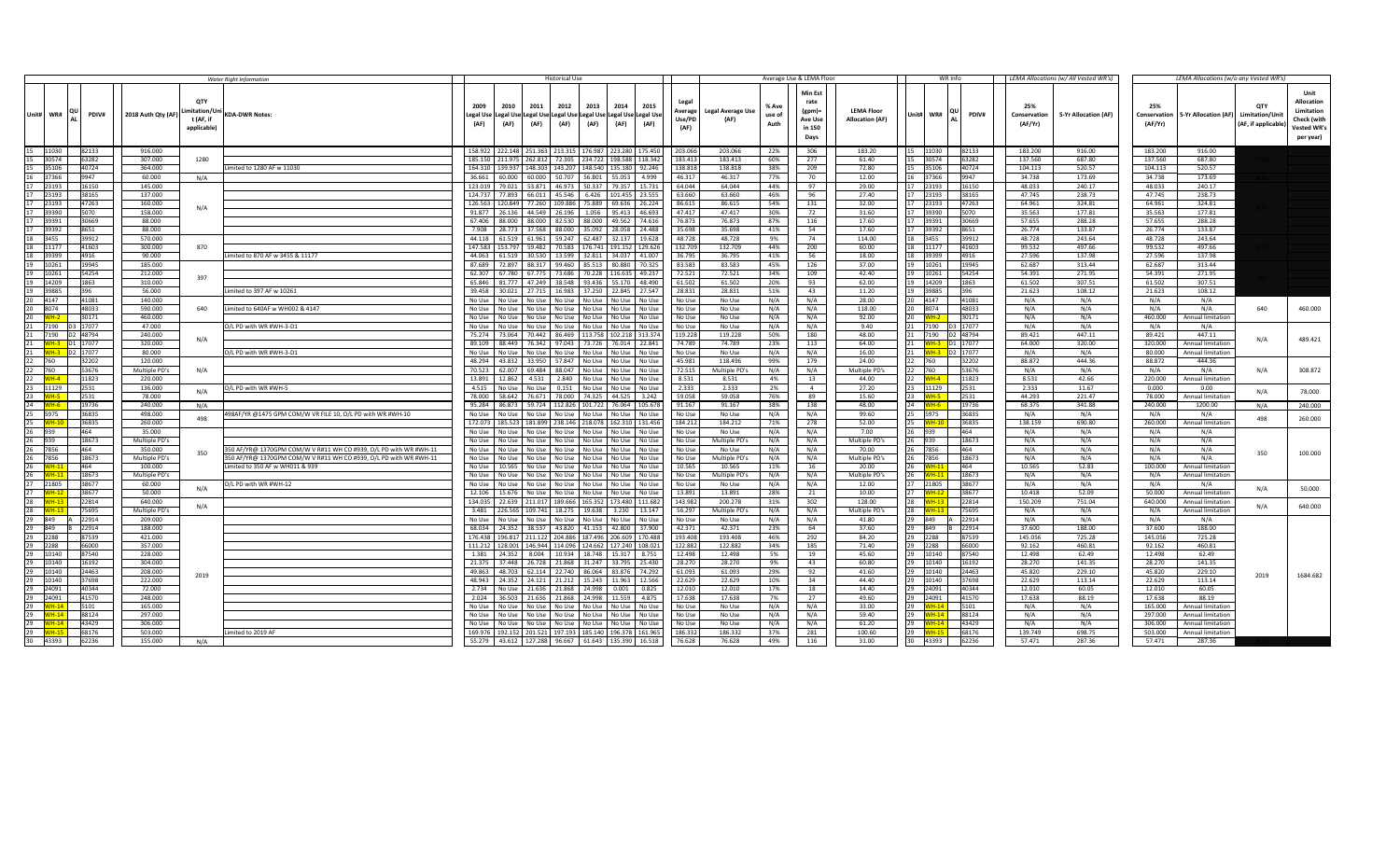|                             |                |                         |                          |                                                 | <b>Water Right Information</b>                                    | <b>Historical Use</b>                                                                                                                                                      |                                    |                          |                         | Average Use & LEMA Floor                                     |                                             | WR Info                           | LEMA Allocations (w/ All Vested WR's)                  | LEMA Allocations (w/o any Vested WR's)                                 |                                                           |                                                                             |
|-----------------------------|----------------|-------------------------|--------------------------|-------------------------------------------------|-------------------------------------------------------------------|----------------------------------------------------------------------------------------------------------------------------------------------------------------------------|------------------------------------|--------------------------|-------------------------|--------------------------------------------------------------|---------------------------------------------|-----------------------------------|--------------------------------------------------------|------------------------------------------------------------------------|-----------------------------------------------------------|-----------------------------------------------------------------------------|
| Unit# WR#                   |                | <b>PDIV#</b>            | 2018 Auth Qty (AF)       | QTY<br>mitation/Uni<br>t (AF, if<br>applicable) | <b>KDA-DWR Notes:</b>                                             | 2010<br>2011<br>2012<br>2013<br>2014<br>2015<br>Legal Use Legal Use Legal Use Legal Use Legal Use Legal Use Legal Use<br>(AF)   (AF)   (AF)  <br>(AF) (AF)<br>(AF)<br>(AF) | Legal<br>Average<br>Use/PD<br>(AF) | <b>Legal Average Use</b> | % Ave<br>use of<br>Auth | Min Est<br>rate<br>(gpm)<br><b>Ave Use</b><br>in 150<br>Days | <b>LEMA Floor</b><br><b>Allocation (AF)</b> | Unit# WR#<br><b>PDIV#</b>         | 25%<br>5-Yr Allocation (AF)<br>Conservation<br>(AF/Yr) | 25%<br>Conservation 5-Yr Allocation (AF)<br>(AF/Yr)                    | <b>OT</b><br><b>Limitation/Unit</b><br>(AF, if applicable | Unit<br>Allocation<br>Limitation<br>Check (with<br>Vested WR's<br>per year) |
| 15                          | 11030          | 82133                   | 916.000                  |                                                 |                                                                   | 158.922 222.148 251.363 213.315 176.987 223.280 175.450                                                                                                                    | 203.066                            | 203.066                  | 22%                     | 306                                                          | 183.20                                      | 11030<br>82133                    | 183.200<br>916.00                                      | 183,200<br>916.00                                                      |                                                           |                                                                             |
| 15                          | 30574          | 63282                   | 307.000                  | 1280                                            |                                                                   | 185.150 211.975 262.812 72.305 234.722 198.588 118.342                                                                                                                     | 183,413                            | 183.413                  | 60%                     | 277                                                          | 61.40                                       | 30574<br>63282                    | 137.560<br>687.80                                      | 137.560<br>687.80                                                      |                                                           |                                                                             |
| 15<br>16 37366              | 35106          | 40724<br>9947           | 364,000<br>60,000        |                                                 | Limited to 1280 AF w 11030                                        | 164.310   139.937   148.303   143.207   148.540   135.180   92.246<br>36,661 60,000 60,000 50,707 56,801 55,053 4.999                                                      | 138.818<br>46.317                  | 138.818<br>46.317        | 38%<br>77%              | 209<br>70                                                    | 72.80<br>12.00                              | 35106<br>40724<br>37366<br>9947   | 104.113<br>520.57<br>34.738<br>173.69                  | 104.113<br>520.57<br>34.738<br>173.69                                  |                                                           |                                                                             |
| 17                          | 23193          | 16150                   | 145.000                  | N/A                                             |                                                                   | 79.021 53.871 46.973 50.337<br>123.019<br>79.357 15.731                                                                                                                    | 64.044                             | 64.044                   | 44%                     | 97                                                           | 29.00                                       | 16150<br>23193                    | 48.033<br>240.17                                       | 48.033<br>240.17                                                       |                                                           |                                                                             |
| 17                          | 23193          | 38165                   | 137.000                  |                                                 |                                                                   | 77.893 66.011 45.546 6.426 101.455 23.555<br>124.737                                                                                                                       | 63.660                             | 63.660                   | 46%                     | 96                                                           | 27.40                                       | 23193<br>38165                    | 47.745<br>238.73                                       | 47.745<br>238.73                                                       |                                                           |                                                                             |
| 17                          | 23193          | 47263                   | 160,000                  |                                                 |                                                                   | 120.849 77.260 109.886 75.889 69.636 26.224<br>126.563                                                                                                                     | 86.615                             | 86.615                   | 54%                     | 131                                                          | 32.00                                       | 47263<br>23193                    | 64.961<br>324.81                                       | 64.961<br>324.81                                                       |                                                           |                                                                             |
| 17                          | 39390          | 5070                    | 158,000                  | N/A                                             |                                                                   | 91.877<br>26.136 44.549 26.196 1.056 95.413 46.693                                                                                                                         | 47.417                             | 47,417                   | 30%                     | 72                                                           | 31.60                                       | 5070<br>39390                     | 35.563<br>177.81                                       | 35.563<br>177.81                                                       |                                                           |                                                                             |
| 17                          | 39391          | 30669                   | 88,000                   |                                                 |                                                                   | 88,000 88,000 82,530 88,000 49,562 74,616<br>67,406                                                                                                                        | 76.873                             | 76.873                   | 87%                     | 116                                                          | 17.60                                       | 30669<br>39391                    | 57.655<br>288.28                                       | 57.655<br>288.28                                                       |                                                           |                                                                             |
|                             | 39392          | 8651                    | 88.000                   |                                                 |                                                                   | 7.908<br>28.773 37.568 88.000 35.092 28.058 24.488                                                                                                                         | 35.698                             | 35.698                   | 41%                     | 54                                                           | 17.60                                       | 8651<br>39392                     | 26.774<br>133.87                                       | 26.774<br>133.87                                                       |                                                           |                                                                             |
| 18<br>18                    | 3455<br>11177  | 39912<br>41603          | 570.000<br>300,000       | 870                                             |                                                                   | 61.519 61.961 59.247 62.487 32.137 19.628<br>44.118<br>147.583<br>153.797 59.482 70.583 176.741 191.152 129.626                                                            | 48.728<br>132.709                  | 48.728<br>132,709        | 9%<br>44%               | 74<br>200                                                    | 114.00<br>60.00                             | 39912<br>3455<br>41603<br>11177   | 48.728<br>243.64<br>99.532<br>497.66                   | 48.728<br>243.64<br>99.532<br>497.66                                   |                                                           |                                                                             |
| 18 39399                    |                | 4916                    | 90,000                   |                                                 | Limited to 870 AF w 3455 & 11177                                  | 44.063 61.519 30.530 13.599 32.811 34.037 41.007                                                                                                                           | 36.795                             | 36.795                   | 41%                     | 56                                                           | 18.00                                       | 4916<br>39399                     | 27.596<br>137.98                                       | 27.596<br>137.98                                                       |                                                           |                                                                             |
|                             | 10261          | 19945                   | 185.000                  |                                                 |                                                                   | 72.897 88.317 99.460 85.513 80.880 70.325<br>87.689                                                                                                                        | 83.583                             | 83.583                   | 45%                     | 126                                                          | 37.00                                       | 19945<br>10261                    | 62.687<br>313.44                                       | 62.687<br>313.44                                                       |                                                           |                                                                             |
| 19                          | 10261          | 54254                   | 212.000                  |                                                 |                                                                   | 67.780 67.775 73.686 70.228 116.635 49.237<br>62.307                                                                                                                       | 72.521                             | 72.521                   | 34%                     | 109                                                          | 42.40                                       | 54254<br>10261                    | 54.391<br>271.95                                       | 54.391<br>271.95                                                       |                                                           |                                                                             |
| 19                          | 14209          | 1863                    | 310,000                  | 397                                             |                                                                   | 65.846 81.777 47.249 38.548 93.436 55.170 48.490                                                                                                                           | 61.502                             | 61.502                   | 20%                     | 93                                                           | 62.00                                       | 14209<br>1863                     | 61.502<br>307.51                                       | 61.502<br>307.51                                                       |                                                           |                                                                             |
| 19                          | 39885          | 396                     | 56.000                   |                                                 | imited to 397 AF w 10261                                          | 39.458 30.021 27.715 16.983 37.250 22.845 27.547                                                                                                                           | 28.831                             | 28.831                   | 51%                     | 43                                                           | 11.20                                       | 39885<br>396                      | 21.623<br>108.12                                       | 21.623<br>108.12                                                       |                                                           |                                                                             |
| 20                          | 4147           | 41081                   | 140.000                  |                                                 |                                                                   | No Use<br>No Use   No Use   No Use   No Use   No Use   No Use                                                                                                              | No Use                             | No Use                   | N/A                     | N/A                                                          | 28.00                                       | 41081<br>4147                     | N/A<br>N/A                                             | N/A<br>N/A                                                             |                                                           |                                                                             |
| 20                          | 8074           | 48033                   | 590,000                  | 640                                             | Limited to 640AF w WH002 & 4147                                   | No Use<br>No Use   No Use   No Use   No Use   No Use   No Use                                                                                                              | No Use                             | No Use                   | N/A                     | N/A                                                          | 118.00                                      | 8074<br>48033                     | N/A<br>N/A                                             | N/A<br>N/A                                                             | 640                                                       | 460,000                                                                     |
| 20                          | $WH-2$         | 30171                   | 460.000                  |                                                 |                                                                   | No Use<br>No Use   No Use   No Use   No Use   No Use   No Use                                                                                                              | No Use                             | No Use                   | N/A                     | N/A                                                          | 92.00                                       | 30171<br>$WH-2$                   | N/A<br>N/A                                             | 460.000<br>Annual limitation                                           |                                                           |                                                                             |
| 21 7190 D2 48794            |                | 21 7190 D3 17077        | 47,000<br>240,000        |                                                 | O/L PD with WR #WH-3-D1                                           | No Use   No Use   No Use   No Use   No Use   No Use<br><b>No lise</b><br>73.064 70.442 86.469 113.758 102.218 313.374<br>75.274                                            | No Use<br>119,228                  | No Use<br>119,228        | N/A<br>50%              | N/A<br>180                                                   | 9.40<br>48.00                               | 7190 D3 17077<br>7190 D2 48794    | N/A<br>N/A<br>89.421<br>447.11                         | N/A<br>N/A<br>89.421<br>447.11                                         |                                                           |                                                                             |
| 21 <b>WH-3</b> D1 17077     |                |                         | 320.000                  | N/A                                             |                                                                   | 89.109 88.449 76.342 97.043 73.726 76.014 22.841                                                                                                                           | 74.789                             | 74.789                   | 23%                     | 113                                                          | 64.00                                       | 21 <mark>WH-3 </mark> D1 17077    | 64.000<br>320.00                                       | 320.000<br>Annual limitation                                           | N/A                                                       | 489.421                                                                     |
|                             |                | 21 <b>WH-3</b> D2 17077 | 80,000                   |                                                 | O/L PD with WR #WH-3-D1                                           | No Use No Use No Use No Use No Use No Use No Use                                                                                                                           | No Use                             | No Use                   | N/A                     | N/A                                                          | 16.00                                       | 21 <mark>WH-3 </mark> D2 17077    | N/A<br>N/A                                             | 80.000<br>Annual limitation                                            |                                                           |                                                                             |
| 22 760                      |                | 32202                   | 120.000                  |                                                 |                                                                   | 43.832 33.950 57.847 No Use No Use No Use<br>48.294                                                                                                                        | 45.981                             | 118.496                  | 99%                     | 179                                                          | 24.00                                       | 32202<br>760                      | 88.872<br>444.36                                       | 88.872<br>444.36                                                       |                                                           |                                                                             |
| 22<br>760                   |                | 53676                   | Multiple PD's            | N/A                                             |                                                                   | 62.007 69.484 88.047 No Use No Use No Use<br>70.523                                                                                                                        | 72.515                             | Multiple PD's            | N/A                     | N/A                                                          | Multiple PD's                               | 53676<br>760                      | N/A<br>N/A                                             | N/A<br>N/A                                                             | N/A                                                       | 308.872                                                                     |
| 22 <b>WH-4</b>              |                | 11823                   | 220.000                  |                                                 |                                                                   | 12.862 4.531 2.840 No Use No Use No Use<br>13.891                                                                                                                          | 8.531                              | 8.531                    | 4%                      | 13                                                           | 44.00                                       | 11823<br>$WH-4$                   | 8.531<br>42.66                                         | 220.000<br><b>Annual limitation</b>                                    |                                                           |                                                                             |
| 23 11129                    |                | 2531                    | 136.000                  | N/A                                             | O/L PD with WR #WH-5                                              | No Use   No Use   0.151   No Use   No Use   No Use<br>4.515                                                                                                                | 2.333                              | 2.333                    | 2%                      | $\overline{4}$                                               | 27.20                                       | 11129<br>2531                     | 2.333<br>11.67                                         | 0.000<br>0.00                                                          | N/A                                                       | 78.000                                                                      |
| 23 <b>WH-5</b>              |                | 2531                    | 78,000                   |                                                 |                                                                   | 78.000 58.642 76.671 78.000 74.325 44.525 3.242                                                                                                                            | 59.058                             | 59.058                   | 76%                     | 89                                                           | 15.60                                       | WH-5<br>2531                      | 44.293<br>221.47                                       | 78.000<br>Annual limitation                                            |                                                           |                                                                             |
| 24 <b>WH-6</b>              |                | 19736                   | 240.000                  | N/A                                             |                                                                   | 95.284 86.873 59.724 112.826 101.722 76.064 105.678                                                                                                                        | 91.167                             | 91.167                   | 38%                     | 138                                                          | 48.00                                       | 19736<br>$WH-6$                   | 68.375<br>341.88                                       | 240.000<br>1200.00                                                     | N/A                                                       | 240.000                                                                     |
| 25 5975<br>25 WH-10         |                | 36835<br>36835          | 498.000<br>260,000       | 498                                             | 98AF/YR @1475 GPM COM/W VR FILE 10, O/L PD with WR #WH-10         | No Use   No Use   No Use   No Use   No Use   No Use<br>No Use<br>172.073<br>185.523 181.899 238.146 218.078 162.310 131.45                                                 | No Use<br>184.212                  | No Use<br>184,212        | N/A                     | N/A                                                          | 99.60<br>52.00                              | 36835<br>5975<br>36835<br>$WH-10$ | N/A<br>N/A                                             | N/A<br>N/A                                                             | 498                                                       | 260.000                                                                     |
| 26<br>939                   |                | 464                     | 35.000                   |                                                 |                                                                   | No Use   No Use   No Use   No Use   No Use   No Use<br>No Use                                                                                                              | No Use                             | No Use                   | 71%<br>N/A              | 278<br>N/A                                                   | 7.00                                        | 939<br>464                        | 138.159<br>690.80<br>N/A<br>N/A                        | 260.000<br><b>Annual limitation</b><br>N/A<br>N/A                      |                                                           |                                                                             |
| 939<br>26                   |                | 18673                   | Multiple PD's            |                                                 |                                                                   | No Use   No Use   No Use   No Use   No Use   No Use<br>No Use                                                                                                              | No Use                             | Multiple PD's            | N/A                     | N/A                                                          | Multiple PD's                               | 18673<br>939                      | N/A<br>N/A                                             | N/A<br>N/A                                                             |                                                           |                                                                             |
| 26                          | 7856           | 464                     | 350.000                  |                                                 | 350 AF/YR@ 1370GPM COM/W V R#11 WH CO #939, O/L PD with WR #WH-11 | No Use   No Use   No Use   No Use   No Use   No Use<br>No Use                                                                                                              | No Use                             | No Use                   | N/A                     | N/A                                                          | 70.00                                       | 7856<br>464                       | N/A<br>N/A                                             | N/A<br>N/A                                                             |                                                           |                                                                             |
| 26                          | 7856           | 18673                   | Multiple PD's            | 350                                             | 350 AF/YR@ 1370GPM COM/W V R#11 WH CO #939, O/L PD with WR #WH-11 | No Use<br>No Use   No Use   No Use   No Use   No Use   No Use                                                                                                              | No Use                             | Multiple PD's            | N/A                     | N/A                                                          | Multiple PD's                               | 18673<br>7856                     | N/A<br>N/A                                             | N/A<br>N/A                                                             | 350                                                       | 100.000                                                                     |
| 26 WH-11                    |                | 464                     | 100,000                  |                                                 | imited to 350 AF w WH011 & 939                                    | 10.565 No Use No Use No Use No Use No Use<br>No Use                                                                                                                        | 10.565                             | 10.565                   | 11%                     | 16                                                           | 20.00                                       | 464<br><b>WH-11</b>               | 10.565<br>52.83                                        | 100,000<br>Annual limitation                                           |                                                           |                                                                             |
| 26 <b>WH-11</b>             |                | 18673                   | Multiple PD's            |                                                 |                                                                   | No Use   No Use   No Use   No Use   No Use   No Use<br>No Use                                                                                                              | No Use                             | Multiple PD's            | N/A                     | N/A                                                          | Multiple PD's                               | 18673<br>$MH-11$                  | N/A<br>N/A                                             | Annual limitation<br>N/A                                               |                                                           |                                                                             |
| 27                          | 21805          | 38677                   | 60.000                   | N/A                                             | O/L PD with WR #WH-12                                             | No Use No Use No Use No Use No Use No Use<br>No Use                                                                                                                        | No Use                             | No Use                   | N/A                     | N/A                                                          | 12.00                                       | 38677<br>21805                    | N/A<br>N/A                                             | N/A<br>N/A                                                             | N/A                                                       | 50.000                                                                      |
| 27 <b>WH-12</b>             |                | 38677                   | 50.000                   |                                                 |                                                                   | 15.676 No Use No Use No Use No Use No Use<br>12.106                                                                                                                        | 13.891                             | 13.891                   | 28%                     | 21                                                           | 10.00                                       | 38677                             | 10.418<br>52.09                                        | 50.000<br><b>Annual limitation</b>                                     |                                                           |                                                                             |
| 28 WH-13<br>28 <b>WH-13</b> |                | 22814<br>75695          | 640.000<br>Multiple PD's | N/A                                             |                                                                   | 134.035<br>22.639 211.017 189.666 165.352 173.480 111.682<br>226.565 109.741 18.275 19.638 3.230 13.147<br>3.481                                                           | 143.982<br>56.297                  | 200.278<br>Multiple PD's | 31%<br>N/A              | 302<br>N/A                                                   | 128.00<br>Multiple PD's                     | 22814<br>75695                    | 150.209<br>751.04<br>N/A<br>N/A                        | 640.000<br><b>Annual limitation</b><br>N/A<br><b>Annual limitation</b> | N/A                                                       | 640.000                                                                     |
| 29<br>849                   |                | A 22914                 | 209.000                  |                                                 |                                                                   | No Use No Use No Use No Use No Use No Use<br>No Use                                                                                                                        | No Use                             | No Use                   | N/A                     | N/A                                                          | 41.80                                       | 849<br>22914<br><b>IA</b>         | N/A<br>N/A                                             | N/A<br>N/A                                                             |                                                           |                                                                             |
| 849<br>29                   |                | B 22914                 | 188.000                  |                                                 |                                                                   | 24.352 38.537 43.820 41.153 42.800 37.900<br>68.034                                                                                                                        | 42.371                             | 42.371                   | 23%                     | 64                                                           | 37.60                                       | 22914<br>849<br>IR.               | 37.600<br>188.00                                       | 37.600<br>188.00                                                       |                                                           |                                                                             |
| 29                          | 2288           | 87539                   | 421.000                  |                                                 |                                                                   | 196.817 211.122 204.886 187.496<br>176.438<br>206.609 170.488                                                                                                              | 193.408                            | 193.408                  | 46%                     | 292                                                          | 84.20                                       | 2288<br>87539                     | 145.056<br>725.28                                      | 145.056<br>725.28                                                      |                                                           |                                                                             |
| 29                          | 2288           | 66000                   | 357.000                  |                                                 |                                                                   | 111.212   128.001   146.944   114.096   124.662   127.240   108.02                                                                                                         | 122.882                            | 122.882                  | 34%                     | 185                                                          | 71.40                                       | 66000<br>2288                     | 92.162<br>460.81                                       | 92.162<br>460.81                                                       |                                                           |                                                                             |
| 29                          | 10140          | 87540                   | 228,000                  |                                                 |                                                                   | 24.352 8.004 10.934 18.748 15.317 8.751<br>1.381                                                                                                                           | 12.498                             | 12.498                   | 5%                      | 19                                                           | 45.60                                       | 87540<br>10140                    | 12.498<br>62.49                                        | 12.498<br>62.49                                                        |                                                           |                                                                             |
| 29                          | 10140          | 16192                   | 304.000                  |                                                 |                                                                   | 21.375<br>37.448 26.728 21.868 31.247<br>33.795 25.430                                                                                                                     | 28.270                             | 28.270                   | 9%                      | 43                                                           | 60.80                                       | 10140<br>16192                    | 28.270<br>141.35                                       | 28.270<br>141.35                                                       |                                                           |                                                                             |
| $29 -$                      | 10140          | 24463                   | 208,000                  | 2019                                            |                                                                   | 49.863 48.703 62.114 22.740 86.064 83.876 74.292                                                                                                                           | 61.093                             | 61.093                   | 29%                     | 92                                                           | 41.60                                       | 24463<br>10140                    | 45.820<br>229.10                                       | 45.820<br>229.10                                                       | 2019                                                      | 1684.682                                                                    |
| 29                          | 10140          | 37698                   | 222.000                  |                                                 |                                                                   | 48.943<br>24.352 24.121 21.212 15.243 11.963 12.566                                                                                                                        | 22.629                             | 22.629                   | 10%                     | 34                                                           | 44.40                                       | 10140<br>37698                    | 22.629<br>113.14                                       | 22.629<br>113.14                                                       |                                                           |                                                                             |
| 29<br>29                    | 24091<br>24091 | 40344<br>41570          | 72,000<br>248.000        |                                                 |                                                                   | 2.734<br>No Use 21.636 21.868 24.998 0.001 0.825<br>36.503 21.636 21.868 24.998 11.559 4.875<br>2.024                                                                      | 12.010<br>17.638                   | 12.010<br>17.638         | 17%<br>7%               | 18<br>27                                                     | 14.40<br>49.60                              | 40344<br>24091<br>24091<br>41570  | 12.010<br>60.05<br>17.638<br>88.19                     | 12.010<br>60.05<br>17.638<br>88.19                                     |                                                           |                                                                             |
| 29                          | $WH-14$        | 5101                    | 165.000                  |                                                 |                                                                   | No Use<br>No Use   No Use   No Use   No Use   No Use   No Use                                                                                                              | No Use                             | No Use                   | N/A                     | N/A                                                          | 33.00                                       | 5101<br><b>WH-14</b>              | N/A<br>N/A                                             | 165.000<br>Annual limitation                                           |                                                           |                                                                             |
| 29 <b>WH-14</b>             |                | 88124                   | 297.000                  |                                                 |                                                                   | No Use No Use No Use No Use No Use No Use<br>No Use                                                                                                                        | No Use                             | No Use                   | N/A                     | N/A                                                          | 59.40                                       | 88124<br>$WH-14$                  | N/A<br>N/A                                             | 297.000<br>Annual limitation                                           |                                                           |                                                                             |
| 29 <b>WH-14</b>             |                | 43429                   | 306.000                  |                                                 |                                                                   | No Use<br>No Use   No Use   No Use   No Use   No Use   No Use                                                                                                              | No Use                             | No Use                   | N/A                     | N/A                                                          | 61.20                                       | 43429<br>29 IWH-14                | N/A<br>N/A                                             | 306.000<br>Annual limitation                                           |                                                           |                                                                             |
| 29 <b>WH-15</b> 68176       |                |                         | 503.000                  |                                                 | Limited to 2019 AF                                                | 169.976 192.152 201.521 197.193 185.140 196.378 161.965                                                                                                                    | 186.332                            | 186.332                  | 37%                     | 281                                                          | 100.60                                      | 29 <b>WH-15</b><br>68176          | 139.749<br>698.75                                      | 503.000<br>Annual limitation                                           |                                                           |                                                                             |
| 30 43393                    |                | 62236                   | 155.000                  | N/A                                             |                                                                   | 55.279 43.612 127.288 96.667 61.643 135.390 16.518                                                                                                                         | 76.628                             | 76.628                   | 49%                     | 116                                                          | 31.00                                       | 30 43393<br>62236                 | 57.471<br>287.36                                       | 57.471<br>287.36                                                       |                                                           |                                                                             |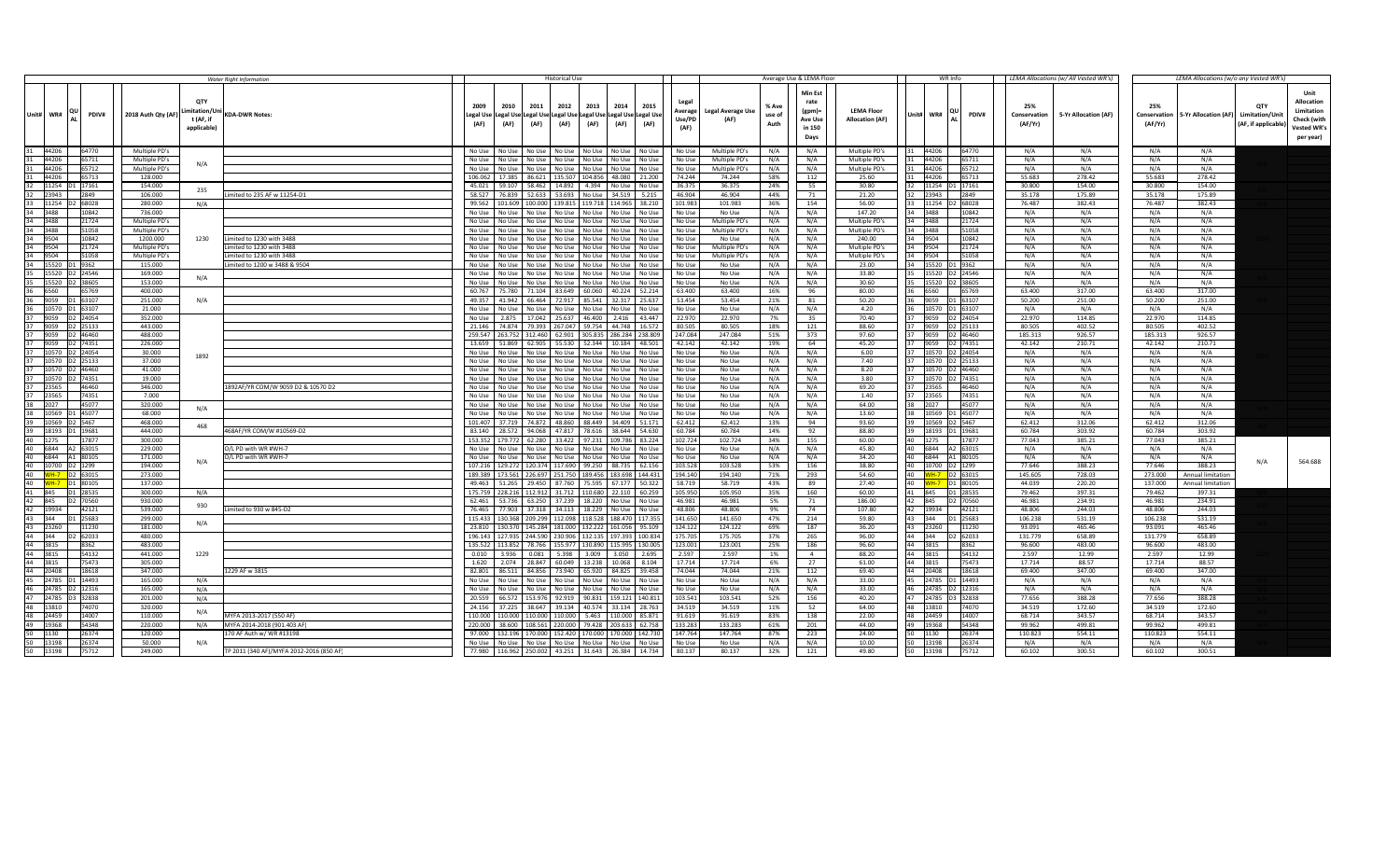|                                               |                                |                                                | <b>Water Right Information</b>                             |                  |              |                                                                                                                         | <b>Historical Use</b>     |              |                                |                                    |                                |                         | Average Use & LEMA Floor                                  |                                             |           | WR Info                             |                                | LEMA Allocations (w/ All Vested WR's) |                                | LEMA Allocations (w/o any Vested WR's) |                                                           |                                                                             |
|-----------------------------------------------|--------------------------------|------------------------------------------------|------------------------------------------------------------|------------------|--------------|-------------------------------------------------------------------------------------------------------------------------|---------------------------|--------------|--------------------------------|------------------------------------|--------------------------------|-------------------------|-----------------------------------------------------------|---------------------------------------------|-----------|-------------------------------------|--------------------------------|---------------------------------------|--------------------------------|----------------------------------------|-----------------------------------------------------------|-----------------------------------------------------------------------------|
| Unit# WR#<br>PDIV#                            | 2018 Auth Qty (AF)             | OTY<br>mitation/Un<br>t (AF. if<br>applicable) | <b>KDA-DWR Notes:</b>                                      | 2009<br>(AF)     | 2010<br>(AF) | 2011<br>Legal Use Legal Use Legal Use Legal Use Legal Use Legal Use Legal Use<br>(AF)                                   | 2012<br>2013<br>(AF) (AF) | 2014<br>(AF) | 2015<br>(AF)                   | Legal<br>Average<br>Use/PD<br>(AF) | Legal Average Use<br>(AF)      | % Ave<br>use of<br>Auth | Min Est<br>rate<br>$(gpm)$ =<br>Ave Use<br>in 150<br>Days | <b>LEMA Floor</b><br><b>Allocation (AF)</b> | Unit# WR# | PDIV#                               | 25%<br>Conservation<br>(AF/Yr) | 5-Yr Allocation (AF)                  | 25%<br>Conservation<br>(AF/Yr) | 5-Yr Allocation (AF)                   | <b>OT</b><br><b>Limitation/Unit</b><br>(AF, if applicable | Unit<br>Allocation<br>Limitation<br>Check (with<br>Vested WR's<br>per year) |
| 44206<br>64770<br>44206<br>65711              | Multiple PD's<br>Multiple PD's |                                                |                                                            | No Use           |              | No Use   No Use   No Use   No Use   No Use   No Use   No Use<br>No Use No Use No Use No Use                             |                           |              | No Use No Use                  | No Use<br>No Use                   | Multiple PD's<br>Multiple PD's | N/A<br>N/A              | N/A<br>N/A                                                | Multiple PD's<br>Multiple PD's              |           | 44206<br>64770<br>44206<br>65711    | N/A<br>N/A                     | N/A<br>N/A                            | N/A<br>N/A                     | N/A<br>N/A                             |                                                           |                                                                             |
| 44206<br>65712<br>31                          | Multiple PD's                  | N/A                                            |                                                            | No Use           |              | No Use No Use No Use No Use No Use No Use                                                                               |                           |              |                                | No Use                             | Multiple PD's                  | N/A                     | N/A                                                       | Multiple PD's                               |           | 65712<br>44206                      | N/A                            | N/A                                   | N/A                            | N/A                                    |                                                           |                                                                             |
| 44206<br>65713<br>31                          | 128,000                        |                                                |                                                            |                  |              | 106.062 17.385 86.621 135.507 104.856                                                                                   |                           |              | 48.080 21.200                  | 74.244                             | 74.244                         | 58%                     | 112                                                       | 25.60                                       |           | 44206<br>65713                      | 55.683                         | 278.42                                | 55.683                         | 278.42                                 |                                                           |                                                                             |
| 11254 D1 17161                                | 154.000                        | 235                                            |                                                            |                  |              | 45.021 59.107 58.462 14.892 4.394 No Use No Use                                                                         |                           |              |                                | 36.375                             | 36.375                         | 24%                     | 55                                                        | 30.80                                       |           | 11254 D1 17161                      | 30.800                         | 154.00                                | 30.800                         | 154.00                                 |                                                           |                                                                             |
| 32<br>23943<br>2849                           | 106,000                        |                                                | imited to 235 AF w 11254-D1                                |                  |              | 58.527 76.839 52.633 53.693 No Use 34.519 5.215                                                                         |                           |              |                                | 46.904                             | 46.904                         | 44%                     | 71                                                        | 21.20                                       |           | 23943<br>2849                       | 35.178                         | 175.89                                | 35.178                         | 175.89                                 |                                                           |                                                                             |
| 33<br>11254 D2 68028<br>34                    | 280.000                        | N/A                                            |                                                            |                  |              | 99.562   101.609   100.000   139.815   119.718   114.965   38.210                                                       |                           |              |                                | 101.983                            | 101.983                        | 36%                     | 154<br>N/A                                                | 56.00                                       |           | 33 11254 D2 68028                   | 76.487                         | 382.43<br>N/A                         | 76.487                         | 382.43<br>N/A                          |                                                           |                                                                             |
| 3488<br>10842<br>3488<br>21724                | 736.000<br>Multiple PD's       |                                                |                                                            | No Use           |              | No Use   No Use   No Use   No Use   No Use   No Use   No Use<br>No Use No Use                                           | No Use No Use             |              | No Use No Use                  | No Use<br>No Use                   | No Use<br>Multiple PD's        | N/A<br>N/A              | N/A                                                       | 147.20<br>Multiple PD's                     |           | 3488<br>10842<br>3488<br>21724      | N/A<br>N/A                     | N/A                                   | N/A<br>N/A                     | N/A                                    |                                                           |                                                                             |
| 3488<br>51058                                 | Multiple PD's                  |                                                |                                                            | No Use           |              | No Use No Use No Use No Use                                                                                             |                           |              | No Use No Use                  | No Use                             | Multiple PD's                  | N/A                     | N/A                                                       | Multiple PD's                               |           | 3488<br>51058                       | N/A                            | N/A                                   | N/A                            | N/A                                    |                                                           |                                                                             |
| 10842<br>34<br>9504                           | 1200.000                       | 1230                                           | Limited to 1230 with 3488                                  | No Use           |              | No Use No Use No Use No Use                                                                                             |                           |              | No Use No Use                  | No Use                             | No Use                         | N/A                     | N/A                                                       | 240.00                                      |           | 10842<br>9504                       | N/A                            | N/A                                   | N/A                            | N/A                                    |                                                           |                                                                             |
| 34<br>9504<br>21724                           | Multiple PD's                  |                                                | Limited to 1230 with 3488                                  | No Use           |              | No Use No Use                                                                                                           | No Use No Use             |              | No Use No Use                  | No Use                             | Multiple PD's                  | N/A                     | N/A                                                       | Multiple PD's                               |           | 9504<br>21724                       | N/A                            | N/A                                   | N/A                            | N/A                                    |                                                           |                                                                             |
| 34<br>9504<br>51058<br>34<br>15520 D1 9362    | Multiple PD's<br>115.000       |                                                | Limited to 1230 with 3488<br>Limited to 1200 w 3488 & 9504 | No Use           |              | No Use   No Use   No Use   No Use   No Use   No Use   No Use<br>No Use   No Use   No Use   No Use   No Use   No Use     |                           |              |                                | No Use<br>No Use                   | Multiple PD's<br>No Use        | N/A<br>N/A              | N/A<br>N/A                                                | Multiple PD's<br>23.00                      | 34 9504   | 51058<br>34 15520 D1 9362           | N/A<br>N/A                     | N/A<br>N/A                            | N/A<br>N/A                     | N/A<br>N/A                             |                                                           |                                                                             |
| 35<br>15520 D2 24546                          | 169,000                        |                                                |                                                            | No Use           |              | No Use   No Use   No Use   No Use   No Use   No Use                                                                     |                           |              |                                | No Use                             | No Use                         | N/A                     | N/A                                                       | 33.80                                       |           | 35 15520 D2 24546                   | N/A                            | N/A                                   | N/A                            | N/A                                    |                                                           |                                                                             |
| 35<br>15520 D2 38605                          | 153,000                        | N/A                                            |                                                            | No Lise          |              | No Use No Use                                                                                                           | No Use No Use             |              | No Use No Use                  | No Use                             | No Use                         | N/A                     | N/A                                                       | 30.60                                       |           | 15520 D2 38605                      | N/A                            | N/A                                   | N/A                            | N/A                                    |                                                           |                                                                             |
| 36<br>6560<br>65769                           | 400.000                        |                                                |                                                            | 60.767           |              | 75.780 71.104 83.649 60.060                                                                                             |                           |              | 40.224 52.214                  | 63.400                             | 63.400                         | 16%                     | 96                                                        | 80.00                                       |           | 65769<br>6560                       | 63.400                         | 317.00                                | 63.400                         | 317.00                                 |                                                           |                                                                             |
| 36<br>9059 D1 63107                           | 251,000                        | N/A                                            |                                                            | 49.357           |              | 41.942 66.464 72.917 85.541                                                                                             |                           |              | 32.317 25.637                  | 53.454                             | 53.454                         | 21%                     | 81                                                        | 50.20                                       |           | 9059 D1 63107                       | 50.200                         | 251.00                                | 50.200                         | 251.00                                 |                                                           |                                                                             |
| 36<br>10570 D1 63107<br>37<br>9059 D2 24054   | 21.000<br>352.000              |                                                |                                                            | No Use<br>No Use |              | No Use No Use No Use No Use No Use No Use<br>2.875 17.042 25.637 46.400                                                 |                           |              | 2.416 43.447                   | No Use<br>22.970                   | No Use<br>22.970               | N/A<br>7%               | N/A<br>35                                                 | 4.20<br>70.40                               |           | 10570 D1 63107<br>9059 D2 24054     | N/A<br>22.970                  | N/A<br>114.85                         | N/A<br>22.970                  | N/A<br>114.85                          |                                                           |                                                                             |
| 37<br>9059 D2 25133                           | 443.000                        |                                                |                                                            |                  |              | 21.146 74.874 79.393 267.047 59.754 44.748 16.572                                                                       |                           |              |                                | 80.505                             | 80.505                         | 18%                     | 121                                                       | 88.60                                       |           | 37 9059 D2 25133                    | 80.505                         | 402.52                                | 80.505                         | 402.52                                 |                                                           |                                                                             |
| 9059 D2 46460<br>37                           | 488,000                        |                                                |                                                            |                  |              | 259.547 263.752 312.460 62.901 305.835 286.284 238.809                                                                  |                           |              |                                | 247.084                            | 247.084                        | 51%                     | 373                                                       | 97.60                                       |           | 9059 D2 46460                       | 185.313                        | 926.57                                | 185.313                        | 926.57                                 |                                                           |                                                                             |
| 37<br>9059 D2 74351                           | 226.000                        |                                                |                                                            | 13.659           |              | 51.869 62.905 55.530 52.344 10.184 48.501                                                                               |                           |              |                                | 42.142                             | 42.142                         | 19%                     | 64                                                        | 45.20                                       |           | 37 9059 D2 74351                    | 42.142                         | 210.71                                | 42.142                         | 210.71                                 |                                                           |                                                                             |
| 37<br>10570 D2 24054                          | 30.000                         | 1892                                           |                                                            | No Use           |              | No Use No Use No Use No Use                                                                                             |                           |              | No Use No Use                  | No Use                             | No Use                         | N/A                     | N/A                                                       | 6.00                                        |           | 37 10570 D2 24054                   | N/A                            | N/A                                   | N/A                            | N/A                                    |                                                           |                                                                             |
| 37<br>10570 D2 25133<br>37<br>10570 D2 46460  | 37.000<br>41.000               |                                                |                                                            | No Use<br>No Use |              | No Use No Use No Use No Use<br>No Use No Use No Use No Use                                                              |                           |              | No Use No Use<br>No Use No Use | No Use<br>No Use                   | No Use<br>No Use               | N/A<br>N/A              | N/A<br>N/A                                                | 7.40<br>8.20                                |           | 10570 D2 25133<br>10570 D2 46460    | N/A<br>N/A                     | N/A<br>N/A                            | N/A<br>N/A                     | N/A<br>N/A                             |                                                           |                                                                             |
| 37<br>10570 D2 74351                          | 19,000                         |                                                |                                                            | No Use           |              | No Use No Use No Use No Use                                                                                             |                           |              | No Use No Use                  | No Use                             | No Use                         | N/A                     | N/A                                                       | 3.80                                        |           | 10570 D2 74351                      | N/A                            | N/A                                   | N/A                            | N/A                                    |                                                           |                                                                             |
| 37<br>23565<br>46460                          | 346,000                        |                                                | 1892AF/YR COM/W 9059 D2 & 10570 D2                         | No Use           |              | No Use No Use No Use No Use                                                                                             |                           |              | No Use No Use                  | No Use                             | No Use                         | N/A                     | N/A                                                       | 69.20                                       |           | 37 23565<br>46460                   | N/A                            | N/A                                   | N/A                            | N/A                                    |                                                           |                                                                             |
| 37<br>23565<br>74351                          | 7.000                          |                                                |                                                            |                  |              | No Use   No Use   No Use   No Use   No Use                                                                              |                           |              | No Use No Use                  | No Use                             | No Use                         | N/A                     | N/A                                                       | 1.40                                        |           | 23565<br>74351                      | N/A                            | N/A                                   | N/A                            | N/A                                    |                                                           |                                                                             |
| 38<br>2027<br>45077<br>38<br>10569 D1 45077   | 320.000<br>68,000              | N/A                                            |                                                            | No Use           |              | No Use No Use No Use No Use No Use No Use<br>No Use No Use No Use No Use No Use No Use No Use                           |                           |              |                                | No Use<br>No Use                   | No Use<br>No Use               | N/A<br>N/A              | N/A<br>N/A                                                | 64.00<br>13.60                              |           | 2027<br>45077<br>38 10569 D1 45077  | N/A<br>N/A                     | N/A<br>N/A                            | N/A<br>N/A                     | N/A<br>N/A                             |                                                           |                                                                             |
| 39<br>10569 D2 5467                           | 468.000                        |                                                |                                                            | 101.407          |              | 37.719 74.872 48.860 88.449                                                                                             |                           |              | 34.409 51.171                  | 62.412                             | 62.412                         | 13%                     | 94                                                        | 93.60                                       |           | 10569 D2 5467                       | 62.412                         | 312.06                                | 62.412                         | 312.06                                 |                                                           |                                                                             |
| 39<br>18193 D1 19681                          | 444.000                        | 468                                            | 468AF/YR COM/W #10569-D2                                   |                  |              | 83.140 28.572 94.068 47.817 78.616                                                                                      |                           |              | 38.644 54.630                  | 60.784                             | 60.784                         | 14%                     | 92                                                        | 88.80                                       |           | 18193 D1 19681                      | 60.784                         | 303.92                                | 60.784                         | 303.92                                 |                                                           |                                                                             |
| 40<br>1275<br>17877                           | 300,000                        |                                                |                                                            |                  |              | 153.352 179.772 62.280 33.422 97.231 109.786 83.224                                                                     |                           |              |                                | 102.724                            | 102.724                        | 34%                     | 155                                                       | 60.00                                       |           | 1275<br>17877                       | 77.043                         | 385.21                                | 77,043                         | 385.21                                 |                                                           |                                                                             |
| 40<br>6844 A2 63015                           | 229,000                        |                                                | O/L PD with WR #WH-7                                       | No Use           |              | No Use No Use No Use No Use                                                                                             |                           |              | No Use No Use                  | No Use                             | No Use                         | N/A                     | N/A                                                       | 45.80                                       |           | 6844 A2 63015                       | N/A                            | N/A                                   | N/A                            | N/A                                    |                                                           |                                                                             |
| 40<br>6844 A1 80105<br>10700 D2 1299          | 171.000<br>194.000             | N/A                                            | O/L PD with WR #WH-7                                       | No Use           |              | No Use No Use No Use No Use No Use No Use<br>107.216   129.272   120.374   117.690   99.250                             |                           |              | 88.735 62.156                  | No Use<br>103.528                  | No Use<br>103.528              | N/A<br>53%              | N/A<br>156                                                | 34.20<br>38.80                              |           | 40 6844 A1 80105<br>10700 D2 1299   | N/A<br>77.646                  | N/A<br>388.23                         | N/A<br>77.646                  | N/A<br>388.23                          | N/A                                                       | 564.688                                                                     |
| $\frac{40}{40}$<br>WH-7 D2 63015              | 273.000                        |                                                |                                                            |                  |              | 189.389   173.561   226.697   251.750   189.456   183.698   144.431                                                     |                           |              |                                | 194.140                            | 194.140                        | 71%                     | 293                                                       | 54.60                                       |           | 40 <mark>WH-7 </mark> D2 63015      | 145.605                        | 728.03                                | 273.000                        | Annual limitation                      |                                                           |                                                                             |
| 40<br><b>WH-7</b> D1 80105                    | 137.000                        |                                                |                                                            |                  |              | 49.463 51.265 29.450 87.760 75.595 67.177 50.322                                                                        |                           |              |                                | 58.719                             | 58.719                         | 43%                     | 89                                                        | 27.40                                       |           | 40 <mark>WH-7</mark> D1 80105       | 44.039                         | 220.20                                | 137.000                        | Annual limitation                      |                                                           |                                                                             |
| 41<br>845 D1 28535                            | 300.000                        | N/A                                            |                                                            |                  |              | 175.759 228.216 112.912 31.712 110.680 22.110 60.259                                                                    |                           |              |                                | 105.950                            | 105.950                        | 35%                     | 160                                                       | 60.00                                       | 41 845    | D1 28535                            | 79.462                         | 397.31                                | 79.462                         | 397.31                                 |                                                           |                                                                             |
| 42<br>D <sub>2</sub> 70560<br>845             | 930.000                        | 930                                            |                                                            |                  |              | 62.461 53.736 63.250 37.239 18.220 No Use No Use                                                                        |                           |              |                                | 46.981                             | 46,981                         | 5%                      | 71                                                        | 186.00                                      |           | D2 70560<br>845                     | 46.981                         | 234.91                                | 46.981                         | 234.91                                 |                                                           |                                                                             |
| 42<br>19934<br>42121<br>43<br>344<br>D1 25683 | 539.000<br>299.000             |                                                | imited to 930 w 845-D2                                     |                  |              | 76.465 77.903 37.318 34.113 18.229 No Use No Use<br>115.433   130.368   209.299   112.098   118.528   188.470   117.355 |                           |              |                                | 48.806<br>141.650                  | 48.806<br>141.650              | 9%<br>47%               | 74<br>214                                                 | 107.80<br>59.80                             |           | 19934<br>42121<br>D1 25683<br>344   | 48.806<br>106.238              | 244.03<br>531.19                      | 48.806<br>106.238              | 244.03<br>531.19                       |                                                           |                                                                             |
| 43<br>23260<br>11230                          | 181.000                        | N/A                                            |                                                            |                  |              | 23.810   130.370   145.284   181.000   132.222                                                                          |                           |              | 161.056 95.109                 | 124.122                            | 124.122                        | 69%                     | 187                                                       | 36.20                                       |           | 11230<br>23260                      | 93.091                         | 465.46                                | 93.091                         | 465.46                                 |                                                           |                                                                             |
| 44<br>344<br>D2 62033                         | 480.000                        |                                                |                                                            |                  |              | 196.143 127.935 244.590 230.906 132.135 197.393 100.834                                                                 |                           |              |                                | 175.705                            | 175.705                        | 37%                     | 265                                                       | 96.00                                       | 44 344    | D2 62033                            | 131.779                        | 658.89                                | 131.779                        | 658.89                                 |                                                           |                                                                             |
| 44<br>3815<br>8362                            | 483,000                        |                                                |                                                            |                  |              | 135.522 113.852 78.766 155.977 130.890 115.995 130.005                                                                  |                           |              |                                | 123.001                            | 123.001                        | 25%                     | 186                                                       | 96.60                                       |           | 3815<br>8362                        | 96.600                         | 483.00                                | 96,600                         | 483.00                                 |                                                           |                                                                             |
| 54132<br>44<br>3815                           | 441.000                        | 1229                                           |                                                            | 0.010            |              | 3.936 0.081 5.398 3.009                                                                                                 |                           | 3.050        | 2.695                          | 2.597                              | 2.597                          | 1%                      | $\overline{a}$                                            | 88.20                                       |           | 54132<br>3815                       | 2.597                          | 12.99                                 | 2.597                          | 12.99                                  |                                                           |                                                                             |
| 44<br>75473<br>3815<br>44<br>20408<br>18618   | 305.000<br>347.000             |                                                | 1229 AF w 3815                                             | 1.620            |              | 2.074 28.847 60.049 13.238<br>82.801 86.511 84.856 73.940 65.920 84.825 39.458                                          |                           | 10.068       | 8.104                          | 17.714<br>74.044                   | 17.714<br>74.044               | 6%<br>21%               | 27<br>112                                                 | 61.00<br>69.40                              |           | 3815<br>75473<br>20408<br>18618     | 17.714<br>69.400               | 88.57<br>347.00                       | 17.714<br>69.400               | 88.57<br>347.00                        |                                                           |                                                                             |
| 45<br>24785 D1 14493                          | 165.000                        | N/A                                            |                                                            |                  |              | No Use   No Use   No Use   No Use   No Use                                                                              |                           |              | No Use No Use                  | No Use                             | No Use                         | N/A                     | N/A                                                       | 33.00                                       |           | 24785 D1 14493                      | N/A                            | N/A                                   | N/A                            | N/A                                    |                                                           |                                                                             |
| 46<br>24785 D2 12316                          | 165.000                        | N/A                                            |                                                            |                  |              | No Use   No Use   No Use   No Use   No Use   No Use   No Use                                                            |                           |              |                                | No Use                             | No Use                         | N/A                     | N/A                                                       | 33.00                                       |           | 24785 D2 12316                      | N/A                            | N/A                                   | N/A                            | N/A                                    |                                                           |                                                                             |
| 24785 D3 32838                                | 201.000                        | N/A                                            |                                                            |                  |              | 20.559 66.572 153.976 92.919 90.831 159.121 140.81                                                                      |                           |              |                                | 03.541                             | 103.541                        | 52%                     | 156                                                       | 40.20                                       |           | 24785 D3 32838                      | 77.656                         | 388.28                                | 77.656                         | 388.28                                 |                                                           |                                                                             |
| 48<br>13810<br>74070                          | 320.000                        | N/A                                            |                                                            |                  |              | 24.156 37.225 38.647 39.134 40.574 33.134 28.763                                                                        |                           |              |                                | 34.519                             | 34.519                         | 11%                     | 52                                                        | 64.00                                       |           | 13810<br>74070                      | 34.519                         | 172.60                                | 34.519                         | 172.60                                 |                                                           |                                                                             |
| 14007<br>24459<br>48<br>49<br>19368<br>54348  | 110.000<br>220.000             | N/A                                            | MYFA 2013-2017 (550 AF)<br>MYFA 2014-2018 (901.403 AF      |                  |              | 110.000 110.000 110.000 110.000 5.463 110.000 85.871<br>220.000 38.600 108.561 220.000 79.428 203.633 62.758            |                           |              |                                | 91.619<br>133.283                  | 91.619<br>133.283              | 83%<br>61%              | 138<br>201                                                | 22.00<br>44.00                              |           | 14007<br>48 24459<br>54348<br>19368 | 68.714<br>99.962               | 343.57<br>499.81                      | 68.714<br>99.962               | 343.57<br>499.81                       |                                                           |                                                                             |
| 50<br>26374<br>1130                           | 120.000                        |                                                | 170 AF Auth w/ WR #13198                                   |                  |              | 97.000   132.196   170.000   152.420   170.000   170.000   142.730                                                      |                           |              |                                | 147.764                            | 147.764                        | 87%                     | 223                                                       | 24.00                                       |           | 26374<br>1130                       | 110.823                        | 554.11                                | 110.823                        | 554.11                                 |                                                           |                                                                             |
| 50<br>13198<br>26374                          | 50,000                         | N/A                                            |                                                            |                  |              | No Use No Use No Use No Use No Use No Use No Use                                                                        |                           |              |                                | No Use                             | No Use                         | N/A                     | N/A                                                       | 10.00                                       |           | 13198<br>26374                      | N/A                            | N/A                                   | N/A                            | N/A                                    |                                                           |                                                                             |
| 50 13198<br>75712                             | 249,000                        |                                                | TP 2011 (340 AF)/MYFA 2012-2016 (850 AF)                   |                  |              | 77.980 116.962 250.002 43.251 31.643 26.384 14.734                                                                      |                           |              |                                | 80.137                             | 80.137                         | 32%                     | 121                                                       | 49.80                                       |           | 75712<br>50 13198                   | 60.102                         | 300.51                                | 60.102                         | 300.51                                 |                                                           |                                                                             |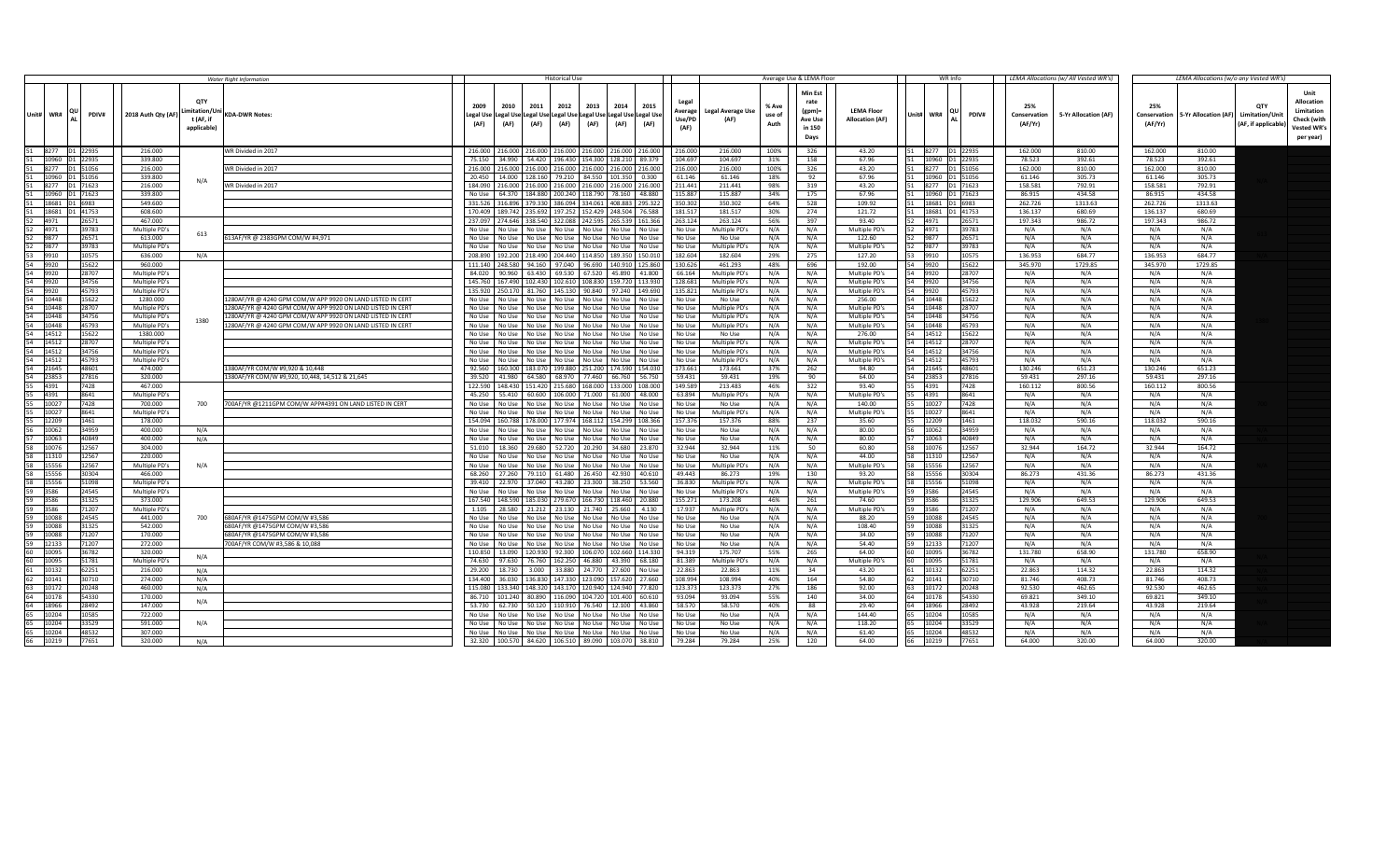|                                        |                          |                                                        | <b>Water Right Information</b>                                   | <b>Historical Use</b>                                                                                                                                 |                              |                                    |                                  |                         | Average Use & LEMA Floor                                      |                                             |                | <b>WR</b> Info                  |                                | <b>IFMA Allocations (w/ All Vested WR's)</b> |                                | <b>IFMA Allocations (w/o any Vested WR's</b> |                                                     |                                                                             |
|----------------------------------------|--------------------------|--------------------------------------------------------|------------------------------------------------------------------|-------------------------------------------------------------------------------------------------------------------------------------------------------|------------------------------|------------------------------------|----------------------------------|-------------------------|---------------------------------------------------------------|---------------------------------------------|----------------|---------------------------------|--------------------------------|----------------------------------------------|--------------------------------|----------------------------------------------|-----------------------------------------------------|-----------------------------------------------------------------------------|
| Unit# WR#<br><b>PDIV#</b>              | 2018 Auth Qty (AF)       | <b>OTY</b><br>mitation/Uni<br>t (AF, if<br>applicable) | <b>KDA-DWR Notes:</b>                                            | 2009<br>2010<br>2011<br>2012<br>2013<br>Legal Use Legal Use Legal Use Legal Use Legal Use Legal Use Legal Use<br>(AF)<br>(AF)<br>(AF)<br>(AF)<br>(AF) | 2014<br>2015<br>(AF)<br>(AF) | Legal<br>Average<br>Use/PD<br>(AF) | <b>Legal Average Use</b><br>(AF) | % Ave<br>use of<br>Auth | <b>Min Est</b><br>rate<br>(gpm)=<br>Ave Use<br>in 150<br>Days | <b>LEMA Floor</b><br><b>Allocation (AF)</b> | Unit# WR#      | PDIV#                           | 25%<br>Conservation<br>(AF/Yr) | 5-Yr Allocation (AF)                         | 25%<br>Conservation<br>(AF/Yr) | 5-Yr Allocation (AF)                         | OТ<br><b>Limitation/Unit</b><br>(AF, if applicable) | Unit<br>Allocation<br>Limitation<br>Check (with<br>Vested WR's<br>per year) |
| 8277 D1 22935                          | 216,000                  |                                                        | WR Divided in 2017                                               | 216.000 216.000 216.000 216.000 216.000 216.000 216.000                                                                                               |                              | 216,000                            | 216,000                          | 100%                    | 326                                                           | 43.20                                       |                | 8277 D1 22935                   | 162,000                        | 810.00                                       | 162,000                        | 810.00                                       |                                                     |                                                                             |
| 10960 D1 22935                         | 339.800                  |                                                        |                                                                  | 75.150 34.990 54.420 196.430 154.300 128.210 89.379                                                                                                   |                              | 104.697                            | 104.697                          | 31%                     | 158                                                           | 67.96                                       |                | 10960 D1 22935                  | 78.523                         | 392.61                                       | 78.523                         | 392.61                                       |                                                     |                                                                             |
| 8277 D1 51056<br>51                    | 216.000                  |                                                        | WR Divided in 2017                                               | 216.000 216.000 216.000 216.000 216.000 216.000 216.000                                                                                               |                              | 216.000                            | 216.000                          | 100%                    | 326                                                           | 43.20                                       |                | 8277 D1 51056                   | 162.000                        | 810.00                                       | 162.000                        | 810.00                                       |                                                     |                                                                             |
| 10960 D1 51056                         | 339,800                  | N/A                                                    |                                                                  | 20.450 14.000 128.160 79.210 84.550 101.350 0.300                                                                                                     |                              | 61.146                             | 61.146                           | 18%                     | 92                                                            | 67.96                                       |                | 10960 D1 51056                  | 61.146                         | 305.73                                       | 61.146                         | 305.73                                       |                                                     |                                                                             |
| 8277 D1 71623<br>10960 D1 71623        | 216.000<br>339,800       |                                                        | WR Divided in 2017                                               | 184.090 216.000 216.000 216.000 216.000 216.000 216.000<br>No Use   64.370   184.880   200.240   118.790                                              |                              | 211.441<br>115.887                 | 211.441<br>115.887               | 98%<br>34%              | 319                                                           | 43.20<br>67.96                              |                | 8277 D1 71623                   | 158.581                        | 792.91                                       | 158.581<br>86.915              | 792.91                                       |                                                     |                                                                             |
|                                        |                          |                                                        |                                                                  |                                                                                                                                                       | 78.160 48.880                |                                    |                                  |                         | 175                                                           |                                             |                | 10960 D1 71623                  | 86.915                         | 434.58                                       |                                | 434.58                                       |                                                     |                                                                             |
| 18681 D1 6983<br>51<br>18681 D1 41753  | 549.600<br>608,600       |                                                        |                                                                  | 331.526 316.896 379.330<br>386.094 334.061<br>170.409   189.742   235.692   197.252   152.429   248.504   76.588                                      | 408.883 295.322              | 350.302<br>181.517                 | 350.302<br>181.517               | 64%<br>30%              | 528<br>274                                                    | 109.92<br>121.72                            |                | 18681 D1 6983<br>18681 D1 41753 | 262.726<br>136.137             | 1313.63<br>680.69                            | 262.726<br>136.137             | 1313.63<br>680.69                            |                                                     |                                                                             |
| 52<br>26571<br>4971                    | 467.000                  |                                                        |                                                                  | 237.097 274.646 338.540 322.088 242.595                                                                                                               | 265.539 161.366              | 263.124                            | 263.124                          | 56%                     | 397                                                           | 93.40                                       | 4971           | 26571                           | 197.343                        | 986.72                                       | 197.343                        | 986.72                                       |                                                     |                                                                             |
| 39783<br>52<br>4971                    | Multiple PD's            |                                                        |                                                                  | No Use   No Use   No Use   No Use   No Use                                                                                                            | No Use No Use                | No Use                             | Multiple PD's                    | N/A                     | N/A                                                           | Multiple PD's                               | 4971           | 39783                           | N/A                            | N/A                                          | N/A                            | N/A                                          |                                                     |                                                                             |
| 26571<br>9877                          | 613.000                  | 613                                                    | 13AF/YR @ 2383GPM COM/W #4.971                                   | No Use No Use No Use No Use No Use                                                                                                                    | No Use No Use                | No Use                             | No Use                           | N/A                     | N/A                                                           | 122.60                                      | 9877           | 26571                           | N/A                            | N/A                                          | N/A                            | N/A                                          |                                                     |                                                                             |
| 39783<br>52<br>9877                    | Multiple PD's            |                                                        |                                                                  | No Use No Use No Use No Use No Use No Use No Use                                                                                                      |                              | No Use                             | Multiple PD's                    | N/A                     | N/A                                                           | Multiple PD's                               | 9877           | 39783                           | N/A                            | N/A                                          | N/A                            | N/A                                          |                                                     |                                                                             |
| 53<br>9910<br>10575                    | 636,000                  | $N/\Delta$                                             |                                                                  | 208.890   192.200   218.490   204.440   114.850   189.350   150.01                                                                                    |                              | 182.604                            | 182.604                          | 29%                     | 275                                                           | 127.20                                      | 9910           | 10575                           | 136.953                        | 684.77                                       | 136.953                        | 684.77                                       |                                                     |                                                                             |
| 15622<br>9920                          | 960.000                  |                                                        |                                                                  | 111.140 248.580 94.160<br>97.040 96.690                                                                                                               | 140.910 125.860              | 130.626                            | 461.293                          | 48%                     | 696                                                           | 192.00                                      | 9920           | 15622                           | 345.970                        | 1729.85                                      | 345.970                        | 1729.85                                      |                                                     |                                                                             |
| 28707<br>54<br>9920                    | Multiple PD's            |                                                        |                                                                  | 84.020 90.960<br>63.430<br>69.530 67.520                                                                                                              | 45.890 41.800                | 66.164                             | Multiple PD's                    | N/A                     | N/A                                                           | Multiple PD's                               | 9920           | 28707                           | N/A                            | N/A                                          | N/A                            | N/A                                          |                                                     |                                                                             |
| 34756<br>54<br>9920                    | Multiple PD's            |                                                        |                                                                  | 145.760 167.490 102.430<br>102.610 108.830                                                                                                            | 159.720 113.930              | 128.681                            | Multiple PD's                    | N/A                     | N/A                                                           | Multiple PD's                               | 9920           | 34756                           | N/A                            | N/A                                          | N/A                            | N/A                                          |                                                     |                                                                             |
| 54<br>9920<br>45793                    | Multiple PD's            |                                                        |                                                                  | 135.920 250.170 81.760 145.130 90.840                                                                                                                 | 97.240 149.690               | 135.821                            | Multiple PD's                    | N/A                     | N/A                                                           | Multiple PD's                               | 9920           | 45793                           | N/A                            | N/A                                          | N/A                            | N/A                                          |                                                     |                                                                             |
| 15622<br>10448                         | 1280.000                 |                                                        | 280AF/YR @ 4240 GPM COM/W APP 9920 ON LAND LISTED IN CERT        | No Use No Use No Use No Use No Use                                                                                                                    | No Use No Use                | No Use                             | No Use                           | N/A                     | N/A                                                           | 256.00                                      | 10448          | 15622                           | N/A                            | N/A                                          | N/A                            | N/A                                          |                                                     |                                                                             |
| 28707<br>54<br>10448                   | Multiple PD's            |                                                        | 280AF/YR @ 4240 GPM COM/W APP 9920 ON LAND LISTED IN CERT        | No Use No Use No Use No Use No Use                                                                                                                    | No Use No Use                | No Use                             | Multiple PD's                    | N/A                     | N/A                                                           | Multiple PD's                               | 10448          | 28707                           | N/A                            | N/A                                          | N/A                            | N/A                                          |                                                     |                                                                             |
| 34756<br>54<br>10448                   | Multiple PD's            | 1380                                                   | 280AF/YR @ 4240 GPM COM/W APP 9920 ON LAND LISTED IN CERT        | No Use No Use No Use<br>No Use No Use                                                                                                                 | No Use No Use                | No Use                             | Multiple PD's                    | N/A                     | N/A                                                           | Multiple PD's                               | 10448          | 34756                           | $N/\Delta$                     | N/A                                          | N/A                            | $N/\Delta$                                   |                                                     |                                                                             |
| 10448<br>45793                         | Multiple PD's            |                                                        | 280AF/YR @ 4240 GPM COM/W APP 9920 ON LAND LISTED IN CERT        | No Use No Use<br>No Use<br>No Use No Use                                                                                                              | No Use No Use                | No Use                             | Multiple PD's                    | N/A                     | N/A                                                           | Multiple PD's                               | 0448           | 45793                           | N/A                            | N/A                                          | N/A                            | N/A                                          |                                                     |                                                                             |
| 15622<br>54<br>14512                   | 1380.000                 |                                                        |                                                                  | No Use No Use<br>No Use No Use No Use                                                                                                                 | No Use No Use                | No Use                             | No Use                           | N/A                     | N/A                                                           | 276.00                                      | 14512          | 15622                           | N/A                            | N/A                                          | N/A                            | N/A                                          |                                                     |                                                                             |
| 28707<br>54<br>14512                   | Multiple PD's            |                                                        |                                                                  | No Use No Use No Use<br>No Use No Use                                                                                                                 | No Use No Use                | No Use                             | Multiple PD's                    | N/A                     | N/A                                                           | Multiple PD's                               | 14512          | 28707                           | N/A                            | N/A                                          | N/A                            | N/A                                          |                                                     |                                                                             |
| 34756<br>54<br>14512                   | Multiple PD's            |                                                        |                                                                  | No Use No Use No Use No Use No Use                                                                                                                    | No Use No Use                | No Use                             | Multiple PD's                    | N/A                     | N/A                                                           | Multiple PD's                               | 14512          | 34756                           | N/A                            | N/A                                          | N/A                            | N/A                                          |                                                     |                                                                             |
| 45793<br>14512                         | Multiple PD's            |                                                        |                                                                  | No Use No Use No Use No Use No Use                                                                                                                    | No Use No Use                | No Use                             | Multiple PD's                    | N/A                     | N/A                                                           | Multiple PD's                               | 14512          | 45793                           | N/A                            | N/A                                          | N/A                            | N/A                                          |                                                     |                                                                             |
| 48601<br>54<br>21645                   | 474.000                  |                                                        | 380AF/YR COM/W #9,920 & 10,448                                   | 92.560   160.300   183.070   199.880   251.200   174.590   154.030                                                                                    |                              | 173.661                            | 173.661                          | 37%                     | 262                                                           | 94.80                                       | 21645          | 48601                           | 130.246                        | 651.23                                       | 130.246                        | 651.23                                       |                                                     |                                                                             |
| 54<br>23853<br>27816                   | 320,000                  |                                                        | 380AF/YR COM/W #9.920, 10.448, 14.512 & 21.645                   | 39.520 41.980 64.580<br>68.970 77.460                                                                                                                 | 66.760 56.750                | 59.431                             | 59.431                           | 19%                     | 90                                                            | 64.00                                       | 23853          | 27816                           | 59.431                         | 297.16                                       | 59.431                         | 297.16                                       |                                                     |                                                                             |
| 7428<br>4391<br>8641<br>4391           | 467.000<br>Multiple PD's |                                                        |                                                                  | 122.590   148.430   151.420   215.680   168.000   133.000   108.000                                                                                   | 61,000 48,000                | 149.589<br>63.894                  | 213.483<br>Multiple PD's         | 46%<br>N/A              | 322<br>N/A                                                    | 93.40<br>Multiple PD's                      | 1391<br>4391   | 7428<br>8641                    | 160.112<br>N/A                 | 800.56<br>N/A                                | 160.112<br>N/A                 | 800.56<br>N/A                                |                                                     |                                                                             |
| 55<br>7428<br>55<br>10027              | 700.000                  | 700                                                    | 700AF/YR @1211GPM COM/W APP#4391 ON LAND LISTED IN CERT          | 45.250 55.410 60.600 106.000 71.000<br>No Use   No Use   No Use   No Use   No Use                                                                     | No Use No Use                | No Use                             | No Use                           | N/A                     | N/A                                                           | 140.00                                      | 10027          | 7428                            | N/A                            | N/A                                          | N/A                            | N/A                                          |                                                     |                                                                             |
| 10027<br>8641                          | Multiple PD's            |                                                        |                                                                  | No Use   No Use   No Use   No Use   No Use   No Use   No Use                                                                                          |                              | No Use                             | Multiple PD's                    | N/A                     | N/A                                                           | Multiple PD's                               | 10027          | 8641                            | N/A                            | N/A                                          | N/A                            | N/A                                          |                                                     |                                                                             |
| 55<br>1461<br>12209                    | 178,000                  |                                                        |                                                                  | 154.094   160.788   178.000   177.974   168.112   154.299   108.366                                                                                   |                              | 157.376                            | 157.376                          | 88%                     | 237                                                           | 35.60                                       | 12209          | 1461                            | 118.032                        | 590.16                                       | 118.032                        | 590.16                                       |                                                     |                                                                             |
| 10062<br>34959<br>56                   | 400.000                  | N/A                                                    |                                                                  | No Use   No Use   No Use   No Use   No Use                                                                                                            | No Use No Use                | No Use                             | No Use                           | N/A                     | N/A                                                           | 80.00                                       | 10062          | 34959                           | N/A                            | N/A                                          | N/A                            | N/A                                          |                                                     |                                                                             |
| 10063<br>40849                         | 400,000                  | N/A                                                    |                                                                  | No Use No Use No Use No Use No Use No Use No Use                                                                                                      |                              | No Hse                             | No Use                           | N/A                     | N/A                                                           | 80.00                                       | 10063          | 40849                           | N/A                            | N/A                                          | N/A                            | $N/\Delta$                                   |                                                     |                                                                             |
| 10076<br>12567                         | 304.000                  |                                                        |                                                                  | 51.010 18.360 29.680<br>52.720 20.290                                                                                                                 | 34.680 23.870                | 32.944                             | 32.944                           | 11%                     | 50                                                            | 60.80                                       | 10076          | 12567                           | 32.944                         | 164.72                                       | 32.944                         | 164.72                                       |                                                     |                                                                             |
| 11310<br>12567<br>58                   | 220.000                  |                                                        |                                                                  | No Use No Use No Use<br>No Use No Use                                                                                                                 | No Use No Use                | No Use                             | No Use                           | N/A                     | N/A                                                           | 44.00                                       | 1310           | 12567                           | N/A                            | N/A                                          | N/A                            | N/A                                          |                                                     |                                                                             |
| 12567<br>58 15556                      | Multiple PD's            | N/A                                                    |                                                                  | No Use   No Use   No Use   No Use   No Use                                                                                                            | No Use No Use                | No Use                             | Multiple PD's                    | N/A                     | N/A                                                           | Multiple PD's                               | 15556          | 12567                           | N/A                            | N/A                                          | N/A                            | N/A                                          |                                                     |                                                                             |
| 15556<br>30304<br>58                   | 466,000                  |                                                        |                                                                  | 68.260   27.260   79.110   61.480   26.450   42.930   40.610                                                                                          |                              | 49.443                             | 86.273                           | 19%                     | 130                                                           | 93.20                                       | 15556          | 30304                           | 86.273                         | 431.36                                       | 86.273                         | 431.36                                       |                                                     |                                                                             |
| 51098<br>58 15556                      | Multiple PD's            |                                                        |                                                                  | 39.410 22.970 37.040 43.280 23.300 38.250 53.560                                                                                                      |                              | 36,830                             | Multiple PD's                    | N/A                     | N/A                                                           | Multiple PD's                               | 15556          | 51098                           | N/A                            | N/A                                          | N/A                            | N/A                                          |                                                     |                                                                             |
| 59<br>3586<br>24545                    | Multiple PD's            |                                                        |                                                                  | No Use No Use No Use<br>No Use No Use                                                                                                                 | No Use No Use                | No Use                             | Multiple PD's                    | N/A                     | N/A                                                           | Multiple PD's                               | 3586           | 24545                           | N/A                            | N/A                                          | N/A                            | N/A                                          |                                                     |                                                                             |
| 31325<br>3586                          | 373.000                  |                                                        |                                                                  | 167.540   148.590   185.030   279.670   166.730                                                                                                       | 118.460 20.880               | 155.27:                            | 173.208                          | 46%                     | 261                                                           | 74.60                                       | 3586           | 31325                           | 129.906                        | 649.53                                       | 129.906                        | 649.53                                       |                                                     |                                                                             |
| 71207<br>3586<br>59                    | Multiple PD's            |                                                        |                                                                  | 1.105 28.580 21.212 23.130 21.740                                                                                                                     | 25.660 4.130                 | 17.937                             | Multiple PD's                    | N/A                     | N/A                                                           | Multiple PD's                               | 3586           | 71207                           | N/A                            | N/A                                          | N/A                            | N/A                                          |                                                     |                                                                             |
| 10088<br>24545<br>59                   | 441.000                  | 700                                                    | 680AF/YR @1475GPM COM/W #3.586                                   | No Use No Use No Use<br>No Use No Use                                                                                                                 | No Use No Use                | No Use                             | No Use                           | N/A                     | N/A                                                           | 88.20                                       | 10088          | 24545                           | N/A                            | N/A                                          | N/A                            | N/A                                          |                                                     |                                                                             |
| 31325<br>59<br>10088                   | 542.000                  |                                                        | 680AF/YR @1475GPM COM/W #3,586                                   | No Use   No Use   No Use   No Use   No Use   No Use   No Use                                                                                          |                              | No Use                             | No Use                           | N/A                     | N/A                                                           | 108.40                                      | 10088          | 31325                           | N/A                            | N/A                                          | N/A                            | N/A                                          |                                                     |                                                                             |
| 10088<br>71207<br>71207<br>59<br>12133 | 170.000<br>272,000       |                                                        | 680AF/YR @1475GPM COM/W #3,586<br>700AF/YR COM/W #3.586 & 10.088 | No Use   No Use   No Use<br>No Use No Use<br>No Use No Use No Use No Use No Use No Use No Use                                                         | No Use No Use                | No Use<br>No Use                   | No Use<br>No Use                 | N/A<br>N/A              | N/A<br>N/A                                                    | 34.00<br>54.40                              | 10088<br>12133 | 71207<br>71207                  | N/A<br>N/A                     | N/A<br>N/A                                   | N/A<br>N/A                     | N/A<br>N/A                                   |                                                     |                                                                             |
| 60<br>10095<br>36782                   | 320.000                  |                                                        |                                                                  | 110.850 13.090 120.930 92.300 106.070                                                                                                                 | 102.660 114.330              | 94.319                             | 175.707                          | 55%                     | 265                                                           | 64.00                                       | 10095          | 36782                           | 131.780                        | 658.90                                       | 131.780                        | 658.90                                       |                                                     |                                                                             |
| 51781<br>10095                         | Multiple PD's            | N/A                                                    |                                                                  | 74.630 97.630 76.760<br>162.250 46.880                                                                                                                | 43.390 68.180                | 81.389                             | Multiple PD's                    | N/A                     | N/A                                                           | Multiple PD's                               | 10095          | 51781                           | N/A                            | N/A                                          | N/A                            | N/A                                          |                                                     |                                                                             |
| 61<br>62251<br>10132                   | 216.000                  | N/A                                                    |                                                                  | 29.200 18.730 3.000                                                                                                                                   | 33.880 24.770 27.600 No Use  | 22.863                             | 22.863                           | 11%                     | 34                                                            | 43.20                                       | 10132          | 62251                           | 22.863                         | 114.32                                       | 22.863                         | 114.32                                       |                                                     |                                                                             |
| 30710<br>62 10141                      | 274.000                  | N/A                                                    |                                                                  | 134.400 36.030 136.830 147.330 123.090 157.620 27.660                                                                                                 |                              | 108,994                            | 108.994                          | 40%                     | 164                                                           | 54.80                                       | 10141          | 30710                           | 81.746                         | 408.73                                       | 81.746                         | 408.73                                       |                                                     |                                                                             |
| 20248<br>10172                         | 460.000                  | N/A                                                    |                                                                  | 115.080   133.340   148.320   143.170   120.940   124.940   77.820                                                                                    |                              | 123.373                            | 123.373                          | 27%                     | 186                                                           | 92.00                                       | 10172          | 20248                           | 92.530                         | 462.65                                       | 92.530                         | 462.65                                       |                                                     |                                                                             |
| 54330<br>10178                         | 170.000                  |                                                        |                                                                  | 86.710   101.240   80.890   116.090   104.720   101.400   60.610                                                                                      |                              | 93.094                             | 93.094                           | 55%                     | 140                                                           | 34.00                                       | 10178          | 54330                           | 69.821                         | 349.10                                       | 69.821                         | 349.10                                       |                                                     |                                                                             |
| 64<br>18966<br>28492                   | 147.000                  | N/A                                                    |                                                                  | 53.730 62.730 50.120<br>110.910 76.540                                                                                                                | 12.100 43.860                | 58.570                             | 58.570                           | 40%                     | 88                                                            | 29.40                                       | 18966          | 28492                           | 43.928                         | 219.64                                       | 43.928                         | 219.64                                       |                                                     |                                                                             |
| 10204<br>10585                         | 722.000                  |                                                        |                                                                  | No Use No Use No Use No Use No Use                                                                                                                    | No Use No Use                | No Use                             | No Use                           | N/A                     | N/A                                                           | 144.40                                      | 1204           | 10585                           | N/A                            | N/A                                          | N/A                            | N/A                                          |                                                     |                                                                             |
| 33529<br>10204                         | 591.000                  | N/A                                                    |                                                                  | No Use   No Use   No Use   No Use   No Use   No Use   No Use                                                                                          |                              | No Use                             | No Use                           | N/A                     | N/A                                                           | 118.20                                      | 0204           | 33529                           | N/A                            | N/A                                          | N/A                            | N/A                                          |                                                     |                                                                             |
| 48532<br>65<br>10204                   | 307.000                  |                                                        |                                                                  | No Use No Use No Use No Use No Use No Use No Use                                                                                                      |                              | No Use                             | No Use                           | N/A                     | N/A                                                           | 61.40                                       | 10204          | 48532                           | N/A                            | N/A                                          | N/A                            | N/A                                          |                                                     |                                                                             |
| 66<br>10219<br>77651                   | 320.000                  | N/A                                                    |                                                                  | 32.320   100.570   84.620   106.510   89.090   103.070   38.810                                                                                       |                              | 79.284                             | 79.284                           | 25%                     | 120                                                           | 64.00                                       | 10219          | 77651                           | 64.000                         | 320.00                                       | 64.000                         | 320.00                                       |                                                     |                                                                             |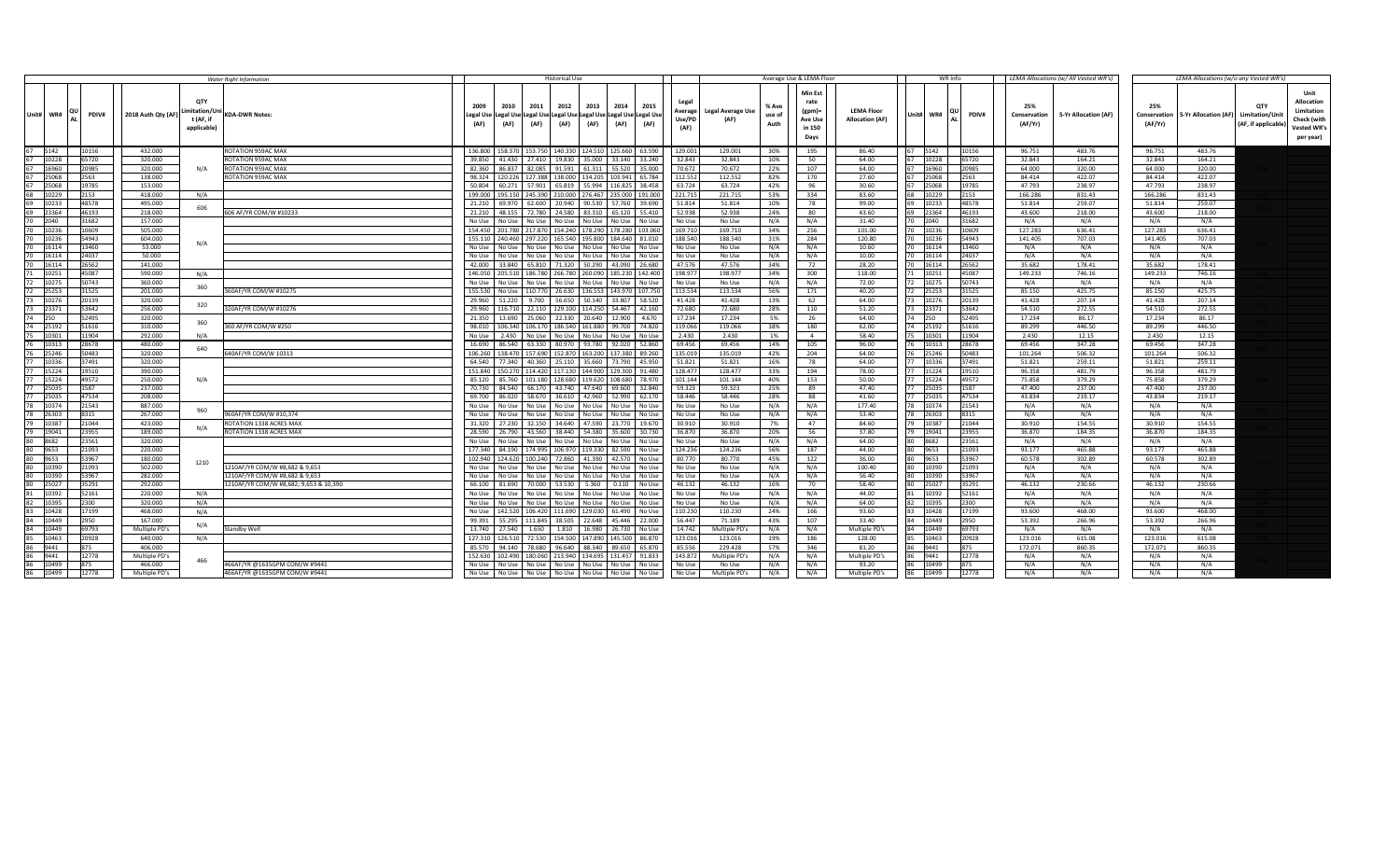|                      |                |                    |                                                        | <b>Water Right Information</b>                                  |              |                                                     | <b>Historical Use</b>   |                 |                                                                                                       |                           |                   |                         | Average Use & LEMA Floor                                            |                                             | WR Info                    |                                | LEMA Allocations (w/ All Vested WR's) |                                | LEMA Allocations (w/o any Vested WR's) |                                                     |                                                                             |
|----------------------|----------------|--------------------|--------------------------------------------------------|-----------------------------------------------------------------|--------------|-----------------------------------------------------|-------------------------|-----------------|-------------------------------------------------------------------------------------------------------|---------------------------|-------------------|-------------------------|---------------------------------------------------------------------|---------------------------------------------|----------------------------|--------------------------------|---------------------------------------|--------------------------------|----------------------------------------|-----------------------------------------------------|-----------------------------------------------------------------------------|
| Unit# WR#            | <b>PDIV#</b>   | 2018 Auth Qty (AF) | <b>OTY</b><br>imitation/Un<br>t (AF, if<br>applicable) | <b>KDA-DWR Notes:</b>                                           | 2009<br>(AF) | 2010<br>2011<br>(AF)<br>(AF)                        | 2012<br>(AF)            | 2013<br>(AF)    | 2014<br>2015<br>egal Use Legal Use Legal Use Legal Use Legal Use Legal Use Legal Use.<br>(AF)<br>(AF) | Average<br>Use/PD<br>(AF) | Legal Average Use | % Ave<br>use of<br>Auth | <b>Min Est</b><br>rate<br>(gpm)<br><b>Ave Use</b><br>in 150<br>Days | <b>LEMA Floor</b><br><b>Allocation (AF)</b> | Unit# WR#<br>PDIV#         | 25%<br>Conservation<br>(AF/Yr) | 5-Yr Allocation (AF)                  | 25%<br>Conservation<br>(AF/Yr) | 5-Yr Allocation (AF)                   | OTY<br><b>Limitation/Unit</b><br>(AF, if applicable | Unit<br>Allocation<br>Limitation<br>Check (with<br>Vested WR's<br>per year) |
| 67<br>5142           | 10156          | 432.000            |                                                        | <b>ROTATION 959AC MAX</b>                                       |              |                                                     |                         |                 | 136.800   158.370   153.750   140.330   124.510   125.660   63.590                                    | 129.00                    | 129.001           | 30%                     | 195                                                                 | 86.40                                       | 10156<br>5142              | 96.751                         | 483.76                                | 96.751                         | 483.76                                 |                                                     |                                                                             |
| 10228                | 65720          | 320,000            |                                                        | <b>ROTATION 959AC MAX</b>                                       | 39.850       |                                                     |                         |                 | 41.430 27.410 19.830 35.000 33.140 33.240                                                             | 32.843                    | 32.843            | 10%                     | 50                                                                  | 64.00                                       | 10228<br>65720             | 32.843                         | 164.21                                | 32.843                         | 164.21                                 |                                                     |                                                                             |
| 16960                | 20985          | 320,000            | N/A                                                    | ROTATION 959AC MAX                                              |              |                                                     |                         |                 | 82.360 86.837 82.085 91.591 61.311 55.520 35.000                                                      | 70.672                    | 70.672            | 22%                     | 107                                                                 | 64.00                                       | 20985<br>16960             | 64.000                         | 320.00                                | 64,000                         | 320.00                                 |                                                     |                                                                             |
| 67<br>25068          | 2563           | 138,000            |                                                        | OTATION 959AC MAX                                               |              |                                                     |                         |                 | 98.324   120.226   127.388   138.000   134.205   103.941   65.784                                     | 112.552                   | 112.552           | 82%                     | 170                                                                 | 27.60                                       | 2563<br>25068              | 84.414                         | 422.07                                | 84.414                         | 422.07                                 |                                                     |                                                                             |
| 25068                | 19785          | 153,000            |                                                        |                                                                 |              |                                                     |                         |                 | 50.804 60.271 57.901 65.819 55.994 116.825 38.458                                                     | 63.724                    | 63.724            | 42%                     | 96                                                                  | 30.60                                       | 25068<br>19785             | 47.793                         | 238.97                                | 47.793                         | 238.97                                 |                                                     |                                                                             |
| 68<br>10229          | 2153           | 418.000            | N/A                                                    |                                                                 |              |                                                     |                         |                 | 199.000   195.150   245.390   210.000   276.467   235.000   191.000                                   | 221.715                   | 221.715           | 53%                     | 334                                                                 | 83.60                                       | 2153<br>10229              | 166.286                        | 831.43                                | 166.286                        | 831.43                                 |                                                     |                                                                             |
| 69<br>10233          | 48578          | 495.000            | 606                                                    |                                                                 |              |                                                     |                         |                 | 21.210 69.970 62.600 20.940 90.530 57.760 39.690                                                      | 51.814                    | 51.814            | 10%                     | 78                                                                  | 99.00                                       | 10233<br>48578             | 51.814                         | 259.07                                | 51.814                         | 259.07                                 |                                                     |                                                                             |
| 69 23364             | 46193          | 218,000            |                                                        | 06 AF/YR COM/W #10233                                           |              |                                                     |                         |                 | 21.210 48.155 72.780 24.580 83.310 65.120 55.410                                                      | 52.938                    | 52.938            | 24%                     | 80                                                                  | 43.60                                       | 23364<br>46193             | 43.600                         | 218.00                                | 43.600                         | 218.00                                 |                                                     |                                                                             |
| $70 -$<br>2040       | 31682          | 157.000            |                                                        |                                                                 |              | No Use No Use No Use No Use No Use                  |                         |                 | No Use No Use                                                                                         | No Use                    | No Use            | N/A                     | N/A                                                                 | 31.40                                       | 31682<br>2040              | N/A                            | N/A                                   | N/A                            | N/A                                    |                                                     |                                                                             |
| 10236<br>70          | 10609          | 505.000            |                                                        |                                                                 |              |                                                     |                         |                 | 154.450   201.780   217.870   154.240   178.290   178.280   103.060                                   | 169.710                   | 169,710           | 34%                     | 256                                                                 | 101.00                                      | 10609<br>10236             | 127.283                        | 636.41                                | 127.283                        | 636.41                                 |                                                     |                                                                             |
| 70<br>10236          | 54943          | 604.000            | N/A                                                    |                                                                 |              |                                                     |                         |                 | 155.110   240.460   297.220   165.540   195.800   184.640   81.010                                    | 188,540                   | 188,540           | 31%                     | 284                                                                 | 120.80                                      | 54943<br>10236             | 141.405                        | 707.03                                | 141.405                        | 707.03                                 |                                                     |                                                                             |
| 70<br>16114          | 13460<br>24037 | 53,000<br>50.000   |                                                        |                                                                 |              | No Use No Use No Use No Use No Use                  |                         |                 | No Use No Use                                                                                         | No Use                    | No Use<br>No Use  | N/A<br>N/A              | N/A<br>N/A                                                          | 10.60<br>10.00                              | 16114<br>13460<br>24037    | N/A<br>N/A                     | N/A<br>N/A                            | N/A<br>N/A                     | N/A<br>N/A                             |                                                     |                                                                             |
| 70 16114<br>70 16114 | 26562          | 141.000            |                                                        |                                                                 |              | 42.000 33.840 65.810 71.320 50.290                  |                         |                 | No Use   No Use   No Use   No Use   No Use   No Use   No Use<br>43.090 26.680                         | No Use<br>47.576          | 47.576            | 34%                     | 72                                                                  | 28.20                                       | 16114<br>26562<br>70 16114 | 35.682                         | 178.41                                | 35.682                         | 178.41                                 |                                                     |                                                                             |
| 71 10251             | 45087          | 590.000            | N/A                                                    |                                                                 |              |                                                     |                         |                 | 146.050 205.510 186.780 266.780 260.090 185.230 142.400                                               | 198.977                   | 198.977           | 34%                     | 300                                                                 | 118.00                                      | 10251<br>45087             | 149.233                        | 746.16                                | 149.233                        | 746.16                                 |                                                     |                                                                             |
| 10275<br>72          | 50743          | 360,000            |                                                        |                                                                 |              |                                                     |                         |                 | No Use   No Use   No Use   No Use   No Use   No Use   No Use                                          | No Use                    | No Use            | N/A                     | N/A                                                                 | 72.00                                       | 50743<br>10275             | N/A                            | N/A                                   | N/A                            | N/A                                    |                                                     |                                                                             |
| 72 25253             | 31525          | 201.000            | 360                                                    | 60AF/YR COM/W #10275                                            |              |                                                     |                         |                 | 155.530 No Use 110.770 26.630 136.553 143.970 107.750                                                 | 113.534                   | 113.534           | 56%                     | 171                                                                 | 40.20                                       | 25253<br>31525             | 85.150                         | 425.75                                | 85.150                         | 425.75                                 |                                                     |                                                                             |
| 73 10276             | 20139          | 320.000            |                                                        |                                                                 |              |                                                     |                         |                 | 29.960 51.220 9.700 56.650 50.140 33.807 58.520                                                       | 41.428                    | 41.428            | 13%                     | 62                                                                  | 64.00                                       | 10276<br>20139             | 41.428                         | 207.14                                | 41.428                         | 207.14                                 |                                                     |                                                                             |
| 73 23371             | 53642          | 256.000            | 320                                                    | 20AF/YR COM/W #10276                                            |              |                                                     |                         |                 | 29.960   116.710   22.110   129.100   114.250   54.467   42.160                                       | 72.680                    | 72.680            | 28%                     | 110                                                                 | 51.20                                       | 53642<br>23371             | 54.510                         | 272.55                                | 54.510                         | 272.55                                 |                                                     |                                                                             |
| 74 250               | 52495          | 320.000            |                                                        |                                                                 |              |                                                     |                         |                 | 21.350 13.690 25.060 22.330 20.640 12.900 4.670                                                       | 17.234                    | 17.234            | 5%                      | 26                                                                  | 64.00                                       | 52495<br>250               | 17.234                         | 86.17                                 | 17.234                         | 86.17                                  |                                                     |                                                                             |
| 74 25192             | 51616          | 310,000            | 360                                                    | 60 AF/YR COM/W #250                                             |              |                                                     |                         |                 | 98.010   106.340   106.170   186.540   161.880   99.700   74.820                                      | 119.066                   | 119,066           | 38%                     | 180                                                                 | 62.00                                       | 25192<br>51616             | 89.299                         | 446.50                                | 89.299                         | 446.50                                 |                                                     |                                                                             |
| 75 10301             | 11904          | 292.000            | N/A                                                    |                                                                 |              | No Use 2.430                                        | No Use No Use No Use    |                 | No Use No Use                                                                                         | 2.430                     | 2.430             | 1%                      | $\overline{4}$                                                      | 58.40                                       | 11904<br>10301             | 2.430                          | 12.15                                 | 2.430                          | 12.15                                  |                                                     |                                                                             |
| 76 10313             | 28678          | 480,000            |                                                        |                                                                 |              | 16.690 86.540 63.330 80.970 93.780                  |                         |                 | 92.020 52.860                                                                                         | 69.456                    | 69.456            | 14%                     | 105                                                                 | 96.00                                       | 28678<br>10313             | 69.456                         | 347.28                                | 69.456                         | 347.28                                 |                                                     |                                                                             |
| 76 25246             | 50483          | 320.000            | 640                                                    | 540AF/YR COM/W 10313                                            |              |                                                     |                         |                 | 106.260   138.470   157.690   152.870   163.200   137.380   89.260                                    | 135.019                   | 135.019           | 42%                     | 204                                                                 | 64.00                                       | 50483<br>25246             | 101.264                        | 506.32                                | 101.264                        | 506.32                                 |                                                     |                                                                             |
| 77 10336             | 37491          | 320.000            |                                                        |                                                                 |              |                                                     |                         |                 | 64.540 77.340 40.360 25.110 35.660 73.790 45.950                                                      | 51.821                    | 51.821            | 16%                     | 78                                                                  | 64.00                                       | 37491<br>10336             | 51.821                         | 259.11                                | 51.821                         | 259.11                                 |                                                     |                                                                             |
| 15224                | 19510          | 390,000            |                                                        |                                                                 |              |                                                     |                         |                 | 151.840   150.270   114.420   117.130   144.900   129.300   91.480                                    | 128.477                   | 128,477           | 33%                     | 194                                                                 | 78.00                                       | 15224<br>19510             | 96.358                         | 481.79                                | 96.358                         | 481.79                                 |                                                     |                                                                             |
| 77<br>15224          | 49572          | 250.000            | N/A                                                    |                                                                 | 85.120       | 85,760                                              | 101.180 128.680 119.620 |                 | 108,680 78,970                                                                                        | 101.144                   | 101.144           | 40%                     | 153                                                                 | 50.00                                       | 15224<br>49572             | 75.858                         | 379.29                                | 75.858                         | 379.29                                 |                                                     |                                                                             |
| 25035<br>77          | 1587           | 237.000            |                                                        |                                                                 | 70.730       | 84.540                                              |                         |                 | 66.170 43.740 47.640 69.600 32.840                                                                    | 59.323                    | 59.323            | 25%                     | 89                                                                  | 47.40                                       | 25035<br>1587              | 47.400                         | 237.00                                | 47.400                         | 237.00                                 |                                                     |                                                                             |
| 77<br>25035          | 47534          | 208.000            |                                                        |                                                                 |              | 69,700 86,020                                       | 58.670 36.610 42.960    |                 | 52.990 62.170                                                                                         | 58.446                    | 58.446            | 28%                     | 88                                                                  | 41.60                                       | 47534<br>25035             | 43.834                         | 219.17                                | 43.834                         | 219.17                                 |                                                     |                                                                             |
| 78 10374             | 21543          | 887.000            | 960                                                    |                                                                 |              | No Use No Use                                       | No Use No Use No Use    |                 | No Use No Use                                                                                         | No Use                    | No Use            | N/A                     | N/A                                                                 | 177.40                                      | 21543<br>10374             | N/A                            | N/A                                   | N/A                            | N/A                                    |                                                     |                                                                             |
| 78 26303             | 8315           | 267.000            |                                                        | 60AF/YR COM/W #10.374                                           |              | No Use No Use No Use No Use No Use                  |                         |                 | No Use No Use                                                                                         | No Use                    | No Use            | N/A                     | N/A                                                                 | 53.40                                       | 26303<br>8315              | N/A                            | N/A                                   | N/A                            | N/A                                    |                                                     |                                                                             |
| 10387                | 21044          | 423.000            | N/A                                                    | OTATION 1338 ACRES MAX                                          |              | 31.320 27.230                                       | 32.150 34.640 47.590    |                 | 23.770 19.670                                                                                         | 30.910                    | 30,910            | 7%                      | 47                                                                  | 84.60                                       | 21044<br>10387             | 30.910                         | 154.55                                | 30.910                         | 154.55                                 |                                                     |                                                                             |
| 79 19041             | 23955          | 189,000            |                                                        | <b>ROTATION 1338 ACRES MAX</b>                                  |              | 43.560<br>28.590 26.790                             |                         | 38,440 54,380   | 35,600 30,730                                                                                         | 36,870                    | 36,870            | 20%                     | 56                                                                  | 37.80                                       | 23955<br>19041             | 36.870                         | 184.35                                | 36,870                         | 184.35                                 |                                                     |                                                                             |
| 80<br>8682           | 23561          | 320,000            |                                                        |                                                                 |              |                                                     |                         |                 | No Use   No Use   No Use   No Use   No Use   No Use   No Use                                          | No Use                    | No Use            | N/A                     | N/A                                                                 | 64.00                                       | 8682<br>23561              | N/A                            | N/A                                   | N/A                            | N/A                                    |                                                     |                                                                             |
| 80<br>9653           | 21093          | 220.000            |                                                        |                                                                 |              | 177.340 84.190<br>174.995                           |                         | 106.970 119.330 | 82.590 No Use                                                                                         | 124.236                   | 124.236           | 56%                     | 187                                                                 | 44.00                                       | 9653<br>21093              | 93.177                         | 465.88                                | 93.177                         | 465.88                                 |                                                     |                                                                             |
| 9653                 | 53967          | 180.000            | 1210                                                   |                                                                 |              | 102.940 124.620 100.240 72.860 41.390               |                         |                 | 42.570 No Use                                                                                         | 80,770                    | 80,770            | 45%                     | 122                                                                 | 36.00                                       | 53967<br>9653              | 60.578                         | 302.89                                | 60.578                         | 302.89                                 |                                                     |                                                                             |
| 80<br>10390<br>80    | 21093          | 502.000            |                                                        | 210AF/YR COM/W #8,682 & 9,653<br>1210AF/YR COM/W #8.682 & 9.653 |              | No Use No Use                                       | No Use No Use No Use    |                 | No Use No Use                                                                                         | No Use                    | No Use            | N/A<br>N/A              | N/A<br>N/A                                                          | 100.40<br>56.40                             | 21093<br>10390<br>53967    | N/A                            | N/A<br>N/A                            | N/A<br>N/A                     | N/A<br>N/A                             |                                                     |                                                                             |
| 10390<br>80<br>25027 | 53967<br>35291 | 282.000<br>292.000 |                                                        | 210AF/YR COM/W #8.682: 9.653 & 10.390                           |              | No Use No Use No Use No Use No Use<br>66.100 81.690 | 70,000 53,530 5,360     |                 | No Use No Use<br>0.110 No Use                                                                         | No Use<br>46.132          | No Use<br>46.132  | 16%                     | 70                                                                  | 58.40                                       | 10390<br>35291<br>25027    | N/A<br>46.132                  | 230.66                                | 46.132                         | 230.66                                 |                                                     |                                                                             |
| 81<br>10392          | 52161          | 220,000            | N/A                                                    |                                                                 |              |                                                     |                         |                 | No Use   No Use   No Use   No Use   No Use   No Use   No Use                                          | No Use                    | No Use            | N/A                     | N/A                                                                 | 44.00                                       | 52161<br>10392             | N/A                            | N/A                                   | N/A                            | N/A                                    |                                                     |                                                                             |
| 82 10395             | 2300           | 320.000            | N/A                                                    |                                                                 |              | No Use No Use No Use No Use No Use                  |                         |                 | No Use No Use                                                                                         | No Use                    | No Use            | N/A                     | N/A                                                                 | 64.00                                       | 2300<br>10395              | N/A                            | N/A                                   | N/A                            | N/A                                    |                                                     |                                                                             |
| 83 10428             | 17199          | 468,000            | N/A                                                    |                                                                 |              |                                                     |                         |                 | No Use   142.520   106.420   111.690   129.030   61.490   No Use                                      | 110.230                   | 110,230           | 24%                     | 166                                                                 | 93.60                                       | 10428<br>17199             | 93.600                         | 468.00                                | 93.600                         | 468.00                                 |                                                     |                                                                             |
| 84<br>10449          | 2950           | 167.000            |                                                        |                                                                 |              |                                                     |                         |                 | 99.391 55.295 111.845 38.505 22.648 45.446 22.000                                                     | 56.447                    | 71.189            | 43%                     | 107                                                                 | 33.40                                       | 10449<br>2950              | 53.392                         | 266.96                                | 53.392                         | 266.96                                 |                                                     |                                                                             |
| 10449<br>84          | 69793          | Multiple PD's      | N/A                                                    | tandby Well                                                     |              | 13.740 27.540                                       |                         |                 | 1.650 1.810 16.980 26.730 No Use                                                                      | 14.742                    | Multiple PD's     | N/A                     | N/A                                                                 | Multiple PD's                               | 10449<br>69793             | N/A                            | N/A                                   | N/A                            | N/A                                    |                                                     |                                                                             |
| 85<br>10463          | 20928          | 640.000            | N/A                                                    |                                                                 |              |                                                     |                         |                 | 127.310   126.510   72.530   154.500   147.890   145.500   86.870                                     | 123.016                   | 123.016           | 19%                     | 186                                                                 | 128.00                                      | 20928<br>10463             | 123.016                        | 615.08                                | 123.016                        | 615.08                                 |                                                     |                                                                             |
| 9441                 | 875            | 406.000            |                                                        |                                                                 |              | 85.570 94.140                                       | 78.680 96.640 88.340    |                 | 89.650 65.870                                                                                         | 85.556                    | 229.428           | 57%                     | 346                                                                 | 81.20                                       | 875<br>9441                | 172.071                        | 860.35                                | 172.071                        | 860.35                                 |                                                     |                                                                             |
| 9441                 | 12778          | Multiple PD's      |                                                        |                                                                 |              |                                                     |                         |                 | 152.630   102.490   180.060   213.940   134.695   131.457   91.833                                    | 143.872                   | Multiple PD's     | N/A                     | N/A                                                                 | Multiple PD's                               | 12778<br>9441              | N/A                            | N/A                                   | N/A                            | N/A                                    |                                                     |                                                                             |
| 10499                | 875            | 466.000            | 466                                                    | 66AF/YR @1635GPM COM/W #9441                                    |              |                                                     |                         |                 | No Use   No Use   No Use   No Use   No Use   No Use   No Use                                          | No Use                    | No Use            | N/A                     | N/A                                                                 | 93.20                                       | 875<br>10499               | N/A                            | N/A                                   | N/A                            | N/A                                    |                                                     |                                                                             |
| 86 10499             | 12778          | Multiple PD's      |                                                        | 466AF/YR @1635GPM COM/W #9441                                   |              |                                                     |                         |                 | No Use No Use No Use No Use No Use No Use No Use                                                      | No Use                    | Multiple PD's     | N/A                     | N/A                                                                 | Multiple PD's                               | 86 10499<br>12778          | N/A                            | N/A                                   | N/A                            | N/A                                    |                                                     |                                                                             |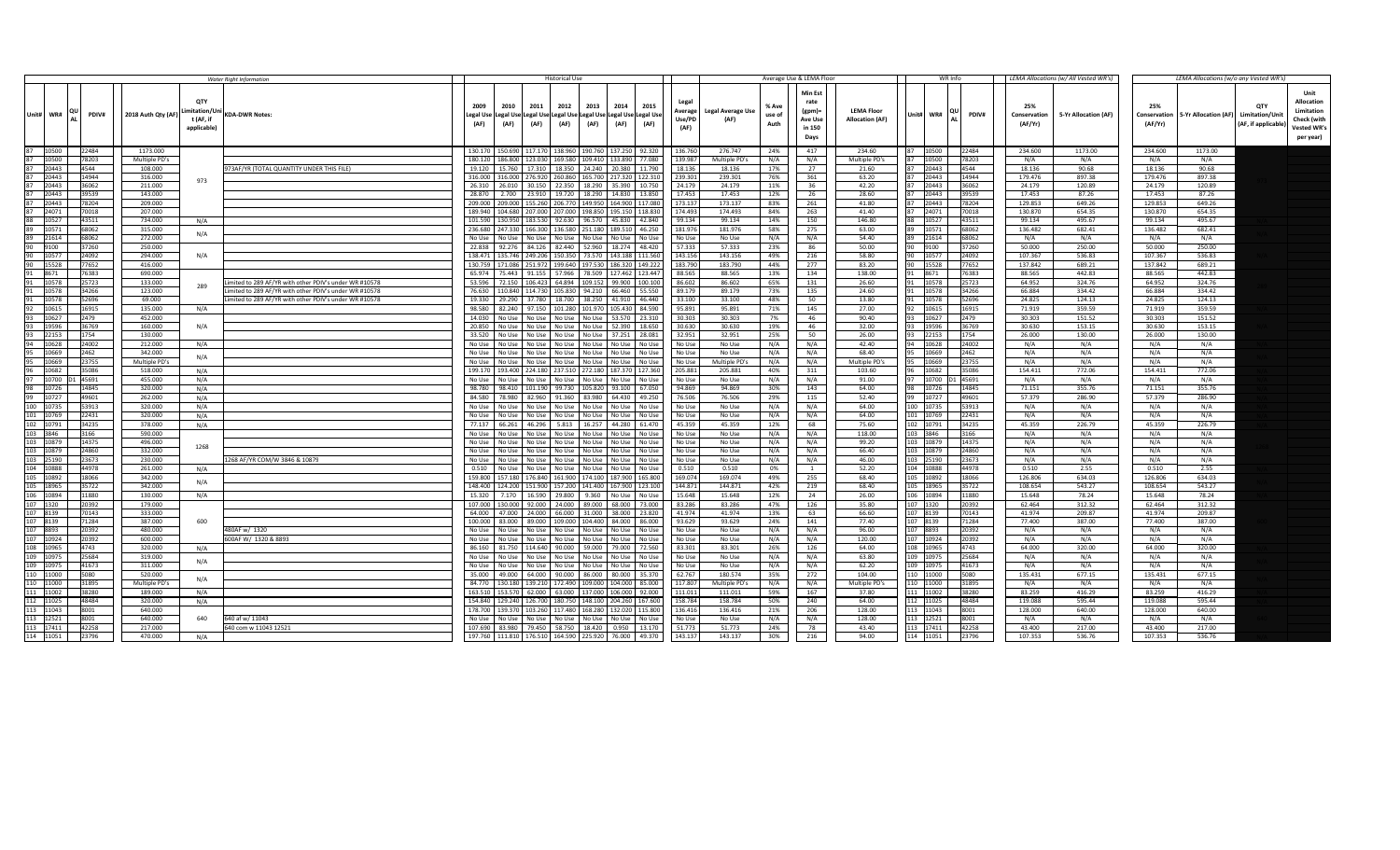|                               |                |                          |                                                | Water Right Information                               |                        | <b>Historical Use</b>                                                                                                                      |                                     |                                    |                           |                         | Average Use & LEMA Floor                                                |                                             |          | WR Info                 |                |                                | LEMA Allocations (w/ All Vested WR's) |                                | LEMA Allocations (w/o any Vested WR's) |                                                            |                                                                             |
|-------------------------------|----------------|--------------------------|------------------------------------------------|-------------------------------------------------------|------------------------|--------------------------------------------------------------------------------------------------------------------------------------------|-------------------------------------|------------------------------------|---------------------------|-------------------------|-------------------------------------------------------------------------|---------------------------------------------|----------|-------------------------|----------------|--------------------------------|---------------------------------------|--------------------------------|----------------------------------------|------------------------------------------------------------|-----------------------------------------------------------------------------|
| Unit# WR#                     | PDIV#          | 2018 Auth Qty (AF)       | QTY<br>mitation/Un<br>t (AF. if<br>applicable) | <b>KDA-DWR Notes:</b>                                 | 2010<br>2009<br>(AF)   | 2011<br>2012<br>2013<br>Legal Use  Legal Use Legal Use Legal Use Legal Use Legal Use Legal Use<br>(AF)   (AF)                              | 2014<br>2015<br>(AF) (AF) (AF) (AF) | Legal<br>Average<br>Use/PD<br>(AF) | Legal Average Use<br>(AF) | % Ave<br>use of<br>Auth | <b>Min Est</b><br>rate<br>$(gpm)$ =<br><b>Ave Use</b><br>in 150<br>Days | <b>LEMA Floor</b><br><b>Allocation (AF)</b> |          | Unit# WR#               | <b>PDIV#</b>   | 25%<br>Conservation<br>(AF/Yr) | 5-Yr Allocation (AF)                  | 25%<br>Conservation<br>(AF/Yr) | 5-Yr Allocation (AF)                   | <b>OT</b><br><b>Limitation/Unit</b><br>(AF, if applicable) | Unit<br>Allocation<br>Limitation<br>Check (with<br>Vested WR's<br>per year) |
| 10500                         | 22484          | 1173.000                 |                                                |                                                       |                        | 130.170 150.690 117.170 138.960 190.760 137.250 92.320                                                                                     |                                     | 136.76                             | 276.747                   | 24%                     | 417                                                                     | 234.60                                      |          | 10500                   | 22484          | 234.600                        | 1173.00                               | 234,600                        | 1173.00                                |                                                            |                                                                             |
| 87<br>10500                   | 78203          | Multiple PD's            |                                                |                                                       |                        | 180.120   186.800   123.030   169.580   109.410   133.890   77.080                                                                         |                                     | 139.987                            | Multiple PD's             | N/A                     | N/A                                                                     | Multiple PD's                               |          | 10500                   | 78203          | N/A                            | N/A                                   | N/A                            | N/A                                    |                                                            |                                                                             |
| 87<br>20443                   | 4544<br>14944  | 108.000                  |                                                | 73AF/YR (TOTAL QUANTITY UNDER THIS FILE)              | 19.120<br>16.000       | 15.760 17.310                                                                                                                              | 18.350 24.240 20.380 11.790         | 18.136<br>239.30                   | 18.136                    | 17%                     | 27                                                                      | 21.60                                       |          | 20443                   | 4544           | 18.136                         | 90.68                                 | 18.136                         | 90.68                                  |                                                            |                                                                             |
| 20443<br>87<br>20443          | 36062          | 316.000<br>211.000       | 973                                            |                                                       | 26.310<br>26.010       | 316.000 276.920 260.860 165.700 217.320 122.310<br>30.150<br>22.350<br>18.290                                                              | 35.390<br>10.750                    | 24.179                             | 239.301<br>24.179         | 76%<br>11%              | 361<br>36                                                               | 63.20<br>42.20                              |          | 20443<br>20443          | 14944<br>36062 | 179.476<br>24.179              | 897.38<br>120.89                      | 179.476<br>24.179              | 897.38<br>120.89                       |                                                            |                                                                             |
| 87<br>20443                   | 39539          | 143.000                  |                                                |                                                       | 28.870                 | 2.700 23.910<br>19.720 18.290                                                                                                              | 14.830 13.850                       | 17.453                             | 17.453                    | 12%                     | 26                                                                      | 28.60                                       |          | 20443                   | 39539          | 17.453                         | 87.26                                 | 17.453                         | 87.26                                  |                                                            |                                                                             |
| 20443                         | 78204          | 209,000                  |                                                |                                                       |                        | 209.000   209.000   155.260   206.770   149.950                                                                                            | 164,900 117,080                     | 173.13                             | 173.137                   | 83%                     | 261                                                                     | 41.80                                       |          | 20443                   | 78204          | 129.853                        | 649.26                                | 129.853                        | 649.26                                 |                                                            |                                                                             |
| 87<br>24071                   | 70018          | 207.000                  |                                                |                                                       |                        | 189.940   104.680   207.000   207.000   198.850   195.150   118.830                                                                        |                                     | 174.493                            | 174.493                   | 84%                     | 263                                                                     | 41.40                                       |          | 24071                   | 70018          | 130.870                        | 654.35                                | 130,870                        | 654.35                                 |                                                            |                                                                             |
| 88<br>10527                   | 43511          | 734.000                  | N/A                                            |                                                       |                        | 101.590   130.950   183.530   92.630   96.570                                                                                              | 45.830 42.840                       | 99.134                             | 99.134                    | 14%                     | 150                                                                     | 146.80                                      |          | 10527                   | 43511          | 99.134                         | 495.67                                | 99.134                         | 495.67                                 |                                                            |                                                                             |
| ls9<br>10571                  | 68062          | 315,000                  | N/A                                            |                                                       |                        | 236.680 247.330 166.300 136.580 251.180 189.510 46.250                                                                                     |                                     | 181.976                            | 181.976                   | 58%                     | 275                                                                     | 63.00                                       |          | 10571                   | 68062          | 136,482                        | 682.41                                | 136.482                        | 682.41                                 |                                                            |                                                                             |
| 89<br>21614                   | 68062          | 272.000                  |                                                |                                                       |                        | No Use   No Use   No Use   No Use   No Use   No Use   No Use                                                                               |                                     | No Use                             | No Use                    | N/A                     | N/A                                                                     | 54.40                                       |          | 21614                   | 68062          | N/A                            | N/A                                   | N/A                            | N/A                                    |                                                            |                                                                             |
| l90<br>9100                   | 37260          | 250.000                  |                                                |                                                       |                        | 22.838 92.276 84.126 82.440 52.960                                                                                                         | 18.274 48.420                       | 57.333                             | 57.333                    | 23%                     | 86                                                                      | 50.00                                       |          | 9100                    | 37260          | 50.000                         | 250.00                                | 50.000                         | 250.00                                 |                                                            |                                                                             |
| 10577                         | 24092          | 294.000                  | N/A                                            |                                                       |                        | 138.471   135.746   249.206   150.350   73.570   143.188   111.560                                                                         |                                     | 143.15                             | 143.156                   | 49%                     | 216                                                                     | 58.80                                       |          | 10577                   | 24092          | 107.367                        | 536.83                                | 107.367                        | 536.83                                 |                                                            |                                                                             |
| 90<br>15528                   | 77652          | 416,000                  |                                                |                                                       |                        | 130.759   171.086   251.972   199.640   197.530   186.320   149.222                                                                        |                                     | 183.790                            | 183,790                   | 44%                     | 277                                                                     | 83.20                                       |          | 15528                   | 77652          | 137.842                        | 689.21                                | 137.842                        | 689.21                                 |                                                            |                                                                             |
| 8671<br>10578                 | 76383<br>25723 | 690.000<br>133.000       |                                                | nited to 289 AF/YR with other PDIV's under WR #10578  | 65.974<br>53.596       | 75.443 91.155 57.966 78.509 127.462 123.447<br>72.150   106.423   64.894   109.152   99.900   100.100                                      |                                     | 88.565<br>86.602                   | 88.565<br>86.602          | 13%<br>65%              | 134<br>131                                                              | 138.00<br>26.60                             |          | 8671<br>10578           | 76383<br>25723 | 88.565<br>64.952               | 442.83<br>324.76                      | 88.565<br>64.952               | 442.83<br>324.76                       |                                                            |                                                                             |
| 10578                         | 34266          | 123.000                  | 289                                            | mited to 289 AF/YR with other PDIV's under WR #10578  | 76.630                 | 110.840 114.730 105.830 94.210                                                                                                             | 66.460 55.550                       | 89.179                             | 89.179                    | 73%                     | 135                                                                     | 24.60                                       |          | 10578                   | 34266          | 66.884                         | 334.42                                | 66.884                         | 334.42                                 |                                                            |                                                                             |
| 91<br>10578                   | 52696          | 69.000                   |                                                | imited to 289 AF/YR with other PDIV's under WR #10578 | 19.330 29.290 37.780   | 18.700 38.250                                                                                                                              | 41.910 46.440                       | 33.100                             | 33.100                    | 48%                     | 50                                                                      | 13.80                                       |          | 10578                   | 52696          | 24.825                         | 124.13                                | 24.825                         | 124.13                                 |                                                            |                                                                             |
| 10615                         | 16915          | 135.000                  | N/A                                            |                                                       |                        | 98.580 82.240 97.150 101.280 101.970 105.430 84.590                                                                                        |                                     | 95.891                             | 95.891                    | 71%                     | 145                                                                     | 27.00                                       |          | 10615                   | 16915          | 71.919                         | 359.59                                | 71.919                         | 359.59                                 |                                                            |                                                                             |
| 93<br>10627                   | 2479           | 452.000                  |                                                |                                                       |                        | 14.030 No Use No Use No Use No Use                                                                                                         | 53.570 23.310                       | 30.303                             | 30.303                    | 7%                      | 46                                                                      | 90.40                                       |          | 10627                   | 2479           | 30.303                         | 151.52                                | 30.303                         | 151.52                                 |                                                            |                                                                             |
| 93<br>19596                   | 36769          | 160.000                  | N/A                                            |                                                       |                        | 20.850 No Use No Use No Use No Use                                                                                                         | 52.390 18.650                       | 30.630                             | 30.630                    | 19%                     | 46                                                                      | 32.00                                       |          | 19596                   | 36769          | 30.630                         | 153.15                                | 30.630                         | 153.15                                 |                                                            |                                                                             |
| l93<br>22153                  | 1754           | 130.000                  |                                                |                                                       |                        | 33.520   No Use   No Use   No Use   No Use   37.251   28.081                                                                               |                                     | 32.951                             | 32.951                    | 25%                     | 50                                                                      | 26.00                                       |          | 22153                   | 1754           | 26.000                         | 130.00                                | 26.000                         | 130.00                                 |                                                            |                                                                             |
| 10628                         | 24002          | 212.000                  | N/A                                            |                                                       |                        | No Use   No Use   No Use   No Use   No Use   No Use   No Use                                                                               |                                     | No Use                             | No Use                    | N/A                     | N/A                                                                     | 42.40                                       |          | 10628                   | 24002          | N/A                            | N/A                                   | N/A                            | N/A                                    |                                                            |                                                                             |
| 95<br>10669                   | 2462           | 342.000                  | N/A                                            |                                                       |                        | No Use   No Use   No Use   No Use   No Use   No Use   No Use                                                                               |                                     | No Use                             | No Use                    | N/A                     | N/A                                                                     | 68.40                                       |          | 10669                   | 2462           | N/A                            | N/A                                   | N/A                            | N/A                                    |                                                            |                                                                             |
| 95<br>10669                   | 23755          | Multiple PD's            |                                                |                                                       |                        | No Use   No Use   No Use   No Use   No Use   No Use   No Use                                                                               |                                     | No Use                             | Multiple PD's             | N/A                     | N/A                                                                     | Multiple PD's                               |          | 10669                   | 23755          | N/A                            | N/A                                   | N/A                            | N/A                                    |                                                            |                                                                             |
| 96<br>10682<br>10700 D1 45691 | 35086          | 518.000<br>455,000       | N/A<br>N/A                                     |                                                       |                        | 199.170   193.400   224.180   237.510   272.180   187.370   127.360<br>No Use   No Use   No Use   No Use   No Use   No Use   No Use        |                                     | 205.88<br>No Use                   | 205.881<br>No Use         | 40%<br>N/A              | 311<br>N/A                                                              | 103.60<br>91.00                             |          | 10682<br>10700 D1 45691 | 35086          | 154.411<br>N/A                 | 772.06<br>N/A                         | 154.411<br>N/A                 | 772.06<br>N/A                          |                                                            |                                                                             |
| 98<br>10726                   | 14845          | 320.000                  | N/A                                            |                                                       |                        | 98.780 98.410 101.190 99.730 105.820 93.100 67.050                                                                                         |                                     | 94.869                             | 94.869                    | 30%                     | 143                                                                     | 64.00                                       |          | 10726                   | 14845          | 71.151                         | 355.76                                | 71.151                         | 355.76                                 |                                                            |                                                                             |
| 10727                         | 49601          | 262.000                  | N/A                                            |                                                       | 84.580 78.980 82.960   | 91.360 83.980                                                                                                                              | 64.430 49.250                       | 76.506                             | 76.506                    | 29%                     | 115                                                                     | 52.40                                       |          | 10727                   | 49601          | 57.379                         | 286.90                                | 57.379                         | 286.90                                 |                                                            |                                                                             |
| $100 -$<br>10735              | 53913          | 320,000                  | N/A                                            |                                                       |                        | No Use   No Use   No Use   No Use   No Use   No Use   No Use                                                                               |                                     | No Use                             | No Use                    | N/A                     | N/A                                                                     | 64.00                                       |          | 100 10735               | 53913          | N/A                            | N/A                                   | N/A                            | N/A                                    |                                                            |                                                                             |
| 101<br>10769                  | 22431          | 320,000                  | N/A                                            |                                                       |                        | No Use No Use No Use No Use No Use                                                                                                         | No Use No Use                       | No Use                             | No Use                    | N/A                     | N/A                                                                     | 64.00                                       |          | 01 10769                | 22431          | N/A                            | N/A                                   | N/A                            | N/A                                    |                                                            |                                                                             |
| 102 10791                     | 34235          | 378.000                  | N/A                                            |                                                       | 77.137 66.261 46.296   |                                                                                                                                            | 5.813 16.257 44.280 61.470          | 45.359                             | 45.359                    | 12%                     | 68                                                                      | 75.60                                       |          | 102 10791               | 34235          | 45.359                         | 226.79                                | 45.359                         | 226.79                                 |                                                            |                                                                             |
| 103 3846                      | 3166           | 590.000                  |                                                |                                                       |                        | No Use   No Use   No Use   No Use   No Use   No Use   No Use                                                                               |                                     | No Use                             | No Use                    | N/A                     | N/A                                                                     | 118.00                                      |          | 103 3846                | 3166           | N/A                            | N/A                                   | N/A                            | N/A                                    |                                                            |                                                                             |
| 103 10879                     | 14375          | 496.000                  | 1268                                           |                                                       |                        | No Use   No Use   No Use   No Use   No Use   No Use   No Use                                                                               |                                     | No Use                             | No Use                    | N/A                     | N/A                                                                     | 99.20                                       |          | 103 10879               | 14375          | N/A                            | N/A                                   | N/A                            | N/A                                    |                                                            |                                                                             |
| 103<br>10879                  | 24860          | 332.000                  |                                                |                                                       | No Use                 | No Use   No Use   No Use   No Use                                                                                                          | No Use No Use                       | No Use                             | No Use                    | N/A                     | N/A                                                                     | 66.40                                       |          | 103 10879               | 24860          | N/A                            | N/A                                   | N/A                            | N/A                                    |                                                            |                                                                             |
| 103<br>25190                  | 23673          | 230,000                  |                                                | 1268 AF/YR COM/W 3846 & 10879                         |                        | No Use   No Use   No Use   No Use   No Use   No Use   No Use                                                                               |                                     | No Use                             | No Use                    | N/A                     | N/A                                                                     | 46.00                                       |          | 03 25190                | 23673          | N/A                            | N/A                                   | N/A                            | N/A                                    |                                                            |                                                                             |
| 104 10888                     | 44978          | 261.000                  | $N/\Delta$                                     |                                                       |                        | 0.510 No Use No Use No Use No Use No Use No Use                                                                                            |                                     | 0.510                              | 0.510                     | 0%                      | $\overline{1}$                                                          | 52.20                                       |          | 04 10888                | 44978          | 0.510                          | 2.55                                  | 0.510                          | 2.55                                   |                                                            |                                                                             |
| 105<br>10892<br>105 18965     | 18066<br>35722 | 342.000<br>342,000       | N/A                                            |                                                       |                        | 159.800   157.180   176.840   161.900   174.100   187.900   165.800<br>148.400   124.200   151.900   157.200   141.400   167.900   123.100 |                                     | 169.074<br>144.871                 | 169.074<br>144.871        | 49%<br>42%              | 255<br>219                                                              | 68.40<br>68.40                              |          | 105 10892<br>105 18965  | 18066<br>35722 | 126.806<br>108.654             | 634.03<br>543.27                      | 126.806<br>108.654             | 634.03<br>543.27                       |                                                            |                                                                             |
| 106<br>10894                  | 11880          | 130,000                  | N/A                                            |                                                       | 15,320                 | 29,800 9.360<br>7.170 16.590                                                                                                               | No Use No Use                       | 15.648                             | 15.648                    | 12%                     | 24                                                                      | 26.00                                       |          | 06 10894                | 11880          | 15.648                         | 78.24                                 | 15.648                         | 78.24                                  |                                                            |                                                                             |
| 107<br>1320                   | 20392          | 179,000                  |                                                |                                                       | 107.000 130.000 92.000 | 24.000<br>89.000                                                                                                                           | 68,000 73,000                       | 83,286                             | 83.286                    | 47%                     | 126                                                                     | 35.80                                       | 107 1320 |                         | 20392          | 62.464                         | 312.32                                | 62.464                         | 312.32                                 |                                                            |                                                                             |
| 107<br>8139                   | 70143          | 333.000                  |                                                |                                                       | 64.000                 | 47.000 24.000<br>66.000<br>31.000                                                                                                          | 38.000<br>23.820                    | 41.974                             | 41.974                    | 13%                     | 63                                                                      | 66.60                                       |          | 8139                    | 70143          | 41.974                         | 209.87                                | 41.974                         | 209.87                                 |                                                            |                                                                             |
| 107<br>8139                   | 71284          | 387.000                  | 600                                            |                                                       |                        | 100.000 83.000 89.000 109.000 104.400                                                                                                      | 84,000 86,000                       | 93.629                             | 93.629                    | 24%                     | 141                                                                     | 77.40                                       |          | 8139                    | 71284          | 77,400                         | 387.00                                | 77,400                         | 387.00                                 |                                                            |                                                                             |
| 107<br>8893                   | 20392          | 480,000                  |                                                | 480AF w/ 1320                                         | No Use                 | No Use No Use No Use No Use                                                                                                                | No Use No Use                       | No Use                             | No Use                    | N/A                     | N/A                                                                     | 96.00                                       |          | 107 8893                | 20392          | N/A                            | N/A                                   | N/A                            | N/A                                    |                                                            |                                                                             |
| 107 10924                     | 20392          | 600.000                  |                                                | 600AF W/ 1320 & 8893                                  |                        | No Use   No Use   No Use   No Use   No Use   No Use   No Use                                                                               |                                     | No Use                             | No Use                    | N/A                     | N/A                                                                     | 120.00                                      |          | 107 10924               | 20392          | N/A                            | N/A                                   | N/A                            | N/A                                    |                                                            |                                                                             |
| 108<br>10965                  | 4743           | 320,000                  | N/A                                            |                                                       |                        | 86.160 81.750 114.640 90.000 59.000 79.000 72.560                                                                                          |                                     | 83.301                             | 83.301                    | 26%                     | 126                                                                     | 64.00                                       |          | 08 10965                | 4743           | 64.000                         | 320.00                                | 64,000                         | 320.00                                 |                                                            |                                                                             |
| 109<br>10975                  | 25684          | 319.000                  | N/A                                            |                                                       |                        | No Use No Use No Use No Use No Use                                                                                                         | No Use No Use                       | No Use                             | No Use                    | N/A                     | N/A                                                                     | 63.80                                       |          | 109 10975               | 25684          | N/A                            | N/A                                   | N/A                            | N/A                                    |                                                            |                                                                             |
| 109<br>10975                  | 41673          | 311.000                  |                                                |                                                       |                        | No Use   No Use   No Use   No Use   No Use   No Use   No Use                                                                               |                                     | No Use                             | No Use                    | N/A                     | N/A                                                                     | 62.20                                       |          | 09 10975                | 41673          | N/A                            | N/A                                   | N/A                            | N/A                                    |                                                            |                                                                             |
| 11000<br>110 11000            | 5080<br>31895  | 520,000<br>Multiple PD's | N/A                                            |                                                       | 35.000                 | 49,000 64,000<br>90,000 86,000<br>84.770   130.180   139.210   172.490   109.000   104.000   85.000                                        | 80,000 35,370                       | 62.767<br>117.807                  | 180.574<br>Multiple PD's  | 35%<br>N/A              | 272<br>N/A                                                              | 104.00<br>Multiple PD's                     |          | 1000<br>110 11000       | 5080<br>31895  | 135.431<br>N/A                 | 677.15<br>N/A                         | 135.431<br>N/A                 | 677.15<br>N/A                          |                                                            |                                                                             |
| 111 11002                     | 38280          | 189.000                  | N/A                                            |                                                       |                        | 163.510   153.570   62.000   63.000   137.000   106.000   92.000                                                                           |                                     | 111.011                            | 111.011                   | 59%                     | 167                                                                     | 37.80                                       |          | 11 11002                | 38280          | 83.259                         | 416.29                                | 83.259                         | 416.29                                 |                                                            |                                                                             |
| 112 11025                     | 48484          | 320.000                  | N/A                                            |                                                       |                        | 154.840   129.240   126.700   180.750   148.100   204.260   167.600                                                                        |                                     | 158.784                            | 158.784                   | 50%                     | 240                                                                     | 64.00                                       |          | 12 11025                | 48484          | 119.088                        | 595.44                                | 119.088                        | 595.44                                 |                                                            |                                                                             |
| 113 11043                     | 8001           | 640,000                  |                                                |                                                       |                        | 178.700   139.370   103.260   117.480   168.280   132.020   115.800                                                                        |                                     | 136.416                            | 136.416                   | 21%                     | 206                                                                     | 128.00                                      |          | 113 11043               | 8001           | 128,000                        | 640.00                                | 128,000                        | 640.00                                 |                                                            |                                                                             |
| 113 12521                     | 8001           | 640.000                  | 640                                            | 640 af w/ 11043                                       |                        | No Use No Use No Use No Use No Use No Use No Use                                                                                           |                                     | No Use                             | No Use                    | N/A                     | N/A                                                                     | 128.00                                      |          | 13 12521                | 8001           | N/A                            | N/A                                   | N/A                            | N/A                                    |                                                            |                                                                             |
| 113 17411                     | 42258          | 217.000                  |                                                | 540 com w 11043 12521                                 |                        | 107.690 83.980 79.450 58.750 18.420 0.950 13.170                                                                                           |                                     | 51.773                             | 51.773                    | 24%                     | 78                                                                      | 43.40                                       |          | 113 17411               | 42258          | 43,400                         | 217.00                                | 43,400                         | 217.00                                 |                                                            |                                                                             |
| 114 11051                     | 23796          | 470.000                  | N/A                                            |                                                       |                        | 197.760   111.810   176.510   164.590   225.920   76.000   49.370                                                                          |                                     | 143.137                            | 143.137                   | 30%                     | 216                                                                     | 94.00                                       |          | 114 11051               | 23796          | 107.353                        | 536.76                                | 107.353                        | 536.76                                 |                                                            |                                                                             |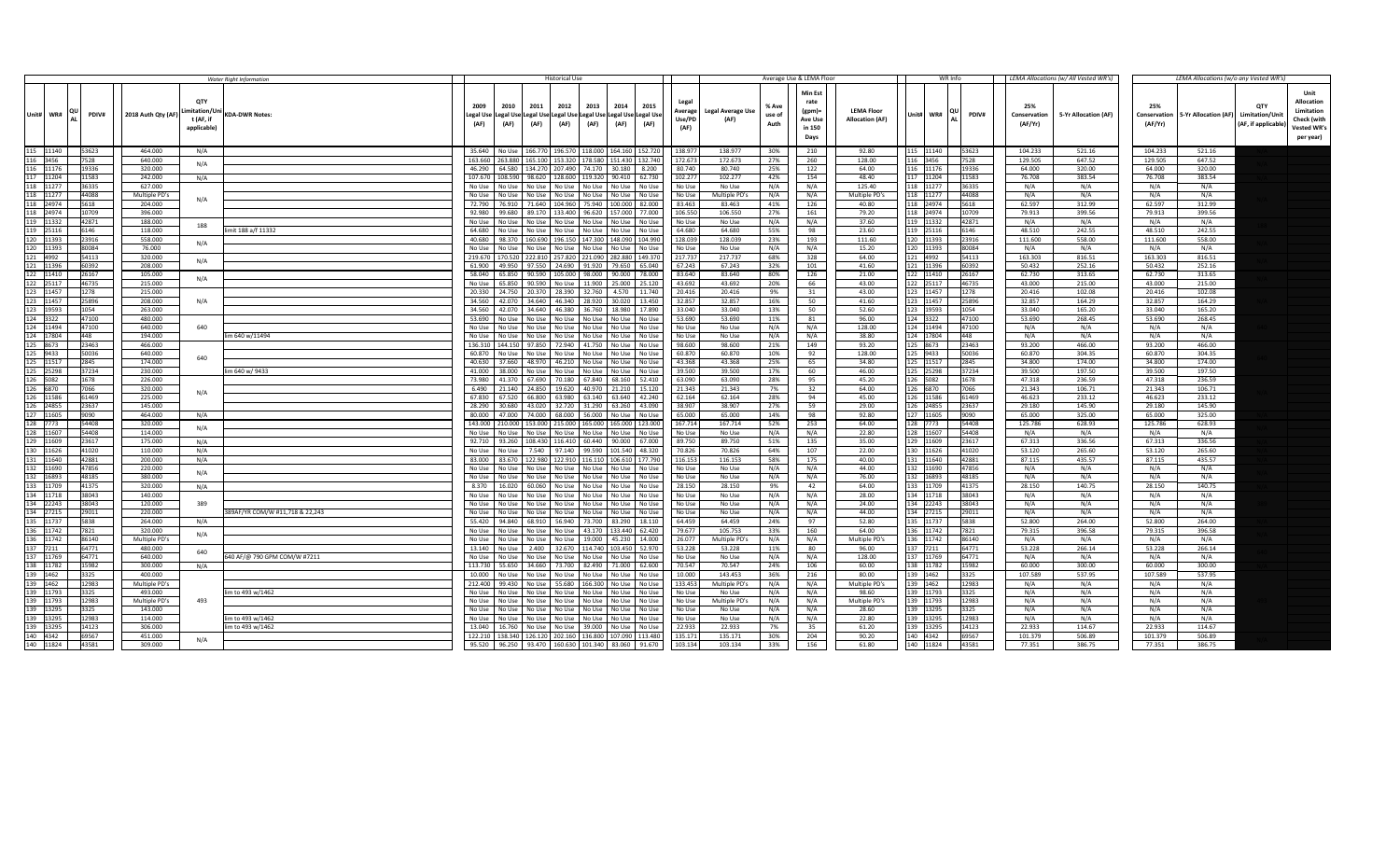|                        |                 |                          |                                                       | <b>Water Right Information</b>  |                                                                                                                  | <b>Historical Use</b> |      |                            |                                                    |                           |                         | Average Use & LEMA Floor                                  |                                             |                          | WR Info        |                                | LEMA Allocations (w/ All Vested WR's) |                                | <b>IFMA Allocations (w/o any Vested WR's</b> |                                                     |                                                                                    |
|------------------------|-----------------|--------------------------|-------------------------------------------------------|---------------------------------|------------------------------------------------------------------------------------------------------------------|-----------------------|------|----------------------------|----------------------------------------------------|---------------------------|-------------------------|-----------------------------------------------------------|---------------------------------------------|--------------------------|----------------|--------------------------------|---------------------------------------|--------------------------------|----------------------------------------------|-----------------------------------------------------|------------------------------------------------------------------------------------|
| Unit# WR#              | <b>PDIV#</b>    | 2018 Auth Qty (AF)       | <b>OTY</b><br>mitation/Un<br>t (AF, if<br>applicable) | <b>KDA-DWR Notes:</b>           | 2009<br>2010<br>Legal Use Legal Use Legal Use Legal Use Legal Use Legal Use Legal Use<br>(AF)<br>(AF)            | 2011<br>2012<br>(AF)  | 2013 | 2014<br>(AF)   (AF)   (AF) | Legal<br>2015<br>Average<br>Use/PD<br>(AF)<br>(AF) | Legal Average Use<br>(AF) | % Ave<br>use of<br>Auth | Min Est<br>rate<br>$(gpm)$ =<br>Ave Use<br>in 150<br>Days | <b>LEMA Floor</b><br><b>Allocation (AF)</b> | Unit# WR#                | <b>PDIV#</b>   | 25%<br>Conservation<br>(AF/Yr) | 5-Yr Allocation (AF)                  | 25%<br>Conservation<br>(AF/Yr) | 5-Yr Allocation (AF)                         | OTY<br><b>Limitation/Unit</b><br>(AF, if applicable | Unit<br><b>Allocation</b><br>Limitation<br>Check (with<br>Vested WR's<br>per year) |
| 115 11140              | 53623           | 464.000                  | N/A                                                   |                                 | 35.640   No Use   166.770   196.570   118.000   164.160   152.720                                                |                       |      |                            | 138.97                                             | 138.977                   | 30%                     | 210                                                       | 92.80                                       | 115 11140                | 53623          | 104.233                        | 521.16                                | 104.233                        | 521.16                                       |                                                     |                                                                                    |
| 116 3456               | 7528            | 640.000                  | N/A                                                   |                                 | 163.660   263.880   165.100   153.320   178.580   151.430   132.740                                              |                       |      |                            | 172.673                                            | 172.673                   | 27%                     | 260                                                       | 128.00                                      | 116 3456                 | 7528           | 129.505                        | 647.52                                | 129.505                        | 647.52                                       |                                                     |                                                                                    |
| 116 11176              | 19336           | 320.000                  |                                                       |                                 | 46.290 64.580 134.270 207.490 74.170 30.180 8.200                                                                |                       |      |                            | 80.740                                             | 80.740                    | 25%                     | 122                                                       | 64.00                                       | 116 11176                | 19336          | 64.000                         | 320.00                                | 64.000                         | 320.00                                       |                                                     |                                                                                    |
| 117 11204<br>118 11277 | 11583           | 242.000<br>627.000       | N/A                                                   |                                 | 107.670   108.590   98.620   128.600   119.320   90.410   62.730                                                 |                       |      |                            | 102.277                                            | 102.277                   | 42%<br>N/A              | 154<br>N/A                                                | 48.40                                       | 117 11204                | 11583          | 76.708                         | 383.54<br>N/A                         | 76.708                         | 383.54                                       |                                                     |                                                                                    |
| 118 11277              | 36335<br>44088  | Multiple PD's            |                                                       |                                 | No Use No Use No Use No Use No Use No Use No Use<br>No Use T No Use T No Use T No Use T No Use T No Use T No Use |                       |      |                            | No Use<br>No Use                                   | No Use<br>Multiple PD's   | N/A                     | N/A                                                       | 125.40<br>Multiple PD's                     | 18 11277<br>18 11277     | 36335<br>44088 | N/A<br>N/A                     | N/A                                   | N/A<br>N/A                     | N/A<br>N/A                                   |                                                     |                                                                                    |
| 118 24974              | 5618            | 204.000                  | N/A                                                   |                                 | 72.790 76.910 71.640 104.960 75.940 100.000 82.000                                                               |                       |      |                            | 83.463                                             | 83.463                    | 41%                     | 126                                                       | 40.80                                       | 18 24974                 | 5618           | 62.597                         | 312.99                                | 62.597                         | 312.99                                       |                                                     |                                                                                    |
| 118 24974              | 10709           | 396,000                  |                                                       |                                 | 92.980 99.680 89.170 133.400 96.620 157.000 77.000                                                               |                       |      |                            | 106.550                                            | 106.550                   | 27%                     | 161                                                       | 79.20                                       | 18 24974                 | 10709          | 79.913                         | 399.56                                | 79.913                         | 399.56                                       |                                                     |                                                                                    |
| 119 11332              | 42871           | 188.000                  |                                                       |                                 | No Use No Use No Use No Use No Use                                                                               |                       |      | No Use No Use              | No Use                                             | No Use                    | N/A                     | N/A                                                       | 37.60                                       | 119 11332                | 42871          | N/A                            | N/A                                   | N/A                            | N/A                                          |                                                     |                                                                                    |
| 119 25116              | 6146            | 118,000                  | 188                                                   | mit 188 a/f 11332               | 64.680   No Use   No Use   No Use   No Use   No Use   No Use                                                     |                       |      |                            | 64.680                                             | 64,680                    | 55%                     | 98                                                        | 23.60                                       | 19 25116                 | 6146           | 48.510                         | 242.55                                | 48.510                         | 242.55                                       |                                                     |                                                                                    |
| 120 11393              | 23916           | 558.000                  | N/A                                                   |                                 | 40.680 98.370 160.690 196.150 147.300 148.090 104.990                                                            |                       |      |                            | 128.039                                            | 128.039                   | 23%                     | 193                                                       | 111.60                                      | 120 11393                | 23916          | 111.600                        | 558.00                                | 111.600                        | 558.00                                       |                                                     |                                                                                    |
| 120 11393              | 80084           | 76.000                   |                                                       |                                 | No Use   No Use   No Use   No Use   No Use   No Use   No Use                                                     |                       |      |                            | No Use                                             | No Use                    | N/A                     | N/A                                                       | 15.20                                       | 120 11393                | 80084          | N/A                            | N/A                                   | N/A                            | N/A                                          |                                                     |                                                                                    |
| 121 4992               | 54113           | 320.000                  | N/A                                                   |                                 | 219.670   170.520   222.810   257.820   221.090   282.880   149.37                                               |                       |      |                            | 217.737                                            | 217.737                   | 68%                     | 328                                                       | 64.00                                       | 21 4992                  | 54113          | 163.303                        | 816.51                                | 163.303                        | 816.51                                       |                                                     |                                                                                    |
| 121 11396              | 60392           | 208,000                  |                                                       |                                 | 61.900 49.950 97.550 24.690 91.920                                                                               |                       |      | 79.650 65.040              | 67.243                                             | 67.243                    | 32%                     | 101                                                       | 41.60                                       | 121 11396                | 60392          | 50.432                         | 252.16                                | 50.432                         | 252.16                                       |                                                     |                                                                                    |
| 122 11410<br>122 25117 | 26167<br>46735  | 105.000<br>215.000       | N/A                                                   |                                 | 58.040 65.850 90.590 105.000 98.000<br>No Use 65.850 90.590 No Use 11.900                                        |                       |      | 90.000<br>25.000           | 83.640<br>78.000<br>25.120<br>43.692               | 83.640<br>43.692          | 80%<br>20%              | 126<br>66                                                 | 21.00<br>43.00                              | 122 11410<br>122 25117   | 26167<br>46735 | 62.730<br>43.000               | 313.65<br>215.00                      | 62.730<br>43.000               | 313.65<br>215.00                             |                                                     |                                                                                    |
| 123 11457              | 1278            | 215.000                  |                                                       |                                 | 20.330 24.750 20.370 28.390 32.760 4.570 11.740                                                                  |                       |      |                            | 20.416                                             | 20.416                    | 9%                      | 31                                                        | 43.00                                       | 123 11457                | 1278           | 20.416                         | 102.08                                | 20.416                         | 102.08                                       |                                                     |                                                                                    |
| 123 11457              | 25896           | 208,000                  | N/A                                                   |                                 | 34.560 42.070 34.640 46.340 28.920                                                                               |                       |      | 30.020                     | 32.857<br>13.450                                   | 32.857                    | 16%                     | 50                                                        | 41.60                                       | 123 11457                | 25896          | 32.857                         | 164.29                                | 32.857                         | 164.29                                       |                                                     |                                                                                    |
| 123 19593              | 1054            | 263.000                  |                                                       |                                 | 34.560 42.070 34.640 46.380 36.760                                                                               |                       |      | 18.980                     | 33.040<br>17.890                                   | 33,040                    | 13%                     | 50                                                        | 52.60                                       | 123 19593                | 1054           | 33,040                         | 165.20                                | 33,040                         | 165.20                                       |                                                     |                                                                                    |
| 124 3322               | 47100           | 480.000                  |                                                       |                                 | 53.690 No Use No Use No Use No Use                                                                               |                       |      | No Use No Use              | 53.690                                             | 53.690                    | 11%                     | 81                                                        | 96.00                                       | 124 3322                 | 47100          | 53.690                         | 268.45                                | 53.690                         | 268.45                                       |                                                     |                                                                                    |
| 124 11494              | 47100           | 640.000                  | 640                                                   |                                 | No Use No Use No Use No Use No Use                                                                               |                       |      | No Use                     | No Use<br>No Use                                   | No Use                    | N/A                     | N/A                                                       | 128.00                                      | 11494                    | 47100          | N/A                            | N/A                                   | N/A                            | N/A                                          |                                                     |                                                                                    |
| 124 17804              | 448             | 194.000                  |                                                       | m 640 w/11494                   | No Use   No Use   No Use   No Use   No Use   No Use   No Use                                                     |                       |      |                            | No Use                                             | No Use                    | N/A                     | N/A                                                       | 38.80                                       | 124 17804                | 448            | N/A                            | N/A                                   | N/A                            | N/A                                          |                                                     |                                                                                    |
| 125 8673               | 23463           | 466,000                  |                                                       |                                 | 136.310   144.150   97.850   72.940   41.750   No Use   No Use                                                   |                       |      |                            | 98,600                                             | 98,600                    | 21%                     | 149                                                       | 93.20                                       | 125 8673                 | 23463          | 93.200                         | 466.00                                | 93,200                         | 466.00                                       |                                                     |                                                                                    |
| 125 9433<br>125 11517  | 50036<br>2845   | 640.000<br>174.000       | 640                                                   |                                 | 60.870 No Use No Use No Use No Use<br>40.630 37.660 48.970 46.210 No Use No Use No Use                           |                       |      | No Use                     | 60.870<br>No Use<br>43.368                         | 60.870<br>43.368          | 10%<br>25%              | 92<br>65                                                  | 128.00<br>34.80                             | 125 9433<br>125 11517    | 50036<br>2845  | 60.870<br>34.800               | 304.35<br>174.00                      | 60.870<br>34.800               | 304.35<br>174.00                             |                                                     |                                                                                    |
| 125 25298              | 37234           | 230.000                  |                                                       | m 640 w/ 9433                   | 41.000 38.000 No Use No Use No Use No Use No Use                                                                 |                       |      |                            | 39.500                                             | 39,500                    | 17%                     | 60                                                        | 46.00                                       | 125 25298                | 37234          | 39.500                         | 197.50                                | 39,500                         | 197.50                                       |                                                     |                                                                                    |
| 126 5082               | 1678            | 226.000                  |                                                       |                                 | 73.980 41.370 67.690 70.180 67.840                                                                               |                       |      | 68.160                     | 63.090<br>52.410                                   | 63.090                    | 28%                     | 95                                                        | 45.20                                       | 126 5082                 | 1678           | 47.318                         | 236.59                                | 47.318                         | 236.59                                       |                                                     |                                                                                    |
| 126 6870               | 7066            | 320.000                  |                                                       |                                 | 6.490 21.140 24.850 19.620 40.970                                                                                |                       |      | 21.210                     | 21.343<br>15.120                                   | 21.343                    | 7%                      | 32                                                        | 64.00                                       | 126 6870                 | 7066           | 21.343                         | 106.71                                | 21.343                         | 106.71                                       |                                                     |                                                                                    |
| 126 11586              | 61469           | 225.000                  | N/A                                                   |                                 | 67.830 67.520 66.800 63.980 63.140                                                                               |                       |      | 63.640                     | 42.240<br>62.164                                   | 62.164                    | 28%                     | 94                                                        | 45.00                                       | 11586                    | 61469          | 46.623                         | 233.12                                | 46.623                         | 233.12                                       |                                                     |                                                                                    |
| 126 24855              | 23637           | 145,000                  |                                                       |                                 | 28.290 30.680 43.020 32.720 31.290                                                                               |                       |      | 63.260                     | 43.090<br>38.907                                   | 38.907                    | 27%                     | 59                                                        | 29.00                                       | 126 24855                | 23637          | 29.180                         | 145.90                                | 29.180                         | 145.90                                       |                                                     |                                                                                    |
| 127 11605              | 9090            | 464,000                  | N/A                                                   |                                 | 80.000 47.000 74.000 68.000 56.000 No Use No Use                                                                 |                       |      |                            | 65.000                                             | 65,000                    | 14%                     | 98                                                        | 92.80                                       | 127 11605                | 9090           | 65,000                         | 325.00                                | 65.000                         | 325.00                                       |                                                     |                                                                                    |
| 128 7773               | 54408           | 320,000                  | N/A                                                   |                                 | 143.000 210.000 153.000 215.000 165.000 165.000 123.000                                                          |                       |      |                            | 167.714                                            | 167.714                   | 52%                     | 253                                                       | 64.00                                       | 128 7773                 | 54408          | 125.786                        | 628.93                                | 125.786                        | 628.93                                       |                                                     |                                                                                    |
| 128 11607              | 54408           | 114.000                  |                                                       |                                 | No Use   No Use   No Use   No Use   No Use   No Use   No Use                                                     |                       |      |                            | No Use                                             | No Use                    | N/A                     | N/A                                                       | 22.80                                       | 128 11607                | 54408          | N/A                            | N/A                                   | N/A                            | N/A                                          |                                                     |                                                                                    |
| 129 11609<br>130 11626 | 23617<br>41020  | 175.000<br>110,000       | N/A                                                   |                                 | 92.710 93.260 108.430 116.410 60.440 90.000 67.000<br>No Use No Use 7.540 97.140 99.590 101.540 48.320           |                       |      |                            | 89.750<br>70.826                                   | 89.750<br>70.826          | 51%<br>64%              | 135                                                       | 35.00<br>22.00                              | 129 11609<br>130 11626 1 | 23617          | 67.313<br>53.120               | 336.56<br>265.60                      | 67.313<br>53.120               | 336.56<br>265.60                             |                                                     |                                                                                    |
| 131 11640              | 42881           | 200.000                  | N/A<br>N/A                                            |                                 | 83.000 83.670 122.980 122.910 116.110 106.610 177.790                                                            |                       |      |                            | 116.153                                            | 116.153                   | 58%                     | 107<br>175                                                | 40.00                                       | 131 11640                | 41020<br>42881 | 87.115                         | 435.57                                | 87.115                         | 435.57                                       |                                                     |                                                                                    |
| 132 11690              | 47856           | 220.000                  |                                                       |                                 | No Use   No Use   No Use   No Use   No Use   No Use   No Use                                                     |                       |      |                            | No Use                                             | No Use                    | N/A                     | N/A                                                       | 44.00                                       | 132 11690                | 47856          | N/A                            | N/A                                   | N/A                            | N/A                                          |                                                     |                                                                                    |
| 132 16893              | 48185           | 380.000                  | N/A                                                   |                                 | No Use No Use No Use No Use No Use No Use No Use                                                                 |                       |      |                            | No Use                                             | No Use                    | N/A                     | N/A                                                       | 76.00                                       | 132 16893                | 48185          | N/A                            | N/A                                   | N/A                            | N/A                                          |                                                     |                                                                                    |
| 133 11709              | 41375           | 320.000                  | N/A                                                   |                                 | 8.370   16.020   60.060   No Use   No Use   No Use   No Use                                                      |                       |      |                            | 28.150                                             | 28.150                    | 9%                      | 42                                                        | 64.00                                       | 133 11709                | 41375          | 28.150                         | 140.75                                | 28.150                         | 140.75                                       |                                                     |                                                                                    |
| 134 11718              | 38043           | 140.000                  |                                                       |                                 | No Use No Use No Use No Use No Use No Use No Use                                                                 |                       |      |                            | No Use                                             | No Use                    | N/A                     | N/A                                                       | 28.00                                       | 134 11718                | 38043          | N/A                            | N/A                                   | N/A                            | N/A                                          |                                                     |                                                                                    |
| 134 22243              | 38043           | 120.000                  | 389                                                   |                                 | No Use No Use No Use No Use No Use                                                                               |                       |      | No Use No Use              | No Use                                             | No Use                    | N/A                     | N/A                                                       | 24.00                                       | 134 22243                | 38043          | N/A                            | N/A                                   | N/A                            | N/A                                          |                                                     |                                                                                    |
| 134 27215              | 29011           | 220,000                  |                                                       | 889AF/YR COM/W #11,718 & 22,243 | No Use   No Use   No Use   No Use   No Use   No Use   No Use                                                     |                       |      |                            | No Use                                             | No Use                    | N/A                     | N/A                                                       | 44.00                                       | 134 27215                | 29011          | N/A                            | N/A                                   | N/A                            | N/A                                          |                                                     |                                                                                    |
| 135 11737              | 5838            | 264.000                  | $N/\Delta$                                            |                                 | 55.420 94.840 68.910 56.940 73.700                                                                               |                       |      | 83.290 18.110              | 64,459                                             | 64.459                    | 24%                     | 97                                                        | 52.80                                       | 135 11737                | 5838           | 52,800                         | 264.00                                | 52,800                         | 264.00                                       |                                                     |                                                                                    |
| 136 11742<br>136 11742 | 7821<br>86140   | 320.000<br>Multiple PD's | N/A                                                   |                                 | No Use No Use No Use No Use 43.170 133.440 62.420<br>No Use No Use No Use No Use 19.000 45.230 14.000            |                       |      |                            | 79.677<br>26.077                                   | 105.753<br>Multiple PD's  | 33%<br>N/A              | 160<br>N/A                                                | 64.00<br>Multiple PD's                      | 136 11742<br>136 11742   | 7821<br>86140  | 79.315<br>$N/\Delta$           | 396.58<br>N/A                         | 79.315<br>N/A                  | 396.58<br>N/A                                |                                                     |                                                                                    |
| 137 7211               | 64771           | 480,000                  |                                                       |                                 | 13.140 No Use 2.400 32.670 114.740 103.450 52.970                                                                |                       |      |                            | 53,228                                             | 53.228                    | 11%                     | 80                                                        | 96.00                                       | 137 7211                 | 64771          | 53.228                         | 266.14                                | 53.228                         | 266.14                                       |                                                     |                                                                                    |
| 137 11769              | 64771           | 640,000                  | 640                                                   | 640 AF/@ 790 GPM COM/W #7211    | No Use No Use No Use No Use No Use No Use No Use                                                                 |                       |      |                            | No Use                                             | No Use                    | N/A                     | N/A                                                       | 128.00                                      | 137 11769                | 64771          | N/A                            | N/A                                   | N/A                            | N/A                                          |                                                     |                                                                                    |
| 138 11782              | 15982           | 300,000                  | N/A                                                   |                                 | 113.730 55.650 34.660 73.700 82.490 71.000 62.600                                                                |                       |      |                            | 70.547                                             | 70.547                    | 24%                     | 106                                                       | 60.00                                       | 138 11782 1              | 15982          | 60,000                         | 300.00                                | 60,000                         | 300.00                                       |                                                     |                                                                                    |
| 139 1462               | 3325            | 400,000                  |                                                       |                                 | 10.000 No Use No Use No Use No Use                                                                               |                       |      | No Use                     | No Use<br>10,000                                   | 143.453                   | 36%                     | 216                                                       | 80.00                                       | 139 1462                 | 3325           | 107.589                        | 537.95                                | 107.589                        | 537.95                                       |                                                     |                                                                                    |
| 139 1462               | 12983           | Multiple PD's            |                                                       |                                 | 212.400 99.430 No Use 55.680 166.300 No Use No Use                                                               |                       |      |                            | 133.453                                            | Multiple PD's             | N/A                     | N/A                                                       | Multiple PD's                               | 139 1462                 | 12983          | N/A                            | N/A                                   | N/A                            | N/A                                          |                                                     |                                                                                    |
| 139 11793              | 3325            | 493.000                  |                                                       | m to 493 w/1462                 | No Use No Use No Use No Use No Use No Use No Use                                                                 |                       |      |                            | No Use                                             | No Use                    | N/A                     | N/A                                                       | 98.60                                       | 139 11793                | 3325           | N/A                            | N/A                                   | N/A                            | N/A                                          |                                                     |                                                                                    |
| 139 11793              | 12983           | Multiple PD's            | 493                                                   |                                 | No Use No Use No Use No Use No Use No Use                                                                        |                       |      |                            | No Use<br>No Use                                   | Multiple PD's             | N/A                     | N/A                                                       | Multiple PD's                               | 139 11793                | 12983          | N/A                            | N/A                                   | N/A                            | N/A                                          |                                                     |                                                                                    |
| 139 13295              | 3325<br>12983   | 143.000<br>114.000       |                                                       | lim to 493 w/1462               | No Use No Use No Use No Use No Use No Use<br>No Use No Use No Use No Use No Use                                  |                       |      |                            | No Use<br>No Use                                   | No Use                    | N/A<br>N/A              | N/A<br>N/A                                                | 28.60                                       | 39 13295<br>139 13295    | 3325<br>12983  | N/A<br>N/A                     | N/A<br>N/A                            | N/A<br>N/A                     | N/A<br>N/A                                   |                                                     |                                                                                    |
| 139 13295<br>139 13295 | 14123           | 306,000                  |                                                       | lim to 493 w/1462               | 13.040   16.760   No Use   No Use   39.000   No Use   No Use                                                     |                       |      | No Use                     | No Use<br>No Use<br>22.933                         | No Use<br>22.933          | 7%                      | 35                                                        | 22.80<br>61.20                              | 139 13295                | 14123          | 22.933                         | 114.67                                | 22.933                         | 114.67                                       |                                                     |                                                                                    |
| 140 4342               | 69567           | 451.000                  |                                                       |                                 | 122.210   138.340   126.120   202.160   136.800   107.090   113.480                                              |                       |      |                            | 135.171                                            | 135.171                   | 30%                     | 204                                                       | 90.20                                       | 140 4342                 | 69567          | 101.379                        | 506.89                                | 101.379                        | 506.89                                       |                                                     |                                                                                    |
|                        | 140 11824 43581 | 309,000                  |                                                       |                                 | 95.520 96.250 93.470 160.630 101.340 83.060 91.670                                                               |                       |      |                            | 103.134                                            | 103.134                   | 33%                     | 156                                                       | 61.80                                       | 140 11824                | 43581          | 77.351                         | 386.75                                | 77.351                         | 386.75                                       |                                                     |                                                                                    |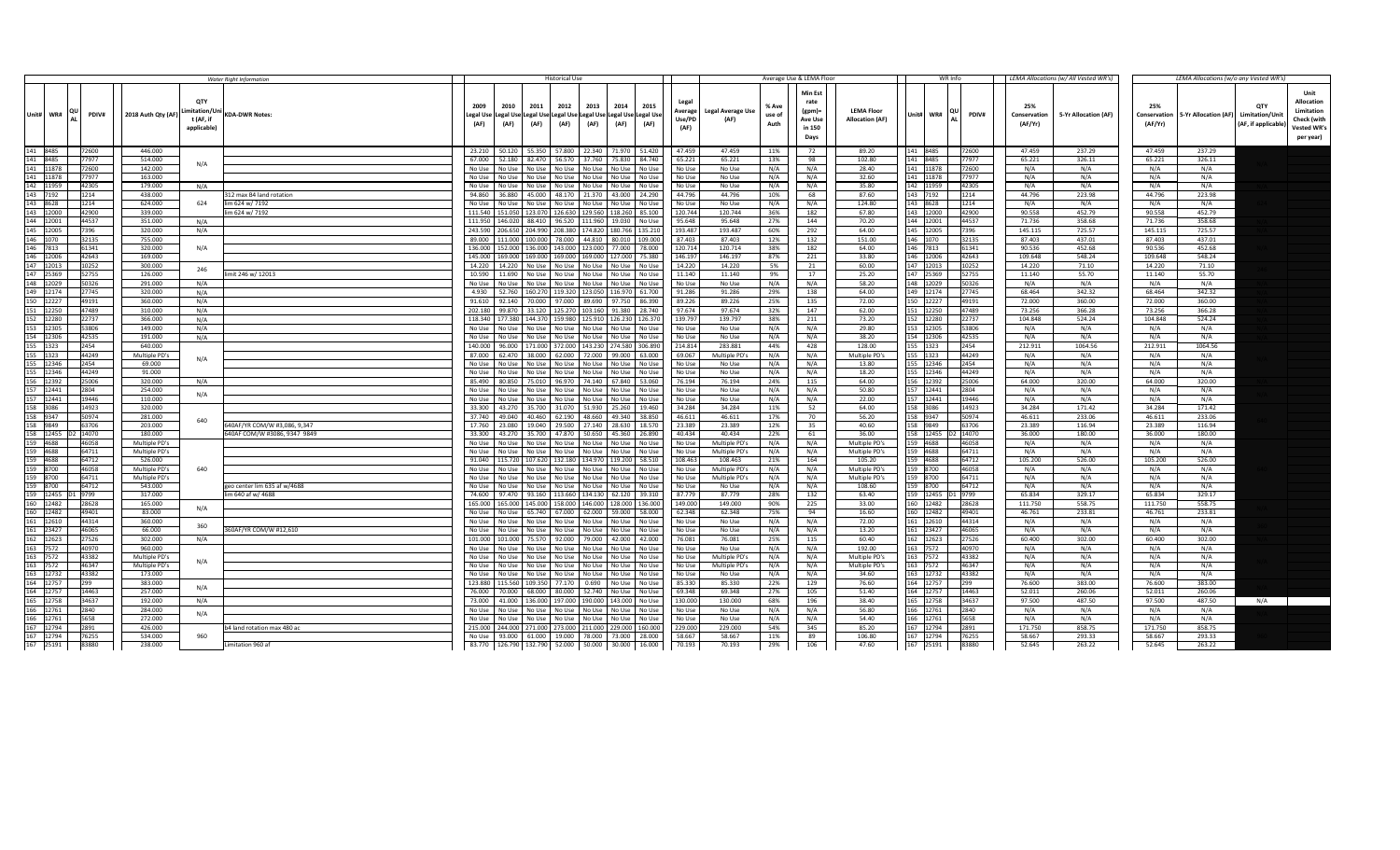|                                          |                                                                        | <b>Water Right Information</b> |              |                                    | <b>Historical Use</b>     |                                                                                                                              |                                    |                           |                         | Average Use & LEMA Floor                                     |                                             | WR Info                |                |                                | LEMA Allocations (w/ All Vested WR's) |                                | <b>IFMA Allocations (w/o any Vested WR's</b> |                           |                                                                             |
|------------------------------------------|------------------------------------------------------------------------|--------------------------------|--------------|------------------------------------|---------------------------|------------------------------------------------------------------------------------------------------------------------------|------------------------------------|---------------------------|-------------------------|--------------------------------------------------------------|---------------------------------------------|------------------------|----------------|--------------------------------|---------------------------------------|--------------------------------|----------------------------------------------|---------------------------|-----------------------------------------------------------------------------|
| Unit# WR#<br><b>PDIV#</b>                | OTY<br>imitation/Uni<br>2018 Auth Qty (AF)<br>t (AF, if<br>applicable) | <b>KDA-DWR Notes:</b>          | 2009<br>(AF) | 2010<br>2011<br>(AF)               | 2012<br>2013<br>(AF) (AF) | 2014<br>2015<br>egal Use Legal Use Legal Use Legal Use Legal Use Legal Use Legal Use<br>(AF) (AF)<br>(AF)                    | Legal<br>Average<br>Use/PD<br>(AF) | Legal Average Use<br>(AF) | % Ave<br>use of<br>Auth | Min Est<br>rate<br>(gpm)<br><b>Ave Use</b><br>in 150<br>Days | <b>LEMA Floor</b><br><b>Allocation (AF)</b> | Unit# WR#              | PDIV#          | 25%<br>Conservation<br>(AF/Yr) | 5-Yr Allocation (AF)                  | 25%<br>Conservation<br>(AF/Yr) | 5-Yr Allocation (AF) Limitation/Unit         | OTY<br>(AF, if applicable | Unit<br>Allocation<br>Limitation<br>Check (with<br>Vested WR's<br>per year) |
| 141 8485<br>72600                        | 446,000                                                                |                                |              |                                    |                           | 23.210 50.120 55.350 57.800 22.340 71.970 51.420                                                                             | 47.459                             | 47.459                    | 11%                     | 72                                                           | 89.20                                       | 141 8485               | 72600          | 47.459                         | 237.29                                | 47.459                         | 237.29                                       |                           |                                                                             |
| 77977<br>141 8485                        | 514.000<br>N/A                                                         |                                |              |                                    |                           | 67.000 52.180 82.470 56.570 37.760 75.830 84.740                                                                             | 65.221                             | 65.221                    | 13%                     | 98                                                           | 102.80                                      | 141 8485               | 77977          | 65.221                         | 326.11                                | 65.221                         | 326.11                                       |                           |                                                                             |
| 141 11878<br>72600<br>141 11878<br>77977 | 142,000<br>163,000                                                     |                                |              |                                    |                           | No Use No Use No Use No Use No Use No Use No Use<br>No Use No Use No Use No Use No Use No Use No Use                         | No Use<br>No Use                   | No Use<br>No Use          | N/A<br>N/A              | N/A<br>N/A                                                   | 28.40<br>32.60                              | 141 11878<br>141 11878 | 72600<br>77977 | N/A<br>N/A                     | N/A<br>N/A                            | N/A<br>N/A                     | N/A<br>N/A                                   |                           |                                                                             |
| 42305<br>142 11959                       | 179,000<br>N/A                                                         |                                |              |                                    |                           | No Use No Use No Use No Use No Use No Use No Use                                                                             | No Hse                             | No Use                    | N/A                     | N/A                                                          | 35.80                                       | 142 11959              | 42305          | N/A                            | N/A                                   | N/A                            | N/A                                          |                           |                                                                             |
| 143 7192<br>1214                         | 438.000                                                                | 312 max B4 land rotation       |              |                                    |                           | 94.860 36.880 45.000 48.170 21.370 43.000 24.290                                                                             | 44.796                             | 44.796                    | 10%                     | 68                                                           | 87.60                                       | 143 7192               | 1214           | 44.796                         | 223.98                                | 44.796                         | 223.98                                       |                           |                                                                             |
| 143 8628<br>1214                         | 624.000<br>624                                                         | lim 624 w/ 7192                |              |                                    |                           | No Use No Use No Use No Use No Use No Use No Use                                                                             | No Use                             | No Use                    | N/A                     | N/A                                                          | 124.80                                      | 143 8628               | 1214           | N/A                            | N/A                                   | N/A                            | N/A                                          |                           |                                                                             |
| 143 12000<br>42900                       | 339.000                                                                | m 624 w/ 7192                  |              |                                    |                           | 111.540   151.050   123.070   126.630   129.560   118.260   85.100                                                           | 120.744                            | 120.744                   | 36%                     | 182                                                          | 67.80                                       | 143 12000              | 42900          | 90.558                         | 452.79                                | 90.558                         | 452.79                                       |                           |                                                                             |
| 144 12001<br>44537                       | 351.000<br>N/A                                                         |                                |              |                                    |                           | 111.950 146.020 88.410 96.520 111.960 19.030 No Use                                                                          | 95.648                             | 95.648                    | 27%                     | 144                                                          | 70.20                                       | 144 12001              | 44537          | 71.736                         | 358.68                                | 71.736                         | 358.68                                       |                           |                                                                             |
| 145 12005<br>7396                        | 320.000<br>N/A                                                         |                                |              |                                    |                           | 243.590 206.650 204.990 208.380 174.820 180.766 135.210                                                                      | 193.487                            | 193.487                   | 60%                     | 292                                                          | 64.00                                       | 145 12005              | 7396           | 145.115                        | 725.57                                | 145.115                        | 725.57                                       |                           |                                                                             |
| 146 1070<br>32135                        | 755,000                                                                |                                |              |                                    |                           | 89.000 111.000 100.000 78.000 44.810 80.010 109.000                                                                          | 87.403                             | 87,403                    | 12%                     | 132                                                          | 151.00                                      | 146 1070               | 32135          | 87.403                         | 437.01                                | 87.403                         | 437.01                                       |                           |                                                                             |
| 61341<br>146 7813                        | 320.000<br>N/A                                                         |                                |              |                                    |                           | 136.000 152.000 136.000 143.000 123.000 77.000 78.000                                                                        | 120.714                            | 120.714                   | 38%                     | 182                                                          | 64.00                                       | 146 7813               | 61341          | 90.536                         | 452.68                                | 90.536                         | 452.68                                       |                           |                                                                             |
| 146 12006<br>42643                       | 169,000                                                                |                                |              |                                    |                           | 145,000   169,000   169,000   169,000   169,000   127,000   75,380                                                           | 146,197                            | 146.197                   | 87%                     | 221                                                          | 33.80                                       | 146 12006              | 42643          | 109.648                        | 548.24                                | 109.648                        | 548.24                                       |                           |                                                                             |
| 147 12013<br>10252<br>147 25369<br>52755 | 300.000<br>246<br>126,000                                              | mit 246 w/ 12013               |              |                                    |                           | 14.220   14.220   No Use   No Use   No Use   No Use   No Use<br>10.590 11.690 No Use No Use No Use No Use No Use             | 14.220<br>11.140                   | 14.220<br>11.140          | 5%<br>9%                | 21<br>17                                                     | 60.00<br>25.20                              | 147 12013<br>147 25369 | 10252<br>52755 | 14.220<br>11.140               | 71.10<br>55.70                        | 14.220<br>11.140               | 71.10<br>55.70                               |                           |                                                                             |
| 148 12029<br>50326                       | 291.000<br>N/A                                                         |                                |              |                                    |                           | No Use No Use No Use No Use No Use No Use No Use                                                                             | No Use                             | No Use                    | N/A                     | N/A                                                          | 58.20                                       | 148 12029              | 50326          | N/A                            | N/A                                   | N/A                            | N/A                                          |                           |                                                                             |
| 149 12174<br>27745                       | 320,000<br>N/A                                                         |                                |              |                                    |                           | 4.930 52.760 160.270 119.320 123.050 116.970 61.700                                                                          | 91.286                             | 91.286                    | 29%                     | 138                                                          | 64.00                                       | 149 12174              | 27745          | 68.464                         | 342.32                                | 68.464                         | 342.32                                       |                           |                                                                             |
| 150 12227<br>49191                       | 360.000<br>N/A                                                         |                                |              |                                    |                           | 91.610 92.140 70.000 97.000 89.690 97.750 86.390                                                                             | 89.226                             | 89.226                    | 25%                     | 135                                                          | 72.00                                       | 150 12227              | 49191          | 72.000                         | 360.00                                | 72.000                         | 360.00                                       |                           |                                                                             |
| 151 12250<br>47489                       | 310,000<br>N/A                                                         |                                |              |                                    |                           | 202.180 99.870 33.120 125.270 103.160 91.380 28.740                                                                          | 97.674                             | 97.674                    | 32%                     | 147                                                          | 62.00                                       | 151 12250              | 47489          | 73.256                         | 366.28                                | 73.256                         | 366.28                                       |                           |                                                                             |
| 152 12280<br>22737                       | 366.000<br>N/A                                                         |                                |              |                                    |                           | 118.340   177.380   144.370   159.980   125.910   126.230   126.370                                                          | 139.797                            | 139.797                   | 38%                     | 211                                                          | 73.20                                       | 152 12280              | 22737          | 104.848                        | 524.24                                | 104.848                        | 524.24                                       |                           |                                                                             |
| 153 12305<br>53806                       | 149.000<br>N/A                                                         |                                |              |                                    |                           | No Use   No Use   No Use   No Use   No Use   No Use   No Use                                                                 | No Use                             | No Use                    | N/A                     | N/A                                                          | 29.80                                       | 153 12305              | 53806          | N/A                            | N/A                                   | N/A                            | N/A                                          |                           |                                                                             |
| 154 12306<br>42535                       | 191.000<br>N/A                                                         |                                |              |                                    |                           | No Use No Use No Use No Use No Use No Use No Use                                                                             | No Use                             | No Use                    | N/A                     | N/A                                                          | 38.20                                       | 154 12306              | 42535          | N/A                            | N/A                                   | N/A                            | N/A                                          |                           |                                                                             |
| 155 1323<br>2454                         | 640,000                                                                |                                |              |                                    |                           | 140.000 96.000 171.000 372.000 143.230 274.580 306.890                                                                       | 214.814                            | 283.881                   | 44%                     | 428                                                          | 128.00                                      | 155 1323               | 2454           | 212.911                        | 1064.56                               | 212.911                        | 1064.56                                      |                           |                                                                             |
| 44249<br>155 1323                        | Multiple PD's<br>N/A                                                   |                                |              |                                    |                           | 87.000 62.470 38.000 62.000 72.000 99.000 63.000                                                                             | 69.067                             | Multiple PD's             | N/A                     | N/A                                                          | Multiple PD's                               | 155 1323               | 44249          | N/A                            | N/A                                   | N/A                            | N/A                                          |                           |                                                                             |
| 2454<br>155 12346<br>44249               | 69,000                                                                 |                                |              |                                    |                           | No Use No Use No Use No Use No Use No Use No Use                                                                             | No Use                             | No Use                    | N/A                     | N/A<br>N/A                                                   | 13.80                                       | 155 12346              | 2454<br>44249  | N/A                            | N/A                                   | N/A                            | N/A                                          |                           |                                                                             |
| 155 12346<br>156 12392<br>25006          | 91.000<br>320.000                                                      |                                |              | 85.490 80.850                      |                           | No Use   No Use   No Use   No Use   No Use   No Use   No Use<br>75.010 96.970 74.140 67.840 53.060                           | No Use<br>76.194                   | No Use<br>76.194          | N/A<br>24%              | 115                                                          | 18.20<br>64.00                              | 155 12346<br>156 12392 | 25006          | N/A<br>64.000                  | N/A<br>320.00                         | N/A<br>64.000                  | N/A<br>320.00                                |                           |                                                                             |
| 157 12441<br>2804                        | N/A<br>254.000                                                         |                                |              |                                    |                           | No Use   No Use   No Use   No Use   No Use   No Use   No Use                                                                 | No Use                             | No Use                    | N/A                     | N/A                                                          | 50.80                                       | 157 12441              | 2804           | N/A                            | N/A                                   | N/A                            | N/A                                          |                           |                                                                             |
| 157 12441<br>19446                       | N/A<br>110.000                                                         |                                |              |                                    |                           | No Use   No Use   No Use   No Use   No Use   No Use   No Use                                                                 | No Use                             | No Use                    | N/A                     | N/A                                                          | 22.00                                       | 157 12441              | 19446          | N/A                            | N/A                                   | N/A                            | N/A                                          |                           |                                                                             |
| 158 3086<br>14923                        | 320,000                                                                |                                |              |                                    |                           | 33.300 43.270 35.700 31.070 51.930 25.260 19.460                                                                             | 34.284                             | 34,284                    | 11%                     | 52                                                           | 64.00                                       | 158 3086               | 14923          | 34.284                         | 171.42                                | 34.284                         | 171.42                                       |                           |                                                                             |
| 50974<br>158 9347                        | 281.000                                                                |                                |              |                                    |                           | 37.740 49.040 40.460 62.190 48.660 49.340 38.850                                                                             | 46.611                             | 46.611                    | 17%                     | 70                                                           | 56.20                                       | 158 9347               | 50974          | 46.611                         | 233.06                                | 46.611                         | 233.06                                       |                           |                                                                             |
| 63706<br>158 9849                        | 640<br>203.000                                                         | 640AF/YR COM/W #3,086, 9,347   |              |                                    |                           | 17.760 23.080 19.040 29.500 27.140 28.630 18.570                                                                             | 23.389                             | 23,389                    | 12%                     | 35                                                           | 40.60                                       | 158 9849               | 63706          | 23.389                         | 116.94                                | 23.389                         | 116.94                                       |                           |                                                                             |
| 158 12455 D2 14070                       | 180,000                                                                | 540AF COM/W #3086, 9347 9849   |              |                                    |                           | 33.300 43.270 35.700 47.870 50.650 45.360 26.890                                                                             | 40.434                             | 40.434                    | 22%                     | 61                                                           | 36.00                                       | 158 12455 D2 14070     |                | 36,000                         | 180.00                                | 36.000                         | 180.00                                       |                           |                                                                             |
| 159 4688<br>46058                        | Multiple PD's                                                          |                                |              |                                    |                           | No Use   No Use   No Use   No Use   No Use   No Use   No Use                                                                 | No Use                             | Multiple PD's             | N/A                     | N/A                                                          | Multiple PD's                               | 159 4688               | 46058          | N/A                            | N/A                                   | N/A                            | N/A                                          |                           |                                                                             |
| 159 4688<br>64711                        | Multiple PD's                                                          |                                |              |                                    |                           | No Use No Use No Use No Use No Use No Use No Use                                                                             | No Use                             | Multiple PD's             | N/A                     | N/A                                                          | Multiple PD's                               | 159 4688               | 64711          | N/A                            | N/A                                   | N/A                            | N/A                                          |                           |                                                                             |
| 159 4688<br>64712<br>159 8700<br>46058   | 526.000<br>Multiple PD's<br>640                                        |                                |              |                                    |                           | 91.040   115.720   107.620   132.180   134.970   119.200   58.510<br>No Use No Use No Use No Use No Use No Use No Use        | 108.463<br>No Use                  | 108.463<br>Multiple PD's  | 21%<br>N/A              | 164<br>N/A                                                   | 105.20<br>Multiple PD's                     | 159 4688<br>159 8700   | 64712<br>46058 | 105.200<br>N/A                 | 526.00<br>N/A                         | 105.200<br>N/A                 | 526.00<br>N/A                                |                           |                                                                             |
| 64711<br>159 8700                        | Multiple PD's                                                          |                                |              |                                    |                           | No Use   No Use   No Use   No Use   No Use   No Use   No Use                                                                 | No Use                             | Multiple PD's             | N/A                     | N/A                                                          | Multiple PD's                               | 159 8700               | 64711          | N/A                            | N/A                                   | N/A                            | N/A                                          |                           |                                                                             |
| 159 8700<br>64712                        | 543.000                                                                | geo center lim 635 af w/4688   |              |                                    |                           | No Use No Use No Use No Use No Use No Use No Use                                                                             | No Use                             | No Use                    | N/A                     | N/A                                                          | 108.60                                      | 59 8700                | 64712          | N/A                            | N/A                                   | N/A                            | N/A                                          |                           |                                                                             |
| 159 12455<br>9799                        | 317.000                                                                | m 640 af w/ 4688               |              |                                    |                           | 74.600   97.470   93.160   113.660   134.130   62.120   39.310                                                               | 87.779                             | 87.779                    | 28%                     | 132                                                          | 63.40                                       | 159 12455 D1 9799      |                | 65.834                         | 329.17                                | 65.834                         | 329.17                                       |                           |                                                                             |
| 160 12482<br>28628                       | 165,000<br>N/A                                                         |                                |              |                                    |                           | 165.000   165.000   145.000   158.000   146.000   128.000   136.000                                                          | 149.000                            | 149,000                   | 90%                     | 225                                                          | 33.00                                       | 160 12482              | 28628          | 111.750                        | 558.75                                | 111,750                        | 558.75                                       |                           |                                                                             |
| 49401<br>160 12482                       | 83.000                                                                 |                                |              | No Use No Use 65.740 67.000 62.000 |                           | 59.000 58.000                                                                                                                | 62.348                             | 62.348                    | 75%                     | 94                                                           | 16.60                                       | 160 12482              | 49401          | 46.761                         | 233.81                                | 46.761                         | 233.81                                       |                           |                                                                             |
| 161 12610<br>44314                       | 360.000<br>360                                                         |                                |              |                                    |                           | No Use No Use No Use No Use No Use No Use No Use                                                                             | No Use                             | No Use                    | N/A                     | N/A                                                          | 72.00                                       | 161 12610              | 44314          | N/A                            | N/A                                   | N/A                            | N/A                                          |                           |                                                                             |
| 46065<br>161 23427                       | 66,000                                                                 | 60AF/YR COM/W #12.610          |              |                                    |                           | No Use   No Use   No Use   No Use   No Use   No Use   No Use                                                                 | No Use                             | No Use                    | N/A                     | N/A                                                          | 13.20<br>60.40                              | 161 23427              | 46065          | N/A                            | N/A                                   | N/A                            | N/A                                          |                           |                                                                             |
| 162 12623<br>27526<br>40970              | 302.000<br>N/A                                                         |                                |              |                                    |                           | 101.000   101.000   75.570   92.000   79.000   42.000   42.000                                                               | 76.081                             | 76.081                    | 25%<br>N/A              | 115<br>N/A                                                   | 192.00                                      | 162 12623              | 27526          | 60.400                         | 302.00                                | 60.400                         | 302.00                                       |                           |                                                                             |
| 163 7572<br>43382<br>163 7572            | 960.000<br>Multiple PD's                                               |                                |              |                                    |                           | No Use   No Use   No Use   No Use   No Use   No Use   No Use<br>No Use   No Use   No Use   No Use   No Use   No Use   No Use | No Use<br>No Use                   | No Use<br>Multiple PD's   | N/A                     | N/A                                                          | Multiple PD's                               | 163 7572<br>163 7572   | 40970<br>43382 | N/A<br>N/A                     | N/A<br>N/A                            | N/A<br>N/A                     | N/A<br>N/A                                   |                           |                                                                             |
| 46347<br>163 7572                        | N/A<br>Multiple PD's                                                   |                                |              |                                    |                           | No Use   No Use   No Use   No Use   No Use   No Use   No Use                                                                 | No Use                             | Multiple PD's             | N/A                     | N/A                                                          | Multiple PD's                               | 163 7572               | 46347          | N/A                            | N/A                                   | N/A                            | N/A                                          |                           |                                                                             |
| 163 12732<br>43382                       | 173.000                                                                |                                |              |                                    |                           | No Use   No Use   No Use   No Use   No Use   No Use   No Use                                                                 | No Use                             | No Use                    | N/A                     | N/A                                                          | 34.60                                       | 163 12732              | 43382          | N/A                            | N/A                                   | N/A                            | N/A                                          |                           |                                                                             |
| 164 12757<br>299                         | 383.000<br>N/A                                                         |                                |              |                                    |                           | 123.880 115.560 109.350 77.170 0.690 No Use No Use                                                                           | 85.330                             | 85.330                    | 22%                     | 129                                                          | 76.60                                       | 164 12757              | 299            | 76,600                         | 383.00                                | 76,600                         | 383.00                                       |                           |                                                                             |
| 164 12757<br>14463                       | 257.000                                                                |                                |              |                                    |                           | 76.000 70.000 68.000 80.000 52.740 No Use No Use                                                                             | 69.348                             | 69.348                    | 27%                     | 105                                                          | 51.40                                       | 164 12757              | 14463          | 52.011                         | 260.06                                | 52.011                         | 260.06                                       |                           |                                                                             |
| 165 12758<br>34637                       | 192.000<br>N/A                                                         |                                |              |                                    |                           | 73.000 41.000 136.000 197.000 190.000 143.000 No Use                                                                         | 130,000                            | 130.000                   | 68%                     | 196                                                          | 38.40                                       | 165 12758              | 34637          | 97.500                         | 487.50                                | 97.500                         | 487.50                                       | N/A                       |                                                                             |
| 166 12761<br>2840                        | 284.000<br>N/A                                                         |                                |              |                                    |                           | No Use   No Use   No Use   No Use   No Use   No Use   No Use                                                                 | No Use                             | No Use                    | N/A                     | N/A                                                          | 56.80                                       | 166 12761              | 2840           | N/A                            | N/A                                   | N/A                            | N/A                                          |                           |                                                                             |
| 166 12761<br>5658<br>167 12794<br>2891   | 272,000<br>426.000                                                     | 54 land rotation max 480 ac    |              |                                    |                           | No Use   No Use   No Use   No Use   No Use   No Use   No Use<br>215.000 244.000 271.000 273.000 211.000 229.000 160.000      | No Use<br>229.000                  | No Use<br>229.000         | N/A<br>54%              | N/A<br>345                                                   | 54.40<br>85.20                              | 66 12761<br>167 12794  | 5658<br>2891   | N/A<br>171.750                 | N/A<br>858.75                         | N/A<br>171.750                 | N/A<br>858.75                                |                           |                                                                             |
| 167 12794<br>76255                       | 534.000<br>960                                                         |                                |              |                                    |                           | No Use 93.000 61.000 19.000 78.000 73.000 28.000                                                                             | 58.667                             | 58.667                    | 11%                     | 89                                                           | 106.80                                      | 167 12794              | 76255          | 58.667                         | 293.33                                | 58.667                         | 293.33                                       |                           |                                                                             |
| 167 25191<br>83880                       | 238.000                                                                | Limitation 960 af              |              |                                    |                           | 83.770   126.790   132.790   52.000   50.000   30.000   16.000                                                               | 70.193                             | 70.193                    | 29%                     | 106                                                          | 47.60                                       | 167 25191              | 83880          | 52.645                         | 263.22                                | 52.645                         | 263.22                                       |                           |                                                                             |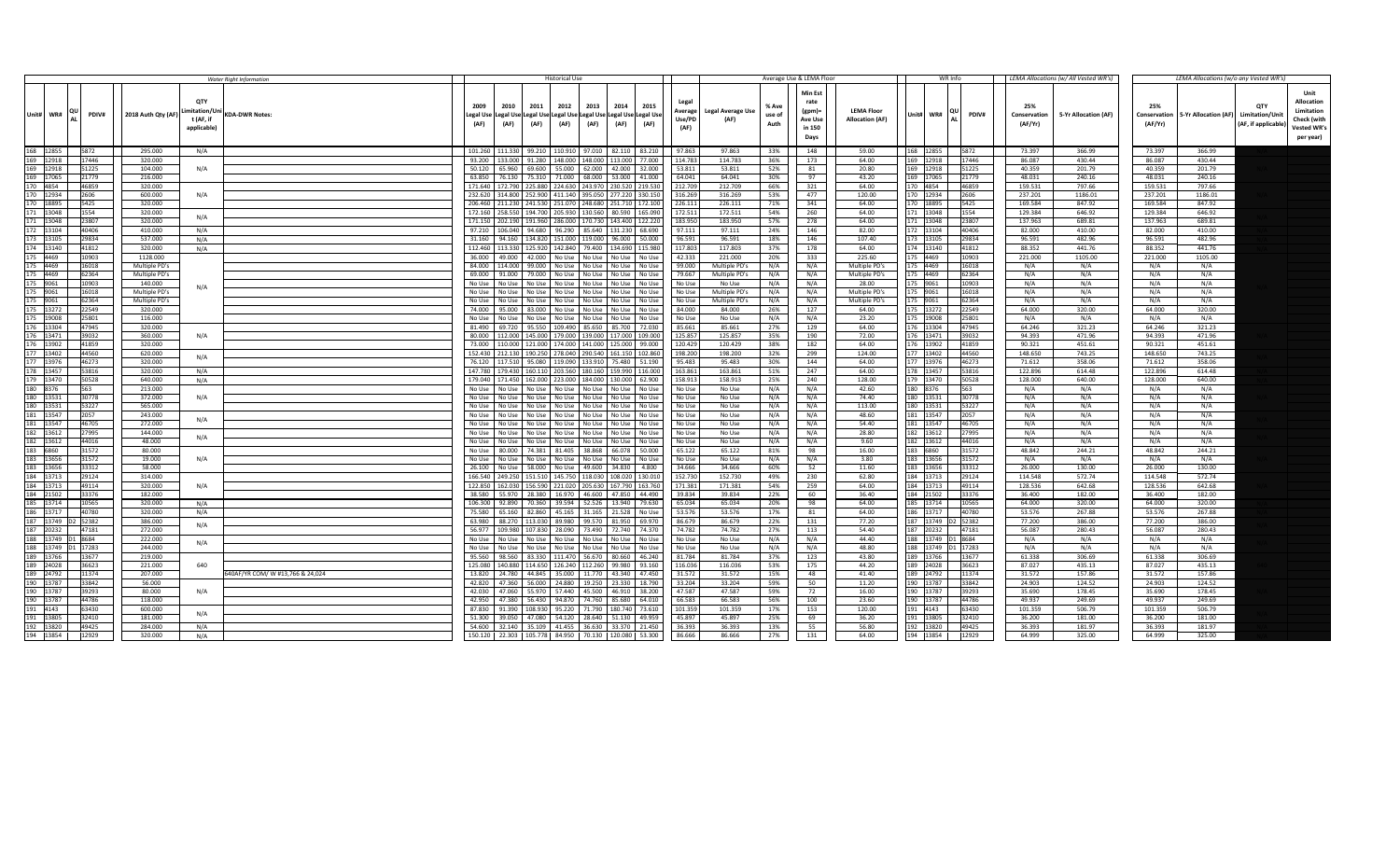|                        |                |                                |                                                 | Water Right Information          |              |                                    | <b>Historical Use</b> |      |                                                                                                                         |                                    |                                |                         | Average Use & LEMA Floor                                                |                                             | WR Info                                  |                                | LEMA Allocations (w/ All Vested WR's) |                    | LEMA Allocations (w/o any Vested WR's) |                                                     |                                                                             |
|------------------------|----------------|--------------------------------|-------------------------------------------------|----------------------------------|--------------|------------------------------------|-----------------------|------|-------------------------------------------------------------------------------------------------------------------------|------------------------------------|--------------------------------|-------------------------|-------------------------------------------------------------------------|---------------------------------------------|------------------------------------------|--------------------------------|---------------------------------------|--------------------|----------------------------------------|-----------------------------------------------------|-----------------------------------------------------------------------------|
| Unit# WR#              | <b>PDIV#</b>   | 2018 Auth Qty (AF)             | QTY<br>mitation/Uni<br>t (AF. if<br>applicable) | <b>KDA-DWR Notes:</b>            | 2009<br>(AF) | 2010<br>2011<br>(AF) I             | 2012<br>$(AF)$ $(AF)$ | 2013 | 2014<br>2015<br>egal Use Legal Use Legal Use Legal Use Legal Use Legal Use Legal Use<br>(AF) (AF)<br>(AF)               | Legal<br>Average<br>Use/PD<br>(AF) | <b>Legal Average Use</b>       | % Ave<br>use of<br>Auth | <b>Min Est</b><br>rate<br>$(gpm)$ =<br><b>Ave Use</b><br>in 150<br>Days | <b>LEMA Floor</b><br><b>Allocation (AF)</b> | Unit# WR#<br><b>PDIV#</b>                | 25%<br>Conservation<br>(AF/Yr) | 5-Yr Allocation (AF)                  | 25%<br>(AF/Yr)     | Conservation 5-Yr Allocation (AF)      | OTY<br><b>Limitation/Unit</b><br>(AF, if applicable | Unit<br>Allocation<br>Limitation<br>Check (with<br>Vested WR's<br>per year) |
| 168 12855              | 5872           | 295.000                        | N/A                                             |                                  |              |                                    |                       |      | 101.260 111.330 99.210 110.910 97.010 82.110 83.210                                                                     | 97.863                             | 97.863                         | 33%                     | 148                                                                     | 59.00                                       | 168 12855<br>5872                        | 73.397                         | 366.99                                | 73.397             | 366.99                                 |                                                     |                                                                             |
| 169 12918              | 17446          | 320.000                        |                                                 |                                  |              |                                    |                       |      | 93.200   133.000   91.280   148.000   148.000   113.000   77.000                                                        | 114.783                            | 114.783                        | 36%                     | 173                                                                     | 64.00                                       | 17446<br>169 12918                       | 86.087                         | 430.44                                | 86.087             | 430.44                                 |                                                     |                                                                             |
| 169 12918              | 51225          | 104.000                        | N/A                                             |                                  |              |                                    |                       |      | 50.120 65.960 69.600 55.000 62.000 42.000 32.000                                                                        | 53.811                             | 53.811                         | 52%                     | 81                                                                      | 20.80                                       | 169 12918<br>51225                       | 40.359                         | 201.79                                | 40.359             | 201.79                                 |                                                     |                                                                             |
| 169 17065              | 21779          | 216,000                        |                                                 |                                  |              |                                    |                       |      | 63.850 76.130 75.310 71.000 68.000 53.000 41.000                                                                        | 64.041                             | 64.041                         | 30%                     | 97                                                                      | 43.20                                       | 169 17065<br>21779                       | 48.031                         | 240.16                                | 48.031             | 240.16                                 |                                                     |                                                                             |
| 170 4854<br>170 12934  | 46859          | 320,000                        | N/A                                             |                                  |              |                                    |                       |      | 171.640 172.790 225.880 224.630 243.970 230.520 219.53                                                                  | 212.709                            | 212.709<br>316.269             | 66%                     | 321<br>477                                                              | 64.00                                       | 70 4854<br>46859<br>2606                 | 159.531                        | 797.66                                | 159.531            | 797.66                                 |                                                     |                                                                             |
| 170 18895              | 2606<br>5425   | 600.000<br>320.000             |                                                 |                                  |              |                                    |                       |      | 232.620 314.800 252.900 411.140 395.050 277.220 330.150<br>206.460 211.230 241.530 251.070 248.680 251.710 172.100      | 316.269<br>226.111                 | 226.111                        | 53%<br>71%              | 341                                                                     | 120.00<br>64.00                             | 170 12934<br>170 18895<br>5425           | 237.201<br>169.584             | 1186.01<br>847.92                     | 237.201<br>169.584 | 1186.01<br>847.92                      |                                                     |                                                                             |
| 171 13048              | 1554           | 320,000                        |                                                 |                                  |              |                                    |                       |      | 172.160 258.550 194.700 205.930 130.560 80.590 165.090                                                                  | 172.511                            | 172.511                        | 54%                     | 260                                                                     | 64.00                                       | 171 13048<br>1554                        | 129.384                        | 646.92                                | 129.384            | 646.92                                 |                                                     |                                                                             |
| 171 13048              | 23807          | 320.000                        | N/A                                             |                                  |              |                                    |                       |      | 171.150   202.190   191.960   286.000   170.730   143.400   122.220                                                     | 183.950                            | 183.950                        | 57%                     | 278                                                                     | 64.00                                       | 171 13048<br>23807                       | 137.963                        | 689.81                                | 137.963            | 689.81                                 |                                                     |                                                                             |
| 172 13104              | 40406          | 410,000                        | N/A                                             |                                  |              |                                    |                       |      | 97.210   106.040   94.680   96.290   85.640   131.230   68.690                                                          | 97.111                             | 97.111                         | 24%                     | 146                                                                     | 82.00                                       | 40406<br>72 13104                        | 82.000                         | 410.00                                | 82.000             | 410.00                                 |                                                     |                                                                             |
| 173 13105              | 29834          | 537,000                        | N/A                                             |                                  |              |                                    |                       |      | 31.160 94.160 34.820 151.000 119.000 96.000 50.000                                                                      | 96.591                             | 96.591                         | 18%                     | 146                                                                     | 107.40                                      | 29834<br>173 13105                       | 96.591                         | 482.96                                | 96.591             | 482.96                                 |                                                     |                                                                             |
| 174 13140              | 41812          | 320.000                        | N/A                                             |                                  |              |                                    |                       |      | 112.460 113.330 125.920 142.840 79.400 134.690 115.980                                                                  | 117.803                            | 117.803                        | 37%                     | 178                                                                     | 64.00                                       | 74 13140<br>41812                        | 88.352                         | 441.76                                | 88.352             | 441.76                                 |                                                     |                                                                             |
| 175 4469               | 10903          | 1128.000                       |                                                 |                                  |              | 36.000 49.000 42.000 No Use No Use |                       |      | No Use No Use                                                                                                           | 42.333                             | 221.000                        | 20%                     | 333                                                                     | 225.60                                      | 75 4469<br>10903                         | 221.000                        | 1105.00                               | 221.000            | 1105.00                                |                                                     |                                                                             |
| 175 4469               | 16018          | Multiple PD's                  |                                                 |                                  |              |                                    |                       |      | 84.000   114.000   99.000   No Use   No Use   No Use   No Use                                                           | 99,000                             | Multiple PD's                  | N/A                     | N/A                                                                     | Multiple PD's                               | 175 4469<br>16018                        | N/A                            | $N/\Delta$                            | N/A                | N/A                                    |                                                     |                                                                             |
| 175 4469               | 62364          | Multiple PD's                  |                                                 |                                  |              |                                    |                       |      | 69.000 91.000 79.000 No Use No Use No Use No Use                                                                        | 79.667                             | Multiple PD's                  | N/A                     | N/A                                                                     | Multiple PD's                               | 62364<br>75 4469                         | N/A                            | N/A                                   | N/A                | N/A                                    |                                                     |                                                                             |
| 175 9061               | 10903          | 140.000                        | N/A                                             |                                  |              |                                    |                       |      | No Use No Use No Use No Use No Use No Use No Use                                                                        | No Use                             | No Use                         | N/A                     | N/A                                                                     | 28.00                                       | 175 9061<br>10903                        | N/A                            | N/A                                   | N/A                | N/A                                    |                                                     |                                                                             |
| 175 9061<br>175 9061   | 16018<br>62364 | Multiple PD's<br>Multiple PD's |                                                 |                                  |              | No Use No Use No Use No Use No Use |                       |      | No Use No Use                                                                                                           | No Use                             | Multiple PD's<br>Multiple PD's | N/A<br>N/A              | N/A<br>N/A                                                              | Multiple PD's<br>Multiple PD's              | 175 9061<br>16018<br>62364               | N/A<br>N/A                     | N/A<br>N/A                            | N/A<br>N/A         | N/A<br>N/A                             |                                                     |                                                                             |
| 175 13272              | 22549          | 320,000                        |                                                 |                                  |              | 74.000 95.000 83.000 No Use No Use |                       |      | No Use   No Use   No Use   No Use   No Use   No Use   No Use<br>No Use No Use                                           | No Use<br>84.000                   | 84,000                         | 26%                     | 127                                                                     | 64.00                                       | 75 9061<br>75 13272<br>22549             | 64.000                         | 320.00                                | 64.000             | 320.00                                 |                                                     |                                                                             |
| 175 19008              | 25801          | 116.000                        |                                                 |                                  |              | No Use No Use No Use No Use No Use |                       |      | No Use No Use                                                                                                           | No Use                             | No Use                         | N/A                     | N/A                                                                     | 23.20                                       | 25801<br>175 19008                       | N/A                            | N/A                                   | N/A                | N/A                                    |                                                     |                                                                             |
| 176 13304              | 47945          | 320.000                        |                                                 |                                  |              |                                    |                       |      | 81.490 69.720 95.550 109.490 85.650 85.700 72.030                                                                       | 85.661                             | 85.661                         | 27%                     | 129                                                                     | 64.00                                       | 47945<br>76 13304                        | 64.246                         | 321.23                                | 64.246             | 321.23                                 |                                                     |                                                                             |
| 176 13471              | 39032          | 360.000                        | N/A                                             |                                  |              |                                    |                       |      | 80.000   112.000   145.000   179.000   139.000   117.000   109.000                                                      | 125.857                            | 125.857                        | 35%                     | 190                                                                     | 72.00                                       | 76 13471<br>39032                        | 94.393                         | 471.96                                | 94.393             | 471.96                                 |                                                     |                                                                             |
| 176 13902              | 41859          | 320.000                        |                                                 |                                  |              |                                    |                       |      | 73.000 110.000 121.000 174.000 141.000 125.000 99.000                                                                   | 120.429                            | 120.429                        | 38%                     | 182                                                                     | 64.00                                       | 41859<br>76 13902                        | 90.321                         | 451.61                                | 90.321             | 451.61                                 |                                                     |                                                                             |
| 177 13402              | 44560          | 620,000                        | N/A                                             |                                  |              |                                    |                       |      | 152.430 212.130 190.250 278.040 290.540 161.150 102.860                                                                 | 198,200                            | 198,200                        | 32%                     | 299                                                                     | 124.00                                      | 77 13402<br>44560                        | 148.650                        | 743.25                                | 148.650            | 743.25                                 |                                                     |                                                                             |
| 177 13976              | 46273          | 320.000                        |                                                 |                                  |              |                                    |                       |      | 76.120   117.510   95.080   119.090   133.910   75.480   51.190                                                         | 95.483                             | 95.483                         | 30%                     | 144                                                                     | 64.00                                       | 177 13976<br>46273                       | 71.612                         | 358.06                                | 71.612             | 358.06                                 |                                                     |                                                                             |
| 178 13457              | 53816          | 320.000                        | N/A                                             |                                  |              |                                    |                       |      | 147.780 179.430 160.110 203.560 180.160 159.990 116.000                                                                 | 163.861                            | 163.861                        | 51%                     | 247                                                                     | 64.00                                       | 53816<br>13457                           | 122.896                        | 614.48                                | 122.896            | 614.48                                 |                                                     |                                                                             |
| 179 13470              | 50528          | 640.000                        | N/A                                             |                                  |              |                                    |                       |      | 179.040 171.450 162.000 223.000 184.000 130.000 62.900                                                                  | 158,913                            | 158.913                        | 25%                     | 240                                                                     | 128.00                                      | 50528<br>13470                           | 128.000                        | 640.00                                | 128.000            | 640.00                                 |                                                     |                                                                             |
| 180 8376               | 563            | 213,000                        |                                                 |                                  |              |                                    |                       |      | No Use   No Use   No Use   No Use   No Use   No Use   No Use                                                            | No Use                             | No Use                         | N/A                     | N/A                                                                     | 42.60                                       | 80 8376<br>563                           | N/A                            | N/A                                   | N/A                | N/A                                    |                                                     |                                                                             |
| 180 13531<br>180 13531 | 30778<br>53227 | 372.000<br>565,000             | N/A                                             |                                  |              |                                    |                       |      | No Use   No Use   No Use   No Use   No Use   No Use   No Use<br>No Use No Use No Use No Use No Use No Use No Use        | No Use<br>No Use                   | No Use<br><b>No lise</b>       | N/A<br>N/A              | N/A<br>N/A                                                              | 74.40<br>113.00                             | 30778<br>180 13531<br>53227<br>180 13531 | N/A<br>N/A                     | N/A<br>$N/\Delta$                     | N/A<br>N/A         | N/A<br>N/A                             |                                                     |                                                                             |
| 181 13547              | 2057           | 243.000                        |                                                 |                                  |              |                                    |                       |      | No Use No Use No Use No Use No Use No Use No Use                                                                        | No Use                             | No Use                         | N/A                     | N/A                                                                     | 48.60                                       | 2057<br>13547                            | N/A                            | N/A                                   | N/A                | N/A                                    |                                                     |                                                                             |
| 181 13547              | 46705          | 272.000                        | N/A                                             |                                  |              | No Use No Use No Use No Use No Use |                       |      | No Use No Use                                                                                                           | No Use                             | No Use                         | N/A                     | N/A                                                                     | 54.40                                       | 181 13547<br>46705                       | N/A                            | N/A                                   | N/A                | N/A                                    |                                                     |                                                                             |
| 182 13612              | 27995          | 144,000                        |                                                 |                                  |              |                                    |                       |      | No Use   No Use   No Use   No Use   No Use   No Use   No Use                                                            | No Use                             | No Use                         | N/A                     | N/A                                                                     | 28.80                                       | 27995<br>182 13612                       | N/A                            | N/A                                   | N/A                | N/A                                    |                                                     |                                                                             |
| 182 13612              | 44016          | 48.000                         | N/A                                             |                                  |              |                                    |                       |      | No Use   No Use   No Use   No Use   No Use   No Use   No Use                                                            | No Use                             | No Use                         | N/A                     | N/A                                                                     | 9.60                                        | 182 13612<br>44016                       | N/A                            | N/A                                   | N/A                | N/A                                    |                                                     |                                                                             |
| 183 6860               | 31572          | 80.000                         |                                                 |                                  |              | No Use 80.000 74.381 81.405 38.868 |                       |      | 66.078 50.000                                                                                                           | 65.122                             | 65.122                         | 81%                     | 98                                                                      | 16.00                                       | 183 6860<br>31572                        | 48.842                         | 244.21                                | 48.842             | 244.21                                 |                                                     |                                                                             |
| 183 13656              | 31572          | 19.000                         | N/A                                             |                                  |              |                                    |                       |      | No Use No Use No Use No Use No Use No Use No Use                                                                        | No Use                             | No Use                         | N/A                     | N/A                                                                     | 3.80                                        | 31572<br>13656                           | N/A                            | N/A                                   | N/A                | N/A                                    |                                                     |                                                                             |
| 183 13656              | 33312          | 58,000                         |                                                 |                                  |              |                                    |                       |      | 26.100   No Use   58.000   No Use   49.600   34.830   4.800                                                             | 34.666                             | 34.666                         | 60%                     | 52                                                                      | 11.60                                       | 183 13656<br>33312                       | 26.000                         | 130.00                                | 26,000             | 130.00                                 |                                                     |                                                                             |
| 184 13713              | 29124          | 314.000                        |                                                 |                                  |              |                                    |                       |      | 166.540 249.250 151.510 145.750 118.030 108.020 130.010                                                                 | 152.730                            | 152.730                        | 49%                     | 230                                                                     | 62.80                                       | 29124<br>13713                           | 114.548                        | 572.74                                | 114.548            | 572.74                                 |                                                     |                                                                             |
| 184 13713<br>184 21502 | 49114<br>33376 | 320,000<br>182,000             | N/A                                             |                                  |              |                                    |                       |      | 122.850   162.030   156.590   221.020   205.630   167.790   163.760<br>38.580 55.970 28.380 16.970 46.600 47.850 44.490 | 171.381<br>39.834                  | 171.381<br>39.834              | 54%<br>22%              | 259<br>60                                                               | 64.00<br>36.40                              | 184 13713<br>49114<br>184 21502<br>33376 | 128.536<br>36,400              | 642.68<br>182.00                      | 128,536<br>36,400  | 642.68<br>182.00                       |                                                     |                                                                             |
| 185 13714              | 10565          | 320.000                        | N/A                                             |                                  |              |                                    |                       |      | 106.300 92.890 70.360 39.594 52.526 13.940 79.630                                                                       | 65.034                             | 65.034                         | 20%                     | 98                                                                      | 64.00                                       | 185 13714<br>10565                       | 64.000                         | 320.00                                | 64,000             | 320.00                                 |                                                     |                                                                             |
| 186 13717              | 40780          | 320,000                        | N/A                                             |                                  |              |                                    |                       |      | 75.580 65.160 82.860 45.165 31.165 21.528 No Use                                                                        | 53.576                             | 53.576                         | 17%                     | 81                                                                      | 64.00                                       | 40780<br>86 13717                        | 53.576                         | 267.88                                | 53.576             | 267.88                                 |                                                     |                                                                             |
| 187 13749 D2 52382     |                | 386,000                        |                                                 |                                  |              |                                    |                       |      | 63.980 88.270 113.030 89.980 99.570 81.950 69.970                                                                       | 86.679                             | 86.679                         | 22%                     | 131                                                                     | 77.20                                       | 187 13749 D2 52382                       | 77.200                         | 386.00                                | 77.200             | 386.00                                 |                                                     |                                                                             |
| 187 20232              | 47181          | 272.000                        | N/A                                             |                                  |              |                                    |                       |      | 56.977   109.980   107.830   28.090   73.490   72.740   74.370                                                          | 74.782                             | 74.782                         | 27%                     | 113                                                                     | 54.40                                       | 87 20232<br>47181                        | 56.087                         | 280.43                                | 56.087             | 280.43                                 |                                                     |                                                                             |
| 188 13749 D1 8684      |                | 222.000                        |                                                 |                                  |              |                                    |                       |      | No Use No Use No Use No Use No Use No Use No Use                                                                        | No Use                             | No Use                         | N/A                     | N/A                                                                     | 44.40                                       | 188 13749 D1 8684                        | N/A                            | N/A                                   | N/A                | N/A                                    |                                                     |                                                                             |
| 188 13749 D1 17283     |                | 244.000                        | N/A                                             |                                  |              |                                    |                       |      | No Use   No Use   No Use   No Use   No Use   No Use   No Use                                                            | No Use                             | No Use                         | N/A                     | N/A                                                                     | 48.80                                       | 188 13749 D1 17283                       | N/A                            | N/A                                   | N/A                | N/A                                    |                                                     |                                                                             |
| 189 13766              | 13677          | 219,000                        |                                                 |                                  |              |                                    |                       |      | 95.560 98.560 83.330 111.470 56.670 80.660 46.240                                                                       | 81.784                             | 81.784                         | 37%                     | 123                                                                     | 43.80                                       | 13766<br>13677                           | 61.338                         | 306.69                                | 61.338             | 306.69                                 |                                                     |                                                                             |
| 189 24028              | 36623          | 221.000                        | 640                                             |                                  |              |                                    |                       |      | 125.080 140.880 114.650 126.240 112.260 99.980 93.160                                                                   | 116,036                            | 116.036                        | 53%                     | 175                                                                     | 44.20                                       | 189 24028<br>36623                       | 87.027                         | 435.13                                | 87.027             | 435.13                                 |                                                     |                                                                             |
| 189 24792              | 11374          | 207.000                        |                                                 | 540AF/YR COM/ W #13,766 & 24,024 |              |                                    |                       |      | 13.820 24.780 44.845 35.000 11.770 43.340 47.450<br>42.820 47.360 56.000 24.880 19.250 23.330 18.790                    | 31.572<br>33,204                   | 31.572<br>33.204               | 15%                     | 48<br>50                                                                | 41.40                                       | 189 24792<br>11374<br>33842              | 31.572                         | 157.86                                | 31.572<br>24.903   | 157.86                                 |                                                     |                                                                             |
| 190 13787<br>190 13787 | 33842<br>39293 | 56,000<br>80.000               | N/A                                             |                                  |              |                                    |                       |      | 42.030 47.060 55.970 57.440 45.500 46.910 38.200                                                                        | 47.587                             | 47.587                         | 59%<br>59%              | 72                                                                      | 11.20<br>16.00                              | 190 13787<br>190 13787<br>39293          | 24.903<br>35.690               | 124.52<br>178.45                      | 35.690             | 124.52<br>178.45                       |                                                     |                                                                             |
| 190 13787              | 44786          | 118.000                        |                                                 |                                  |              |                                    |                       |      | 42.950 47.380 56.430 94.870 74.760 85.680 64.010                                                                        | 66.583                             | 66.583                         | 56%                     | 100                                                                     | 23.60                                       | 44786<br>190 13787                       | 49.937                         | 249.69                                | 49.937             | 249.69                                 |                                                     |                                                                             |
| 191 4143               | 63430          | 600,000                        |                                                 |                                  |              |                                    |                       |      | 87.830 91.390 108.930 95.220 71.790 180.740 73.610                                                                      | 101.359                            | 101.359                        | 17%                     | 153                                                                     | 120.00                                      | 63430<br>91 4143                         | 101.359                        | 506.79                                | 101.359            | 506.79                                 |                                                     |                                                                             |
| 191 13805              | 32410          | 181.000                        | N/A                                             |                                  |              |                                    |                       |      | 51.300 39.050 47.080 54.120 28.640 51.130 49.959                                                                        | 45.897                             | 45.897                         | 25%                     | 69                                                                      | 36.20                                       | 191 13805<br>32410                       | 36.200                         | 181.00                                | 36.200             | 181.00                                 |                                                     |                                                                             |
| 192 13820              | 49425          | 284.000                        | N/A                                             |                                  |              |                                    |                       |      | 54.600 32.140 35.109 41.455 36.630 33.370 21.450                                                                        | 36.393                             | 36.393                         | 13%                     | 55                                                                      | 56.80                                       | 49425<br>92 13820                        | 36.393                         | 181.97                                | 36.393             | 181.97                                 |                                                     |                                                                             |
| 194 13854              | 12929          | 320,000                        | N/A                                             |                                  |              |                                    |                       |      | 150.120 22.303 105.778 84.950 70.130 120.080 53.300                                                                     | 86,666                             | 86,666                         | 27%                     | 131                                                                     | 64.00                                       | 194 13854<br>12929                       | 64.999                         | 325.00                                | 64.999             | 325.00                                 |                                                     |                                                                             |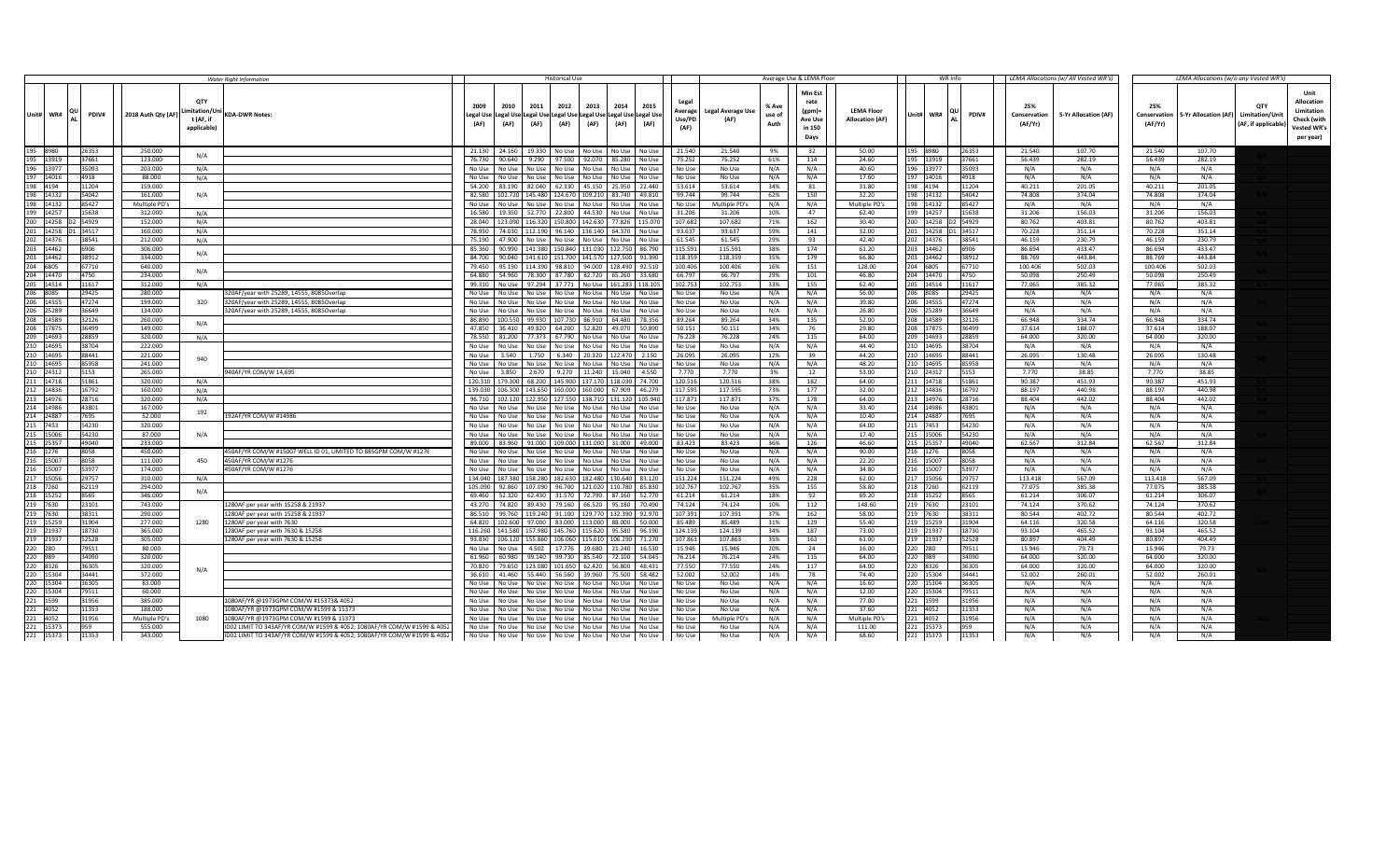|                           |                |                    |                                                | <b>Water Right Information</b>                                                         | <b>Historical Use</b>                                                                                                              |      |                                     |                                   |                                  |                         | Average Use & LEMA Floor                                         |                                             | WR Info                                  |                                | LEMA Allocations (w/ All Vested WR's) |                                | LEMA Allocations (w/o any Vested WR's) |                                                                                                                                           |
|---------------------------|----------------|--------------------|------------------------------------------------|----------------------------------------------------------------------------------------|------------------------------------------------------------------------------------------------------------------------------------|------|-------------------------------------|-----------------------------------|----------------------------------|-------------------------|------------------------------------------------------------------|---------------------------------------------|------------------------------------------|--------------------------------|---------------------------------------|--------------------------------|----------------------------------------|-------------------------------------------------------------------------------------------------------------------------------------------|
| Unit# WR#                 | PDIV#          | 2018 Auth Qty (AF) | OTY<br>mitation/Un<br>t (AF. if<br>applicable) | <b>KDA-DWR Notes:</b>                                                                  | 2012<br>2009<br>2010<br>2011<br>Legal Use  Legal Use Legal Use Legal Use Legal Use Legal Use Legal Use<br>(AF)<br>(AF)<br>(AF)     | 2013 | 2014<br>2015<br>(AF) (AF) (AF) (AF) | Lega<br>Average<br>Use/PD<br>(AF) | <b>Legal Average Use</b><br>(AF) | % Ave<br>use of<br>Auth | Min Est<br>rate<br>$(gpm)$ =<br><b>Ave Use</b><br>in 150<br>Days | <b>LEMA Floor</b><br><b>Allocation (AF)</b> | Unit# WR#<br>PDIV#                       | 25%<br>Conservation<br>(AF/Yr) | 5-Yr Allocation (AF)                  | 25%<br>Conservation<br>(AF/Yr) | 5-Yr Allocation (AF)                   | Unit<br>Allocation<br><b>OT</b><br>Limitation<br><b>Limitation/Unit</b><br>Check (with<br>(AF, if applicable)<br>Vested WR's<br>per year) |
| 195 8980                  | 26353          | 250,000            | N/A                                            |                                                                                        | 24.160 19.330 No Use No Use No Use No Use<br>21.130                                                                                |      |                                     | 21.540                            | 21.540                           | 9%                      | 32                                                               | 50.00                                       | 195 8980<br>26353                        | 21.540                         | 107.70                                | 21.540                         | 107.70                                 |                                                                                                                                           |
| 195 13919                 | 37661          | 123,000            |                                                |                                                                                        | 76.730 90.640 9.290 97.500 92.070 85.280 No Use                                                                                    |      |                                     | 75.252                            | 75.252                           | 61%                     | 114                                                              | 24.60                                       | 37661<br>195 13919                       | 56.439                         | 282.19                                | 56.439                         | 282.19                                 |                                                                                                                                           |
| 196 13977                 | 35093          | 203.000            | N/A                                            |                                                                                        | No Use   No Use   No Use   No Use   No Use   No Use   No Use                                                                       |      |                                     | No Use                            | No Use                           | N/A                     | N/A                                                              | 40.60                                       | 196 13977<br>35093                       | N/A                            | N/A                                   | N/A                            | N/A                                    |                                                                                                                                           |
| 197 14016<br>198 4194     | 4918<br>11204  | 88,000<br>159.000  | N/A                                            |                                                                                        | No Use No Use No Use No Use No Use No Use No Use<br>54.200 83.190 82.040 62.330 45.150 25.950 22.440                               |      |                                     | No Use<br>53.614                  | No Use<br>53.614                 | N/A<br>34%              | N/A<br>81                                                        | 17.60<br>31.80                              | 197 14016<br>4918<br>11204<br>98 4194    | N/A<br>40.211                  | N/A<br>201.05                         | N/A<br>40.211                  | N/A<br>201.05                          |                                                                                                                                           |
| 198 14132                 | 54042          | 161.000            | N/A                                            |                                                                                        | 102.720 145.480 124.670 109.210 83.740 49.810<br>82.580                                                                            |      |                                     | 99.744                            | 99.744                           | 62%                     | 150                                                              | 32.20                                       | 98 14132<br>54042                        | 74.808                         | 374.04                                | 74.808                         | 374.04                                 |                                                                                                                                           |
| 198 14132                 | 85427          | Multiple PD's      |                                                |                                                                                        | No Use   No Use   No Use   No Use   No Use   No Use   No Use                                                                       |      |                                     | No Use                            | Multiple PD's                    | N/A                     | N/A                                                              | Multiple PD's                               | 85427<br>198 14132                       | N/A                            | N/A                                   | N/A                            | N/A                                    |                                                                                                                                           |
| 199 14257                 | 15638          | 312.000            | N/A                                            |                                                                                        | 16.580   19.350   52.770   22.800   44.530   No Use   No Use                                                                       |      |                                     | 31.206                            | 31.206                           | 10%                     | 47                                                               | 62.40                                       | 199 14257<br>15638                       | 31.206                         | 156.03                                | 31.206                         | 156.03                                 |                                                                                                                                           |
| 200 14258 D2 54929        |                | 152.000            | N/A                                            |                                                                                        | 28.040 123.090 116.320 150.800 142.630 77.826 115.070                                                                              |      |                                     | 107.683                           | 107.682                          | 71%                     | 162                                                              | 30.40                                       | 200 14258 D2 54929                       | 80.762                         | 403.81                                | 80.762                         | 403.81                                 |                                                                                                                                           |
| 201 14258 D1 34517        |                | 160,000            | N/A                                            |                                                                                        | 78.950 74.030 112.190 96.140 136.140 64.370 No Use                                                                                 |      |                                     | 93.637                            | 93.637                           | 59%                     | 141                                                              | 32.00                                       | 201 14258 D1 34517                       | 70.228                         | 351.14                                | 70.228                         | 351.14                                 |                                                                                                                                           |
| 202 14376                 | 38541          | 212.000            | N/A                                            |                                                                                        | 75.190 47.900 No Use No Use No Use No Use No Use                                                                                   |      |                                     | 61.545                            | 61.545                           | 29%                     | 93                                                               | 42.40                                       | 02 14376<br>38541                        | 46.159                         | 230.79                                | 46.159                         | 230.79                                 |                                                                                                                                           |
| 203 14462                 | 6906           | 306.000            | N/A                                            |                                                                                        | 90.990   141.380   150.840   131.030   122.750   86.790<br>85.360                                                                  |      |                                     | 115.591                           | 115.591                          | 38%                     | 174                                                              | 61.20                                       | 203 14462<br>6906                        | 86.694                         | 433.47                                | 86.694                         | 433.47                                 |                                                                                                                                           |
| 203 14462                 | 38912          | 334.000            |                                                |                                                                                        | 84.700 90.040 141.610 151.700 141.570 127.500 91.390                                                                               |      |                                     | 118.359                           | 118.359                          | 35%                     | 179                                                              | 66.80                                       | 203 14462<br>38912                       | 88.769                         | 443.84                                | 88.769                         | 443.84                                 |                                                                                                                                           |
| 204 6805                  | 67710          | 640,000            | N/A                                            |                                                                                        | 95.190 114.390 98.810 94.000 128.490 92.510<br>79.450                                                                              |      |                                     | 100.406                           | 100.406                          | 16%                     | 151                                                              | 128.00                                      | 04 6805<br>67710                         | 100.406                        | 502.03                                | 100.406                        | 502.03                                 |                                                                                                                                           |
| 204 14470                 | 4750           | 234.000            |                                                |                                                                                        | 64.880<br>54.960 78.300 87.780 82.720 65.260 33.680                                                                                |      |                                     | 66.797                            | 66.797                           | 29%                     | 101                                                              | 46.80                                       | 204 14470<br>4750                        | 50.098                         | 250.49                                | 50.098                         | 250.49                                 |                                                                                                                                           |
| 205 14514                 | 11617          | 312.000            | N/A                                            |                                                                                        | 99.310   No Use   97.294   37.771   No Use   161.283   118.105                                                                     |      |                                     | 102.75                            | 102.753                          | 33%                     | 155                                                              | 62.40                                       | 11617<br>205 14514                       | 77.065                         | 385.32                                | 77.065                         | 385.32                                 |                                                                                                                                           |
| 206 8085<br>206 14555     | 29425<br>47274 | 280.000<br>199.000 | 320                                            | 320AF/year with 25289, 14555, 8085Overlap<br>320AF/year with 25289, 14555, 8085Overlap | No Use   No Use   No Use   No Use   No Use   No Use   No Use<br>No Use No Use No Use No Use<br>No Use                              |      | No Use No Use                       | No Use<br>No Use                  | No Use<br>No Use                 | N/A<br>N/A              | N/A<br>N/A                                                       | 56.00<br>39.80                              | 29425<br>106 18085<br>06 14555<br>47274  | N/A<br>N/A                     | N/A<br>N/A                            | N/A<br>N/A                     | N/A<br>N/A                             |                                                                                                                                           |
| 206 25289                 | 36649          | 134.000            |                                                | 320AF/vear with 25289, 14555, 8085Overlap                                              | No Use No Use No Use No Use No Use No Use No Use                                                                                   |      |                                     | No Use                            | No Use                           | N/A                     | N/A                                                              | 26.80                                       | 206 25289<br>36649                       | N/A                            | N/A                                   | N/A                            | N/A                                    |                                                                                                                                           |
| 208 14589                 | 32126          | 260,000            |                                                |                                                                                        | 86.890   100.550   99.930   107.730   86.910   64.480   78.356                                                                     |      |                                     | 89.264                            | 89.264                           | 34%                     | 135                                                              | 52.00                                       | 08 14589<br>32126                        | 66.948                         | 334.74                                | 66,948                         | 334.74                                 |                                                                                                                                           |
| 208 17875                 | 36499          | 149.000            | N/A                                            |                                                                                        | 47.850<br>36.410 49.820 64.200 52.820                                                                                              |      | 49.070 50.890                       | 50.151                            | 50.151                           | 34%                     | 76                                                               | 29.80                                       | 36499<br>208 17875                       | 37.614                         | 188.07                                | 37.614                         | 188.07                                 |                                                                                                                                           |
| 209 14693                 | 28859          | 320.000            | N/A                                            |                                                                                        | 78.550 81.200 77.373 67.790 No Use No Use No Use                                                                                   |      |                                     | 76.228                            | 76.228                           | 24%                     | 115                                                              | 64.00                                       | 09 14693<br>28859                        | 64,000                         | 320.00                                | 64.000                         | 320.00                                 |                                                                                                                                           |
| 210 14695                 | 38704          | 222,000            |                                                |                                                                                        | No Use No Use No Use No Use No Use No Use<br>No Lise                                                                               |      |                                     | No Use                            | No Lise                          | N/A                     | N/A                                                              | 44.40                                       | 38704<br>210 14695                       | N/A                            | N/A                                   | N/A                            | N/A                                    |                                                                                                                                           |
| 210 14695                 | 88441          | 221.000            | 940                                            |                                                                                        | 3.540 1.750 6.340 20.320<br>No Use                                                                                                 |      | 122.470 2.150                       | 26.095                            | 26.095                           | 12%                     | 39                                                               | 44.20                                       | 10 14695<br>88441                        | 26.095                         | 130.48                                | 26.095                         | 130.48                                 |                                                                                                                                           |
| 210 14695                 | 85958          | 241.000            |                                                |                                                                                        | No Use   No Use   No Use   No Use   No Use   No Use   No Use                                                                       |      |                                     | No Use                            | No Use                           | N/A                     | N/A                                                              | 48.20                                       | 210 14695<br>85958                       | N/A                            | N/A                                   | N/A                            | N/A                                    |                                                                                                                                           |
| 210 24312                 | 5153           | 265.000            |                                                | 940AF/YR COM/W 14,695                                                                  | 3.850 2.670 9.270 11.240 15.040 4.550<br>No Use                                                                                    |      |                                     | 7.770                             | 7.770                            | 3%                      | 12                                                               | 53.00                                       | 210 24312<br>5153                        | 7.770                          | 38.85                                 | 7.770                          | 38.85                                  |                                                                                                                                           |
| 211 14718                 | 51861          | 320.000            | N/A                                            |                                                                                        | 120.310   179.300   68.200   145.900   137.170   118.030   74.700                                                                  |      |                                     | 120.516                           | 120.516                          | 38%                     | 182                                                              | 64.00                                       | 211 14718<br>51861                       | 90.387                         | 451.93                                | 90.387                         | 451.93                                 |                                                                                                                                           |
| 212 14836                 | 16792          | 160.000            | N/A                                            |                                                                                        | 139.030 106.300 143.650 160.000 160.000 67.909 46.279                                                                              |      |                                     | 117.59                            | 117.595                          | 73%                     | 177                                                              | 32.00                                       | 212 14836<br>16792                       | 88.197                         | 440.98                                | 88.197                         | 440.98                                 |                                                                                                                                           |
| 213 14976<br>214 14986    | 28716<br>43801 | 320.000<br>167.000 | N/A                                            |                                                                                        | 96.710   102.120   122.950   127.550   138.710   131.120   105.940<br>No Use   No Use   No Use   No Use   No Use   No Use   No Use |      |                                     | 117.87<br>No Use                  | 117.871<br>No Use                | 37%<br>N/A              | 178<br>N/A                                                       | 64.00<br>33.40                              | 213 14976<br>28716<br>43801<br>214 14986 | 88.404<br>N/A                  | 442.02<br>N/A                         | 88.404<br>N/A                  | 442.02<br>N/A                          |                                                                                                                                           |
| 214 24887                 | 7695           | 52.000             | 192                                            | 192AF/YR COM/W #14986                                                                  | No Use   No Use   No Use   No Use   No Use   No Use   No Use                                                                       |      |                                     | No Use                            | No Use                           | N/A                     | N/A                                                              | 10.40                                       | $\sqrt{14}$ 24887<br>7695                | N/A                            | N/A                                   | N/A                            | N/A                                    |                                                                                                                                           |
| 215 7453                  | 54230          | 320,000            |                                                |                                                                                        | No Use No Use No Use No Use No Use No Use<br>No Lise                                                                               |      |                                     | <b>No lise</b>                    | No Use                           | N/A                     | N/A                                                              | 64.00                                       | 215 7453<br>54230                        | N/A                            | N/A                                   | N/A                            | N/A                                    |                                                                                                                                           |
| 215<br>15006              | 54230          | 87,000             | N/A                                            |                                                                                        | No Use No Use No Use No Use No Use No Use<br>No Use                                                                                |      |                                     | No Use                            | No Use                           | N/A                     | N/A                                                              | 17.40                                       | 54230<br>215 15006                       | N/A                            | N/A                                   | N/A                            | N/A                                    |                                                                                                                                           |
| 215 25357                 | 49040          | 233.000            |                                                |                                                                                        | 89.000 83.960 91.000 109.000 131.000 31.000 49.000                                                                                 |      |                                     | 83.423                            | 83.423                           | 36%                     | 126                                                              | 46.60                                       | 215 25357<br>49040                       | 62.567                         | 312.84                                | 62.567                         | 312.84                                 |                                                                                                                                           |
| 216 1276                  | 8058           | 450,000            |                                                | 450AF/YR COM/W #15007 WELL ID 01. LIMITED TO 885GPM COM/W #1276                        | No Use No Use No Use No Use No Use No Use No Use                                                                                   |      |                                     | No Use                            | No Use                           | N/A                     | N/A                                                              | 90.00                                       | 8058<br>216 1276                         | N/A                            | N/A                                   | N/A                            | N/A                                    |                                                                                                                                           |
| 216 15007                 | 8058           | 111.000            | 450                                            | 450AF/YR COM/W #1276                                                                   | No Use   No Use   No Use   No Use   No Use   No Use<br>No Use                                                                      |      |                                     | No Use                            | No Use                           | N/A                     | N/A                                                              | 22.20                                       | 216 15007<br>8058                        | N/A                            | N/A                                   | N/A                            | N/A                                    |                                                                                                                                           |
| 216 15007                 | 53977          | 174,000            |                                                | 450AF/YR COM/W #1276                                                                   | No Use No Use No Use No Use No Use No Use No Use                                                                                   |      |                                     | No Use                            | No Use                           | N/A                     | N/A                                                              | 34.80                                       | 216 15007<br>53977                       | N/A                            | N/A                                   | N/A                            | N/A                                    |                                                                                                                                           |
| 217 15056                 | 29757          | 310,000            | N/A                                            |                                                                                        | 134.040   187.380   158.280   182.630   182.480   130.640   83.120                                                                 |      |                                     | 151.224                           | 151.224                          | 49%                     | 228                                                              | 62.00                                       | 29757<br>217 15056                       | 113.418                        | 567.09                                | 113.418                        | 567.09                                 |                                                                                                                                           |
| 218 7260<br>218 15252     | 62119<br>8565  | 294.000<br>346.000 | N/A                                            |                                                                                        | 105.090 92.860 107.090 96.700 121.020 110.780 85.830<br>69.460<br>52.320 62.430 31.570 72.790                                      |      | 87.160 52.770                       | 102.767<br>61.214                 | 102.767<br>61.214                | 35%<br>18%              | 155<br>92                                                        | 58.80<br>69.20                              | 62119<br>218 7260<br>8565<br>218 15252   | 77.075<br>61.214               | 385.38<br>306.07                      | 77.075<br>61.214               | 385.38<br>306.07                       |                                                                                                                                           |
| 219 7630                  | 23101          | 743,000            |                                                | 280AF per year with 15258 & 21937                                                      | 74.820 89.430 79.160 66.520<br>43.270                                                                                              |      | 95.180 70.490                       | 74.124                            | 74.124                           | 10%                     | 112                                                              | 148.60                                      | 219 7630<br>23101                        | 74.124                         | 370.62                                | 74.124                         | 370.62                                 |                                                                                                                                           |
| 219<br>7630               | 38311          | 290,000            |                                                | 280AF per year with 15258 & 21937                                                      | 99.760 119.240 91.100 129.770<br>86.510                                                                                            |      | 132.390 92.970                      | 107.391                           | 107.391                          | 37%                     | 162                                                              | 58.00                                       | 38311<br>219 7630                        | 80.544                         | 402.72                                | 80.544                         | 402.72                                 |                                                                                                                                           |
| 219 15259                 | 31904          | 277.000            | 1280                                           | 1280AF per year with 7630                                                              | 64.820   102.600   97.000   83.000   113.000   88.000   50.000                                                                     |      |                                     | 85.489                            | 85.489                           | 31%                     | 129                                                              | 55.40                                       | 219 15259<br>31904                       | 64.116                         | 320.58                                | 64.116                         | 320.58                                 |                                                                                                                                           |
| 219 21937                 | 18730          | 365,000            |                                                | 1280AF per year with 7630 & 15258                                                      | 116.260   141.580   157.980   145.760   115.620   95.580   96.190                                                                  |      |                                     | 124.139                           | 124.139                          | 34%                     | 187                                                              | 73.00                                       | 219 21937<br>18730                       | 93.104                         | 465.52                                | 93.104                         | 465.52                                 |                                                                                                                                           |
| 219 21937                 | 52528          | 305.000            |                                                | 1280AF per year with 7630 & 15258                                                      | 106.120 155.860 106.060 115.610 106.290 71.270<br>93.830                                                                           |      |                                     | 107.863                           | 107.863                          | 35%                     | 163                                                              | 61.00                                       | 219 21937<br>52528                       | 80.897                         | 404.49                                | 80.897                         | 404.49                                 |                                                                                                                                           |
| 220 280                   | 79511          | 80,000             |                                                |                                                                                        | No Use No Use 4.502 17.776 19.680 21.240 16.530                                                                                    |      |                                     | 15,946                            | 15.946                           | 20%                     | 24                                                               | 16.00                                       | 79511<br>220 280                         | 15.946                         | 79.73                                 | 15.946                         | 79.73                                  |                                                                                                                                           |
| 220 989                   | 34090          | 320,000            |                                                |                                                                                        | 60.980 99.140 99.730 85.540<br>61.960                                                                                              |      | 72.100 54.045                       | 76.214                            | 76.214                           | 24%                     | 115                                                              | 64.00                                       | 34090<br>220 989                         | 64.000                         | 320.00                                | 64.000                         | 320.00                                 |                                                                                                                                           |
| 220 8326                  | 36305          | 320.000            | N/A                                            |                                                                                        | 79.650 123.080 101.650 62.420<br>70.820                                                                                            |      | 56,800 48,431                       | 77.550                            | 77.550                           | 24%                     | 117                                                              | 64.00                                       | 220 8326<br>36305                        | 64.000                         | 320.00                                | 64.000                         | 320.00                                 |                                                                                                                                           |
| 220 15304<br>220<br>15304 | 34441<br>36305 | 372.000<br>83,000  |                                                |                                                                                        | 41.460 55.440 56.560 39.960<br>36.610<br>No Use I<br>No Use No Use No Use No Use No Use No Use                                     |      | 75.500 58.482                       | 52.002<br>No Use                  | 52.002<br>No Use                 | 14%<br>N/A              | 78<br>N/A                                                        | 74.40<br>16.60                              | 220 15304<br>34441<br>220 15304<br>36305 | 52.002<br>N/A                  | 260.01<br>N/A                         | 52.002<br>N/A                  | 260.01<br>N/A                          |                                                                                                                                           |
| 220 15304                 | 79511          | 60,000             |                                                |                                                                                        | No Use   No Use   No Use   No Use   No Use   No Use<br>Nollse                                                                      |      |                                     | No Use                            | No Use                           | N/A                     | N/A                                                              | 12.00                                       | 20 15304<br>79511                        | N/A                            | N/A                                   | N/A                            | N/A                                    |                                                                                                                                           |
| 221 1599                  | 31956          | 385.000            |                                                | 1080AF/YR @1973GPM COM/W #15373& 4052                                                  | No Use No Use No Use No Use<br>No Use                                                                                              |      | No Use No Use                       | No Use                            | No Use                           | N/A                     | N/A                                                              | 77.00                                       | 31956<br>21 1599                         | N/A                            | N/A                                   | N/A                            | N/A                                    |                                                                                                                                           |
| 221<br>4052               | 11353          | 188.000            |                                                | 080AF/YR @1973GPM COM/W #1599 & 15373                                                  | No Use<br>No Use   No Use   No Use   No Use                                                                                        |      | No Use No Use                       | No Use                            | No Use                           | N/A                     | N/A                                                              | 37.60                                       | 11353<br>21 4052                         | N/A                            | N/A                                   | N/A                            | N/A                                    |                                                                                                                                           |
| 221 4052                  | 31956          | Multiple PD's      | 1080                                           | 1080AF/YR @1973GPM COM/W #1599 & 15373                                                 | No Use<br>No Use   No Use   No Use   No Use   No Use   No Use                                                                      |      |                                     | No Use                            | Multiple PD's                    | N/A                     | N/A                                                              | Multiple PD's                               | 31956<br>221 4052                        | N/A                            | N/A                                   | N/A                            | N/A                                    |                                                                                                                                           |
| 221 15373                 | 959            | 555.000            |                                                | ID02 LIMIT TO 343AF/YR COM/W #1599 & 4052; 1080AF/YR COM/W #1599 & 4052                | No Use No Use No Use No Use No Use No Use<br>No Use                                                                                |      |                                     | No Use                            | No Use                           | N/A                     | N/A                                                              | 111.00                                      | 21 15373<br>959                          | N/A                            | N/A                                   | N/A                            | N/A                                    |                                                                                                                                           |
| 221 15373                 | 11353          | 343.000            |                                                | ID02 LIMIT TO 343AF/YR COM/W #1599 & 4052; 1080AF/YR COM/W #1599 & 4052                | No Use   No Use   No Use   No Use   No Use   No Use   No Use                                                                       |      |                                     | No Use                            | No Use                           | N/A                     | N/A                                                              | 68.60                                       | 221 15373<br>11353                       | N/A                            | $N/\Delta$                            | N/A                            | N/A                                    |                                                                                                                                           |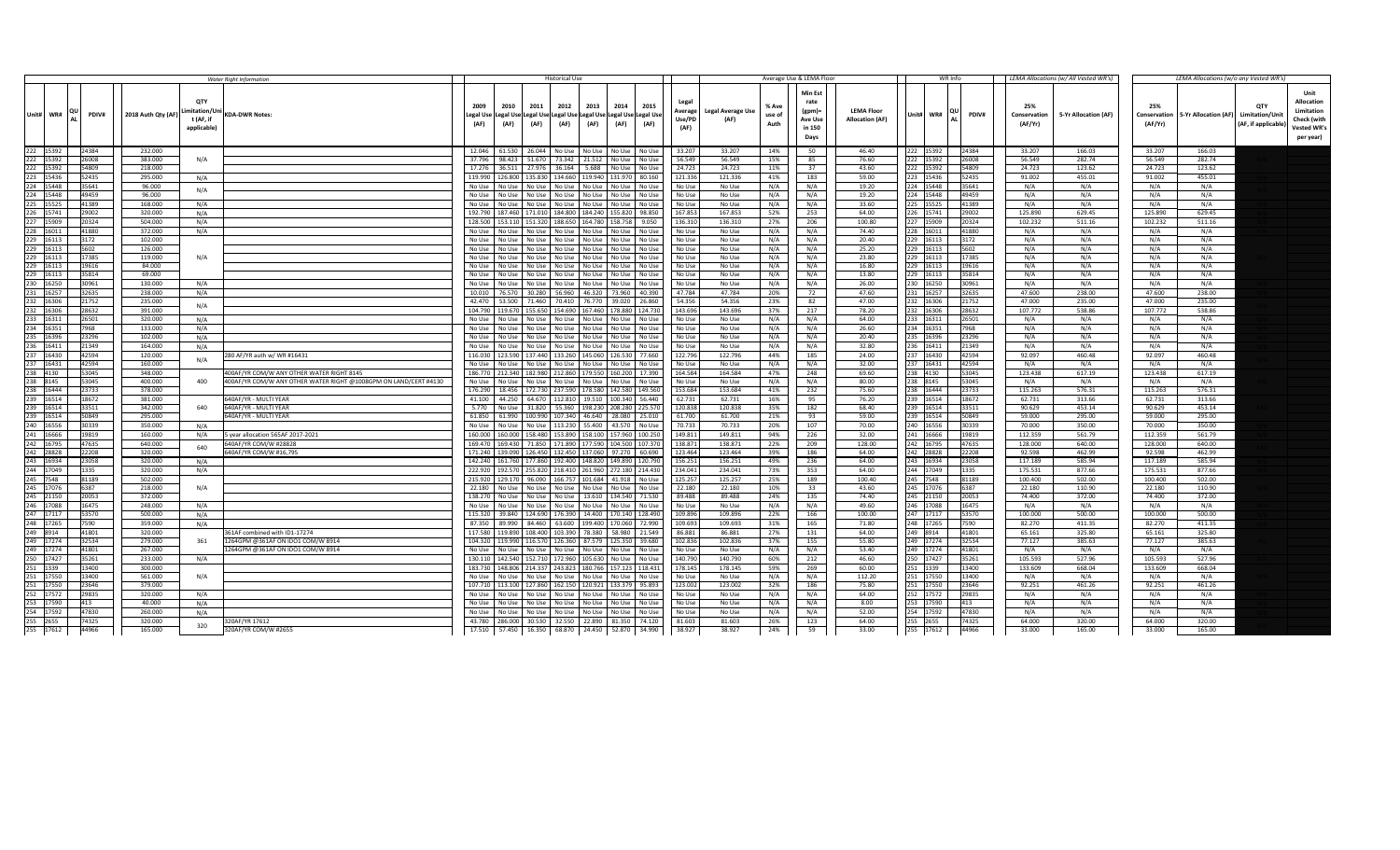|                        |                |                    |                                                       | <b>Water Right Information</b>                                   |                                                                                                                                          | <b>Historical Use</b>        |      |                   |                                                    |                           |                         | Average Use & LEMA Floor                                      |                                             |                        | WR Info        |       |                                | LEMA Allocations (w/ All Vested WR's) |                                | LEMA Allocations (w/o any Vested WR's) |                                                      |                                                                                           |
|------------------------|----------------|--------------------|-------------------------------------------------------|------------------------------------------------------------------|------------------------------------------------------------------------------------------------------------------------------------------|------------------------------|------|-------------------|----------------------------------------------------|---------------------------|-------------------------|---------------------------------------------------------------|---------------------------------------------|------------------------|----------------|-------|--------------------------------|---------------------------------------|--------------------------------|----------------------------------------|------------------------------------------------------|-------------------------------------------------------------------------------------------|
| Unit# WR#              | PDIV#          | 2018 Auth Qty (AF) | <b>OTY</b><br>mitation/Ur<br>t (AF. if<br>applicable) | <b>KDA-DWR Notes:</b>                                            | 2009<br>2010<br>Legal Use Legal Use Legal Use Legal Use Legal Use Legal Use Legal Use<br>(AF)<br>(AF)                                    | 2011<br>2012<br>(AF)<br>(AF) | 2013 | 2014<br>(AF) (AF) | Legal<br>2015<br>Average<br>Use/PD<br>(AF)<br>(AF) | Legal Average Use<br>(AF) | % Ave<br>use of<br>Auth | Min Est<br>rate<br>(gpm)=<br><b>Ave Use</b><br>in 150<br>Days | <b>LEMA Floor</b><br><b>Allocation (AF)</b> | Unit# WR#              |                | PDIV# | 25%<br>Conservation<br>(AF/Yr) | 5-Yr Allocation (AF)                  | 25%<br>Conservation<br>(AF/Yr) | 5-Yr Allocation (AF)                   | OTY<br><b>Limitation/Unit</b><br>(AF, if applicable) | Unit<br><b>Allocation</b><br>Limitation<br>Check (with<br><b>Vested WR's</b><br>per year) |
| 222 15392<br>222 15392 | 24384          | 232.000            | N/A                                                   |                                                                  | 12.046   61.530   26.044   No Use   No Use   No Use   No Use                                                                             |                              |      |                   | 33,207                                             | 33,207<br>56,549          | 14%                     | 50                                                            | 46.40                                       | 222 15392              | 24384          |       | 33,207<br>56.549               | 166.03                                | 33,207<br>56.549               | 166.03                                 |                                                      |                                                                                           |
| 222 15392              | 26008<br>54809 | 383.000<br>218,000 |                                                       |                                                                  | 37.796 98.423 51.670 73.342 21.512 No Use No Use<br>17.276 36.511 27.976 36.164 5.688 No Use No Use                                      |                              |      |                   | 56.549<br>24.723                                   | 24.723                    | 15%<br>11%              | 85<br>37                                                      | 76.60<br>43.60                              | 222 15392<br>222 15392 | 26008<br>54809 |       | 24.723                         | 282.74<br>123.62                      | 24.723                         | 282.74<br>123.62                       |                                                      |                                                                                           |
| 223 15436              | 52435          | 295.000            | N/A                                                   |                                                                  | 119.990   126.800   135.830   134.660   119.940   131.970   80.160                                                                       |                              |      |                   | 121.336                                            | 121.336                   | 41%                     | 183                                                           | 59.00                                       | 223 15436              | 52435          |       | 91.002                         | 455.01                                | 91.002                         | 455.01                                 |                                                      |                                                                                           |
| 224 15448              | 35641          | 96.000             |                                                       |                                                                  | No Use   No Use   No Use   No Use   No Use   No Use   No Use                                                                             |                              |      |                   | No Use                                             | No Use                    | N/A                     | N/A                                                           | 19.20                                       | 24 15448               | 35641          |       | N/A                            | N/A                                   | N/A                            | N/A                                    |                                                      |                                                                                           |
| 224 15448              | 49459          | 96.000             | N/A                                                   |                                                                  | No Use   No Use   No Use   No Use   No Use   No Use   No Use                                                                             |                              |      |                   | No Use                                             | No Use                    | N/A                     | N/A                                                           | 19.20                                       | 224 15448              | 49459          |       | N/A                            | N/A                                   | N/A                            | N/A                                    |                                                      |                                                                                           |
| 225 15525              | 41389          | 168.000            | N/A                                                   |                                                                  | No Use   No Use   No Use   No Use   No Use   No Use   No Use                                                                             |                              |      |                   | No Use                                             | No Use                    | N/A                     | N/A                                                           | 33.60                                       | 225 15525              | 41389          |       | N/A                            | N/A                                   | N/A                            | N/A                                    |                                                      |                                                                                           |
| 226 15741              | 29002          | 320.000            | N/A                                                   |                                                                  | 192.790   187.460   171.010   184.800   184.240   155.820   98.850                                                                       |                              |      |                   | 167.85                                             | 167.853                   | 52%                     | 253                                                           | 64.00                                       | 226 15741              | 29002          |       | 125.890                        | 629.45                                | 125.890                        | 629.45                                 |                                                      |                                                                                           |
| 227 15909              | 20324          | 504.000            | N/A                                                   |                                                                  | 128.500   153.110   151.320   188.650   164.780   158.758   9.050                                                                        |                              |      |                   | 136.31                                             | 136.310                   | 27%                     | 206                                                           | 100.80                                      | 227 15909              | 20324          |       | 102.232                        | 511.16                                | 102.232                        | 511.16                                 |                                                      |                                                                                           |
| 228 16011              | 41880          | 372,000            | N/A                                                   |                                                                  | No Use   No Use   No Use   No Use   No Use   No Use   No Use                                                                             |                              |      |                   | No Lise                                            | <b>No lise</b>            | N/A                     | N/A                                                           | 74.40                                       | 228 16011              | 41880          |       | $N/\Delta$                     | N/A                                   | N/A                            | N/A                                    |                                                      |                                                                                           |
| 229 16113              | 3172           | 102.000            |                                                       |                                                                  | No Use No Use No Use No Use No Use                                                                                                       |                              |      | No Use No Use     | No Use                                             | No Use                    | N/A                     | N/A                                                           | 20.40                                       | 29 16113               | 3172           |       | N/A                            | N/A                                   | N/A                            | N/A                                    |                                                      |                                                                                           |
| 229 16113              | 5602           | 126.000            |                                                       |                                                                  | No Use   No Use   No Use   No Use   No Use                                                                                               |                              |      | No Use No Use     | No Use                                             | No Use                    | N/A                     | N/A                                                           | 25.20                                       | 229 16113              | 5602           |       | N/A                            | N/A                                   | N/A                            | N/A                                    |                                                      |                                                                                           |
| 229 16113              | 17385          | 119.000            | N/A                                                   |                                                                  | No Use   No Use   No Use   No Use   No Use   No Use   No Use                                                                             |                              |      |                   | No Use                                             | No Use                    | N/A                     | N/A                                                           | 23.80                                       | 229 16113              | 17385          |       | N/A                            | N/A                                   | N/A                            | N/A                                    |                                                      |                                                                                           |
| 229 16113              | 19616          | 84,000             |                                                       |                                                                  | No Use No Use No Use No Use No Use No Use No Use                                                                                         |                              |      |                   | No Use                                             | No Use                    | N/A                     | N/A                                                           | 16.80                                       | 229 16113 1            | 19616          |       | N/A                            | N/A                                   | N/A                            | N/A                                    |                                                      |                                                                                           |
| 229 16113              | 35814          | 69,000             |                                                       |                                                                  | No Use No Use No Use No Use No Use No Use No Use                                                                                         |                              |      |                   | No Use                                             | No Use                    | N/A                     | N/A                                                           | 13.80                                       | 229 16113              | 35814          |       | N/A                            | N/A                                   | N/A                            | N/A                                    |                                                      |                                                                                           |
| 230 16250              | 30961          | 130.000            | $N/\Delta$                                            |                                                                  | No Use   No Use   No Use   No Use   No Use   No Use   No Use                                                                             |                              |      |                   | No Use                                             | No Use                    | N/A                     | N/A                                                           | 26.00                                       | 30 16250               | 30961          |       | N/A                            | N/A                                   | N/A                            | N/A                                    |                                                      |                                                                                           |
| 231 16257              | 32635          | 238.000            | N/A                                                   |                                                                  | 10.010 76.570 30.280 56.960 46.320 73.960 40.390                                                                                         |                              |      |                   | 47.784                                             | 47.784                    | 20%                     | 72                                                            | 47.60                                       | 31 16257               | 32635          |       | 47.600                         | 238.00                                | 47.600                         | 238.00                                 |                                                      |                                                                                           |
| 232 16306<br>232 16306 | 21752<br>28632 | 235.000<br>391,000 | N/A                                                   |                                                                  | 42.470 53.500 71.460 70.410 76.770<br>104.790 119.670 155.650 154.690 167.460 178.880 124.730                                            |                              |      | 39.020 26.860     | 54.356<br>143.69                                   | 54.356<br>143.696         | 23%<br>37%              | 82<br>217                                                     | 47.00<br>78.20                              | 232 16306<br>232 16306 | 21752<br>28632 |       | 47.000<br>107,772              | 235.00<br>538.86                      | 47.000<br>107,772              | 235.00<br>538.86                       |                                                      |                                                                                           |
| 233 16311              | 26501          | 320,000            | N/A                                                   |                                                                  | No Use No Use No Use No Use No Use No Use No Use                                                                                         |                              |      |                   | No Use                                             | No Use                    | N/A                     | N/A                                                           | 64.00                                       | 233 16311              | 26501          |       | N/A                            | N/A                                   | N/A                            | N/A                                    |                                                      |                                                                                           |
| 234 16351              | 7968           | 133.000            | N/A                                                   |                                                                  | No Use   No Use   No Use   No Use   No Use   No Use   No Use                                                                             |                              |      |                   | No Use                                             | No Use                    | N/A                     | N/A                                                           | 26.60                                       | 234 16351              | 7968           |       | N/A                            | N/A                                   | N/A                            | N/A                                    |                                                      |                                                                                           |
| 235 16396              | 23296          | 102.000            | N/A                                                   |                                                                  | No Use   No Use   No Use   No Use   No Use   No Use   No Use                                                                             |                              |      |                   | No Use                                             | No Use                    | N/A                     | N/A                                                           | 20.40                                       | 35 16396               | 23296          |       | N/A                            | N/A                                   | N/A                            | N/A                                    |                                                      |                                                                                           |
| 236 16411              | 21349          | 164.000            | N/A                                                   |                                                                  | No Use   No Use   No Use   No Use   No Use                                                                                               |                              |      | No Use   No Use   | No Use                                             | No Use                    | N/A                     | N/A                                                           | 32.80                                       | 36 16411               | 21349          |       | N/A                            | N/A                                   | N/A                            | N/A                                    |                                                      |                                                                                           |
| 237 16430              | 42594          | 120.000            |                                                       | 280 AF/YR auth w/ WR #16431                                      | 116.030   123.590   137.440   133.260   145.060   126.530   77.660                                                                       |                              |      |                   | 122.796                                            | 122,796                   | 44%                     | 185                                                           | 24.00                                       | 237 16430              | 42594          |       | 92.097                         | 460.48                                | 92.097                         | 460.48                                 |                                                      |                                                                                           |
| 237 16431              | 42594          | 160.000            | N/A                                                   |                                                                  | No Use   No Use   No Use   No Use   No Use   No Use   No Use                                                                             |                              |      |                   | No Use                                             | No Use                    | N/A                     | N/A                                                           | 32.00                                       | $37$ 16431             | 42594          |       | N/A                            | N/A                                   | N/A                            | N/A                                    |                                                      |                                                                                           |
| 238 4130               | 53045          | 348.000            |                                                       | OOAF/YR COM/W ANY OTHER WATER RIGHT 8145                         | 186.770 212.340 182.980 212.860 179.550 160.200 17.390                                                                                   |                              |      |                   | 164.584                                            | 164.584                   | 47%                     | 248                                                           | 69.60                                       | 238 4130               | 53045          |       | 123.438                        | 617.19                                | 123.438                        | 617.19                                 |                                                      |                                                                                           |
| 238 8145               | 53045          | 400.000            | 400                                                   | 400AF/YR COM/W ANY OTHER WATER RIGHT @1008GPM ON LAND/CERT #4130 | No Use   No Use   No Use   No Use   No Use   No Use   No Use                                                                             |                              |      |                   | No Use                                             | No Use                    | N/A                     | N/A                                                           | 80.00                                       | 238 8145               | 53045          |       | N/A                            | N/A                                   | N/A                            | $N/\Delta$                             |                                                      |                                                                                           |
| 238 16444              | 23733          | 378.000            |                                                       |                                                                  | 176.290 18.456 172.730 237.590 178.580 142.580 149.560                                                                                   |                              |      |                   | 153.684                                            | 153.684                   | 41%                     | 232                                                           | 75.60                                       | 238 16444              | 23733          |       | 115.263                        | 576.31                                | 115.263                        | 576.31                                 |                                                      |                                                                                           |
| 239 16514              | 18672          | 381.000            |                                                       | 540AF/YR - MULTI YEAR                                            | 41.100 44.250 64.670 112.810 19.510 100.340 56.440                                                                                       |                              |      |                   | 62.731                                             | 62.731                    | 16%                     | 95                                                            | 76.20                                       | 239 16514              | 18672          |       | 62.731                         | 313.66                                | 62.731                         | 313.66                                 |                                                      |                                                                                           |
| 239 16514              | 33511          | 342.000            | 640                                                   | 640AF/YR - MULTI YEAR                                            | 5.770 No Use 31.820 55.360 198.230 208.280 225.570                                                                                       |                              |      |                   | 120.838                                            | 120.838                   | 35%                     | 182                                                           | 68.40                                       | 239 16514              | 33511          |       | 90.629                         | 453.14                                | 90.629                         | 453.14                                 |                                                      |                                                                                           |
| 239 16514              | 50849          | 295.000            |                                                       | 540AF/YR - MULTI YEAR                                            | 61.850 61.990 100.990 107.340 46.640 28.080 25.010                                                                                       |                              |      |                   | 61.700                                             | 61.700                    | 21%                     | 93                                                            | 59.00                                       | 16514                  | 50849          |       | 59.000                         | 295.00                                | 59.000                         | 295.00                                 |                                                      |                                                                                           |
| 240 16556              | 30339          | 350.000            | N/A                                                   |                                                                  | No Use   No Use   No Use   113.230   55.400   43.570   No Use                                                                            |                              |      |                   | 70.733                                             | 70.733                    | 20%                     | 107                                                           | 70.00                                       | 240 16556              | 30339          |       | 70.000                         | 350.00                                | 70.000                         | 350.00                                 |                                                      |                                                                                           |
| 241 16666              | 19819          | 160,000            | N/A                                                   | 5 year allocation 565AF 2017-2021                                | 160.000   160.000   158.480   153.890   158.100   157.960   100.250                                                                      |                              |      |                   | 149,811                                            | 149,811                   | 94%                     | 226                                                           | 32.00                                       | 241 16666              | 19819          |       | 112.359                        | 561.79                                | 112.359                        | 561.79                                 |                                                      |                                                                                           |
| 242 16795              | 47635          | 640,000            | 640                                                   | 40AF/YR COM/W #28828                                             | 169.470   169.430   71.850   171.890   177.590   104.500   107.370                                                                       |                              |      |                   | 138.871                                            | 138,871                   | 22%                     | 209                                                           | 128.00                                      | 42 16795               | 47635          |       | 128,000                        | 640.00                                | 128.000                        | 640.00                                 |                                                      |                                                                                           |
| 242 28828<br>243 16934 | 22208<br>23058 | 320.000<br>320,000 |                                                       | 540AF/YR COM/W #16,795                                           | 171.240   139.090   126.450   132.450   137.060   97.270   60.690<br>142.240   161.760   177.860   192.400   148.820   149.890   120.790 |                              |      |                   | 123.464<br>156.251                                 | 123.464<br>156,251        | 39%<br>49%              | 186<br>236                                                    | 64.00<br>64.00                              | 242 28828<br>243 16934 | 22208<br>23058 |       | 92.598<br>117.189              | 462.99<br>585.94                      | 92.598<br>117.189              | 462.99<br>585.94                       |                                                      |                                                                                           |
| 244 17049              | 1335           | 320,000            | N/A<br>N/A                                            |                                                                  | 222.920   192.570   255.820   218.410   261.960   272.180   214.430                                                                      |                              |      |                   | 234.041                                            | 234.041                   | 73%                     | 353                                                           | 64.00                                       | 44 17049               | 1335           |       | 175.531                        | 877.66                                | 175.531                        | 877.66                                 |                                                      |                                                                                           |
| 245 7548               | 81189          | 502.000            |                                                       |                                                                  | 215.920 129.170 96.090 166.757 101.684 41.918 No Use                                                                                     |                              |      |                   | 125.257                                            | 125,257                   | 25%                     | 189                                                           | 100.40                                      | 245 7548               | 81189          |       | 100.400                        | 502.00                                | 100,400                        | 502.00                                 |                                                      |                                                                                           |
| 245 17076              | 6387           | 218.000            | N/A                                                   |                                                                  | 22.180   No Use   No Use   No Use   No Use   No Use   No Use                                                                             |                              |      |                   | 22.180                                             | 22.180                    | 10%                     | 33                                                            | 43.60                                       | 245<br>17076           | 6387           |       | 22.180                         | 110.90                                | 22.180                         | 110.90                                 |                                                      |                                                                                           |
| 245 21150              | 20053          | 372.000            |                                                       |                                                                  | 138.270 No Use No Use No Use 13.610 134.540 71.530                                                                                       |                              |      |                   | 89.488                                             | 89.488                    | 24%                     | 135                                                           | 74.40                                       | 45 21150               | 20053          |       | 74,400                         | 372.00                                | 74,400                         | 372.00                                 |                                                      |                                                                                           |
| 246 17088              | 16475          | 248.000            | N/A                                                   |                                                                  | No Use   No Use   No Use   No Use   No Use   No Use   No Use                                                                             |                              |      |                   | No Use                                             | No Use                    | N/A                     | N/A                                                           | 49.60                                       | 246 17088              | 16475          |       | N/A                            | N/A                                   | N/A                            | N/A                                    |                                                      |                                                                                           |
| 247 17117              | 53570          | 500,000            | N/A                                                   |                                                                  | 115.320 39.840 124.690 176.390 14.400 170.140 128.490                                                                                    |                              |      |                   | 109.896                                            | 109.896                   | 22%                     | 166                                                           | 100.00                                      | 247 17117              | 53570          |       | 100.000                        | 500.00                                | 100.000                        | 500.00                                 |                                                      |                                                                                           |
| 248 17265              | 7590           | 359.000            | N/A                                                   |                                                                  | 87.350 89.990 84.460 63.600 199.400 170.060 72.990                                                                                       |                              |      |                   | 109.69                                             | 109.693                   | 31%                     | 165                                                           | 71.80                                       | 248 17265              | 7590           |       | 82.270                         | 411.35                                | 82.270                         | 411.35                                 |                                                      |                                                                                           |
| 249 8914               | 41801          | 320.000            |                                                       | 61AF combined with ID1-17274                                     | 117.580 119.890 108.400 103.390 78.380 58.980 21.549                                                                                     |                              |      |                   | 86.881                                             | 86,881                    | 27%                     | 131                                                           | 64.00                                       | 249 8914               | 41801          |       | 65.161                         | 325.80                                | 65.161                         | 325.80                                 |                                                      |                                                                                           |
| 249 17274              | 32534          | 279.000            | 361                                                   | 1264GPM @361AF ON IDO1 COM/W 8914                                | 104.320 119.990 116.570 126.360 87.579 125.350 39.680                                                                                    |                              |      |                   | 102.836                                            | 102.836                   | 37%                     | 155                                                           | 55.80                                       | 249 17274              | 32534          |       | 77.127                         | 385.63                                | 77.127                         | 385.63                                 |                                                      |                                                                                           |
| 249 17274              | 41801          | 267.000            |                                                       | 264GPM @361AF ON IDO1 COM/W 8914                                 | No Use   No Use   No Use   No Use   No Use   No Use   No Use                                                                             |                              |      |                   | No Use                                             | No Use                    | N/A                     | N/A                                                           | 53.40                                       | 249 17274              | 41801          |       | N/A                            | N/A                                   | N/A                            | N/A                                    |                                                      |                                                                                           |
| 250 17427              | 35261          | 233,000            | N/A                                                   |                                                                  | 130.110   142.540   152.710   172.960   105.630   No Use   No Use                                                                        |                              |      |                   | 140.790                                            | 140 790                   | 60%                     | 212                                                           | 46.60                                       | 250 17427              | 35261          |       | 105.593                        | 527.96                                | 105.593                        | 527.96                                 |                                                      |                                                                                           |
| 251 1339               | 13400          | 300,000            |                                                       |                                                                  | 183.730   148.806   214.337   243.823   180.766   157.123   118.431                                                                      |                              |      |                   | 178.145                                            | 178.145                   | 59%                     | 269                                                           | 60.00                                       | 1339                   | 13400          |       | 133.609                        | 668.04                                | 133.609                        | 668.04                                 |                                                      |                                                                                           |
| 251 17550              | 13400          | 561.000            | N/A                                                   |                                                                  | No Use   No Use   No Use   No Use   No Use   No Use   No Use                                                                             |                              |      |                   | No Use                                             | No Use                    | N/A                     | N/A                                                           | 112.20                                      | 251 17550              | 13400          |       | N/A                            | N/A                                   | N/A                            | N/A                                    |                                                      |                                                                                           |
| 251 17550              | 23646          | 379.000            |                                                       |                                                                  | 107.710   113.100   127.860   162.150   120.921   133.379   95.893                                                                       |                              |      |                   | 123.002                                            | 123.002                   | 32%                     | 186                                                           | 75.80                                       | 251 17550              | 23646          |       | 92.251                         | 461.26                                | 92.251                         | 461.26                                 |                                                      |                                                                                           |
| 252 17572<br>253 17590 | 29835          | 320,000<br>40,000  | $N/\Delta$                                            |                                                                  | No Use No Use No Use No Use No Use No Use No Use                                                                                         |                              |      |                   | No Use<br>No Use                                   | No Use<br>No Use          | N/A                     | N/A<br>N/A                                                    | 64.00<br>8.00                               | 252 17572<br>253 17590 | 29835          |       | N/A                            | N/A<br>N/A                            | N/A<br>N/A                     | N/A<br>N/A                             |                                                      |                                                                                           |
| 254 17592              | 413<br>47830   | 260,000            | N/A<br>N/A                                            |                                                                  | No Use   No Use   No Use   No Use   No Use   No Use   No Use<br>No Use   No Use   No Use   No Use   No Use   No Use   No Use             |                              |      |                   | No Use                                             | No Use                    | N/A<br>N/A              | N/A                                                           | 52.00                                       | 254 17592              | 413<br>47830   |       | N/A<br>N/A                     | N/A                                   | N/A                            | N/A                                    |                                                      |                                                                                           |
| 255 2655               | 74325          | 320.000            |                                                       | 20AF/YR 17612                                                    | 43.780 286.000 30.530 32.550 22.890 81.350 74.120                                                                                        |                              |      |                   | 81.603                                             | 81.603                    | 26%                     | 123                                                           | 64.00                                       | 255 2655               | 74325          |       | 64.000                         | 320.00                                | 64.000                         | 320.00                                 |                                                      |                                                                                           |
| 255 17612              | 44966          | 165.000            | 320                                                   | 320AF/YR COM/W #2655                                             | 17.510 57.450 16.350 68.870 24.450 52.870 34.990                                                                                         |                              |      |                   | 38.927                                             | 38.927                    | 24%                     | 59                                                            | 33.00                                       | 255 17612              | 44966          |       | 33.000                         | 165.00                                | 33.000                         | 165.00                                 |                                                      |                                                                                           |
|                        |                |                    |                                                       |                                                                  |                                                                                                                                          |                              |      |                   |                                                    |                           |                         |                                                               |                                             |                        |                |       |                                |                                       |                                |                                        |                                                      |                                                                                           |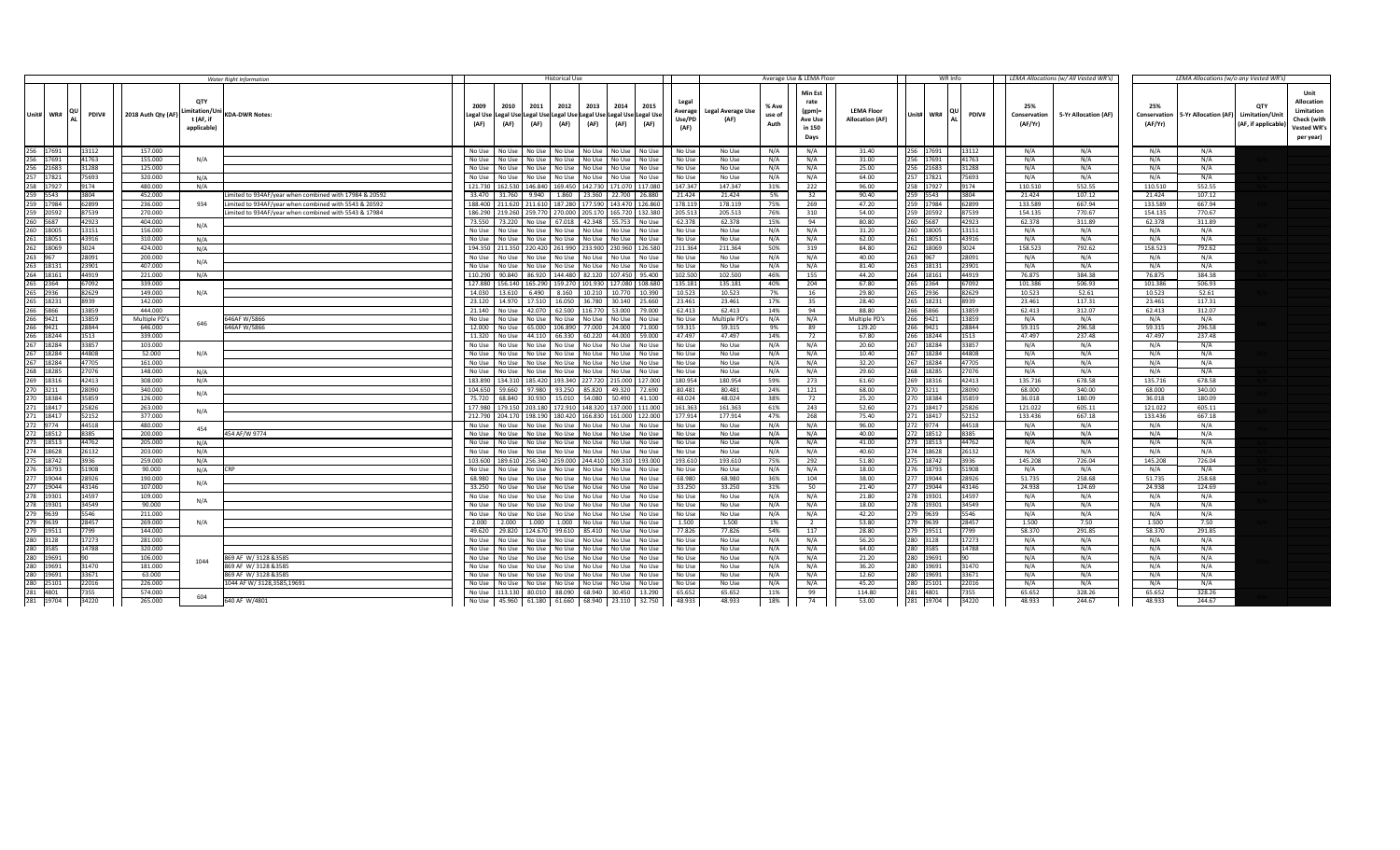|                                                          |                    |                                                 | Water Right Information                               |              |      |                      | <b>Historical Use</b> |                                                     |                                                                                                                            |              |                                    |                                  |                         | Average Use & LEMA Floor                                  |                                             |          | WR Info                                            |                |                                | LEMA Allocations (w/ All Vested WR's) |                   | LEMA Allocations (w/o any Vested WR's             |                                                                                                                 |
|----------------------------------------------------------|--------------------|-------------------------------------------------|-------------------------------------------------------|--------------|------|----------------------|-----------------------|-----------------------------------------------------|----------------------------------------------------------------------------------------------------------------------------|--------------|------------------------------------|----------------------------------|-------------------------|-----------------------------------------------------------|---------------------------------------------|----------|----------------------------------------------------|----------------|--------------------------------|---------------------------------------|-------------------|---------------------------------------------------|-----------------------------------------------------------------------------------------------------------------|
| Unit# WR# $\begin{bmatrix} QU \\ 0I \end{bmatrix}$ PDIV# | 2018 Auth Qty (AF) | OTY<br>imitation/Un<br>t (AF, if<br>applicable) | <b>KDA-DWR Notes:</b>                                 | 2009<br>(AF) | 2010 | 2011<br>(AF)<br>(AF) |                       | 2012<br>2013<br>(AF)<br>(AF)                        | 2014<br>Legal Use Legal Use Legal Use Legal Use Legal Use Legal Use Legal Use<br>(AF)                                      | 2015<br>(AF) | Legal<br>Average<br>Use/PD<br>(AF) | <b>Legal Average Use</b><br>(AF) | % Ave<br>use of<br>Auth | Min Est<br>rate<br>$(gpm)$ =<br>Ave Use<br>in 150<br>Days | <b>LEMA Floor</b><br><b>Allocation (AF)</b> |          | Unit# WR# $\begin{bmatrix} QU \\ AI \end{bmatrix}$ | <b>PDIV#</b>   | 25%<br>Conservation<br>(AF/Yr) | 5-Yr Allocation (AF)                  | 25%<br>(AF/Yr)    | Conservation 5-Yr Allocation (AF) Limitation/Unit | Unit<br><b>Allocation</b><br>OTY<br>Limitation<br>Check (with<br>(AF, if applicable<br>/ested WR's<br>per year) |
| 256 17691<br>13112                                       | 157.000            |                                                 |                                                       |              |      |                      |                       |                                                     | No Use   No Use   No Use   No Use   No Use   No Use   No Use                                                               |              | No Use                             | No Hse                           | N/A                     | N/A                                                       | 31.40                                       |          | 256 17691                                          | 13112          | N/A                            | N/A                                   | N/A               | N/A                                               |                                                                                                                 |
| 256 17691<br>41763                                       | 155,000            | N/A                                             |                                                       |              |      |                      |                       |                                                     | No Use No Use No Use No Use No Use No Use No Use                                                                           |              | No Use                             | No Use                           | N/A                     | N/A                                                       | 31.00                                       |          | 256 17691                                          | 41763          | N/A                            | N/A                                   | N/A               | N/A                                               |                                                                                                                 |
| 256 21683<br>31288                                       | 125,000            |                                                 |                                                       |              |      |                      |                       |                                                     | No Use No Use No Use No Use No Use No Use No Use                                                                           |              | No Use                             | No Use                           | N/A                     | N/A                                                       | 25.00                                       |          | 256 21683                                          | 31288          | N/A                            | N/A                                   | N/A               | N/A                                               |                                                                                                                 |
| 257 17821<br>75693                                       | 320,000            | N/A                                             |                                                       |              |      |                      |                       |                                                     | No Use No Use No Use No Use No Use No Use No Use                                                                           |              | No Use                             | No Use                           | N/A                     | N/A                                                       | 64.00                                       |          | 257 17821                                          | 75693          | N/A                            | N/A                                   | N/A               | N/A                                               |                                                                                                                 |
| 258 17927<br>9174                                        | 480,000            | N/A                                             |                                                       |              |      |                      |                       |                                                     | 121.730 162.530 146.840 169.450 142.730 171.070 117.080                                                                    |              | 147.347                            | 147.347                          | 31%                     | 222                                                       | 96.00                                       |          | 258 17927                                          | 9174           | 110.510                        | 552.55                                | 110.510           | 552.55                                            |                                                                                                                 |
| 5543<br>3804                                             | 452.000            |                                                 | imited to 934AF/year when combined with 17984 & 20592 |              |      |                      |                       |                                                     | 33.470 31.760 9.940 1.860 23.360 22.700 26.880                                                                             |              | 21.424                             | 21.424                           | 5%                      | 32                                                        | 90.40                                       |          | 559 5543                                           | 3804           | 21.424                         | 107.12                                | 21.424            | 107.12                                            |                                                                                                                 |
| 259 17984<br>62899                                       | 236.000            | 934                                             | Limited to 934AF/year when combined with 5543 & 20592 |              |      |                      |                       |                                                     | 188.400   211.620   211.610   187.280   177.590   143.470   126.860                                                        |              | 178.119                            | 178.119                          | 75%                     | 269                                                       | 47.20                                       |          | 259 17984                                          | 62899          | 133.589                        | 667.94<br>770.67                      | 133.589           | 667.94                                            |                                                                                                                 |
| 259 20592<br>87539<br>260 5687<br>42923                  | 270.000<br>404.000 |                                                 | imited to 934AF/year when combined with 5543 & 17984  |              |      |                      |                       |                                                     | 186.290 219.260 259.770 270.000 205.170 165.720 132.380<br>73.550 73.220 No Use 67.018 42.348 55.753 No Use                |              | 205.513<br>62.378                  | 205.513<br>62.378                | 76%<br>15%              | 310<br>94                                                 | 54.00<br>80.80                              |          | 259 20592<br>260 5687                              | 87539<br>42923 | 154.135<br>62.378              | 311.89                                | 154.135<br>62.378 | 770.67<br>311.89                                  |                                                                                                                 |
| 13151<br>260 18005                                       | 156.000            | N/A                                             |                                                       |              |      |                      |                       |                                                     | No Use No Use No Use No Use No Use No Use No Use                                                                           |              | No Use                             | No Use                           | N/A                     | N/A                                                       | 31.20                                       |          | 260 18005                                          | 13151          | N/A                            | N/A                                   | N/A               | N/A                                               |                                                                                                                 |
| 261 18051<br>43916                                       | 310.000            | N/A                                             |                                                       |              |      |                      |                       |                                                     | No Use No Use No Use No Use No Use No Use No Use                                                                           |              | No Use                             | No Use                           | N/A                     | N/A                                                       | 62.00                                       |          | 261 18051                                          | 43916          | N/A                            | N/A                                   | N/A               | N/A                                               |                                                                                                                 |
| 262 18069<br>3024                                        | 424.000            | N/A                                             |                                                       |              |      |                      |                       |                                                     | 194.350   211.350   220.420   261.990   233.900   230.960   126.580                                                        |              | 211.364                            | 211.364                          | 50%                     | 319                                                       | 84.80                                       |          | 262 18069                                          | 3024           | 158.523                        | 792.62                                | 158.523           | 792.62                                            |                                                                                                                 |
| 28091<br>263 967                                         | 200,000            | N/A                                             |                                                       |              |      |                      |                       |                                                     | No Use No Use No Use No Use No Use No Use No Use                                                                           |              | No Use                             | No Use                           | N/A                     | N/A                                                       | 40.00                                       | 263 967  |                                                    | 28091          | N/A                            | N/A                                   | N/A               | N/A                                               |                                                                                                                 |
| 23901<br>263 18131                                       | 407.000            |                                                 |                                                       |              |      |                      |                       |                                                     | No Use No Use No Use No Use No Use No Use No Use                                                                           |              | No Use                             | No Use                           | N/A                     | N/A                                                       | 81.40                                       |          | 263 18131                                          | 23901          | N/A                            | N/A                                   | N/A               | N/A                                               |                                                                                                                 |
| 264 18161<br>44919                                       | 221.000            | N/A                                             |                                                       |              |      |                      |                       |                                                     | 110.290 90.840 86.920 144.480 82.120 107.450 95.400                                                                        |              | 102.500                            | 102.500                          | 46%                     | 155                                                       | 44.20                                       |          | 264 18161                                          | 44919          | 76.875                         | 384.38                                | 76.875            | 384.38                                            |                                                                                                                 |
| 67092<br>265 2364                                        | 339,000            |                                                 |                                                       |              |      |                      |                       |                                                     | 127.880 156.140 165.290 159.270 101.930 127.080 108.680                                                                    |              | 135.181                            | 135.181                          | 40%                     | 204                                                       | 67.80                                       |          | 265 2364                                           | 67092          | 101.386                        | 506.93                                | 101.386           | 506.93                                            |                                                                                                                 |
| 82629<br>265 2936<br>8939                                | 149,000<br>142.000 | N/A                                             |                                                       |              |      |                      |                       |                                                     | 14.030 13.610 6.490 8.160 10.210 10.770 10.390<br>23.120 14.970 17.510 16.050 36.780 30.140 25.660                         |              | 10.523                             | 10.523<br>23.461                 | 7%                      | 16<br>35                                                  | 29.80<br>28.40                              | 265 2936 |                                                    | 82629<br>8939  | 10.523                         | 52.61                                 | 10.523            | 52.61                                             |                                                                                                                 |
| 265 18231<br>266 5866<br>13859                           | 444.000            |                                                 |                                                       |              |      |                      |                       |                                                     | 21.140 No Use 42.070 62.500 116.770 53.000 79.000                                                                          |              | 23.461<br>62.413                   | 62.413                           | 17%<br>14%              | 94                                                        | 88.80                                       |          | 265 18231<br>266 5866                              | 13859          | 23.461<br>62.413               | 117.31<br>312.07                      | 23.461<br>62.413  | 117.31<br>312.07                                  |                                                                                                                 |
| 266 9421<br>13859                                        | Multiple PD's      |                                                 | 46AF W/5866                                           |              |      |                      |                       |                                                     | No Use   No Use   No Use   No Use   No Use   No Use   No Use                                                               |              | No Use                             | Multiple PD's                    | N/A                     | N/A                                                       | Multiple PD's                               |          | 9421                                               | 13859          | N/A                            | N/A                                   | N/A               | N/A                                               |                                                                                                                 |
| 28844<br>266 9421                                        | 646,000            | 646                                             | 646AF W/5866                                          |              |      |                      |                       | 12.000 No Use 65.000 106.890 77.000                 | 24,000 71,000                                                                                                              |              | 59.315                             | 59.315                           | 9%                      | 89                                                        | 129.20                                      | 266 9421 |                                                    | 28844          | 59.315                         | 296.58                                | 59.315            | 296.58                                            |                                                                                                                 |
| 1513<br>266<br>18244                                     | 339.000            |                                                 |                                                       |              |      |                      |                       |                                                     | 11.320 No Use 44.110 66.330 60.220 44.000 59.000                                                                           |              | 47.497                             | 47.497                           | 14%                     | 72                                                        | 67.80                                       |          | 66 18244                                           | 1513           | 47.497                         | 237.48                                | 47.497            | 237.48                                            |                                                                                                                 |
| 33857<br>267 18284                                       | 103,000            |                                                 |                                                       |              |      |                      |                       | No Use No Use No Use No Use No Use                  | No Use No Use                                                                                                              |              | No Use                             | No Use                           | N/A                     | N/A                                                       | 20.60                                       |          | 267 18284                                          | 33857          | N/A                            | N/A                                   | N/A               | N/A                                               |                                                                                                                 |
| 267 18284<br>44808                                       | 52.000             | N/A                                             |                                                       |              |      |                      |                       |                                                     | No Use   No Use   No Use   No Use   No Use   No Use                                                                        |              | No Use                             | No Use                           | N/A                     | N/A                                                       | 10.40                                       |          | 267 18284                                          | 44808          | N/A                            | N/A                                   | N/A               | N/A                                               |                                                                                                                 |
| 267 18284<br>47705                                       | 161.000            |                                                 |                                                       |              |      |                      |                       |                                                     | No Use No Use No Use No Use No Use No Use No Use                                                                           |              | No Use                             | No Use                           | N/A                     | N/A<br>N/A                                                | 32.20                                       |          | 267 18284                                          | 47705          | N/A                            | N/A                                   | N/A               | N/A                                               |                                                                                                                 |
| 27076<br>268 18285<br>42413<br>269 18316                 | 148,000<br>308,000 | N/A<br>N/A                                      |                                                       |              |      |                      |                       |                                                     | No Use   No Use   No Use   No Use   No Use   No Use<br>183.890   134.310   185.420   193.340   227.720   215.000   127.000 |              | No Use<br>180.954                  | No Use<br>180.954                | N/A<br>59%              | 273                                                       | 29.60<br>61.60                              |          | 268 18285<br>269 18316                             | 27076<br>42413 | N/A<br>135.716                 | N/A<br>678.58                         | N/A<br>135.716    | N/A<br>678.58                                     |                                                                                                                 |
| 28090<br>270 3211                                        | 340.000            |                                                 |                                                       |              |      |                      |                       |                                                     | 104.650 59.660 97.980 93.250 85.820 49.320 72.690                                                                          |              | 80.481                             | 80.481                           | 24%                     | 121                                                       | 68.00                                       |          | 270 3211                                           | 28090          | 68.000                         | 340.00                                | 68.000            | 340.00                                            |                                                                                                                 |
| 270 18384<br>35859                                       | 126,000            | N/A                                             |                                                       |              |      |                      |                       |                                                     | 75.720 68.840 30.930 15.010 54.080 50.490 41.100                                                                           |              | 48.024                             | 48.024                           | 38%                     | 72                                                        | 25.20                                       |          | 270 18384                                          | 35859          | 36.018                         | 180.09                                | 36.018            | 180.09                                            |                                                                                                                 |
| 25826<br>18417                                           | 263.000            |                                                 |                                                       |              |      |                      |                       |                                                     | 177.980 179.150 203.180 172.910 148.320 137.000 111.000                                                                    |              | 161.363                            | 161.363                          | 61%                     | 243                                                       | 52.60                                       |          | 271 18417                                          | 25826          | 121.022                        | 605.11                                | 121.022           | 605.11                                            |                                                                                                                 |
| 52152<br>271 18417                                       | 377.000            | N/A                                             |                                                       |              |      |                      |                       |                                                     | 212.790 204.170 198.190 180.420 166.830 161.000 122.000                                                                    |              | 177,914                            | 177.914                          | 47%                     | 268                                                       | 75.40                                       |          | 271 18417                                          | 52152          | 133.436                        | 667.18                                | 133.436           | 667.18                                            |                                                                                                                 |
| 44518<br>272 9774                                        | 480.000            | 454                                             |                                                       |              |      |                      |                       | No Use   No Use   No Use   No Use   No Use          | No Use No Use                                                                                                              |              | No Use                             | No Use                           | N/A                     | N/A                                                       | 96.00                                       | 272 9774 |                                                    | 44518          | N/A                            | N/A                                   | N/A               | N/A                                               |                                                                                                                 |
| 272 18512<br>8385                                        | 200.000            |                                                 | 54 AF/W 9774                                          |              |      |                      |                       |                                                     | No Use   No Use   No Use   No Use   No Use   No Use   No Use                                                               |              | No Use                             | No Use<br>No Use                 | N/A                     | N/A<br>N/A                                                | 40.00<br>41.00                              |          | 272 18512                                          | 8385<br>44762  | N/A                            | N/A                                   | N/A               | N/A<br>N/A                                        |                                                                                                                 |
| 273 18513<br>44762                                       | 205.000            | N/A                                             |                                                       |              |      |                      |                       | No Use   No Use   No Use   No Use   No Use          | No Use No Use<br>No Use No Use No Use No Use No Use No Use No Use                                                          |              | No Use                             | No Use                           | N/A<br>N/A              | N/A                                                       | 40.60                                       |          | 273 18513                                          | 26132          | N/A                            | N/A<br>N/A                            | N/A<br>N/A        | N/A                                               |                                                                                                                 |
| 26132<br>274 18628<br>275 18742<br>3936                  | 203.000<br>259,000 | N/A<br>N/A                                      |                                                       |              |      |                      |                       |                                                     | 103.600   189.610   256.340   259.000   244.410   109.310   193.000                                                        |              | No Use<br>193.610                  | 193.610                          | 75%                     | 292                                                       | 51.80                                       |          | 274   18628<br>275 18742                           | 3936           | N/A<br>145.208                 | 726.04                                | 145.208           | 726.04                                            |                                                                                                                 |
| 51908<br>276 18793                                       | 90.000             | N/A                                             | <b>CRP</b>                                            |              |      |                      |                       |                                                     | No Use   No Use   No Use   No Use   No Use   No Use   No Use                                                               |              | No Use                             | No Use                           | N/A                     | N/A                                                       | 18.00                                       |          | 276 18793                                          | 51908          | N/A                            | N/A                                   | N/A               | N/A                                               |                                                                                                                 |
| 277 19044<br>28926                                       | 190.000            |                                                 |                                                       |              |      |                      |                       |                                                     | 68.980 No Use No Use No Use No Use No Use No Use                                                                           |              | 68,980                             | 68,980                           | 36%                     | 104                                                       | 38.00                                       |          | 277 19044                                          | 28926          | 51.735                         | 258.68                                | 51.735            | 258.68                                            |                                                                                                                 |
| 43146<br>277 19044                                       | 107,000            | N/A                                             |                                                       |              |      |                      |                       |                                                     | 33.250 No Use No Use No Use No Use No Use No Use                                                                           |              | 33,250                             | 33.250                           | 31%                     | 50                                                        | 21.40                                       |          | 277 19044                                          | 43146          | 24.938                         | 124.69                                | 24.938            | 124.69                                            |                                                                                                                 |
| 278 19301<br>14597                                       | 109,000            | N/A                                             |                                                       |              |      |                      |                       |                                                     | No Use No Use No Use No Use No Use No Use No Use                                                                           |              | No Use                             | No Use                           | N/A                     | N/A                                                       | 21.80                                       |          | 278 19301                                          | 14597          | N/A                            | N/A                                   | N/A               | N/A                                               |                                                                                                                 |
| 278 19301<br>34549                                       | 90.000             |                                                 |                                                       |              |      |                      |                       | No Use No Use No Use No Use No Use                  | No Use No Use                                                                                                              |              | No Use                             | No Use                           | N/A                     | N/A                                                       | 18.00                                       |          | 278 19301                                          | 34549          | N/A                            | N/A                                   | N/A               | N/A                                               |                                                                                                                 |
| 5546<br>9639                                             | 211.000            | $N/\Delta$                                      |                                                       |              |      |                      |                       | No Use No Use No Use No Use No Use                  | No Use No Use                                                                                                              |              | No Use                             | No Use                           | N/A                     | N/A                                                       | 42.20                                       |          | 279 9639                                           | 5546           | N/A                            | N/A                                   | N/A               | N/A                                               |                                                                                                                 |
| 28457<br>279 9639<br>7799<br>279 19511                   | 269,000<br>144.000 |                                                 |                                                       |              |      | 2.000 2.000 1.000    |                       | 1.000 No Use<br>49.620 29.820 124.670 99.610 85.410 | No Use No Use<br>No Use No Use                                                                                             |              | 1.500<br>77.826                    | 1.500<br>77.826                  | 1%<br>54%               | $\overline{2}$<br>117                                     | 53.80<br>28.80                              |          | 279 9639<br>279 19511                              | 28457<br>7799  | 1.500<br>58.370                | 7.50<br>291.85                        | 1.500<br>58.370   | 7.50<br>291.85                                    |                                                                                                                 |
| 280 3128<br>17273                                        | 281.000            |                                                 |                                                       |              |      |                      |                       | No Use   No Use   No Use   No Use   No Use          | No Use No Use                                                                                                              |              | No Use                             | No Use                           | N/A                     | N/A                                                       | 56.20                                       | 280      | 3128                                               | 17273          | N/A                            | N/A                                   | N/A               | N/A                                               |                                                                                                                 |
| 280 3585<br>14788                                        | 320.000            |                                                 |                                                       |              |      |                      |                       | No Use   No Use   No Use   No Use   No Use          | No Use No Use                                                                                                              |              | No Use                             | No Use                           | N/A                     | N/A                                                       | 64.00                                       | 280.     | 3585                                               | 14788          | N/A                            | N/A                                   | N/A               | N/A                                               |                                                                                                                 |
| 280 19691<br>90                                          | 106,000            |                                                 | 69 AF W/ 3128 & 3585                                  |              |      |                      |                       | No Use No Use No Use No Use No Use                  | No Use No Use                                                                                                              |              | No Use                             | No Use                           | N/A                     | N/A                                                       | 21.20                                       | 280      | 19691                                              | 90             | N/A                            | N/A                                   | N/A               | N/A                                               |                                                                                                                 |
| 31470<br>280 19691                                       | 181.000            | 1044                                            | 869 AF W/ 3128 &3585                                  |              |      |                      |                       | No Use   No Use   No Use   No Use   No Use          | No Use No Use                                                                                                              |              | No Use                             | No Use                           | N/A                     | N/A                                                       | 36.20                                       |          | 280 19691                                          | 31470          | N/A                            | N/A                                   | N/A               | N/A                                               |                                                                                                                 |
| 280 19691<br>33671                                       | 63.000             |                                                 | 869 AF W/ 3128 &3585                                  |              |      |                      |                       |                                                     | No Use No Use No Use No Use No Use No Use No Use                                                                           |              | No Use                             | No Use                           | N/A                     | N/A                                                       | 12.60                                       |          | 280 19691                                          | 33671          | N/A                            | N/A                                   | N/A               | N/A                                               |                                                                                                                 |
| 22016<br>280 25101                                       | 226.000            |                                                 | 1044 AF W/ 3128.3585.19691                            |              |      |                      |                       | No Use   No Use   No Use   No Use   No Use          | No Use No Use                                                                                                              |              | No Use                             | No Use                           | N/A                     | N/A                                                       | 45.20                                       |          | 280 25101                                          | 22016          | N/A                            | N/A                                   | N/A               | N/A                                               |                                                                                                                 |
| 7355<br>281 4801<br>34220<br>281 19704                   | 574.000<br>265.000 | 604                                             | 640 AF W/4801                                         |              |      |                      |                       |                                                     | No Use 113.130 80.010 88.090 68.940 30.450 13.290<br>No Use 45.960 61.180 61.660 68.940 23.110 32.750                      |              | 65.652<br>48.933                   | 65.652<br>48.933                 | 11%<br>18%              | 99<br>74                                                  | 114.80<br>53.00                             |          | 281 4801<br>281 19704                              | 7355<br>34220  | 65.652<br>48.933               | 328.26<br>244.67                      | 65.652<br>48.933  | 328.26<br>244.67                                  |                                                                                                                 |
|                                                          |                    |                                                 |                                                       |              |      |                      |                       |                                                     |                                                                                                                            |              |                                    |                                  |                         |                                                           |                                             |          |                                                    |                |                                |                                       |                   |                                                   |                                                                                                                 |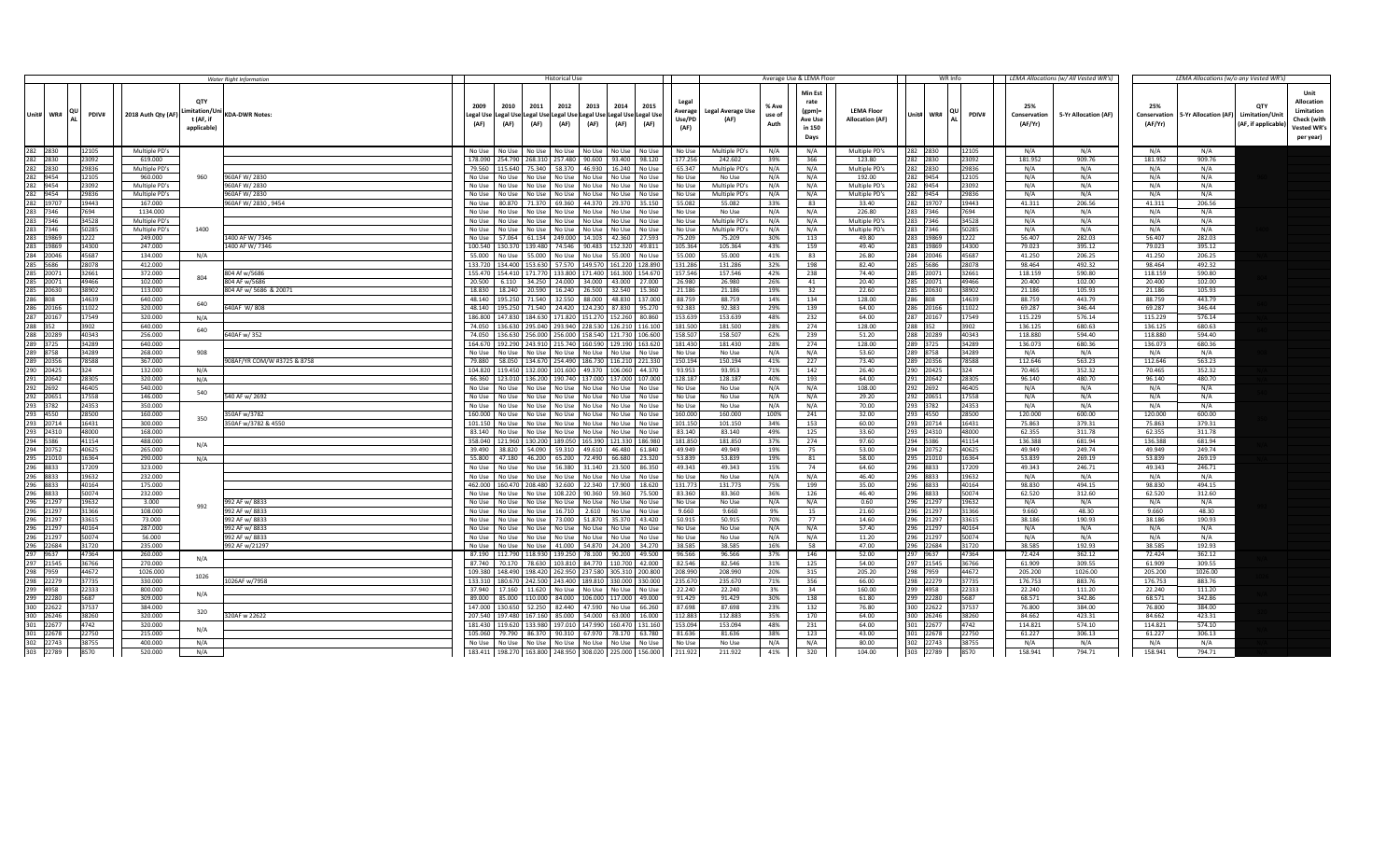|                        | <b>Water Right Information</b> |                          |                                                 | <b>Historical Use</b>           |                                                                                                                              |                              |      |                       | Average Use & LEMA Floor                           |  |                                  |                         |                                                              |                                             | WR Info                |                | LEMA Allocations (w/ All Vested WR's) | LEMA Allocations (w/o any Vested WR's) |                   |                                   |                                              |                                                                            |
|------------------------|--------------------------------|--------------------------|-------------------------------------------------|---------------------------------|------------------------------------------------------------------------------------------------------------------------------|------------------------------|------|-----------------------|----------------------------------------------------|--|----------------------------------|-------------------------|--------------------------------------------------------------|---------------------------------------------|------------------------|----------------|---------------------------------------|----------------------------------------|-------------------|-----------------------------------|----------------------------------------------|----------------------------------------------------------------------------|
| Unit# WR#              | <b>PDIV#</b>                   | 2018 Auth Qty (AF)       | OTY<br>mitation/Uni<br>t (AF, if<br>applicable) | <b>KDA-DWR Notes:</b>           | 2009<br>2010<br>Legal Use Legal Use Legal Use Legal Use Legal Use Legal Use Legal Use<br>(AF)<br>(AF)                        | 2011<br>2012<br>(AF)<br>(AF) | 2013 | 2014<br>$(AF)$ $(AF)$ | Legal<br>2015<br>Average<br>Use/PD<br>(AF)<br>(AF) |  | <b>Legal Average Use</b><br>(AF) | % Ave<br>use of<br>Auth | Min Est<br>rate<br>(gpm)<br><b>Ave Use</b><br>in 150<br>Days | <b>LEMA Floor</b><br><b>Allocation (AF)</b> | Unit# WR#              | <b>PDIV#</b>   | 25%<br>Conservation<br>(AF/Yr)        | 5-Yr Allocation (AF)                   | 25%<br>(AF/Yr)    | Conservation 5-Yr Allocation (AF) | QTY<br>Limitation/Unit<br>(AF, if applicable | Unit<br>Allocation<br>Limitation<br>Check (with<br>ested WR's<br>per year) |
| 282 2830<br>282 2830   | 12105<br>23092                 | Multiple PD's<br>619.000 |                                                 |                                 | No Use   No Use   No Use   No Use   No Use   No Use   No Use<br>28.090 254.790 268.310 257.480 90.600 93.400 98.120          |                              |      |                       | No Use<br>177.256                                  |  | Multiple PD's<br>242.602         | N/A<br>39%              | N/A<br>366                                                   | Multiple PD's<br>123.80                     | 282 2830<br>282 2830   | 12105<br>23092 | N/A<br>181.952                        | N/A<br>909.76                          | N/A<br>181.952    | N/A<br>909.76                     |                                              |                                                                            |
| 282 2830               | 29836                          | Multiple PD's            |                                                 |                                 | 79.560 115.640 75.340 58.370 46.930                                                                                          |                              |      | 16.240 No Use         | 65.347                                             |  | Multiple PD's                    | N/A                     | N/A                                                          | Multiple PD's                               | 282 2830               | 29836          | N/A                                   | N/A                                    | N/A               | N/A                               |                                              |                                                                            |
| 282 9454               | 12105                          | 960,000                  | 960                                             | 960AF W/2830                    | No Use No Use No Use No Use No Use No Use No Use                                                                             |                              |      |                       | No Use                                             |  | No Use                           | N/A                     | N/A                                                          | 192.00                                      | 282 9454               | 12105          | N/A                                   | N/A                                    | N/A               | N/A                               |                                              |                                                                            |
| 282 9454               | 23092                          | Multiple PD's            |                                                 | 960AF W/ 2830                   | No Use   No Use   No Use   No Use   No Use   No Use   No Use                                                                 |                              |      |                       | No Use                                             |  | Multiple PD's                    | N/A                     | N/A                                                          | Multiple PD's                               | 282 9454               | 23092          | N/A                                   | N/A                                    | N/A               | N/A                               |                                              |                                                                            |
| 282 9454               | 29836                          | Multiple PD's            |                                                 | 60AF W/ 2830                    | No Use No Use No Use No Use No Use No Use No Use                                                                             |                              |      |                       | No Use                                             |  | Multiple PD's                    | N/A                     | N/A                                                          | Multiple PD's                               | 282 9454               | 29836          | N/A                                   | N/A                                    | N/A               | N/A                               |                                              |                                                                            |
| 282 19707              | 19443                          | 167,000                  |                                                 | 060AF W/2830, 9454              | No Use 80.870 71.370 69.360 44.370 29.370 35.150                                                                             |                              |      |                       | 55.082                                             |  | 55.082                           | 33%                     | 83                                                           | 33.40                                       | 282 19707              | 19443          | 41.311                                | 206.56                                 | 41.311            | 206.56                            |                                              |                                                                            |
| 283 7346               | 7694                           | 1134.000                 |                                                 |                                 | No Use No Use No Use No Use No Use No Use No Use                                                                             |                              |      |                       | No Use                                             |  | No Use                           | N/A                     | N/A                                                          | 226.80                                      | 283 7346               | 7694           | N/A                                   | N/A                                    | N/A               | $N/\Delta$                        |                                              |                                                                            |
| 283 7346               | 34528                          | Multiple PD's            |                                                 |                                 | No Use   No Use   No Use   No Use   No Use   No Use   No Use                                                                 |                              |      |                       | No Use                                             |  | Multiple PD's                    | N/A                     | N/A                                                          | Multiple PD's                               | 283 7346               | 34528          | N/A                                   | N/A                                    | N/A               | N/A                               |                                              |                                                                            |
| 283 7346               | 50285                          | Multiple PD's            | 1400                                            |                                 | No Use   No Use   No Use   No Use   No Use   No Use   No Use                                                                 |                              |      |                       | No Use                                             |  | Multiple PD's                    | N/A                     | N/A                                                          | Multiple PD's                               | 283 7346               | 50285          | N/A                                   | N/A                                    | N/A               | N/A                               |                                              |                                                                            |
| 283 19869              | 1222                           | 249.000                  |                                                 | 1400 AF W/ 7346                 | No Use 57.064 61.134 249.000 14.103 42.360 27.593                                                                            |                              |      |                       | 75.209                                             |  | 75.209                           | 30%                     | 113                                                          | 49.80                                       | 283 19869              | 1222           | 56.407                                | 282.03                                 | 56,407            | 282.03                            |                                              |                                                                            |
| 283 19869              | 14300<br>45687                 | 247.000<br>134,000       |                                                 | 1400 AF W/7346                  | 100.540 130.370 139.480 74.546 90.483 152.320 49.811                                                                         |                              |      |                       | 105.364<br>55,000                                  |  | 105.364                          | 43%                     | 159                                                          | 49.40<br>26.80                              | 283 19869              | 14300<br>45687 | 79.023                                | 395.12<br>206.25                       | 79.023            | 395.12                            |                                              |                                                                            |
| 284 20046<br>285 5686  | 28078                          | 412.000                  | N/A                                             |                                 | 55.000 No Use 55.000 No Use No Use 55.000 No Use<br>133.720 134.400 153.630 57.570 149.570 161.220 128.890                   |                              |      |                       | 131.286                                            |  | 55,000<br>131.286                | 41%<br>32%              | 83<br>198                                                    | 82.40                                       | 284 20046<br>285 5686  | 28078          | 41.250<br>98.464                      | 492.32                                 | 41.250<br>98.464  | 206.25<br>492.32                  |                                              |                                                                            |
| 285 20071              | 32661                          | 372.000                  |                                                 | 304 Af w/5686                   | 155.470   154.410   171.770   133.800   171.400   161.300   154.670                                                          |                              |      |                       | 157.546                                            |  | 157.546                          | 42%                     | 238                                                          | 74.40                                       | 285 20071              | 32661          | 118.159                               | 590.80                                 | 118.159           | 590.80                            |                                              |                                                                            |
| 285 20071              | 49466                          | 102.000                  | 804                                             | 804 AF w/5686                   | 20.500 6.110 34.250 24.000 34.000 43.000 27.000                                                                              |                              |      |                       | 26.980                                             |  | 26.980                           | 26%                     | 41                                                           | 20.40                                       | 285 20071              | 49466          | 20.400                                | 102.00                                 | 20.400            | 102.00                            |                                              |                                                                            |
| 285<br>20630           | 38902                          | 113.000                  |                                                 | 804 AF w/ 5686 & 20071          | 18.830 18.240 20.590 16.240 26.500 32.540 15.360                                                                             |                              |      |                       | 21.186                                             |  | 21.186                           | 19%                     | 32                                                           | 22.60                                       | 285 20630              | 38902          | 21.186                                | 105.93                                 | 21.186            | 105.93                            |                                              |                                                                            |
| 286 808                | 14639                          | 640,000                  |                                                 |                                 | 48.140   195.250   71.540   32.550   88.000   48.830   137.000                                                               |                              |      |                       | 88.759                                             |  | 88.759                           | 14%                     | 134                                                          | 128.00                                      | 286 808                | 14639          | 88.759                                | 443.79                                 | 88.759            | 443.79                            |                                              |                                                                            |
| 286 20166              | 11022                          | 320,000                  | 640                                             | 640AF W/808                     | 48.140   195.250   71.540   24.420   124.230   87.830   95.270                                                               |                              |      |                       | 92.383                                             |  | 92.383                           | 29%                     | 139                                                          | 64.00                                       | 286 20166              | 11022          | 69.287                                | 346.44                                 | 69.287            | 346.44                            |                                              |                                                                            |
| 287 20167              | 17549                          | 320,000                  | N/A                                             |                                 | 186.800 147.830 184.630 171.820 151.270 152.260 80.860                                                                       |                              |      |                       | 153.639                                            |  | 153.639                          | 48%                     | 232                                                          | 64.00                                       | 287 20167              | 17549          | 115.229                               | 576.14                                 | 115.229           | 576.14                            |                                              |                                                                            |
| 288 352                | 3902                           | 640.000                  | 640                                             |                                 | 74.050   136.630   295.040   293.940   228.530   126.210   116.100                                                           |                              |      |                       | 181.500                                            |  | 181.500                          | 28%                     | 274                                                          | 128.00                                      | 288 352                | 3902           | 136.125                               | 680.63                                 | 136.125           | 680.63                            |                                              |                                                                            |
| 288 20289              | 40343                          | 256,000                  |                                                 | 40AF w/352                      | 74.050 136.630 256.000 256.000 158.540 121.730 106.600                                                                       |                              |      |                       | 158.507                                            |  | 158 507                          | 62%                     | 239                                                          | 51.20                                       | 288 20289              | 40343          | 118.880                               | 594.40                                 | 118,880           | 594 40                            |                                              |                                                                            |
| 289 3725               | 34289                          | 640,000                  |                                                 |                                 | 164.670   192.290   243.910   215.740   160.590   129.190   163.620                                                          |                              |      |                       | 181.430                                            |  | 181.430                          | 28%                     | 274                                                          | 128.00                                      | 289 3725               | 34289          | 136.073                               | 680.36                                 | 136.073           | 680.36                            |                                              |                                                                            |
| 289 8758               | 34289<br>78588                 | 268,000<br>367.000       | 908                                             | 08AF/YR COM/W #3725 & 8758      | No Use No Use No Use No Use No Use No Use No Use                                                                             |                              |      |                       | No Use                                             |  | No Use<br>150.194                | N/A                     | N/A                                                          | 53.60<br>73.40                              | 289 8758               | 34289<br>78588 | N/A                                   | N/A<br>563.23                          | N/A<br>112.646    | N/A<br>563.23                     |                                              |                                                                            |
| 289 20356<br>290 20425 | 324                            | 132,000                  | N/A                                             |                                 | 79.880 58.050 134.670 254.490 186.730 116.210 221.330<br>104.820 119.450 132.000 101.600 49.370 106.060 44.370               |                              |      |                       | 150.194<br>93.953                                  |  | 93.953                           | 41%<br>71%              | 227<br>142                                                   | 26.40                                       | 289 20356<br>290 20425 | 324            | 112.646<br>70.465                     | 352.32                                 | 70.465            | 352.32                            |                                              |                                                                            |
| 20642                  | 28305                          | 320,000                  | N/A                                             |                                 | 66.360 123.010 136.200 190.740 137.000 137.000 107.000                                                                       |                              |      |                       | 128.187                                            |  | 128.187                          | 40%                     | 193                                                          | 64.00                                       | 291 20642              | 28305          | 96,140                                | 480.70                                 | 96.140            | 480.70                            |                                              |                                                                            |
| 292 2692               | 46405                          | 540.000                  |                                                 |                                 | No Use   No Use   No Use   No Use   No Use   No Use   No Use                                                                 |                              |      |                       | No Use                                             |  | No Use                           | N/A                     | N/A                                                          | 108.00                                      | 292 2692               | 46405          | N/A                                   | N/A                                    | N/A               | N/A                               |                                              |                                                                            |
| 292 20651              | 17558                          | 146,000                  | 540                                             | 540 AF w/ 2692                  | No Use   No Use   No Use   No Use   No Use   No Use   No Use                                                                 |                              |      |                       | No Use                                             |  | No Use                           | N/A                     | N/A                                                          | 29.20                                       | 292 20651              | 17558          | N/A                                   | N/A                                    | N/A               | N/A                               |                                              |                                                                            |
| 293 3782               | 24353                          | 350.000                  |                                                 |                                 | No Use No Use No Use No Use No Use No Use No Use                                                                             |                              |      |                       | No Use                                             |  | No Use                           | N/A                     | N/A                                                          | 70.00                                       | 293 3782               | 24353          | N/A                                   | N/A                                    | N/A               | N/A                               |                                              |                                                                            |
| 293 4550               | 28500                          | 160.000                  | 350                                             | 50AF w/3782                     | 160.000 No Use No Use No Use No Use No Use No Use                                                                            |                              |      |                       | 160.000                                            |  | 160,000                          | 100%                    | 241                                                          | 32.00                                       | 293 4550               | 28500          | 120,000                               | 600.00                                 | 120.000           | 600.00                            |                                              |                                                                            |
| 293 20714              | 16431                          | 300.000                  |                                                 | 350AF w/3782 & 4550             | 101.150 No Use No Use No Use No Use No Use No Use                                                                            |                              |      |                       | 101.150                                            |  | 101.150                          | 34%                     | 153                                                          | 60.00                                       | 293 20714              | 16431          | 75.863                                | 379.31                                 | 75.863            | 379.31                            |                                              |                                                                            |
| 293 24310              | 48000                          | 168,000                  |                                                 |                                 | 83.140   No Use   No Use   No Use   No Use   No Use   No Use                                                                 |                              |      |                       | 83.140                                             |  | 83.140                           | 49%                     | 125                                                          | 33.60                                       | 293 24310              | 48000          | 62.355                                | 311.78                                 | 62.355            | 311.78                            |                                              |                                                                            |
| 294 5386<br>294 20752  | 41154<br>40625                 | 488.000<br>265,000       | N/A                                             |                                 | 358.040   121.960   130.200   189.050   165.390   121.330   186.98<br>39.490 38.820 54.090 59.310 49.610 46.480 61.840       |                              |      |                       | 181.850<br>49,949                                  |  | 181.850<br>49.949                | 37%<br>19%              | 274<br>75                                                    | 97.60<br>53.00                              | 294 5386<br>294 20752  | 41154<br>40625 | 136.388<br>49.949                     | 681.94<br>249.74                       | 136.388<br>49.949 | 681.94<br>249.74                  |                                              |                                                                            |
| 295 21010              | 16364                          | 290,000                  | N/A                                             |                                 | 55.800 47.180 46.200 65.200 72.490 66.680 23.320                                                                             |                              |      |                       | 53.839                                             |  | 53.839                           | 19%                     | 81                                                           | 58.00                                       | 295 21010              | 16364          | 53.839                                | 269.19                                 | 53.839            | 269.19                            |                                              |                                                                            |
| 8833                   | 17209                          | 323.000                  |                                                 |                                 | No Use No Use No Use 56.380 31.140 23.500 86.350                                                                             |                              |      |                       | 49.343                                             |  | 49.343                           | 15%                     | 74                                                           | 64.60                                       | 296 8833               | 17209          | 49.343                                | 246.71                                 | 49.343            | 246.71                            |                                              |                                                                            |
| 296 8833               | 19632                          | 232.000                  |                                                 |                                 | No Use   No Use   No Use   No Use   No Use   No Use   No Use                                                                 |                              |      |                       | No Use                                             |  | No Use                           | N/A                     | N/A                                                          | 46.40                                       | 296 8833               | 19632          | N/A                                   | N/A                                    | N/A               | N/A                               |                                              |                                                                            |
| 296<br>8833            | 40164                          | 175.000                  |                                                 |                                 | 462.000 160.470 208.480 32.600 22.340 17.900 18.620                                                                          |                              |      |                       | 131.773                                            |  | 131.773                          | 75%                     | 199                                                          | 35.00                                       | 296 8833               | 40164          | 98.830                                | 494.15                                 | 98.830            | 494.15                            |                                              |                                                                            |
| 8833                   | 50074                          | 232.000                  |                                                 |                                 | No Use No Use No Use 108.220 90.360                                                                                          |                              |      | 59.360                | 75.500<br>83.360                                   |  | 83.360                           | 36%                     | 126                                                          | 46.40                                       | 296 8833               | 50074          | 62.520                                | 312.60                                 | 62.520            | 312.60                            |                                              |                                                                            |
| 296 21297              | 19632                          | 3.000                    | 992                                             | 92 AF w/8833                    | No Use   No Use   No Use   No Use   No Use   No Use   No Use                                                                 |                              |      |                       | No Use                                             |  | No Use                           | N/A                     | N/A                                                          | 0.60                                        | 296 21297              | 19632          | N/A                                   | N/A                                    | N/A               | N/A                               |                                              |                                                                            |
| 296 21297              | 31366                          | 108,000                  |                                                 | 992 AF w/8833                   | No Use   No Use   No Use   16.710   2.610   No Use   No Use                                                                  |                              |      |                       | 9.660                                              |  | 9.660                            | 9%                      | 15                                                           | 21.60                                       | 296 21297              | 31366          | 9.660                                 | 48.30                                  | 9.660             | 48.30                             |                                              |                                                                            |
| 296 21297              | 33615                          | 73,000                   |                                                 | 992 AF w/8833                   | No Use   No Use   No Use   73.000   51.870   35.370   43.420                                                                 |                              |      |                       | 50.915                                             |  | 50.915                           | 70%                     | 77                                                           | 14.60                                       | 296 21297              | 33615          | 38.186                                | 190.93                                 | 38.186            | 190.93                            |                                              |                                                                            |
| 296 21297<br>296 21297 | 40164<br>50074                 | 287.000<br>56,000        |                                                 | 992 AF w/ 8833<br>992 AF w/8833 | No Use   No Use   No Use   No Use   No Use   No Use   No Use<br>No Use   No Use   No Use   No Use   No Use   No Use   No Use |                              |      |                       | No Use<br>No Use                                   |  | No Use<br>No Use                 | N/A<br>N/A              | N/A<br>N/A                                                   | 57.40<br>11.20                              | 296 21297<br>296 21297 | 40164<br>50074 | N/A<br>N/A                            | N/A<br>N/A                             | N/A<br>N/A        | N/A<br>N/A                        |                                              |                                                                            |
| 296 22684              | 31720                          | 235.000                  |                                                 | 992 AF w/21297                  | No Use No Use No Use 41,000 54,870 24,200 34,270                                                                             |                              |      |                       | 38.585                                             |  | 38.585                           | 16%                     | 58                                                           | 47.00                                       | 296 22684              | 31720          | 38.585                                | 192.93                                 | 38.585            | 192.93                            |                                              |                                                                            |
| 297 9637               | 47364                          | 260,000                  |                                                 |                                 | 87.190 112.790 118.930 139.250 78.100 90.200 49.500                                                                          |                              |      |                       | 96.566                                             |  | 96.566                           | 37%                     | 146                                                          | 52.00                                       | 297 9637               | 47364          | 72.424                                | 362.12                                 | 72.424            | 362.12                            |                                              |                                                                            |
| 297 21545              | 36766                          | 270.000                  | N/A                                             |                                 | 87.740 70.170 78.630 103.810 84.770 110.700 42.000                                                                           |                              |      |                       | 82.546                                             |  | 82.546                           | 31%                     | 125                                                          | 54.00                                       | 297 21545              | 36766          | 61.909                                | 309.55                                 | 61.909            | 309.55                            |                                              |                                                                            |
| 298 7959               | 44672                          | 1026.000                 | 1026                                            |                                 | 109.380 148.490 198.420 262.950 237.580 305.310 200.800                                                                      |                              |      |                       | 208.99                                             |  | 208.990                          | 20%                     | 315                                                          | 205.20                                      | 298 7959               | 44672          | 205.200                               | 1026.00                                | 205.200           | 1026.00                           |                                              |                                                                            |
| 298 22279              | 37735                          | 330.000                  |                                                 | 026AF w/7958                    | 133.310   180.670   242.500   243.400   189.810   330.000   330.000                                                          |                              |      |                       | 235.670                                            |  | 235.670                          | 71%                     | 356                                                          | 66.00                                       | 298 22279              | 37735          | 176.753                               | 883.76                                 | 176.753           | 883.76                            |                                              |                                                                            |
| 299 4958               | 22333                          | 800,000                  | N/A                                             |                                 | 37.940   17.160   11.620   No Use   No Use   No Use   No Use                                                                 |                              |      |                       | 22.240                                             |  | 22,240                           | 3%                      | 34                                                           | 160.00                                      | 299 4958               | 22333          | 22.240                                | 111.20                                 | 22.240            | 111.20                            |                                              |                                                                            |
| 299 22280              | 5687                           | 309,000                  |                                                 |                                 | 89.000 85.000 110.000 84.000 106.000 117.000 49.000                                                                          |                              |      |                       | 91.429                                             |  | 91.429                           | 30%                     | 138                                                          | 61.80                                       | 299 22280              | 5687           | 68.571                                | 342.86                                 | 68.571            | 342.86                            |                                              |                                                                            |
| 300 22622              | 37537                          | 384.000                  | 320                                             |                                 | 147.000 130.650 52.250 82.440 47.590 No Use 66.260                                                                           |                              |      |                       | 87.698                                             |  | 87.698                           | 23%                     | 132                                                          | 76.80                                       | 300 22622              | 37537          | 76.800                                | 384.00                                 | 76.800            | 384.00                            |                                              |                                                                            |
| 300 26246<br>301 22677 | 38260<br>4742                  | 320.000<br>320.000       |                                                 | 320AF w 22622                   | 207.540 197.480 167.160 85.000 54.000 63.000 16.000<br>181.430 119.620 133.980 197.010 147.990 160.470 131.160               |                              |      |                       | 112.883<br>153.094                                 |  | 112.883<br>153.094               | 35%<br>48%              | 170<br>231                                                   | 64.00<br>64.00                              | 300 26246<br>301 22677 | 38260<br>4742  | 84.662<br>114.821                     | 423.31<br>574.10                       | 84.662<br>114.821 | 423.31<br>574.10                  |                                              |                                                                            |
| 301 22678              | 22750                          | 215,000                  | N/A                                             |                                 | 105.060 79.790 86.370 90.310 67.970 78.170 63.780                                                                            |                              |      |                       | 81.636                                             |  | 81.636                           | 38%                     | 123                                                          | 43.00                                       | 301 22678              | 22750          | 61.227                                | 306.13                                 | 61.227            | 306.13                            |                                              |                                                                            |
| 302 22743              | 38755                          | 400.000                  | N/A                                             |                                 | No Use No Use No Use No Use No Use No Use No Use                                                                             |                              |      |                       | No Use                                             |  | No Use                           | N/A                     | N/A                                                          | 80.00                                       | 302 22743              | 38755          | N/A                                   | N/A                                    | N/A               | N/A                               |                                              |                                                                            |
| 303 22789              | 8570                           | 520.000                  | N/A                                             |                                 | 183.411   198.270   163.800   248.950   308.020   225.000   156.000                                                          |                              |      |                       | 211.922                                            |  | 211.922                          | 41%                     | 320                                                          | 104.00                                      | 303 22789              | 8570           | 158.941                               | 794.71                                 | 158.941           | 794.71                            |                                              |                                                                            |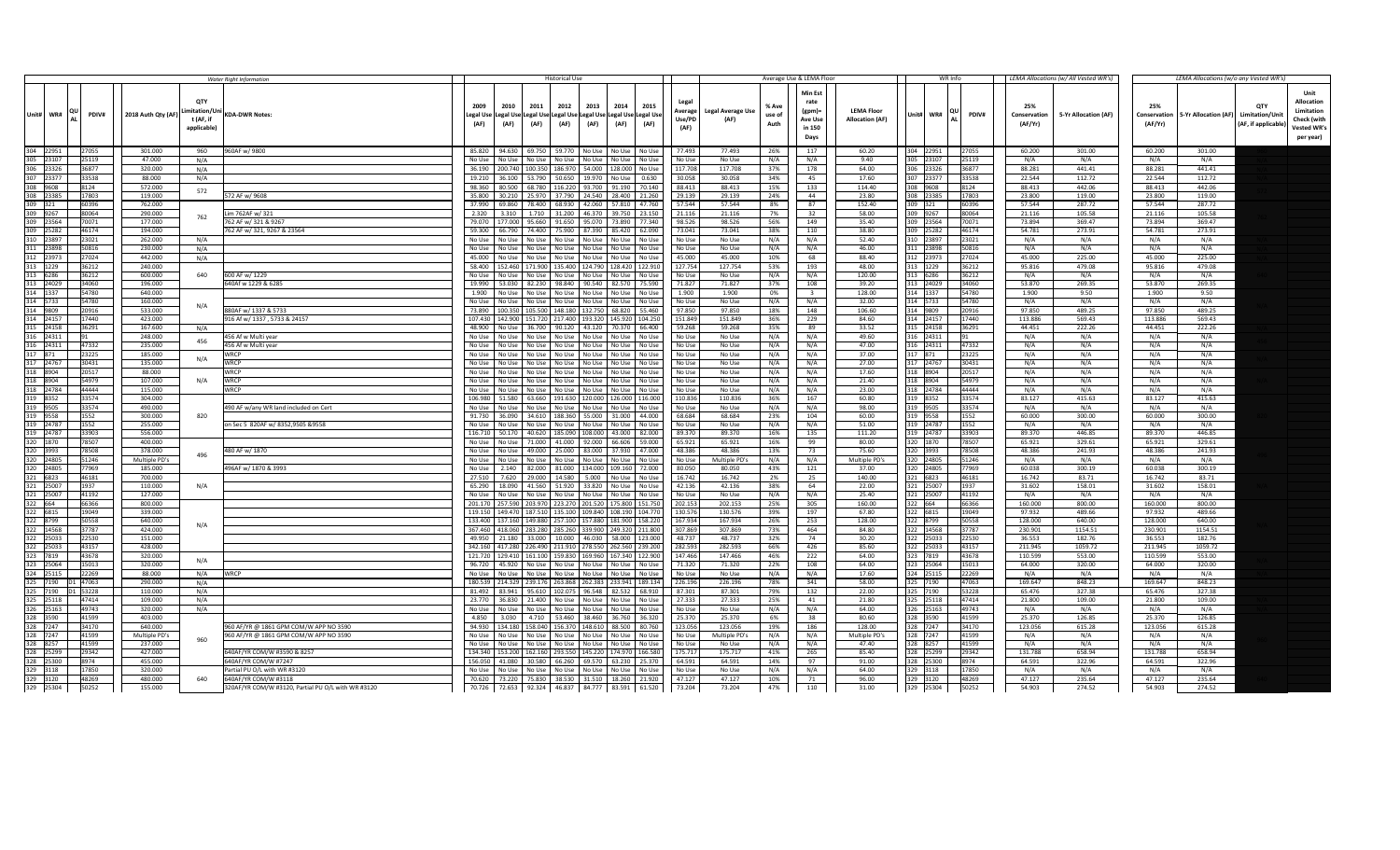|                        | <b>Water Right Information</b> |                |                          |                                                |                                                                                 | <b>Historical Use</b> |              |              |                                                                                                                              |                   |                                |              | Average Use & LEMA Floor           |                                  |                         |                                                           |                                             |                        | WR Info        |                                | LEMA Allocations (w/ All Vested WR's) | LEMA Allocations (w/o any Vested WR's) |                      |                                                                                                                              |  |  |
|------------------------|--------------------------------|----------------|--------------------------|------------------------------------------------|---------------------------------------------------------------------------------|-----------------------|--------------|--------------|------------------------------------------------------------------------------------------------------------------------------|-------------------|--------------------------------|--------------|------------------------------------|----------------------------------|-------------------------|-----------------------------------------------------------|---------------------------------------------|------------------------|----------------|--------------------------------|---------------------------------------|----------------------------------------|----------------------|------------------------------------------------------------------------------------------------------------------------------|--|--|
| Unit# WR#              |                                | PDIV#          | 2018 Auth Qty (AF)       | OTY<br>mitation/Un<br>t (AF. if<br>applicable) | <b>KDA-DWR Notes:</b>                                                           | 2009<br>(AF)          | 2010<br>(AF) | 2011<br>(AF) | 2012<br>Legal Use Legal Use Legal Use Legal Use Legal Use Legal Use Legal Use                                                | 2013<br>(AF) (AF) | 2014<br>(AF)                   | 2015<br>(AF) | Legal<br>Average<br>Use/PD<br>(AF) | <b>Legal Average Use</b><br>(AF) | % Ave<br>use of<br>Auth | Min Est<br>rate<br>$(gpm)$ =<br>Ave Use<br>in 150<br>Days | <b>LEMA Floor</b><br><b>Allocation (AF)</b> | Unit# WR#              | PDIV#          | 25%<br>Conservation<br>(AF/Yr) | 5-Yr Allocation (AF)                  | 25%<br>Conservation<br>(AF/Yr)         | 5-Yr Allocation (AF) | Unit<br>Allocation<br>OTY<br>Limitation<br>Limitation/Unit<br>Check (with<br>(AF, if applicable)<br>Vested WR's<br>per year) |  |  |
| 304 22951              |                                | 27055          | 301.000                  | 960                                            | 960AF w/ 9800                                                                   |                       |              |              | 85.820   94.630   69.750   59.770   No Use   No Use   No Use                                                                 |                   |                                |              | 77.493                             | 77.493                           | 26%                     | 117                                                       | 60.20                                       | 04 22951               | 27055          | 60.200                         | 301.00                                | 60.200                                 | 301.00               |                                                                                                                              |  |  |
| 305 23107<br>306 23326 |                                | 25119<br>36877 | 47.000<br>320,000        | N/A                                            |                                                                                 |                       |              |              | No Use   No Use   No Use   No Use   No Use   No Use   No Use<br>36.190 200.740 100.350 186.970 54.000 128.000 No Use         |                   |                                |              | No Use<br>117.708                  | No Use<br>117,708                | N/A<br>37%              | N/A<br>178                                                | 9.40<br>64.00                               | 305 23107<br>306 23326 | 25119<br>36877 | N/A<br>88.281                  | N/A<br>441.41                         | N/A<br>88.281                          | N/A<br>441.41        |                                                                                                                              |  |  |
| 307 23377              |                                | 33538          | 88.000                   | N/A<br>N/A                                     |                                                                                 |                       |              |              | 19.210   36.100   53.790   50.650   19.970   No Use   0.630                                                                  |                   |                                |              | 30.058                             | 30.058                           | 34%                     | 45                                                        | 17.60                                       | 307 23377              | 33538          | 22.544                         | 112.72                                | 22.544                                 | 112.72               |                                                                                                                              |  |  |
| 308 9608               |                                | 8124           | 572.000                  |                                                |                                                                                 |                       |              |              | 98.360 80.500 68.780 116.220 93.700                                                                                          |                   | 91.190 70.140                  |              | 88.413                             | 88.413                           | 15%                     | 133                                                       | 114.40                                      | 308 9608               | 8124           | 88.413                         | 442.06                                | 88.413                                 | 442.06               |                                                                                                                              |  |  |
| 308 23385              |                                | 17803          | 119,000                  | 572                                            | 572 AF w/ 9608                                                                  |                       |              |              | 35.800 30.210 25.970 37.790 24.540 28.400 21.260                                                                             |                   |                                |              | 29.139                             | 29.139                           | 24%                     | 44                                                        | 23.80                                       | 08 23385               | 17803          | 23,800                         | 119.00                                | 23,800                                 | 119.00               |                                                                                                                              |  |  |
| 309 321                |                                | 60396          | 762.000                  |                                                |                                                                                 |                       |              |              | 37.990 69.860 78.400 68.930 42.060 57.810 47.760                                                                             |                   |                                |              | 57.544                             | 57.544                           | 8%                      | 87                                                        | 152.40                                      | 309 321                | 60396          | 57.544                         | 287.72                                | 57.544                                 | 287.72               |                                                                                                                              |  |  |
| 309 9267               |                                | 80064          | 290.000                  | 762                                            | im 762AF w/321                                                                  | 2.320                 |              |              | 3.310 1.710 31.200 46.370                                                                                                    |                   | 39.750 23.150                  |              | 21.116                             | 21.116                           | 7%                      | 32                                                        | 58.00                                       | 9 9267                 | 80064          | 21.116                         | 105.58                                | 21.116                                 | 105.58               |                                                                                                                              |  |  |
| 309 23564              |                                | 70071          | 177.000                  |                                                | 762 AF w/ 321 & 9267                                                            |                       |              |              | 79.070 177.000 95.660 91.650 95.070                                                                                          |                   | 73.890                         | 77.340       | 98.526                             | 98.526                           | 56%                     | 149                                                       | 35.40                                       | 09 23564               | 70071          | 73.894                         | 369.47                                | 73.894                                 | 369.47               |                                                                                                                              |  |  |
| 309 25282              |                                | 46174          | 194.000                  |                                                | 762 AF w/ 321, 9267 & 23564                                                     |                       |              |              | 59.300 66.790 74.400 75.900 87.390 85.420 62.090                                                                             |                   |                                |              | 73.041                             | 73.041                           | 38%                     | 110                                                       | 38.80                                       | 09 25282               | 46174          | 54.781                         | 273.91                                | 54.781                                 | 273.91               |                                                                                                                              |  |  |
| 310 23897              |                                | 23021          | 262.000                  | N/A                                            |                                                                                 |                       |              |              | No Use No Use No Use No Use No Use No Use No Use                                                                             |                   |                                |              | No Use                             | No Use                           | N/A                     | N/A                                                       | 52.40                                       | 310 23897              | 23021          | N/A                            | N/A                                   | N/A                                    | N/A                  |                                                                                                                              |  |  |
| 311 23898<br>312 23973 |                                | 50816<br>27024 | 230.000<br>442,000       | N/A<br>N/A                                     |                                                                                 |                       |              |              | No Use   No Use   No Use   No Use   No Use   No Use<br>45,000 No Use No Use No Use No Use No Use No Use                      |                   |                                |              | No Use<br>45,000                   | No Use<br>45,000                 | N/A<br>10%              | N/A<br>68                                                 | 46.00<br>88.40                              | 311 23898<br>312 23973 | 50816<br>27024 | N/A<br>45.000                  | N/A<br>225.00                         | N/A<br>45,000                          | N/A<br>225.00        |                                                                                                                              |  |  |
| 313 1229               |                                | 36212          | 240.000                  |                                                |                                                                                 |                       |              |              | 58.400   152.460   171.900   135.400   124.790   128.420   122.910                                                           |                   |                                |              | 27.754                             | 127.754                          | 53%                     | 193                                                       | 48.00                                       | 13 1229                | 36212          | 95.816                         | 479.08                                | 95.816                                 | 479.08               |                                                                                                                              |  |  |
| 313 6286               |                                | 36212          | 600.000                  | 640                                            | 600 AF w/ 1229                                                                  |                       |              |              | No Use No Use No Use No Use No Use No Use No Use                                                                             |                   |                                |              | No Use                             | No Use                           | N/A                     | N/A                                                       | 120.00                                      | 313 6286               | 36212          | N/A                            | N/A                                   | N/A                                    | N/A                  |                                                                                                                              |  |  |
| 313 24029              |                                | 34060          | 196.000                  |                                                | 640Af w 1229 & 6285                                                             |                       |              |              | 19.990 53.030 82.230 98.840 90.540 82.570 75.590                                                                             |                   |                                |              | 71.827                             | 71.827                           | 37%                     | 108                                                       | 39.20                                       | 313 24029              | 34060          | 53.870                         | 269.35                                | 53.870                                 | 269.35               |                                                                                                                              |  |  |
| 314 1337               |                                | 54780          | 640,000                  |                                                |                                                                                 |                       |              |              | 1.900 No Use No Use No Use No Use No Use No Use                                                                              |                   |                                |              | 1.900                              | 1.900                            | 0%                      | $\overline{3}$                                            | 128.00                                      | 314 1337               | 54780          | 1.900                          | 9.50                                  | 1.900                                  | 9.50                 |                                                                                                                              |  |  |
| 314 5733               |                                | 54780          | 160.000                  | N/A                                            |                                                                                 |                       |              |              | No Use No Use No Use No Use No Use No Use No Use                                                                             |                   |                                |              | No Use                             | No Use                           | N/A                     | N/A                                                       | 32.00                                       | 314 5733               | 54780          | N/A                            | N/A                                   | N/A                                    | N/A                  |                                                                                                                              |  |  |
| 314 9809               |                                | 20916          | 533.000                  |                                                | 880AF w/ 1337 & 5733                                                            |                       |              |              | 73.890   100.350   105.500   148.180   132.750   68.820   55.460                                                             |                   |                                |              | 97.850                             | 97.850                           | 18%                     | 148                                                       | 106.60                                      | 314 9809               | 20916          | 97.850                         | 489.25                                | 97.850                                 | 489.25               |                                                                                                                              |  |  |
| 314 24157              |                                | 17440          | 423,000                  |                                                | 916 Af w/ 1337, 5733 & 24157                                                    |                       |              |              | 107.430   142.900   151.720   217.400   193.320   145.920   104.250                                                          |                   |                                |              | 151.849                            | 151.849                          | 36%                     | 229                                                       | 84.60                                       | 314 24157              | 17440          | 113.886                        | 569.43                                | 113,886                                | 569.43               |                                                                                                                              |  |  |
| 315 24158<br>316 24311 |                                | 36291          | 167,600                  | $N/\Delta$                                     |                                                                                 |                       |              |              | 48.900 No Use 36.700 90.120 43.120 70.370 66.400                                                                             |                   |                                |              | 59.268                             | 59.268                           | 35%<br>N/A              | 89<br>N/A                                                 | 33.52                                       | 315 24158              | 36291          | 44.451                         | 222.26                                | 44.451                                 | 222.26               |                                                                                                                              |  |  |
| 316 24311              |                                | 91<br>47332    | 248.000<br>235.000       | 456                                            | 456 Af w Multi year<br>456 Af w Multi year                                      |                       |              |              | No Use   No Use   No Use   No Use   No Use   No Use   No Use<br>No Use   No Use   No Use   No Use   No Use   No Use   No Use |                   |                                |              | No Use<br>No Use                   | No Use<br>No Use                 | N/A                     | N/A                                                       | 49.60<br>47.00                              | 16 24311<br>316 24311  | 91<br>47332    | N/A<br>N/A                     | N/A<br>N/A                            | N/A<br>N/A                             | N/A<br>N/A           |                                                                                                                              |  |  |
| 317 871                |                                | 23225          | 185.000                  |                                                | WRCP                                                                            |                       |              |              | No Use No Use No Use No Use No Use No Use No Use                                                                             |                   |                                |              | No Use                             | No Use                           | N/A                     | N/A                                                       | 37.00                                       | 17 871                 | 23225          | N/A                            | N/A                                   | N/A                                    | N/A                  |                                                                                                                              |  |  |
| 317 24767              |                                | 30431          | 135.000                  | N/A                                            | <b>WRCP</b>                                                                     |                       |              |              | No Use No Use No Use No Use No Use No Use No Use                                                                             |                   |                                |              | No Use                             | No Use                           | N/A                     | N/A                                                       | 27.00                                       | 317 24767              | 30431          | N/A                            | N/A                                   | N/A                                    | N/A                  |                                                                                                                              |  |  |
| 318 8904               |                                | 20517          | 88.000                   |                                                | <b>WRCP</b>                                                                     |                       |              |              | No Use   No Use   No Use   No Use   No Use   No Use                                                                          |                   |                                |              | No Use                             | No Use                           | N/A                     | N/A                                                       | 17.60                                       | 318 8904               | 20517          | N/A                            | N/A                                   | N/A                                    | N/A                  |                                                                                                                              |  |  |
| 318 8904               |                                | 54979          | 107.000                  | N/A                                            | <b>WRCP</b>                                                                     |                       |              |              | No Use   No Use   No Use   No Use   No Use   No Use   No Use                                                                 |                   |                                |              | No Use                             | No Use                           | N/A                     | N/A                                                       | 21.40                                       | 318 8904               | 54979          | N/A                            | N/A                                   | N/A                                    | N/A                  |                                                                                                                              |  |  |
| 318 24784              |                                | 44444          | 115,000                  |                                                | <b>WRCP</b>                                                                     | No Use                |              |              | No Use No Use No Use No Use                                                                                                  |                   | No Use No Use                  |              | No Use                             | No Use                           | N/A                     | N/A                                                       | 23.00                                       | 318 24784              | 44444          | N/A                            | N/A                                   | N/A                                    | N/A                  |                                                                                                                              |  |  |
| 319 8352               |                                | 33574          | 304,000                  |                                                |                                                                                 |                       |              |              | 106.980 51.580 63.660 191.630 120.000 126.000 116.000                                                                        |                   |                                |              | 110.836                            | 110.836                          | 36%                     | 167                                                       | 60.80                                       | 319 8352               | 33574          | 83.127                         | 415.63                                | 83.127                                 | 415.63               |                                                                                                                              |  |  |
| 319 9505<br>319 9558   |                                | 33574<br>1552  | 490.000<br>300.000       | 820                                            | 490 AF w/any WR land included on Cert                                           | 91.730                |              |              | No Use   No Use   No Use   No Use   No Use  <br>36.090 34.610 188.360 55.000                                                 |                   | No Use No Use<br>31,000 44,000 |              | No Use<br>68.684                   | No Use<br>68.684                 | N/A<br>23%              | N/A<br>104                                                | 98.00<br>60.00                              | 319 9505<br>319 9558   | 33574<br>1552  | N/A<br>60.000                  | N/A<br>300.00                         | N/A<br>60.000                          | N/A<br>300.00        |                                                                                                                              |  |  |
| 319 24787              |                                | 1552           | 255.000                  |                                                | on Sec 5 820AF w/ 8352,9505 &9558                                               |                       |              |              | No Use   No Use   No Use   No Use   No Use   No Use   No Use                                                                 |                   |                                |              | No Use                             | No Use                           | N/A                     | N/A                                                       | 51.00                                       | 19 24787               | 1552           | N/A                            | N/A                                   | N/A                                    | N/A                  |                                                                                                                              |  |  |
| 319 24787              |                                | 33903          | 556.000                  |                                                |                                                                                 |                       |              |              | 116.710 50.170 40.620 185.090 108.000 43.000 82.000                                                                          |                   |                                |              | 89.370                             | 89.370                           | 16%                     | 135                                                       | 111.20                                      | 19 24787               | 33903          | 89.370                         | 446.85                                | 89.370                                 | 446.85               |                                                                                                                              |  |  |
| 320 1870               |                                | 78507          | 400.000                  |                                                |                                                                                 |                       |              |              | No Use No Use 71.000 41.000 92.000 66.606 59.000                                                                             |                   |                                |              | 65.921                             | 65.921                           | 16%                     | 99                                                        | 80.00                                       | 320 1870               | 78507          | 65.921                         | 329.61                                | 65.921                                 | 329.61               |                                                                                                                              |  |  |
| 320<br>3993            |                                | 78508          | 378.000                  |                                                | 480 AF w/ 1870                                                                  | No Use                |              |              | No Use 49.000 25.000 83.000                                                                                                  |                   | 37.930 47.000                  |              | 48.386                             | 48.386                           | 13%                     | 73                                                        | 75.60                                       | 120 3993               | 78508          | 48.386                         | 241.93                                | 48.386                                 | 241.93               |                                                                                                                              |  |  |
| 320 24805              |                                | 51246          | Multiple PD's            |                                                |                                                                                 |                       |              |              | No Use   No Use   No Use   No Use   No Use   No Use   No Use                                                                 |                   |                                |              | No Use                             | Multiple PD's                    | N/A                     | N/A                                                       | Multiple PD's                               | 20 24805               | 51246          | N/A                            | N/A                                   | N/A                                    | N/A                  |                                                                                                                              |  |  |
| 320 24805              |                                | 77969          | 185.000                  |                                                | 496AF w/ 1870 & 3993                                                            |                       |              |              | No Use   2.140   82.000   81.000   134.000   109.160   72.000                                                                |                   |                                |              | 80.050                             | 80.050                           | 43%                     | 121                                                       | 37.00                                       | 20 24805               | 77969          | 60.038                         | 300.19                                | 60.038                                 | 300.19               |                                                                                                                              |  |  |
| 321 6823<br>321 25007  |                                | 46181<br>1937  | 700.000<br>110.000       | N/A                                            |                                                                                 | 65.290                |              |              | 27.510 7.620 29.000 14.580 5.000 No Use No Use<br>18.090 41.560 51.920 33.820                                                |                   | No Use No Use                  |              | 16.742<br>42.136                   | 16.742<br>42.136                 | 2%<br>38%               | 25<br>64                                                  | 140.00<br>22.00                             | 321 6823<br>21 25007   | 46181<br>1937  | 16.742<br>31.602               | 83.71<br>158.01                       | 16.742<br>31.602                       | 83.71<br>158.01      |                                                                                                                              |  |  |
| 321 25007              |                                | 41192          | 127.000                  |                                                |                                                                                 |                       |              |              | No Use No Use No Use No Use No Use                                                                                           |                   | No Use No Use                  |              | No Use                             | No Use                           | N/A                     | N/A                                                       | 25.40                                       | 21 25007               | 41192          | N/A                            | N/A                                   | N/A                                    | N/A                  |                                                                                                                              |  |  |
| 322 664                |                                | 66366          | 800.000                  |                                                |                                                                                 |                       |              |              | 201.170 257.590 203.970 223.270 201.520 175.800 151.750                                                                      |                   |                                |              | 202.153                            | 202.153                          | 25%                     | 305                                                       | 160.00                                      | 322 664                | 66366          | 160.000                        | 800.00                                | 160.000                                | 800.00               |                                                                                                                              |  |  |
| 322 6815               |                                | 19049          | 339,000                  |                                                |                                                                                 |                       |              |              | 119.150 149.470 187.510 135.100 109.840 108.190 104.770                                                                      |                   |                                |              | 130.576                            | 130.576                          | 39%                     | 197                                                       | 67.80                                       | 322 6815               | 19049          | 97.932                         | 489.66                                | 97.932                                 | 489.66               |                                                                                                                              |  |  |
| 322 8799               |                                | 50558          | 640.000                  | N/A                                            |                                                                                 |                       |              |              | 133.400 137.160 149.880 257.100 157.880 181.900 158.220                                                                      |                   |                                |              | 167.934                            | 167.934                          | 26%                     | 253                                                       | 128.00                                      | 322 8799               | 50558          | 128.000                        | 640.00                                | 128.000                                | 640.00               |                                                                                                                              |  |  |
| 322 14568              |                                | 37787          | 424.000                  |                                                |                                                                                 |                       |              |              | 367.460 418.060 283.280 285.260 339.900                                                                                      |                   | 249.320 211.800                |              | 307.869                            | 307.869                          | 73%                     | 464                                                       | 84.80                                       | 14568                  | 37787          | 230.901                        | 1154.51                               | 230.901                                | 1154.51              |                                                                                                                              |  |  |
| 322 25033<br>322 25033 |                                | 22530<br>43157 | 151.000<br>428,000       |                                                |                                                                                 |                       |              |              | 49.950 21.180 33.000 10.000 46.030<br>342.160 417.280 226.490 211.910 278.550 262.560 239.200                                |                   | 58.000 123.000                 |              | 48.737<br>282.593                  | 48.737<br>282.593                | 32%<br>66%              | 74<br>426                                                 | 30.20<br>85.60                              | 22 25033<br>322 25033  | 22530<br>43157 | 36.553<br>211.945              | 182.76<br>1059.72                     | 36.553<br>211.945                      | 182.76<br>1059.72    |                                                                                                                              |  |  |
| 323 7819               |                                | 43678          | 320.000                  |                                                |                                                                                 |                       |              |              | 121.720 129.410 161.100 159.830 169.960 167.340 122.900                                                                      |                   |                                |              | 147,466                            | 147.466                          | 46%                     | 222                                                       | 64.00                                       | 323 7819               | 43678          | 110.599                        | 553.00                                | 110.599                                | 553.00               |                                                                                                                              |  |  |
| 323 25064              |                                | 15013          | 320.000                  | N/A                                            |                                                                                 |                       |              |              | 96.720 45.920 No Use No Use No Use No Use No Use                                                                             |                   |                                |              | 71.320                             | 71.320                           | 22%                     | 108                                                       | 64.00                                       | 323 25064              | 15013          | 64.000                         | 320.00                                | 64.000                                 | 320.00               |                                                                                                                              |  |  |
| 324 25115              |                                | 22269          | 88,000                   | $N/\Delta$                                     | <b>WRCP</b>                                                                     |                       |              |              | No Use No Use No Use No Use No Use No Use No Use                                                                             |                   |                                |              | No Use                             | No Use                           | N/A                     | N/A                                                       | 17.60                                       | 324 25115              | 22269          | N/A                            | N/A                                   | N/A                                    | N/A                  |                                                                                                                              |  |  |
| 325 7190               |                                | D1 47063       | 290.000                  | N/A                                            |                                                                                 |                       |              |              | 180.539 214.329 239.176 263.868 262.383 233.941 189.134                                                                      |                   |                                |              | 226.196                            | 226.196                          | 78%                     | 341                                                       | 58.00                                       | 325 7190               | 47063          | 169.647                        | 848.23                                | 169.647                                | 848.23               |                                                                                                                              |  |  |
| 325 7190               |                                | D1 53228       | 110.000                  | N/A                                            |                                                                                 |                       |              |              | 81.492 83.941 95.610 102.075 96.548 82.532 68.910                                                                            |                   |                                |              | 87.301                             | 87.301                           | 79%                     | 132                                                       | 22.00                                       | 325 7190               | 53228          | 65.476                         | 327.38                                | 65.476                                 | 327.38               |                                                                                                                              |  |  |
| 325 25118              |                                | 47414          | 109.000                  | N/A                                            |                                                                                 |                       |              |              | 23.770 36.830 21.400 No Use No Use No Use No Use                                                                             |                   |                                |              | 27.333                             | 27.333                           | 25%                     | 41                                                        | 21.80                                       | 325 25118              | 47414          | 21.800                         | 109.00                                | 21.800                                 | 109.00               |                                                                                                                              |  |  |
| 326 25163              |                                | 49743          | 320.000                  | N/A                                            |                                                                                 |                       |              |              | No Use   No Use   No Use   No Use   No Use   No Use   No Use                                                                 |                   |                                |              | No Use                             | No Use                           | N/A                     | N/A                                                       | 64.00                                       | 326 25163              | 49743          | N/A                            | N/A                                   | N/A                                    | N/A                  |                                                                                                                              |  |  |
| 328 3590               |                                | 41599          | 403.000                  |                                                |                                                                                 |                       |              |              | 4.850 3.030 4.710 53.460 38.460 36.760 36.320                                                                                |                   |                                |              | 25.370                             | 25.370                           | 6%                      | 38                                                        | 80.60                                       | 328 3590               | 41599          | 25.370                         | 126.85                                | 25.370                                 | 126.85               |                                                                                                                              |  |  |
| 328 7247<br>328 7247   |                                | 34170<br>41599 | 640.000<br>Multiple PD's |                                                | 60 AF/YR @ 1861 GPM COM/W APP NO 3590<br>960 AF/YR @ 1861 GPM COM/W APP NO 3590 | No Use                |              |              | 94.930   134.180   158.040   156.370   148.610  <br>No Use No Use No Use No Use                                              |                   | 88,500 80,760<br>No Use No Use |              | 123.056<br>No Use                  | 123.056<br>Multiple PD's         | 19%<br>N/A              | 186<br>N/A                                                | 128.00<br>Multiple PD's                     | 28 7247<br>328 7247    | 34170<br>41599 | 123.056<br>N/A                 | 615.28<br>N/A                         | 123.056<br>N/A                         | 615.28<br>N/A        |                                                                                                                              |  |  |
| 328 8257               |                                | 41599          | 237.000                  | 960                                            |                                                                                 | No Use                |              |              | No Use No Use No Use No Use                                                                                                  |                   | No Use No Use                  |              | No Use                             | No Use                           | N/A                     | N/A                                                       | 47.40                                       | 28 8257                | 41599          | N/A                            | N/A                                   | N/A                                    | N/A                  |                                                                                                                              |  |  |
| 328 25299              |                                | 29342          | 427.000                  |                                                | 640AF/YR COM/W #3590 & 8257                                                     |                       |              |              | 134.340   153.200   162.160   293.550   145.220   174.970   166.580                                                          |                   |                                |              | 175.71                             | 175.717                          | 41%                     | 265                                                       | 85.40                                       | 328 25299              | 29342          | 131.788                        | 658.94                                | 131.788                                | 658.94               |                                                                                                                              |  |  |
| 328 25300              |                                | 8974           | 455.000                  |                                                | 640AF/YR COM/W #7247                                                            |                       |              |              | 156.050 41.080 30.580 66.260 69.570 63.230 25.370                                                                            |                   |                                |              | 64.591                             | 64.591                           | 14%                     | 97                                                        | 91.00                                       | 328 25300              | 8974           | 64.591                         | 322.96                                | 64.591                                 | 322.96               |                                                                                                                              |  |  |
| 329 3118               |                                | 17850          | 320.000                  |                                                | Partial PU O/L with WR #3120                                                    | No Use                |              |              | No Use No Use No Use No Use                                                                                                  |                   | No Use No Use                  |              | No Use                             | No Use                           | N/A                     | N/A                                                       | 64.00                                       | 329 3118               | 17850          | N/A                            | N/A                                   | N/A                                    | N/A                  |                                                                                                                              |  |  |
| 329 3120               |                                | 48269          | 480.000                  |                                                | 640AF/YR COM/W #3118                                                            |                       |              |              | 70.620 73.220 75.830 38.530 31.510 18.260 21.920                                                                             |                   |                                |              | 47.127                             | 47.127                           | 10%                     | 71                                                        | 96.00                                       | 329 3120               | 48269          | 47.127                         | 235.64                                | 47.127                                 | 235.64               |                                                                                                                              |  |  |
| 329 25304              |                                | 50252          | 155.000                  |                                                | 320AF/YR COM/W #3120, Partial PU O/L with WR #3120                              |                       |              |              | 70.726 72.653 92.324 46.837 84.777 83.591 61.520                                                                             |                   |                                |              | 73.204                             | 73.204                           | 47%                     | 110                                                       | 31.00                                       | 329 25304              | 50252          | 54.903                         | 274.52                                | 54.903                                 | 274.52               |                                                                                                                              |  |  |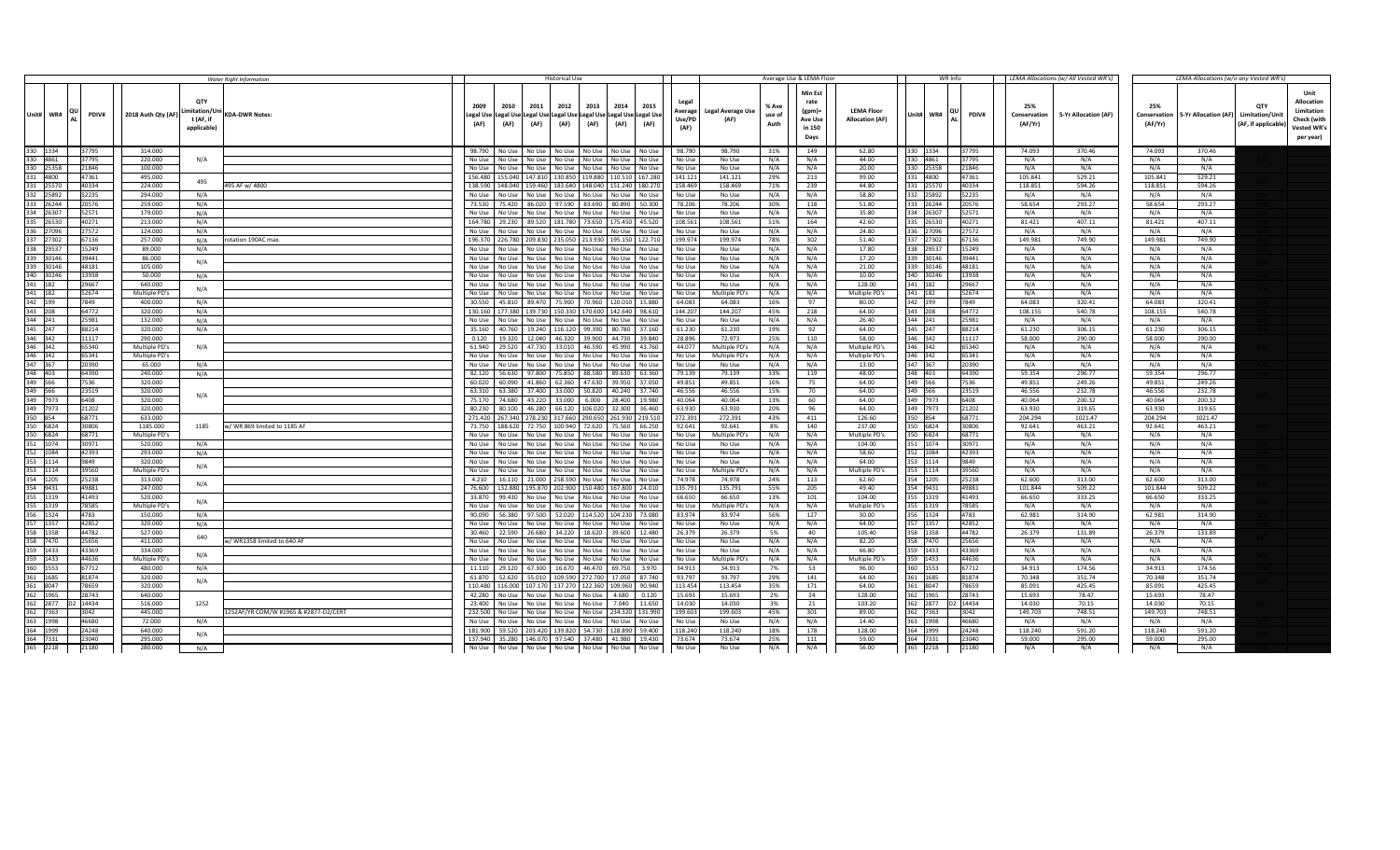|                       | <b>Water Right Information</b> |                |                               |                                                 |                                      |                  | <b>Historical Use</b> |                             |               |                                                                                                           |               | Average Use & LEMA Floor                            |                                     |                         |                                                                  |                                                      |                       | WR Info               |                                          | LEMA Allocations (w/ All Vested WR's) | LEMA Allocations (w/o any Vested WR's)   |                                                |                                  |                                                                                           |  |
|-----------------------|--------------------------------|----------------|-------------------------------|-------------------------------------------------|--------------------------------------|------------------|-----------------------|-----------------------------|---------------|-----------------------------------------------------------------------------------------------------------|---------------|-----------------------------------------------------|-------------------------------------|-------------------------|------------------------------------------------------------------|------------------------------------------------------|-----------------------|-----------------------|------------------------------------------|---------------------------------------|------------------------------------------|------------------------------------------------|----------------------------------|-------------------------------------------------------------------------------------------|--|
| Unit# WR#<br>330 1334 |                                | <b>PDIV#</b>   | 2018 Auth Qty (AF)<br>314.000 | QTY<br>mitation/Uni<br>t (AF, if<br>applicable) | <b>KDA-DWR Notes:</b>                | 2009<br>(AF)     | 2010                  | 2011<br>$(AF)$ $(AF)$       | 2012          | 2013<br>Legal Use Legal Use Legal Use Legal Use Legal Use Legal Use Legal Use<br>(AF) (AF) (AF) (AF)      | 2014 2015     | Legal<br><b>Average</b><br>Use/PD<br>(AF)<br>98.790 | Legal Average Use<br>(AF)<br>98.790 | % Ave<br>use of<br>Auth | <b>Min Est</b><br>rate<br>$(gpm)$ =<br>Ave Use<br>in 150<br>Days | <b>LEMA Floor</b><br><b>Allocation (AF)</b><br>62.80 | Unit# WR#<br>330 1334 | <b>PDIV#</b><br>37795 | 25%<br>Conservation<br>(AF/Yr)<br>74.093 | 5-Yr Allocation (AF)<br>370.46        | 25%<br>Conservation<br>(AF/Yr)<br>74.093 | 5-Yr Allocation (AF) Limitation/Unit<br>370.46 | <b>OT</b><br>(AF, if applicable) | Unit<br><b>Allocation</b><br>Limitation<br>Check (with<br><b>Vested WR's</b><br>per year) |  |
| 330 4861              |                                | 37795<br>37795 | 220.000                       | $N/\Delta$                                      |                                      | No Use           |                       |                             |               | 98.790   No Use   No Use   No Use   No Use   No Use   No Use<br>No Use No Use No Use No Use No Use No Use |               | No Use                                              | No Use                              | 31%<br>N/A              | 149<br>N/A                                                       | 44.00                                                | 330 4861              | 37795                 | N/A                                      | N/A                                   | N/A                                      | N/A                                            |                                  |                                                                                           |  |
| 330 25358             |                                | 21846          | 100,000                       |                                                 |                                      | <b>No Lise</b>   |                       |                             |               | No Use No Use No Use No Use No Use No Use                                                                 |               | No Use                                              | No Use                              | N/A                     | N/A                                                              | 20.00                                                | 330 25358             | 21846                 | N/A                                      | N/A                                   | N/A                                      | N/A                                            |                                  |                                                                                           |  |
| 331 4800              |                                | 47361          | 495.000                       |                                                 |                                      |                  |                       |                             |               | 156.480   155.040   147.810   130.850   119.880   110.510   167.280                                       |               | 141.121                                             | 141.121                             | 29%                     | 213                                                              | 99.00                                                | 331 4800              | 47361                 | 105.841                                  | 529.21                                | 105.841                                  | 529.21                                         |                                  |                                                                                           |  |
| 331 25570             |                                | 40334          | 224.000                       | 495                                             | 95 AF w/ 4800                        |                  |                       |                             |               | 138.590 148.040 159.460 183.640 148.040 151.240 180.270                                                   |               | 158.469                                             | 158.469                             | 71%                     | 239                                                              | 44.80                                                | 331 25570             | 40334                 | 118.851                                  | 594.26                                | 118.851                                  | 594.26                                         |                                  |                                                                                           |  |
| 332 25892             |                                | 52235          | 294.000                       | N/A                                             |                                      |                  |                       |                             |               | No Use   No Use   No Use   No Use   No Use   No Use   No Use                                              |               | No Use                                              | No Use                              | N/A                     | N/A                                                              | 58.80                                                | 332 25892             | 52235                 | N/A                                      | N/A                                   | N/A                                      | N/A                                            |                                  |                                                                                           |  |
| 333 26244             |                                | 20576          | 259.000                       | N/A                                             |                                      |                  |                       |                             |               | 73.530 75.420 86.020 97.590 83.690 80.890 50.300                                                          |               | 78.206                                              | 78.206                              | 30%                     | 118                                                              | 51.80                                                | 333 26244             | 20576                 | 58.654                                   | 293.27                                | 58.654                                   | 293.27                                         |                                  |                                                                                           |  |
| 334 26307             |                                | 52571          | 179,000                       | N/A                                             |                                      | No Use           |                       |                             |               | No Use No Use No Use No Use No Use No Use                                                                 |               | No Use                                              | No Use                              | N/A                     | N/A                                                              | 35.80                                                | 334 26307             | 52571                 | N/A                                      | N/A                                   | N/A                                      | N/A                                            |                                  |                                                                                           |  |
| 335 26530             |                                | 40271          | 213.000                       | N/A                                             |                                      |                  |                       |                             |               | 164.780 29.230 89.520 181.780 73.650 175.450 45.520                                                       |               | 108.561                                             | 108.561                             | 51%                     | 164                                                              | 42.60                                                | 335 26530             | 40271                 | 81.421                                   | 407.11                                | 81.421                                   | 407.11                                         |                                  |                                                                                           |  |
| 336 27096             |                                | 27572          | 124,000                       | N/A                                             |                                      |                  |                       |                             |               | No Use   No Use   No Use   No Use   No Use   No Use   No Use                                              |               | No Use                                              | No Use                              | N/A                     | N/A                                                              | 24.80                                                | 336 27096             | 27572                 | N/A                                      | N/A                                   | N/A                                      | N/A                                            |                                  |                                                                                           |  |
| 337 27302             |                                | 67136          | 257.000                       | N/A                                             | otation 190AC max.                   |                  |                       |                             |               | 196.370 226.780 209.830 235.050 213.930 195.150 122.710                                                   |               | 99.974                                              | 199.974                             | 78%                     | 302                                                              | 51.40                                                | 337 27302             | 67136                 | 149.981                                  | 749.90                                | 149.981                                  | 749.90                                         |                                  |                                                                                           |  |
| 338 29537             |                                | 15249          | 89,000                        | N/A                                             |                                      |                  |                       |                             |               | No Use No Use No Use No Use No Use No Use No Use                                                          |               | No Use                                              | No Use                              | N/A                     | N/A                                                              | 17.80                                                | 338 29537             | 15249                 | N/A                                      | N/A                                   | N/A                                      | N/A                                            |                                  |                                                                                           |  |
| 339 30146             |                                | 39441          | 86.000                        |                                                 |                                      |                  |                       |                             |               | No Use   No Use   No Use   No Use   No Use   No Use   No Use                                              |               | No Use                                              | No Use                              | N/A                     | N/A                                                              | 17.20                                                | 339 30146             | 39441                 | N/A                                      | N/A                                   | N/A                                      | N/A                                            |                                  |                                                                                           |  |
| 339 30146             |                                | 48181          | 105.000                       | N/A                                             |                                      |                  |                       |                             |               | No Use   No Use   No Use   No Use   No Use   No Use   No Use                                              |               | No Use                                              | No Use                              | N/A                     | N/A                                                              | 21.00                                                | 39 30146              | 48181                 | N/A                                      | N/A                                   | N/A                                      | N/A                                            |                                  |                                                                                           |  |
| 340 30246             |                                | 13938          | 50.000                        | N/A                                             |                                      |                  |                       |                             |               | No Use   No Use   No Use   No Use   No Use   No Use   No Use                                              |               | No Use                                              | No Use                              | N/A                     | N/A                                                              | 10.00                                                | 340 30246             | 13938                 | N/A                                      | N/A                                   | N/A                                      | N/A                                            |                                  |                                                                                           |  |
| 341 182               |                                | 29667          | 640.000                       | N/A                                             |                                      |                  |                       |                             |               | No Use No Use No Use No Use No Use No Use No Use                                                          |               | No Use                                              | No Use                              | N/A                     | N/A                                                              | 128.00                                               | 341 182               | 29667                 | N/A                                      | N/A                                   | N/A                                      | N/A                                            |                                  |                                                                                           |  |
| 341 182               |                                | 52674          | Multiple PD's                 |                                                 |                                      |                  |                       |                             |               | No Use No Use No Use No Use No Use No Use No Use                                                          |               | No Use                                              | Multiple PD's                       | N/A                     | N/A                                                              | Multiple PD's                                        | 341   182             | 52674                 | N/A                                      | N/A                                   | N/A                                      | N/A                                            |                                  |                                                                                           |  |
| 342 199               |                                | 7849           | 400.000                       | N/A                                             |                                      | 30.550           |                       |                             |               | 45.810 89.470 75.900 70.960 120.010 15.880                                                                |               | 64.083                                              | 64.083                              | 16%                     | 97                                                               | 80.00                                                | 342 199               | 7849                  | 64.083                                   | 320.41                                | 64.083                                   | 320.41                                         |                                  |                                                                                           |  |
| 343 208               |                                | 64772          | 320.000                       | N/A                                             |                                      |                  |                       |                             |               | 130.160   177.380   139.730   150.330   170.600   142.640   98.610                                        |               | 144.20                                              | 144.207                             | 45%                     | 218                                                              | 64.00                                                | 343 208               | 64772                 | 108.155                                  | 540.78                                | 108.155                                  | 540.78                                         |                                  |                                                                                           |  |
| 344 241               |                                | 25981          | 132,000                       | N/A                                             |                                      |                  |                       |                             |               | No Use   No Use   No Use   No Use   No Use   No Use   No Use                                              |               | No Use                                              | No Use                              | N/A                     | N/A                                                              | 26.40                                                | 344 241               | 25981                 | N/A                                      | N/A                                   | N/A                                      | N/A                                            |                                  |                                                                                           |  |
| 345 247               |                                | 88214          | 320.000                       | N/A                                             |                                      | 35.160           |                       |                             |               | 40.760   19.240   116.120   99.390   80.780   37.160                                                      |               | 61.230                                              | 61.230                              | 19%                     | 92                                                               | 64.00                                                | 345 247               | 88214                 | 61.230                                   | 306.15                                | 61.230                                   | 306.15                                         |                                  |                                                                                           |  |
| 346 342               |                                | 11117          | 290,000                       |                                                 |                                      |                  |                       |                             |               | 0.120   19.320   12.040   46.320   39.900   44.730   39.840                                               |               | 28.896                                              | 72.973                              | 25%                     | 110                                                              | 58.00                                                | 346 342               | 11117                 | 58,000                                   | 290.00                                | 58,000                                   | 290.00                                         |                                  |                                                                                           |  |
| 346 342               |                                | 65340          | Multiple PD's                 | N/A                                             |                                      | 61.940           |                       |                             |               | 29.520 47.730 33.010 46.590 45.990 43.760                                                                 |               | 44.077                                              | Multiple PD's                       | N/A                     | N/A                                                              | Multiple PD's                                        | 46 342                | 65340                 | N/A                                      | N/A                                   | N/A                                      | N/A                                            |                                  |                                                                                           |  |
| 346 342               |                                | 65341          | Multiple PD's                 |                                                 |                                      |                  |                       |                             |               | No Use   No Use   No Use   No Use   No Use   No Use   No Use                                              |               | No Use                                              | Multiple PD's                       | N/A                     | N/A                                                              | Multiple PD's                                        | 46 342                | 65341                 | N/A                                      | N/A                                   | N/A                                      | N/A                                            |                                  |                                                                                           |  |
| 347 367               |                                | 20390          | 65,000                        | N/A                                             |                                      |                  |                       |                             |               | No Use   No Use   No Use   No Use   No Use   No Use   No Use                                              |               | No Use                                              | No Use                              | N/A                     | N/A                                                              | 13.00                                                | 347 367               | 20390                 | N/A                                      | N/A                                   | N/A                                      | N/A                                            |                                  |                                                                                           |  |
| 348 403               |                                | 64390          | 240.000                       | N/A                                             |                                      | 82.120           |                       | 56.630 97.800 75.850 88.580 |               |                                                                                                           | 89.630 63.360 | 79.139                                              | 79.139                              | 33%                     | 119                                                              | 48.00                                                | 348 403               | 64390                 | 59.354                                   | 296.77                                | 59.354                                   | 296.77                                         |                                  |                                                                                           |  |
| 349 566               |                                | 7536           | 320.000                       |                                                 |                                      | 60.020<br>63.310 |                       | 60.090 41.860               | 62.360 47.630 |                                                                                                           | 39.950 37.050 | 49.851                                              | 49.851<br>46.556                    | 16%                     | 75                                                               | 64.00                                                | 349 566               | 7536                  | 49.851                                   | 249.26                                | 49.851                                   | 249.26                                         |                                  |                                                                                           |  |
| 349 566<br>349 7973   |                                | 23519<br>6408  | 320.000<br>320.000            | N/A                                             |                                      | 75.170           |                       | 63.380 37.400 33.000 50.820 |               | 74.680 43.220 33.000 6.000 28.400 19.980                                                                  | 40.240 37.740 | 46.556<br>40.064                                    | 40.064                              | 15%<br>13%              | 70<br>60                                                         | 64.00<br>64.00                                       | 349 566<br>349 7973   | 23519<br>6408         | 46.556<br>40.064                         | 232.78<br>200.32                      | 46.556<br>40.064                         | 232.78<br>200.32                               |                                  |                                                                                           |  |
| 349 7973              |                                | 21202          | 320,000                       |                                                 |                                      |                  |                       |                             |               | 80.230 80.100 46.280 66.120 106.020 32.300 36.460                                                         |               | 63,930                                              | 63.930                              | 20%                     | 96                                                               | 64.00                                                | 349 7973              | 21202                 | 63.930                                   | 319.65                                | 63.930                                   | 319.65                                         |                                  |                                                                                           |  |
| 350 854               |                                | 68771          | 633.000                       |                                                 |                                      |                  |                       |                             |               | 271.420 267.340 278.230 317.660 290.650 261.930 219.510                                                   |               | 272.391                                             | 272.391                             | 43%                     | 411                                                              | 126.60                                               | 350 854               | 68771                 | 204.294                                  | 1021.47                               | 204.294                                  | 1021.47                                        |                                  |                                                                                           |  |
| 350 6824              |                                | 30806          | 1185.000                      | 1185                                            | // WR 869 limited to 1185 AF         | 71.750           |                       |                             |               | 188.620 72.750 100.940 72.620 75.560 66.250                                                               |               | 92.641                                              | 92.641                              | 8%                      | 140                                                              | 237.00                                               | 50 6824               | 30806                 | 92.641                                   | 463.21                                | 92.641                                   | 463.21                                         |                                  |                                                                                           |  |
| 350 6824              |                                | 68771          | Multiple PD's                 |                                                 |                                      |                  |                       |                             |               | No Use   No Use   No Use   No Use   No Use   No Use   No Use                                              |               | No Use                                              | Multiple PD's                       | N/A                     | N/A                                                              | Multiple PD's                                        | 350 6824              | 68771                 | N/A                                      | N/A                                   | N/A                                      | N/A                                            |                                  |                                                                                           |  |
| 351 1074              |                                | 30971          | 520,000                       | N/A                                             |                                      |                  |                       |                             |               | No Use   No Use   No Use   No Use   No Use   No Use   No Use                                              |               | No Use                                              | No Use                              | N/A                     | N/A                                                              | 104.00                                               | 351 1074              | 30971                 | N/A                                      | N/A                                   | N/A                                      | N/A                                            |                                  |                                                                                           |  |
| 352 1084              |                                | 42393          | 293.000                       | N/A                                             |                                      |                  |                       |                             |               | No Use   No Use   No Use   No Use   No Use   No Use   No Use                                              |               | No Use                                              | No Use                              | N/A                     | N/A                                                              | 58.60                                                | 352 1084              | 42393                 | N/A                                      | N/A                                   | N/A                                      | N/A                                            |                                  |                                                                                           |  |
| 353 1114              |                                | 9849           | 320.000                       | N/A                                             |                                      |                  |                       |                             |               | No Use   No Use   No Use   No Use   No Use   No Use   No Use                                              |               | No Use                                              | No Use                              | N/A                     | N/A                                                              | 64.00                                                | 353 1114              | 9849                  | N/A                                      | N/A                                   | N/A                                      | N/A                                            |                                  |                                                                                           |  |
| 353 1114              |                                | 39560          | Multiple PD's                 |                                                 |                                      |                  |                       |                             |               | No Use   No Use   No Use   No Use   No Use   No Use   No Use                                              |               | No Use                                              | Multiple PD's                       | N/A                     | N/A                                                              | Multiple PD's                                        | 53 1114               | 39560                 | N/A                                      | N/A                                   | N/A                                      | N/A                                            |                                  |                                                                                           |  |
| 354 1205              |                                | 25238          | 313.000                       | N/A                                             |                                      | 4.210            |                       |                             |               | 16.110 21.000 258.590 No Use No Use No Use                                                                |               | 74.978                                              | 74.978                              | 24%                     | 113                                                              | 62.60                                                | 354 1205              | 25238                 | 62.600                                   | 313.00                                | 62.600                                   | 313.00                                         |                                  |                                                                                           |  |
| 354 9431              |                                | 49881          | 247.000                       |                                                 |                                      |                  |                       |                             |               | 76.600   132.880   195.870   202.900   150.480   167.800   24.010                                         |               | 135.79                                              | 135.791                             | 55%                     | 205                                                              | 49.40                                                | 54 9431               | 49881                 | 101.844                                  | 509.22                                | 101.844                                  | 509.22                                         |                                  |                                                                                           |  |
| 355 1319              |                                | 41493          | 520,000                       | N/A                                             |                                      |                  |                       |                             |               | 33.870 99.430 No Use No Use No Use No Use No Use                                                          |               | 66.650                                              | 66.650                              | 13%                     | 101                                                              | 104.00                                               | 55 1319               | 41493                 | 66.650                                   | 333.25                                | 66,650                                   | 333.25                                         |                                  |                                                                                           |  |
| 355 1319              |                                | 78585          | Multiple PD's                 |                                                 |                                      |                  |                       |                             |               | No Use No Use No Use No Use No Use No Use No Use                                                          |               | No Use                                              | Multiple PD's                       | N/A                     | N/A                                                              | Multiple PD's                                        | 355 1319              | 78585                 | N/A                                      | N/A                                   | N/A                                      | N/A                                            |                                  |                                                                                           |  |
| 356 1324              |                                | 4783           | 150.000                       | N/A                                             |                                      |                  |                       |                             |               | 90.090 56.380 97.500 52.020 114.520 104.230 73.080                                                        |               | 83.974                                              | 83.974                              | 56%                     | 127                                                              | 30.00                                                | 356 1324              | 4783                  | 62.981                                   | 314.90                                | 62.981                                   | 314.90                                         |                                  |                                                                                           |  |
| 357 1357              |                                | 42852          | 320,000                       | N/A                                             |                                      |                  |                       |                             |               | No Use No Use No Use No Use No Use No Use No Use                                                          |               | No Use                                              | No Use                              | N/A                     | N/A                                                              | 64.00                                                | 57 1357               | 42852                 | N/A                                      | N/A                                   | N/A                                      | N/A                                            |                                  |                                                                                           |  |
| 358 1358<br>358 7470  |                                | 44782<br>25656 | 527.000<br>411.000            | 640                                             | / WR1358 limited to 640 AF           | 30.460<br>No Use |                       |                             |               | 22.590 26.680 34.220 18.620 39.600 12.480<br>No Use No Use No Use No Use No Use No Use                    |               | 26.379<br>No Use                                    | 26.379<br>No Use                    | 5%<br>N/A               | 40<br>N/A                                                        | 105.40<br>82.20                                      | 358 1358<br>358 7470  | 44782<br>25656        | 26.379<br>N/A                            | 131.89<br>N/A                         | 26.379<br>N/A                            | 131.89<br>N/A                                  |                                  |                                                                                           |  |
|                       |                                |                |                               |                                                 |                                      |                  |                       |                             |               |                                                                                                           |               |                                                     |                                     |                         |                                                                  |                                                      |                       |                       |                                          |                                       |                                          |                                                |                                  |                                                                                           |  |
| 359 1433<br>359 1433  |                                | 43369<br>44636 | 334.000<br>Multiple PD's      | N/A                                             |                                      | No Use           |                       |                             |               | No Use   No Use   No Use   No Use   No Use   No Use   No Use<br>No Use No Use No Use No Use No Use No Use |               | No Use<br>No Use                                    | No Use<br>Multiple PD's             | N/A<br>N/A              | N/A<br>N/A                                                       | 66.80<br>Multiple PD's                               | 59 1433<br>359 1433   | 43369<br>44636        | N/A<br>N/A                               | N/A<br>N/A                            | N/A<br>N/A                               | N/A<br>N/A                                     |                                  |                                                                                           |  |
| 360 1553              |                                | 67712          | 480,000                       | N/A                                             |                                      | 11.110           |                       |                             |               | 29.120 67.300 16.670 46.470 69.750 3.970                                                                  |               | 34.913                                              | 34.913                              | 7%                      | 53                                                               | 96.00                                                | 60 1553               | 67712                 | 34.913                                   | 174.56                                | 34.913                                   | 174.56                                         |                                  |                                                                                           |  |
| 361 1685              |                                | 81874          | 320.000                       |                                                 |                                      |                  |                       |                             |               | 61.870   52.620   55.010   109.590   272.700   17.050   87.740                                            |               | 93.797                                              | 93.797                              | 29%                     | 141                                                              | 64.00                                                | 361 1685              | 81874                 | 70.348                                   | 351.74                                | 70.348                                   | 351.74                                         |                                  |                                                                                           |  |
| 361 8047              |                                | 78659          | 320,000                       | N/A                                             |                                      |                  |                       |                             |               | 110.480 116.000 107.170 137.270 122.360 109.960 90.940                                                    |               | 113.454                                             | 113,454                             | 35%                     | 171                                                              | 64.00                                                | 8047                  | 78659                 | 85.091                                   | 425.45                                | 85.091                                   | 425.45                                         |                                  |                                                                                           |  |
| 362 1965              |                                | 28743          | 640.000                       |                                                 |                                      |                  |                       |                             |               | 42.280   No Use   No Use   No Use   No Use   4.680   0.120                                                |               | 15.693                                              | 15.693                              | 2%                      | 24                                                               | 128.00                                               | 362 1965              | 28743                 | 15.693                                   | 78.47                                 | 15.693                                   | 78.47                                          |                                  |                                                                                           |  |
| 362 2877              |                                | D2 14434       | 516.000                       | 1252                                            |                                      | 23.400           |                       |                             |               | No Use No Use No Use No Use 7.040 11.650                                                                  |               | 14.030                                              | 14.030                              | 3%                      | 21                                                               | 103.20                                               | 62 2877 D2 14434      |                       | 14.030                                   | 70.15                                 | 14.030                                   | 70.15                                          |                                  |                                                                                           |  |
| 362 7363              |                                | 3042           | 445.000                       |                                                 | 252AF/YR COM/W #1965 & #2877-D2/CERT |                  |                       |                             |               | 232.500   No Use   No Use   No Use   No Use   234.320   131.990                                           |               | 199.60                                              | 199.603                             | 45%                     | 301                                                              | 89.00                                                | 52 7363               | 3042                  | 149.703                                  | 748.51                                | 149.703                                  | 748.51                                         |                                  |                                                                                           |  |
| 363 1998              |                                | 46680          | 72.000                        | N/A                                             |                                      | No Use           |                       |                             |               | No Use   No Use   No Use   No Use   No Use   No Use                                                       |               | No Use                                              | No Use                              | N/A                     | N/A                                                              | 14.40                                                | 63 1998               | 46680                 | N/A                                      | N/A                                   | N/A                                      | N/A                                            |                                  |                                                                                           |  |
| 364 1999              |                                | 24248          | 640,000                       | N/A                                             |                                      |                  |                       |                             |               | 181,900 59,520 203,420 139,820 54,730 128,890 59,400                                                      |               | 118,240                                             | 118,240                             | 18%                     | 178                                                              | 128.00                                               | 364 1999              | 24248                 | 118,240                                  | 591.20                                | 118,240                                  | 591.20                                         |                                  |                                                                                           |  |
| 364 7331              |                                | 23040          | 295.000                       |                                                 |                                      |                  |                       |                             |               | 137.940 35.280 146.070 97.540 37.480 41.980 19.430                                                        |               | 73.674                                              | 73.674                              | 25%                     | 111                                                              | 59.00                                                | 364 7331              | 23040                 | 59,000                                   | 295.00                                | 59.000                                   | 295.00                                         |                                  |                                                                                           |  |
| 365 2218              |                                | 21180          | 280.000                       | N/A                                             |                                      |                  |                       |                             |               | No Use No Use No Use No Use No Use No Use No Use                                                          |               | No Use                                              | No Use                              | N/A                     | N/A                                                              | 56.00                                                | 365 2218              | 21180                 | N/A                                      | N/A                                   | N/A                                      | N/A                                            |                                  |                                                                                           |  |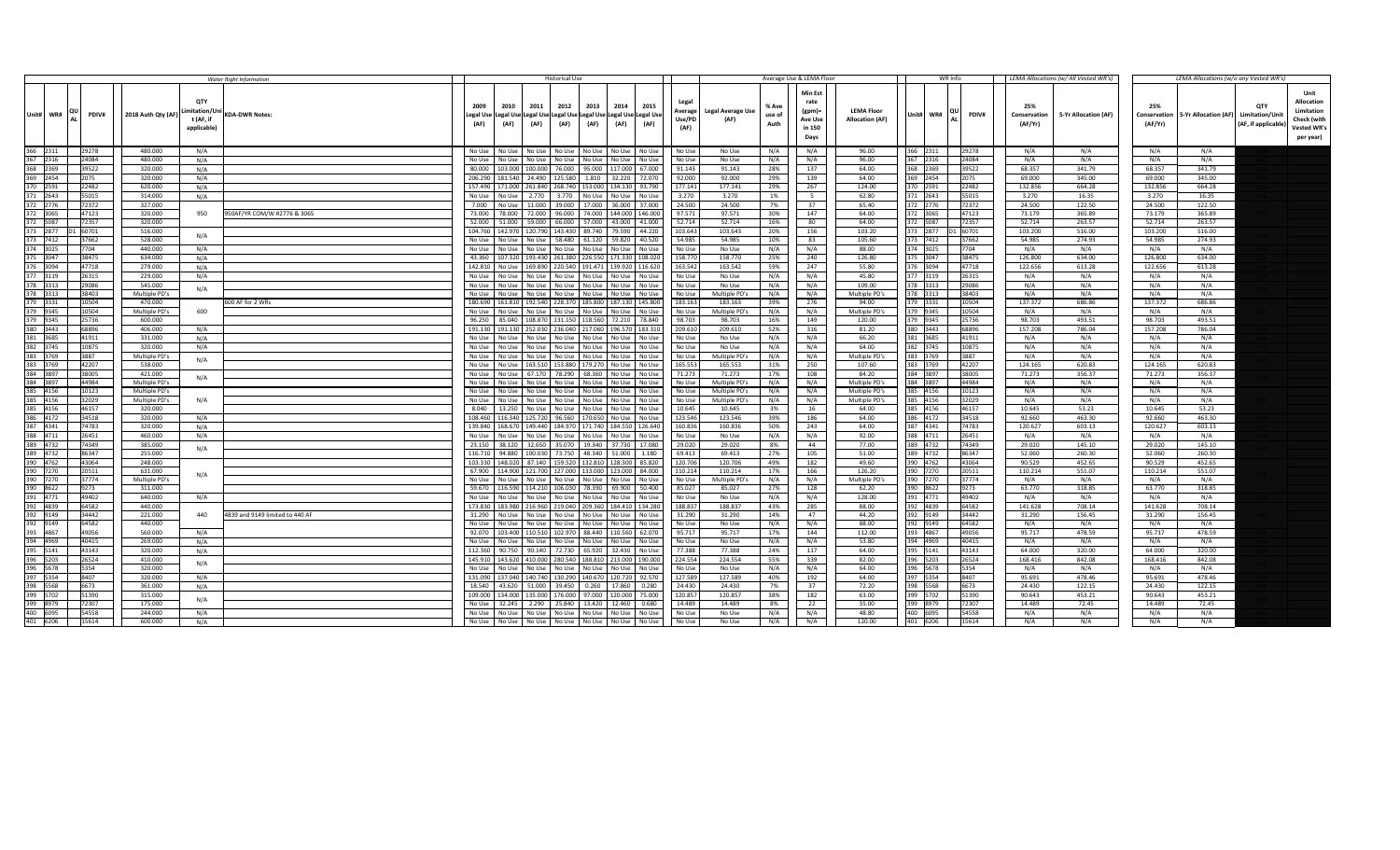| Unit<br>Min Est<br>OTY<br><b>Allocation</b><br>Legal<br>rate<br>2010<br>2011<br>2012<br>2013<br>2014<br>2009<br>2015<br>% Ave<br>25%<br>25%<br>QTY<br>$(gpm)$ =<br><b>LEMA Floor</b><br>.imitation/Uni<br>Average<br><b>Legal Average Use</b><br>Limitation<br>Unit# $WR#$<br>Unit# $WR#$ $\left  \begin{array}{c} 4C \\ 4L \end{array} \right $<br>2018 Auth Qty (AF)<br><b>KDA-DWR Notes:</b><br>Legal Use Legal Use Legal Use Legal Use Legal Use Legal Use Legal Use<br>5-Yr Allocation (AF)<br>Conservation 5-Yr Allocation (AF)<br><b>PDIV#</b><br>use of<br>Conservation<br><b>Limitation/Unit</b><br><b>PDIV#</b><br>Use/PD<br><b>Allocation (AF)</b><br>t (AF, if<br>(AF)<br><b>Ave Use</b><br>Check (with<br>(AF)<br>(AF)<br>(AF)<br>(AF)  <br>(AF)<br>(AF)<br>(AF/Yr)<br>(AF/Yr)<br>(AF, if applicable<br>(AF)<br>Auth<br>applicable)<br>(AF)<br>Vested WR's<br>in 150<br>Days<br>per year)<br>480.000<br>96.00<br>366 2311<br>29278<br>N/A<br>No Use   No Use   No Use   No Use   No Use   No Use   No Use<br>No Use<br>No Use<br>N/A<br>N/A<br>366 2311<br>29278<br>N/A<br>N/A<br>N/A<br>N/A<br>N/A<br>N/A<br>96.00<br>N/A<br>N/A<br>367 2316<br>24084<br>480,000<br>N/A<br>No Use   No Use   No Use   No Use   No Use   No Use   No Use<br>No Use<br>No Use<br>367 2316<br>24084<br>N/A<br>N/A<br>137<br>320,000<br>N/A<br>80.000   103.000   100.000   76.000   95.000   117.000   67.000<br>91.143<br>91.143<br>28%<br>64.00<br>368 2369<br>39522<br>68.357<br>341.79<br>68.357<br>39522<br>341.79<br>368 2369<br>320,000<br>206.290 181.540 24.490 125.580 1.810 32.220 72.070<br>92,000<br>92.000<br>29%<br>139<br>64.00<br>69,000<br>345.00<br>345.00<br>N/A<br>369 2454<br>2075<br>69,000<br>369 2454<br>2075<br>22482<br>620,000<br>N/A<br>157.490 171.000 261.840 268.740 153.000 134.130 93.790<br>177.141<br>177.141<br>29%<br>267<br>124.00<br>22482<br>132.856<br>664.28<br>132.856<br>370 2591<br>370 2591<br>664.28<br>No Use   No Use   2.770   3.770   No Use   No Use   No Use<br>55015<br>314.000<br>3.270<br>3.270<br>1%<br>62.80<br>371 2643<br>55015<br>3.270<br>16.35<br>3.270<br>16.35<br>371 2643<br>N/A<br>- 5<br>72372<br>327.000<br>7.000 No Use 11.000 39.000 17.000 36.000 37.000<br>24.500<br>24.500<br>7%<br>37<br>65.40<br>72372<br>24.500<br>122.50<br>24,500<br>122.50<br>372 2776<br>372 2776<br>47123<br>320.000<br>73.000 78.000 72.000 96.000 74.000 144.000 146.000<br>97.571<br>30%<br>147<br>64.00<br>47123<br>365.89<br>372 3065<br>950<br>950AF/YR COM/W #2776 & 3065<br>97.571<br>372 3065<br>73.179<br>73.179<br>365.89<br>72357<br>320.000<br>52.000 51.000 59.000 66.000 57.000 43.000 41.000<br>52.714<br>52.714<br>16%<br>80<br>64.00<br>372 5087<br>72357<br>52.714<br>263.57<br>52.714<br>263.57<br>372 5087<br>D1 60701<br>516.000<br>104.760 142.970 120.790 143.430 89.740 79.590 44.220<br>103.643<br>103.643<br>20%<br>156<br>103.20<br>373 2877<br>D1 60701<br>103.200<br>516.00<br>103.200<br>516.00<br>373 2877<br>N/A<br>37662<br>528.000<br>No Use   No Use   No Use   58.480   61.120   59.820   40.520<br>54.985<br>54.985<br>10%<br>83<br>105.60<br>373 7412<br>37662<br>54.985<br>274.93<br>54.985<br>274.93<br>373 7412<br>N/A<br>7704<br>440.000<br>No Use No Use No Use No Use No Use No Use No Use<br>No Use<br>No Use<br>N/A<br>88.00<br>374 3025<br>7704<br>N/A<br>N/A<br>N/A<br>374 3025<br>N/A<br>N/A<br>240<br>375 3047<br>38475<br>634.000<br>N/A<br>43.360   107.320   193.430   261.380   226.550   171.330   108.020<br>158,770<br>158,770<br>25%<br>126.80<br>375 3047<br>38475<br>126.800<br>634.00<br>126,800<br>634.00<br>247<br>142.810 No Use 169.890 220.540 191.471 139.920 116.620<br>163.542<br>59%<br>47718<br>279.000<br>N/A<br>163.542<br>55.80<br>47718<br>122.656<br>613.28<br>122.656<br>613.28<br>376 3094<br>376 3094<br>N/A<br>N/A<br>N/A<br>377 3119<br>26315<br>229.000<br>N/A<br>No Use   No Use   No Use   No Use   No Use   No Use<br>No Use<br>No Use<br>45.80<br>377 3119<br>26315<br>N/A<br>N/A<br>N/A<br>No Use   No Use   No Use   No Use   No Use   No Use   No Use<br>N/A<br>N/A<br>29086<br>545.000<br>No Use<br>No Use<br>N/A<br>109.00<br>29086<br>N/A<br>N/A<br>N/A<br>378 3313<br>378 3313<br>N/A<br>38403<br>Multiple PD's<br>No Use No Use No Use No Use No Use No Use No Use<br>No Use<br>Multiple PD's<br>N/A<br>N/A<br>Multiple PD's<br>378 3313<br>38403<br>N/A<br>N/A<br>N/A<br>378 3313<br>N/A<br>10504<br>470,000<br>180.690   161.810   192.540   228.370   185.800   187.130   145.800<br>39%<br>276<br>94.00<br>10504<br>137.372<br>686.86<br>137.372<br>686.86<br>379 3331<br>500 AF for 2 WRs<br>183.163<br>183.163<br>379 3331<br>No Use   No Use   No Use   No Use   No Use  <br>N/A<br>N/A<br>10504<br>379 9345<br>10504<br>Multiple PD's<br>No Use No Use<br>No Use<br>Multiple PD's<br>Multiple PD's<br>379 9345<br>N/A<br>N/A<br>N/A<br>N/A<br>600<br>25736<br>600,000<br>96.250 85.040 108.870 131.150 118.560 72.210 78.840<br>98.703<br>16%<br>149<br>120.00<br>25736<br>98.703<br>493.51<br>98.703<br>493.51<br>379 9345<br>98.703<br>379 9345<br>191.130   191.130   252.030   236.040   217.060   196.570   183.310<br>316<br>380 3443<br>68896<br>406.000<br>209.610<br>209.610<br>52%<br>81.20<br>380 3443<br>68896<br>157.208<br>786.04<br>157.208<br>786.04<br>N/A<br>41911<br>331.000<br>No Use No Use No Use No Use No Use No Use No Use<br>No Use<br>No Use<br>N/A<br>N/A<br>66.20<br>41911<br>N/A<br>N/A<br>381 3685<br>N/A<br>381 3685<br>N/A<br>N/A<br>320,000<br>No Use No Use No Use No Use No Use No Use No Use<br>No Use<br>N/A<br>N/A<br>64.00<br>10875<br>N/A<br>N/A<br>382 3745<br>10875<br>N/A<br>No Use<br>382 3745<br>N/A<br>N/A<br>3887<br>Multiple PD's<br>No Use No Use No Use No Use No Use No Use No Use<br>No Use<br>Multiple PD's<br>N/A<br>N/A<br>Multiple PD's<br>383 3769<br>N/A<br>N/A<br>N/A<br>N/A<br>383 3769<br>3887<br>N/A<br>No Use   No Use   163.510   153.880   179.270   No Use   No Use<br>383 3769<br>42207<br>538.000<br>31%<br>250<br>383 3769<br>42207<br>124.165<br>620.83<br>124.165<br>165.553<br>165.553<br>107.60<br>620.83<br>384 3897<br>38005<br>421.000<br>No Use   No Use   67.170   78.290   68.360   No Use   No Use<br>71.273<br>108<br>38005<br>71.273<br>17%<br>84.20<br>71.273<br>356.37<br>71.273<br>384 3897<br>356.37<br>N/A<br>N/A<br>44984<br>384 3897<br>44984<br>Multiple PD's<br>No Use No Use No Use No Use No Use<br>No Use<br>Multiple PD's<br>N/A<br>Multiple PD's<br>384 3897<br>N/A<br>N/A<br>N/A<br>N/A<br>No Use No Use<br>10123<br>No Use No Use No Use No Use No Use<br>Multiple PD's<br>N/A<br>N/A<br>Multiple PD's<br>10123<br>N/A<br>N/A<br>385 4156<br>Multiple PD's<br>No Use No Use<br>No Use<br>385 4156<br>N/A<br>N/A<br>32029<br>No Use   No Use   No Use   No Use   No Use<br>N/A<br>N/A<br>32029<br>385 4156<br>Multiple PD's<br>N/A<br>No Use No Use<br>No Use<br>Multiple PD's<br>Multiple PD's<br>385 4156<br>N/A<br>N/A<br>N/A<br>N/A<br>46157<br>320,000<br>8.040   13.250   No Use   No Use   No Use   No Use   No Use<br>16<br>53.23<br>385 4156<br>10.645<br>10.645<br>3%<br>64.00<br>385 4156<br>46157<br>10.645<br>10.645<br>53.23<br>34518<br>320,000<br>108.460   116.340   125.720   96.560   170.650   No Use   No Use<br>123.546<br>123.546<br>39%<br>186<br>64.00<br>386 4172<br>34518<br>92.660<br>463.30<br>92.660<br>463.30<br>386 4172<br>N/A<br>139.840 168.670 149.440 184.970 171.740 184.550 126.640<br>50%<br>243<br>64.00<br>603.13<br>387 4341<br>74783<br>320,000<br>N/A<br>160.836<br>160.836<br>387 4341<br>74783<br>120.627<br>120.627<br>603.13<br>388 4711<br>26451<br>460,000<br>No Use No Use No Use No Use No Use No Use No Use<br>No Use<br>No Use<br>N/A<br>N/A<br>92.00<br>26451<br>N/A<br>N/A<br>N/A<br>N/A<br>388 4711<br>N/A<br>74349<br>23.150 38.120 32.650 35.070 19.340 37.730 17.080<br>29,020<br>29.020<br>8%<br>44<br>74349<br>145.10<br>29.020<br>145.10<br>389 4732<br>385,000<br>77.00<br>389 4732<br>29.020<br>N/A<br>116.710 94.880 100.030 73.750 48.340 51.000 1.180<br>255.000<br>69.413<br>27%<br>105<br>86347<br>52.060<br>260.30<br>52.060<br>389 4732<br>86347<br>69.413<br>51.00<br>389 4732<br>260.30<br>248.000<br>103.330   148.020   87.140   159.520   132.810   128.300   85.820<br>120,706<br>182<br>49.60<br>43064<br>120.706<br>49%<br>43064<br>90.529<br>452.65<br>90.529<br>452.65<br>390 4762<br>390 4762<br>67.900   114.900   121.700   127.000   133.000   123.000   84.000<br>20511<br>390 7270<br>20511<br>631.000<br>110.214<br>110.214<br>17%<br>166<br>126.20<br>390 7270<br>110.214<br>551.07<br>110.214<br>551.07<br>N/A<br>37774<br>Multiple PD's<br>No Use No Use No Use No Use No Use No Use No Use<br>No Use<br>Multiple PD's<br>N/A<br>N/A<br>Multiple PD's<br>390 7270<br>37774<br>N/A<br>N/A<br>N/A<br>390 7270<br>N/A<br>85.027<br>27%<br>128<br>9273<br>311.000<br>59.670   116.590   114.210   106.030   78.390   69.900   50.400<br>85.027<br>62.20<br>9273<br>63.770<br>318.85<br>63.770<br>318.85<br>390 8622<br>390 8622<br>49402<br>640,000<br>No Use   No Use   No Use   No Use   No Use   No Use   No Use<br>N/A<br>N/A<br>128.00<br>49402<br>N/A<br>N/A<br>N/A<br>391 4771<br>N/A<br>No Use<br>No Use<br>391 4771<br>N/A<br>173.830   183.980   216.960   219.040   209.360   184.410   134.280<br>64582<br>440,000<br>188,837<br>188.837<br>285<br>88.00<br>64582<br>141.628<br>708.14<br>141.628<br>392 4839<br>43%<br>392 4839<br>708.14<br>34442<br>31.290   No Use   No Use   No Use   No Use   No Use   No Use<br>14%<br>47<br>34442<br>392 9149<br>221.000<br>4839 and 9149 limited to 440 AF<br>31.290<br>31.290<br>44.20<br>392 9149<br>31.290<br>156.45<br>31.290<br>156.45<br>440<br>N/A<br>64582<br>440.000<br>No Use No Use No Use No Use No Use No Use No Use<br>N/A<br>88.00<br>64582<br>N/A<br>392 9149<br>No Use<br>No Use<br>392 9149<br>N/A<br>N/A<br>N/A<br>49056<br>17%<br>144<br>393 4867<br>560,000<br>92.070   103.400   110.510   102.970   88.440   110.560   62.070<br>95.717<br>95.717<br>49056<br>95.717<br>478.59<br>N/A<br>112.00<br>95.717<br>478.59<br>393 4867<br>N/A<br>N/A<br>394 4969<br>40415<br>269.000<br>No Use   No Use   No Use   No Use   No Use   No Use<br>No Use<br>53.80<br>394 4969<br>40415<br>N/A<br>N/A<br>N/A<br>N/A<br>N/A<br>No Use<br>43143<br>320,000<br>112.360 90.750 90.140 72.730 65.920 32.430 No Use<br>77.388<br>77.388<br>24%<br>117<br>64.00<br>43143<br>64,000<br>320.00<br>64,000<br>320.00<br>395 5141<br>N/A<br>395 5141<br>145.910   143.620   410.000   280.540   188.810   213.000   190.000<br>224.554<br>55%<br>339<br>82.00<br>26524<br>842.08<br>5203<br>26524<br>410.000<br>224.554<br>168.416<br>168,416<br>842.08<br>396 5203<br>N/A<br>5354<br>320,000<br>No Use No Use No Use No Use No Use No Use No Use<br>No Use<br>No Use<br>N/A<br>N/A<br>64.00<br>396 5678<br>5354<br>N/A<br>N/A<br>N/A<br>N/A<br>396 5678<br>131.090   137.040   140.740   130.290   140.670   120.720   92.570<br>40%<br>192<br>478.46<br>397 5354<br>8407<br>320,000<br>N/A<br>127.589<br>127.589<br>64.00<br>397 5354<br>8407<br>95.691<br>478.46<br>95.691<br>361.000<br>18.540 43.620 51.000 39.450 0.260 17.860 0.280<br>24.430<br>24,430<br>7%<br>37<br>72.20<br>24.430<br>122.15<br>24.430<br>6673<br>N/A<br>398 5568<br>6673<br>398 5568<br>122.15<br>109.000 134.000 135.000 176.000 97.000 120.000 75.000<br>120.857<br>182<br>63.00<br>51390<br>315.000<br>120.857<br>38%<br>399 5702<br>51390<br>90.643<br>453.21<br>90.643<br>453.21<br>399 5702<br>N/A<br>No Use 32.245 2.290 25.840 13.420 12.460 0.680<br>72307<br>175.000<br>14.489<br>14.489<br>22<br>35.00<br>72307<br>14.489<br>72.45<br>14.489<br>399 8979  <br>8%<br>399 8979<br>72.45<br>244.000<br>No Use No Use No Use No Use No Use No Use No Use<br>No Use<br>N/A<br>N/A<br>48.80<br>54558<br>N/A<br>400 6095<br>54558<br>N/A<br>No Use<br>400 6095<br>N/A<br>N/A<br>N/A<br>No Use No Use No Use No Use No Use No Use No Use<br>401 6206  <br>15614<br>600,000<br>No Use<br>No Use<br>N/A<br>N/A<br>120.00<br>401 6206<br>15614<br>N/A<br>N/A<br>N/A<br>N/A<br>$N/\Delta$ | <b>Water Right Information</b> |  |  | <b>Historical Use</b> |  |  |  |  | Average Use & LEMA Floor |  |  |  |  | WR Info | LEMA Allocations (w/ All Vested WR's) | LEMA Allocations (w/o any Vested WR's) |  |  |
|---------------------------------------------------------------------------------------------------------------------------------------------------------------------------------------------------------------------------------------------------------------------------------------------------------------------------------------------------------------------------------------------------------------------------------------------------------------------------------------------------------------------------------------------------------------------------------------------------------------------------------------------------------------------------------------------------------------------------------------------------------------------------------------------------------------------------------------------------------------------------------------------------------------------------------------------------------------------------------------------------------------------------------------------------------------------------------------------------------------------------------------------------------------------------------------------------------------------------------------------------------------------------------------------------------------------------------------------------------------------------------------------------------------------------------------------------------------------------------------------------------------------------------------------------------------------------------------------------------------------------------------------------------------------------------------------------------------------------------------------------------------------------------------------------------------------------------------------------------------------------------------------------------------------------------------------------------------------------------------------------------------------------------------------------------------------------------------------------------------------------------------------------------------------------------------------------------------------------------------------------------------------------------------------------------------------------------------------------------------------------------------------------------------------------------------------------------------------------------------------------------------------------------------------------------------------------------------------------------------------------------------------------------------------------------------------------------------------------------------------------------------------------------------------------------------------------------------------------------------------------------------------------------------------------------------------------------------------------------------------------------------------------------------------------------------------------------------------------------------------------------------------------------------------------------------------------------------------------------------------------------------------------------------------------------------------------------------------------------------------------------------------------------------------------------------------------------------------------------------------------------------------------------------------------------------------------------------------------------------------------------------------------------------------------------------------------------------------------------------------------------------------------------------------------------------------------------------------------------------------------------------------------------------------------------------------------------------------------------------------------------------------------------------------------------------------------------------------------------------------------------------------------------------------------------------------------------------------------------------------------------------------------------------------------------------------------------------------------------------------------------------------------------------------------------------------------------------------------------------------------------------------------------------------------------------------------------------------------------------------------------------------------------------------------------------------------------------------------------------------------------------------------------------------------------------------------------------------------------------------------------------------------------------------------------------------------------------------------------------------------------------------------------------------------------------------------------------------------------------------------------------------------------------------------------------------------------------------------------------------------------------------------------------------------------------------------------------------------------------------------------------------------------------------------------------------------------------------------------------------------------------------------------------------------------------------------------------------------------------------------------------------------------------------------------------------------------------------------------------------------------------------------------------------------------------------------------------------------------------------------------------------------------------------------------------------------------------------------------------------------------------------------------------------------------------------------------------------------------------------------------------------------------------------------------------------------------------------------------------------------------------------------------------------------------------------------------------------------------------------------------------------------------------------------------------------------------------------------------------------------------------------------------------------------------------------------------------------------------------------------------------------------------------------------------------------------------------------------------------------------------------------------------------------------------------------------------------------------------------------------------------------------------------------------------------------------------------------------------------------------------------------------------------------------------------------------------------------------------------------------------------------------------------------------------------------------------------------------------------------------------------------------------------------------------------------------------------------------------------------------------------------------------------------------------------------------------------------------------------------------------------------------------------------------------------------------------------------------------------------------------------------------------------------------------------------------------------------------------------------------------------------------------------------------------------------------------------------------------------------------------------------------------------------------------------------------------------------------------------------------------------------------------------------------------------------------------------------------------------------------------------------------------------------------------------------------------------------------------------------------------------------------------------------------------------------------------------------------------------------------------------------------------------------------------------------------------------------------------------------------------------------------------------------------------------------------------------------------------------------------------------------------------------------------------------------------------------------------------------------------------------------------------------------------------------------------------------------------------------------------------------------------------------------------------------------------------------------------------------------------------------------------------------------------------------------------------------------------------------------------------------------------------------------------------------------------------------------------------------------------------------------------------------------------------------------------------------------------------------------------------------------------------------------------------------------------------------------------------------------------------------------------------------------------------------------------------------------------------------------------------------------------------------------------------------------------------------------------------------------------------------------------------------------------------------------------------------------------------------------------------------------------------------------------------------------------------------------------------------------------------------------------------------------------------------------------------------------------------------------------------------------------------------------------------------------------------------------------------------------------------------------------------------------------------------------------------------------------------------------------------------------------------------------------------------------------------------------------------------------------------------------------------------------------------------------------------------------------------------------------------------------------------------------------------------------------------------------------------------------------------------------------------------------------------------------------------------------------------------------------------------------------------------------------------------------------------------------------------------------------------------------------------------------------------------------------------------------------------------------------------------------------------------------------------------------------------------------------------------------------------------------------------------------------------------------------------------------------------------------------------------------------------------------------------------------------------------------------------------------------------------------------------------------------------------------------------------------------------------------------------------------------------------------------------------------------------------------------------------------------------------------------------------------------------------------------------------------------------------------------------------------------------------------------------------------------------------------------------------------------------------------------------------------------------------------------------------------------------------------------------------------------------------------------|--------------------------------|--|--|-----------------------|--|--|--|--|--------------------------|--|--|--|--|---------|---------------------------------------|----------------------------------------|--|--|
|                                                                                                                                                                                                                                                                                                                                                                                                                                                                                                                                                                                                                                                                                                                                                                                                                                                                                                                                                                                                                                                                                                                                                                                                                                                                                                                                                                                                                                                                                                                                                                                                                                                                                                                                                                                                                                                                                                                                                                                                                                                                                                                                                                                                                                                                                                                                                                                                                                                                                                                                                                                                                                                                                                                                                                                                                                                                                                                                                                                                                                                                                                                                                                                                                                                                                                                                                                                                                                                                                                                                                                                                                                                                                                                                                                                                                                                                                                                                                                                                                                                                                                                                                                                                                                                                                                                                                                                                                                                                                                                                                                                                                                                                                                                                                                                                                                                                                                                                                                                                                                                                                                                                                                                                                                                                                                                                                                                                                                                                                                                                                                                                                                                                                                                                                                                                                                                                                                                                                                                                                                                                                                                                                                                                                                                                                                                                                                                                                                                                                                                                                                                                                                                                                                                                                                                                                                                                                                                                                                                                                                                                                                                                                                                                                                                                                                                                                                                                                                                                                                                                                                                                                                                                                                                                                                                                                                                                                                                                                                                                                                                                                                                                                                                                                                                                                                                                                                                                                                                                                                                                                                                                                                                                                                                                                                                                                                                                                                                                                                                                                                                                                                                                                                                                                                                                                                                                                                                                                                                                                                                                                                                                                                                                                                                                                                                                                                                                                                                                                                                                                                                                                                                                                                                                                                                                                                                                                                                                                                                                                                                                                                                                                                                                                                                                                                                                                                                                                                                                                                                                                                                                                                                                                                                                                                                                                                                                                                                                                                                                                                                                                                                                                                                                                                                                                                                                                                                                                                                                                                                                                                                                                                                                                                           |                                |  |  |                       |  |  |  |  |                          |  |  |  |  |         |                                       |                                        |  |  |
|                                                                                                                                                                                                                                                                                                                                                                                                                                                                                                                                                                                                                                                                                                                                                                                                                                                                                                                                                                                                                                                                                                                                                                                                                                                                                                                                                                                                                                                                                                                                                                                                                                                                                                                                                                                                                                                                                                                                                                                                                                                                                                                                                                                                                                                                                                                                                                                                                                                                                                                                                                                                                                                                                                                                                                                                                                                                                                                                                                                                                                                                                                                                                                                                                                                                                                                                                                                                                                                                                                                                                                                                                                                                                                                                                                                                                                                                                                                                                                                                                                                                                                                                                                                                                                                                                                                                                                                                                                                                                                                                                                                                                                                                                                                                                                                                                                                                                                                                                                                                                                                                                                                                                                                                                                                                                                                                                                                                                                                                                                                                                                                                                                                                                                                                                                                                                                                                                                                                                                                                                                                                                                                                                                                                                                                                                                                                                                                                                                                                                                                                                                                                                                                                                                                                                                                                                                                                                                                                                                                                                                                                                                                                                                                                                                                                                                                                                                                                                                                                                                                                                                                                                                                                                                                                                                                                                                                                                                                                                                                                                                                                                                                                                                                                                                                                                                                                                                                                                                                                                                                                                                                                                                                                                                                                                                                                                                                                                                                                                                                                                                                                                                                                                                                                                                                                                                                                                                                                                                                                                                                                                                                                                                                                                                                                                                                                                                                                                                                                                                                                                                                                                                                                                                                                                                                                                                                                                                                                                                                                                                                                                                                                                                                                                                                                                                                                                                                                                                                                                                                                                                                                                                                                                                                                                                                                                                                                                                                                                                                                                                                                                                                                                                                                                                                                                                                                                                                                                                                                                                                                                                                                                                                                                                           |                                |  |  |                       |  |  |  |  |                          |  |  |  |  |         |                                       |                                        |  |  |
|                                                                                                                                                                                                                                                                                                                                                                                                                                                                                                                                                                                                                                                                                                                                                                                                                                                                                                                                                                                                                                                                                                                                                                                                                                                                                                                                                                                                                                                                                                                                                                                                                                                                                                                                                                                                                                                                                                                                                                                                                                                                                                                                                                                                                                                                                                                                                                                                                                                                                                                                                                                                                                                                                                                                                                                                                                                                                                                                                                                                                                                                                                                                                                                                                                                                                                                                                                                                                                                                                                                                                                                                                                                                                                                                                                                                                                                                                                                                                                                                                                                                                                                                                                                                                                                                                                                                                                                                                                                                                                                                                                                                                                                                                                                                                                                                                                                                                                                                                                                                                                                                                                                                                                                                                                                                                                                                                                                                                                                                                                                                                                                                                                                                                                                                                                                                                                                                                                                                                                                                                                                                                                                                                                                                                                                                                                                                                                                                                                                                                                                                                                                                                                                                                                                                                                                                                                                                                                                                                                                                                                                                                                                                                                                                                                                                                                                                                                                                                                                                                                                                                                                                                                                                                                                                                                                                                                                                                                                                                                                                                                                                                                                                                                                                                                                                                                                                                                                                                                                                                                                                                                                                                                                                                                                                                                                                                                                                                                                                                                                                                                                                                                                                                                                                                                                                                                                                                                                                                                                                                                                                                                                                                                                                                                                                                                                                                                                                                                                                                                                                                                                                                                                                                                                                                                                                                                                                                                                                                                                                                                                                                                                                                                                                                                                                                                                                                                                                                                                                                                                                                                                                                                                                                                                                                                                                                                                                                                                                                                                                                                                                                                                                                                                                                                                                                                                                                                                                                                                                                                                                                                                                                                                                                                           |                                |  |  |                       |  |  |  |  |                          |  |  |  |  |         |                                       |                                        |  |  |
|                                                                                                                                                                                                                                                                                                                                                                                                                                                                                                                                                                                                                                                                                                                                                                                                                                                                                                                                                                                                                                                                                                                                                                                                                                                                                                                                                                                                                                                                                                                                                                                                                                                                                                                                                                                                                                                                                                                                                                                                                                                                                                                                                                                                                                                                                                                                                                                                                                                                                                                                                                                                                                                                                                                                                                                                                                                                                                                                                                                                                                                                                                                                                                                                                                                                                                                                                                                                                                                                                                                                                                                                                                                                                                                                                                                                                                                                                                                                                                                                                                                                                                                                                                                                                                                                                                                                                                                                                                                                                                                                                                                                                                                                                                                                                                                                                                                                                                                                                                                                                                                                                                                                                                                                                                                                                                                                                                                                                                                                                                                                                                                                                                                                                                                                                                                                                                                                                                                                                                                                                                                                                                                                                                                                                                                                                                                                                                                                                                                                                                                                                                                                                                                                                                                                                                                                                                                                                                                                                                                                                                                                                                                                                                                                                                                                                                                                                                                                                                                                                                                                                                                                                                                                                                                                                                                                                                                                                                                                                                                                                                                                                                                                                                                                                                                                                                                                                                                                                                                                                                                                                                                                                                                                                                                                                                                                                                                                                                                                                                                                                                                                                                                                                                                                                                                                                                                                                                                                                                                                                                                                                                                                                                                                                                                                                                                                                                                                                                                                                                                                                                                                                                                                                                                                                                                                                                                                                                                                                                                                                                                                                                                                                                                                                                                                                                                                                                                                                                                                                                                                                                                                                                                                                                                                                                                                                                                                                                                                                                                                                                                                                                                                                                                                                                                                                                                                                                                                                                                                                                                                                                                                                                                                                                           |                                |  |  |                       |  |  |  |  |                          |  |  |  |  |         |                                       |                                        |  |  |
|                                                                                                                                                                                                                                                                                                                                                                                                                                                                                                                                                                                                                                                                                                                                                                                                                                                                                                                                                                                                                                                                                                                                                                                                                                                                                                                                                                                                                                                                                                                                                                                                                                                                                                                                                                                                                                                                                                                                                                                                                                                                                                                                                                                                                                                                                                                                                                                                                                                                                                                                                                                                                                                                                                                                                                                                                                                                                                                                                                                                                                                                                                                                                                                                                                                                                                                                                                                                                                                                                                                                                                                                                                                                                                                                                                                                                                                                                                                                                                                                                                                                                                                                                                                                                                                                                                                                                                                                                                                                                                                                                                                                                                                                                                                                                                                                                                                                                                                                                                                                                                                                                                                                                                                                                                                                                                                                                                                                                                                                                                                                                                                                                                                                                                                                                                                                                                                                                                                                                                                                                                                                                                                                                                                                                                                                                                                                                                                                                                                                                                                                                                                                                                                                                                                                                                                                                                                                                                                                                                                                                                                                                                                                                                                                                                                                                                                                                                                                                                                                                                                                                                                                                                                                                                                                                                                                                                                                                                                                                                                                                                                                                                                                                                                                                                                                                                                                                                                                                                                                                                                                                                                                                                                                                                                                                                                                                                                                                                                                                                                                                                                                                                                                                                                                                                                                                                                                                                                                                                                                                                                                                                                                                                                                                                                                                                                                                                                                                                                                                                                                                                                                                                                                                                                                                                                                                                                                                                                                                                                                                                                                                                                                                                                                                                                                                                                                                                                                                                                                                                                                                                                                                                                                                                                                                                                                                                                                                                                                                                                                                                                                                                                                                                                                                                                                                                                                                                                                                                                                                                                                                                                                                                                                                                           |                                |  |  |                       |  |  |  |  |                          |  |  |  |  |         |                                       |                                        |  |  |
|                                                                                                                                                                                                                                                                                                                                                                                                                                                                                                                                                                                                                                                                                                                                                                                                                                                                                                                                                                                                                                                                                                                                                                                                                                                                                                                                                                                                                                                                                                                                                                                                                                                                                                                                                                                                                                                                                                                                                                                                                                                                                                                                                                                                                                                                                                                                                                                                                                                                                                                                                                                                                                                                                                                                                                                                                                                                                                                                                                                                                                                                                                                                                                                                                                                                                                                                                                                                                                                                                                                                                                                                                                                                                                                                                                                                                                                                                                                                                                                                                                                                                                                                                                                                                                                                                                                                                                                                                                                                                                                                                                                                                                                                                                                                                                                                                                                                                                                                                                                                                                                                                                                                                                                                                                                                                                                                                                                                                                                                                                                                                                                                                                                                                                                                                                                                                                                                                                                                                                                                                                                                                                                                                                                                                                                                                                                                                                                                                                                                                                                                                                                                                                                                                                                                                                                                                                                                                                                                                                                                                                                                                                                                                                                                                                                                                                                                                                                                                                                                                                                                                                                                                                                                                                                                                                                                                                                                                                                                                                                                                                                                                                                                                                                                                                                                                                                                                                                                                                                                                                                                                                                                                                                                                                                                                                                                                                                                                                                                                                                                                                                                                                                                                                                                                                                                                                                                                                                                                                                                                                                                                                                                                                                                                                                                                                                                                                                                                                                                                                                                                                                                                                                                                                                                                                                                                                                                                                                                                                                                                                                                                                                                                                                                                                                                                                                                                                                                                                                                                                                                                                                                                                                                                                                                                                                                                                                                                                                                                                                                                                                                                                                                                                                                                                                                                                                                                                                                                                                                                                                                                                                                                                                                                                           |                                |  |  |                       |  |  |  |  |                          |  |  |  |  |         |                                       |                                        |  |  |
|                                                                                                                                                                                                                                                                                                                                                                                                                                                                                                                                                                                                                                                                                                                                                                                                                                                                                                                                                                                                                                                                                                                                                                                                                                                                                                                                                                                                                                                                                                                                                                                                                                                                                                                                                                                                                                                                                                                                                                                                                                                                                                                                                                                                                                                                                                                                                                                                                                                                                                                                                                                                                                                                                                                                                                                                                                                                                                                                                                                                                                                                                                                                                                                                                                                                                                                                                                                                                                                                                                                                                                                                                                                                                                                                                                                                                                                                                                                                                                                                                                                                                                                                                                                                                                                                                                                                                                                                                                                                                                                                                                                                                                                                                                                                                                                                                                                                                                                                                                                                                                                                                                                                                                                                                                                                                                                                                                                                                                                                                                                                                                                                                                                                                                                                                                                                                                                                                                                                                                                                                                                                                                                                                                                                                                                                                                                                                                                                                                                                                                                                                                                                                                                                                                                                                                                                                                                                                                                                                                                                                                                                                                                                                                                                                                                                                                                                                                                                                                                                                                                                                                                                                                                                                                                                                                                                                                                                                                                                                                                                                                                                                                                                                                                                                                                                                                                                                                                                                                                                                                                                                                                                                                                                                                                                                                                                                                                                                                                                                                                                                                                                                                                                                                                                                                                                                                                                                                                                                                                                                                                                                                                                                                                                                                                                                                                                                                                                                                                                                                                                                                                                                                                                                                                                                                                                                                                                                                                                                                                                                                                                                                                                                                                                                                                                                                                                                                                                                                                                                                                                                                                                                                                                                                                                                                                                                                                                                                                                                                                                                                                                                                                                                                                                                                                                                                                                                                                                                                                                                                                                                                                                                                                                                                           |                                |  |  |                       |  |  |  |  |                          |  |  |  |  |         |                                       |                                        |  |  |
|                                                                                                                                                                                                                                                                                                                                                                                                                                                                                                                                                                                                                                                                                                                                                                                                                                                                                                                                                                                                                                                                                                                                                                                                                                                                                                                                                                                                                                                                                                                                                                                                                                                                                                                                                                                                                                                                                                                                                                                                                                                                                                                                                                                                                                                                                                                                                                                                                                                                                                                                                                                                                                                                                                                                                                                                                                                                                                                                                                                                                                                                                                                                                                                                                                                                                                                                                                                                                                                                                                                                                                                                                                                                                                                                                                                                                                                                                                                                                                                                                                                                                                                                                                                                                                                                                                                                                                                                                                                                                                                                                                                                                                                                                                                                                                                                                                                                                                                                                                                                                                                                                                                                                                                                                                                                                                                                                                                                                                                                                                                                                                                                                                                                                                                                                                                                                                                                                                                                                                                                                                                                                                                                                                                                                                                                                                                                                                                                                                                                                                                                                                                                                                                                                                                                                                                                                                                                                                                                                                                                                                                                                                                                                                                                                                                                                                                                                                                                                                                                                                                                                                                                                                                                                                                                                                                                                                                                                                                                                                                                                                                                                                                                                                                                                                                                                                                                                                                                                                                                                                                                                                                                                                                                                                                                                                                                                                                                                                                                                                                                                                                                                                                                                                                                                                                                                                                                                                                                                                                                                                                                                                                                                                                                                                                                                                                                                                                                                                                                                                                                                                                                                                                                                                                                                                                                                                                                                                                                                                                                                                                                                                                                                                                                                                                                                                                                                                                                                                                                                                                                                                                                                                                                                                                                                                                                                                                                                                                                                                                                                                                                                                                                                                                                                                                                                                                                                                                                                                                                                                                                                                                                                                                                                                           |                                |  |  |                       |  |  |  |  |                          |  |  |  |  |         |                                       |                                        |  |  |
|                                                                                                                                                                                                                                                                                                                                                                                                                                                                                                                                                                                                                                                                                                                                                                                                                                                                                                                                                                                                                                                                                                                                                                                                                                                                                                                                                                                                                                                                                                                                                                                                                                                                                                                                                                                                                                                                                                                                                                                                                                                                                                                                                                                                                                                                                                                                                                                                                                                                                                                                                                                                                                                                                                                                                                                                                                                                                                                                                                                                                                                                                                                                                                                                                                                                                                                                                                                                                                                                                                                                                                                                                                                                                                                                                                                                                                                                                                                                                                                                                                                                                                                                                                                                                                                                                                                                                                                                                                                                                                                                                                                                                                                                                                                                                                                                                                                                                                                                                                                                                                                                                                                                                                                                                                                                                                                                                                                                                                                                                                                                                                                                                                                                                                                                                                                                                                                                                                                                                                                                                                                                                                                                                                                                                                                                                                                                                                                                                                                                                                                                                                                                                                                                                                                                                                                                                                                                                                                                                                                                                                                                                                                                                                                                                                                                                                                                                                                                                                                                                                                                                                                                                                                                                                                                                                                                                                                                                                                                                                                                                                                                                                                                                                                                                                                                                                                                                                                                                                                                                                                                                                                                                                                                                                                                                                                                                                                                                                                                                                                                                                                                                                                                                                                                                                                                                                                                                                                                                                                                                                                                                                                                                                                                                                                                                                                                                                                                                                                                                                                                                                                                                                                                                                                                                                                                                                                                                                                                                                                                                                                                                                                                                                                                                                                                                                                                                                                                                                                                                                                                                                                                                                                                                                                                                                                                                                                                                                                                                                                                                                                                                                                                                                                                                                                                                                                                                                                                                                                                                                                                                                                                                                                                                                           |                                |  |  |                       |  |  |  |  |                          |  |  |  |  |         |                                       |                                        |  |  |
|                                                                                                                                                                                                                                                                                                                                                                                                                                                                                                                                                                                                                                                                                                                                                                                                                                                                                                                                                                                                                                                                                                                                                                                                                                                                                                                                                                                                                                                                                                                                                                                                                                                                                                                                                                                                                                                                                                                                                                                                                                                                                                                                                                                                                                                                                                                                                                                                                                                                                                                                                                                                                                                                                                                                                                                                                                                                                                                                                                                                                                                                                                                                                                                                                                                                                                                                                                                                                                                                                                                                                                                                                                                                                                                                                                                                                                                                                                                                                                                                                                                                                                                                                                                                                                                                                                                                                                                                                                                                                                                                                                                                                                                                                                                                                                                                                                                                                                                                                                                                                                                                                                                                                                                                                                                                                                                                                                                                                                                                                                                                                                                                                                                                                                                                                                                                                                                                                                                                                                                                                                                                                                                                                                                                                                                                                                                                                                                                                                                                                                                                                                                                                                                                                                                                                                                                                                                                                                                                                                                                                                                                                                                                                                                                                                                                                                                                                                                                                                                                                                                                                                                                                                                                                                                                                                                                                                                                                                                                                                                                                                                                                                                                                                                                                                                                                                                                                                                                                                                                                                                                                                                                                                                                                                                                                                                                                                                                                                                                                                                                                                                                                                                                                                                                                                                                                                                                                                                                                                                                                                                                                                                                                                                                                                                                                                                                                                                                                                                                                                                                                                                                                                                                                                                                                                                                                                                                                                                                                                                                                                                                                                                                                                                                                                                                                                                                                                                                                                                                                                                                                                                                                                                                                                                                                                                                                                                                                                                                                                                                                                                                                                                                                                                                                                                                                                                                                                                                                                                                                                                                                                                                                                                                                                           |                                |  |  |                       |  |  |  |  |                          |  |  |  |  |         |                                       |                                        |  |  |
|                                                                                                                                                                                                                                                                                                                                                                                                                                                                                                                                                                                                                                                                                                                                                                                                                                                                                                                                                                                                                                                                                                                                                                                                                                                                                                                                                                                                                                                                                                                                                                                                                                                                                                                                                                                                                                                                                                                                                                                                                                                                                                                                                                                                                                                                                                                                                                                                                                                                                                                                                                                                                                                                                                                                                                                                                                                                                                                                                                                                                                                                                                                                                                                                                                                                                                                                                                                                                                                                                                                                                                                                                                                                                                                                                                                                                                                                                                                                                                                                                                                                                                                                                                                                                                                                                                                                                                                                                                                                                                                                                                                                                                                                                                                                                                                                                                                                                                                                                                                                                                                                                                                                                                                                                                                                                                                                                                                                                                                                                                                                                                                                                                                                                                                                                                                                                                                                                                                                                                                                                                                                                                                                                                                                                                                                                                                                                                                                                                                                                                                                                                                                                                                                                                                                                                                                                                                                                                                                                                                                                                                                                                                                                                                                                                                                                                                                                                                                                                                                                                                                                                                                                                                                                                                                                                                                                                                                                                                                                                                                                                                                                                                                                                                                                                                                                                                                                                                                                                                                                                                                                                                                                                                                                                                                                                                                                                                                                                                                                                                                                                                                                                                                                                                                                                                                                                                                                                                                                                                                                                                                                                                                                                                                                                                                                                                                                                                                                                                                                                                                                                                                                                                                                                                                                                                                                                                                                                                                                                                                                                                                                                                                                                                                                                                                                                                                                                                                                                                                                                                                                                                                                                                                                                                                                                                                                                                                                                                                                                                                                                                                                                                                                                                                                                                                                                                                                                                                                                                                                                                                                                                                                                                                                                           |                                |  |  |                       |  |  |  |  |                          |  |  |  |  |         |                                       |                                        |  |  |
|                                                                                                                                                                                                                                                                                                                                                                                                                                                                                                                                                                                                                                                                                                                                                                                                                                                                                                                                                                                                                                                                                                                                                                                                                                                                                                                                                                                                                                                                                                                                                                                                                                                                                                                                                                                                                                                                                                                                                                                                                                                                                                                                                                                                                                                                                                                                                                                                                                                                                                                                                                                                                                                                                                                                                                                                                                                                                                                                                                                                                                                                                                                                                                                                                                                                                                                                                                                                                                                                                                                                                                                                                                                                                                                                                                                                                                                                                                                                                                                                                                                                                                                                                                                                                                                                                                                                                                                                                                                                                                                                                                                                                                                                                                                                                                                                                                                                                                                                                                                                                                                                                                                                                                                                                                                                                                                                                                                                                                                                                                                                                                                                                                                                                                                                                                                                                                                                                                                                                                                                                                                                                                                                                                                                                                                                                                                                                                                                                                                                                                                                                                                                                                                                                                                                                                                                                                                                                                                                                                                                                                                                                                                                                                                                                                                                                                                                                                                                                                                                                                                                                                                                                                                                                                                                                                                                                                                                                                                                                                                                                                                                                                                                                                                                                                                                                                                                                                                                                                                                                                                                                                                                                                                                                                                                                                                                                                                                                                                                                                                                                                                                                                                                                                                                                                                                                                                                                                                                                                                                                                                                                                                                                                                                                                                                                                                                                                                                                                                                                                                                                                                                                                                                                                                                                                                                                                                                                                                                                                                                                                                                                                                                                                                                                                                                                                                                                                                                                                                                                                                                                                                                                                                                                                                                                                                                                                                                                                                                                                                                                                                                                                                                                                                                                                                                                                                                                                                                                                                                                                                                                                                                                                                                                                           |                                |  |  |                       |  |  |  |  |                          |  |  |  |  |         |                                       |                                        |  |  |
|                                                                                                                                                                                                                                                                                                                                                                                                                                                                                                                                                                                                                                                                                                                                                                                                                                                                                                                                                                                                                                                                                                                                                                                                                                                                                                                                                                                                                                                                                                                                                                                                                                                                                                                                                                                                                                                                                                                                                                                                                                                                                                                                                                                                                                                                                                                                                                                                                                                                                                                                                                                                                                                                                                                                                                                                                                                                                                                                                                                                                                                                                                                                                                                                                                                                                                                                                                                                                                                                                                                                                                                                                                                                                                                                                                                                                                                                                                                                                                                                                                                                                                                                                                                                                                                                                                                                                                                                                                                                                                                                                                                                                                                                                                                                                                                                                                                                                                                                                                                                                                                                                                                                                                                                                                                                                                                                                                                                                                                                                                                                                                                                                                                                                                                                                                                                                                                                                                                                                                                                                                                                                                                                                                                                                                                                                                                                                                                                                                                                                                                                                                                                                                                                                                                                                                                                                                                                                                                                                                                                                                                                                                                                                                                                                                                                                                                                                                                                                                                                                                                                                                                                                                                                                                                                                                                                                                                                                                                                                                                                                                                                                                                                                                                                                                                                                                                                                                                                                                                                                                                                                                                                                                                                                                                                                                                                                                                                                                                                                                                                                                                                                                                                                                                                                                                                                                                                                                                                                                                                                                                                                                                                                                                                                                                                                                                                                                                                                                                                                                                                                                                                                                                                                                                                                                                                                                                                                                                                                                                                                                                                                                                                                                                                                                                                                                                                                                                                                                                                                                                                                                                                                                                                                                                                                                                                                                                                                                                                                                                                                                                                                                                                                                                                                                                                                                                                                                                                                                                                                                                                                                                                                                                                                                           |                                |  |  |                       |  |  |  |  |                          |  |  |  |  |         |                                       |                                        |  |  |
|                                                                                                                                                                                                                                                                                                                                                                                                                                                                                                                                                                                                                                                                                                                                                                                                                                                                                                                                                                                                                                                                                                                                                                                                                                                                                                                                                                                                                                                                                                                                                                                                                                                                                                                                                                                                                                                                                                                                                                                                                                                                                                                                                                                                                                                                                                                                                                                                                                                                                                                                                                                                                                                                                                                                                                                                                                                                                                                                                                                                                                                                                                                                                                                                                                                                                                                                                                                                                                                                                                                                                                                                                                                                                                                                                                                                                                                                                                                                                                                                                                                                                                                                                                                                                                                                                                                                                                                                                                                                                                                                                                                                                                                                                                                                                                                                                                                                                                                                                                                                                                                                                                                                                                                                                                                                                                                                                                                                                                                                                                                                                                                                                                                                                                                                                                                                                                                                                                                                                                                                                                                                                                                                                                                                                                                                                                                                                                                                                                                                                                                                                                                                                                                                                                                                                                                                                                                                                                                                                                                                                                                                                                                                                                                                                                                                                                                                                                                                                                                                                                                                                                                                                                                                                                                                                                                                                                                                                                                                                                                                                                                                                                                                                                                                                                                                                                                                                                                                                                                                                                                                                                                                                                                                                                                                                                                                                                                                                                                                                                                                                                                                                                                                                                                                                                                                                                                                                                                                                                                                                                                                                                                                                                                                                                                                                                                                                                                                                                                                                                                                                                                                                                                                                                                                                                                                                                                                                                                                                                                                                                                                                                                                                                                                                                                                                                                                                                                                                                                                                                                                                                                                                                                                                                                                                                                                                                                                                                                                                                                                                                                                                                                                                                                                                                                                                                                                                                                                                                                                                                                                                                                                                                                                                                           |                                |  |  |                       |  |  |  |  |                          |  |  |  |  |         |                                       |                                        |  |  |
|                                                                                                                                                                                                                                                                                                                                                                                                                                                                                                                                                                                                                                                                                                                                                                                                                                                                                                                                                                                                                                                                                                                                                                                                                                                                                                                                                                                                                                                                                                                                                                                                                                                                                                                                                                                                                                                                                                                                                                                                                                                                                                                                                                                                                                                                                                                                                                                                                                                                                                                                                                                                                                                                                                                                                                                                                                                                                                                                                                                                                                                                                                                                                                                                                                                                                                                                                                                                                                                                                                                                                                                                                                                                                                                                                                                                                                                                                                                                                                                                                                                                                                                                                                                                                                                                                                                                                                                                                                                                                                                                                                                                                                                                                                                                                                                                                                                                                                                                                                                                                                                                                                                                                                                                                                                                                                                                                                                                                                                                                                                                                                                                                                                                                                                                                                                                                                                                                                                                                                                                                                                                                                                                                                                                                                                                                                                                                                                                                                                                                                                                                                                                                                                                                                                                                                                                                                                                                                                                                                                                                                                                                                                                                                                                                                                                                                                                                                                                                                                                                                                                                                                                                                                                                                                                                                                                                                                                                                                                                                                                                                                                                                                                                                                                                                                                                                                                                                                                                                                                                                                                                                                                                                                                                                                                                                                                                                                                                                                                                                                                                                                                                                                                                                                                                                                                                                                                                                                                                                                                                                                                                                                                                                                                                                                                                                                                                                                                                                                                                                                                                                                                                                                                                                                                                                                                                                                                                                                                                                                                                                                                                                                                                                                                                                                                                                                                                                                                                                                                                                                                                                                                                                                                                                                                                                                                                                                                                                                                                                                                                                                                                                                                                                                                                                                                                                                                                                                                                                                                                                                                                                                                                                                                                                           |                                |  |  |                       |  |  |  |  |                          |  |  |  |  |         |                                       |                                        |  |  |
|                                                                                                                                                                                                                                                                                                                                                                                                                                                                                                                                                                                                                                                                                                                                                                                                                                                                                                                                                                                                                                                                                                                                                                                                                                                                                                                                                                                                                                                                                                                                                                                                                                                                                                                                                                                                                                                                                                                                                                                                                                                                                                                                                                                                                                                                                                                                                                                                                                                                                                                                                                                                                                                                                                                                                                                                                                                                                                                                                                                                                                                                                                                                                                                                                                                                                                                                                                                                                                                                                                                                                                                                                                                                                                                                                                                                                                                                                                                                                                                                                                                                                                                                                                                                                                                                                                                                                                                                                                                                                                                                                                                                                                                                                                                                                                                                                                                                                                                                                                                                                                                                                                                                                                                                                                                                                                                                                                                                                                                                                                                                                                                                                                                                                                                                                                                                                                                                                                                                                                                                                                                                                                                                                                                                                                                                                                                                                                                                                                                                                                                                                                                                                                                                                                                                                                                                                                                                                                                                                                                                                                                                                                                                                                                                                                                                                                                                                                                                                                                                                                                                                                                                                                                                                                                                                                                                                                                                                                                                                                                                                                                                                                                                                                                                                                                                                                                                                                                                                                                                                                                                                                                                                                                                                                                                                                                                                                                                                                                                                                                                                                                                                                                                                                                                                                                                                                                                                                                                                                                                                                                                                                                                                                                                                                                                                                                                                                                                                                                                                                                                                                                                                                                                                                                                                                                                                                                                                                                                                                                                                                                                                                                                                                                                                                                                                                                                                                                                                                                                                                                                                                                                                                                                                                                                                                                                                                                                                                                                                                                                                                                                                                                                                                                                                                                                                                                                                                                                                                                                                                                                                                                                                                                                                                           |                                |  |  |                       |  |  |  |  |                          |  |  |  |  |         |                                       |                                        |  |  |
|                                                                                                                                                                                                                                                                                                                                                                                                                                                                                                                                                                                                                                                                                                                                                                                                                                                                                                                                                                                                                                                                                                                                                                                                                                                                                                                                                                                                                                                                                                                                                                                                                                                                                                                                                                                                                                                                                                                                                                                                                                                                                                                                                                                                                                                                                                                                                                                                                                                                                                                                                                                                                                                                                                                                                                                                                                                                                                                                                                                                                                                                                                                                                                                                                                                                                                                                                                                                                                                                                                                                                                                                                                                                                                                                                                                                                                                                                                                                                                                                                                                                                                                                                                                                                                                                                                                                                                                                                                                                                                                                                                                                                                                                                                                                                                                                                                                                                                                                                                                                                                                                                                                                                                                                                                                                                                                                                                                                                                                                                                                                                                                                                                                                                                                                                                                                                                                                                                                                                                                                                                                                                                                                                                                                                                                                                                                                                                                                                                                                                                                                                                                                                                                                                                                                                                                                                                                                                                                                                                                                                                                                                                                                                                                                                                                                                                                                                                                                                                                                                                                                                                                                                                                                                                                                                                                                                                                                                                                                                                                                                                                                                                                                                                                                                                                                                                                                                                                                                                                                                                                                                                                                                                                                                                                                                                                                                                                                                                                                                                                                                                                                                                                                                                                                                                                                                                                                                                                                                                                                                                                                                                                                                                                                                                                                                                                                                                                                                                                                                                                                                                                                                                                                                                                                                                                                                                                                                                                                                                                                                                                                                                                                                                                                                                                                                                                                                                                                                                                                                                                                                                                                                                                                                                                                                                                                                                                                                                                                                                                                                                                                                                                                                                                                                                                                                                                                                                                                                                                                                                                                                                                                                                                                                                           |                                |  |  |                       |  |  |  |  |                          |  |  |  |  |         |                                       |                                        |  |  |
|                                                                                                                                                                                                                                                                                                                                                                                                                                                                                                                                                                                                                                                                                                                                                                                                                                                                                                                                                                                                                                                                                                                                                                                                                                                                                                                                                                                                                                                                                                                                                                                                                                                                                                                                                                                                                                                                                                                                                                                                                                                                                                                                                                                                                                                                                                                                                                                                                                                                                                                                                                                                                                                                                                                                                                                                                                                                                                                                                                                                                                                                                                                                                                                                                                                                                                                                                                                                                                                                                                                                                                                                                                                                                                                                                                                                                                                                                                                                                                                                                                                                                                                                                                                                                                                                                                                                                                                                                                                                                                                                                                                                                                                                                                                                                                                                                                                                                                                                                                                                                                                                                                                                                                                                                                                                                                                                                                                                                                                                                                                                                                                                                                                                                                                                                                                                                                                                                                                                                                                                                                                                                                                                                                                                                                                                                                                                                                                                                                                                                                                                                                                                                                                                                                                                                                                                                                                                                                                                                                                                                                                                                                                                                                                                                                                                                                                                                                                                                                                                                                                                                                                                                                                                                                                                                                                                                                                                                                                                                                                                                                                                                                                                                                                                                                                                                                                                                                                                                                                                                                                                                                                                                                                                                                                                                                                                                                                                                                                                                                                                                                                                                                                                                                                                                                                                                                                                                                                                                                                                                                                                                                                                                                                                                                                                                                                                                                                                                                                                                                                                                                                                                                                                                                                                                                                                                                                                                                                                                                                                                                                                                                                                                                                                                                                                                                                                                                                                                                                                                                                                                                                                                                                                                                                                                                                                                                                                                                                                                                                                                                                                                                                                                                                                                                                                                                                                                                                                                                                                                                                                                                                                                                                                                                           |                                |  |  |                       |  |  |  |  |                          |  |  |  |  |         |                                       |                                        |  |  |
|                                                                                                                                                                                                                                                                                                                                                                                                                                                                                                                                                                                                                                                                                                                                                                                                                                                                                                                                                                                                                                                                                                                                                                                                                                                                                                                                                                                                                                                                                                                                                                                                                                                                                                                                                                                                                                                                                                                                                                                                                                                                                                                                                                                                                                                                                                                                                                                                                                                                                                                                                                                                                                                                                                                                                                                                                                                                                                                                                                                                                                                                                                                                                                                                                                                                                                                                                                                                                                                                                                                                                                                                                                                                                                                                                                                                                                                                                                                                                                                                                                                                                                                                                                                                                                                                                                                                                                                                                                                                                                                                                                                                                                                                                                                                                                                                                                                                                                                                                                                                                                                                                                                                                                                                                                                                                                                                                                                                                                                                                                                                                                                                                                                                                                                                                                                                                                                                                                                                                                                                                                                                                                                                                                                                                                                                                                                                                                                                                                                                                                                                                                                                                                                                                                                                                                                                                                                                                                                                                                                                                                                                                                                                                                                                                                                                                                                                                                                                                                                                                                                                                                                                                                                                                                                                                                                                                                                                                                                                                                                                                                                                                                                                                                                                                                                                                                                                                                                                                                                                                                                                                                                                                                                                                                                                                                                                                                                                                                                                                                                                                                                                                                                                                                                                                                                                                                                                                                                                                                                                                                                                                                                                                                                                                                                                                                                                                                                                                                                                                                                                                                                                                                                                                                                                                                                                                                                                                                                                                                                                                                                                                                                                                                                                                                                                                                                                                                                                                                                                                                                                                                                                                                                                                                                                                                                                                                                                                                                                                                                                                                                                                                                                                                                                                                                                                                                                                                                                                                                                                                                                                                                                                                                                                                           |                                |  |  |                       |  |  |  |  |                          |  |  |  |  |         |                                       |                                        |  |  |
|                                                                                                                                                                                                                                                                                                                                                                                                                                                                                                                                                                                                                                                                                                                                                                                                                                                                                                                                                                                                                                                                                                                                                                                                                                                                                                                                                                                                                                                                                                                                                                                                                                                                                                                                                                                                                                                                                                                                                                                                                                                                                                                                                                                                                                                                                                                                                                                                                                                                                                                                                                                                                                                                                                                                                                                                                                                                                                                                                                                                                                                                                                                                                                                                                                                                                                                                                                                                                                                                                                                                                                                                                                                                                                                                                                                                                                                                                                                                                                                                                                                                                                                                                                                                                                                                                                                                                                                                                                                                                                                                                                                                                                                                                                                                                                                                                                                                                                                                                                                                                                                                                                                                                                                                                                                                                                                                                                                                                                                                                                                                                                                                                                                                                                                                                                                                                                                                                                                                                                                                                                                                                                                                                                                                                                                                                                                                                                                                                                                                                                                                                                                                                                                                                                                                                                                                                                                                                                                                                                                                                                                                                                                                                                                                                                                                                                                                                                                                                                                                                                                                                                                                                                                                                                                                                                                                                                                                                                                                                                                                                                                                                                                                                                                                                                                                                                                                                                                                                                                                                                                                                                                                                                                                                                                                                                                                                                                                                                                                                                                                                                                                                                                                                                                                                                                                                                                                                                                                                                                                                                                                                                                                                                                                                                                                                                                                                                                                                                                                                                                                                                                                                                                                                                                                                                                                                                                                                                                                                                                                                                                                                                                                                                                                                                                                                                                                                                                                                                                                                                                                                                                                                                                                                                                                                                                                                                                                                                                                                                                                                                                                                                                                                                                                                                                                                                                                                                                                                                                                                                                                                                                                                                                                                                           |                                |  |  |                       |  |  |  |  |                          |  |  |  |  |         |                                       |                                        |  |  |
|                                                                                                                                                                                                                                                                                                                                                                                                                                                                                                                                                                                                                                                                                                                                                                                                                                                                                                                                                                                                                                                                                                                                                                                                                                                                                                                                                                                                                                                                                                                                                                                                                                                                                                                                                                                                                                                                                                                                                                                                                                                                                                                                                                                                                                                                                                                                                                                                                                                                                                                                                                                                                                                                                                                                                                                                                                                                                                                                                                                                                                                                                                                                                                                                                                                                                                                                                                                                                                                                                                                                                                                                                                                                                                                                                                                                                                                                                                                                                                                                                                                                                                                                                                                                                                                                                                                                                                                                                                                                                                                                                                                                                                                                                                                                                                                                                                                                                                                                                                                                                                                                                                                                                                                                                                                                                                                                                                                                                                                                                                                                                                                                                                                                                                                                                                                                                                                                                                                                                                                                                                                                                                                                                                                                                                                                                                                                                                                                                                                                                                                                                                                                                                                                                                                                                                                                                                                                                                                                                                                                                                                                                                                                                                                                                                                                                                                                                                                                                                                                                                                                                                                                                                                                                                                                                                                                                                                                                                                                                                                                                                                                                                                                                                                                                                                                                                                                                                                                                                                                                                                                                                                                                                                                                                                                                                                                                                                                                                                                                                                                                                                                                                                                                                                                                                                                                                                                                                                                                                                                                                                                                                                                                                                                                                                                                                                                                                                                                                                                                                                                                                                                                                                                                                                                                                                                                                                                                                                                                                                                                                                                                                                                                                                                                                                                                                                                                                                                                                                                                                                                                                                                                                                                                                                                                                                                                                                                                                                                                                                                                                                                                                                                                                                                                                                                                                                                                                                                                                                                                                                                                                                                                                                                                                           |                                |  |  |                       |  |  |  |  |                          |  |  |  |  |         |                                       |                                        |  |  |
|                                                                                                                                                                                                                                                                                                                                                                                                                                                                                                                                                                                                                                                                                                                                                                                                                                                                                                                                                                                                                                                                                                                                                                                                                                                                                                                                                                                                                                                                                                                                                                                                                                                                                                                                                                                                                                                                                                                                                                                                                                                                                                                                                                                                                                                                                                                                                                                                                                                                                                                                                                                                                                                                                                                                                                                                                                                                                                                                                                                                                                                                                                                                                                                                                                                                                                                                                                                                                                                                                                                                                                                                                                                                                                                                                                                                                                                                                                                                                                                                                                                                                                                                                                                                                                                                                                                                                                                                                                                                                                                                                                                                                                                                                                                                                                                                                                                                                                                                                                                                                                                                                                                                                                                                                                                                                                                                                                                                                                                                                                                                                                                                                                                                                                                                                                                                                                                                                                                                                                                                                                                                                                                                                                                                                                                                                                                                                                                                                                                                                                                                                                                                                                                                                                                                                                                                                                                                                                                                                                                                                                                                                                                                                                                                                                                                                                                                                                                                                                                                                                                                                                                                                                                                                                                                                                                                                                                                                                                                                                                                                                                                                                                                                                                                                                                                                                                                                                                                                                                                                                                                                                                                                                                                                                                                                                                                                                                                                                                                                                                                                                                                                                                                                                                                                                                                                                                                                                                                                                                                                                                                                                                                                                                                                                                                                                                                                                                                                                                                                                                                                                                                                                                                                                                                                                                                                                                                                                                                                                                                                                                                                                                                                                                                                                                                                                                                                                                                                                                                                                                                                                                                                                                                                                                                                                                                                                                                                                                                                                                                                                                                                                                                                                                                                                                                                                                                                                                                                                                                                                                                                                                                                                                                                                           |                                |  |  |                       |  |  |  |  |                          |  |  |  |  |         |                                       |                                        |  |  |
|                                                                                                                                                                                                                                                                                                                                                                                                                                                                                                                                                                                                                                                                                                                                                                                                                                                                                                                                                                                                                                                                                                                                                                                                                                                                                                                                                                                                                                                                                                                                                                                                                                                                                                                                                                                                                                                                                                                                                                                                                                                                                                                                                                                                                                                                                                                                                                                                                                                                                                                                                                                                                                                                                                                                                                                                                                                                                                                                                                                                                                                                                                                                                                                                                                                                                                                                                                                                                                                                                                                                                                                                                                                                                                                                                                                                                                                                                                                                                                                                                                                                                                                                                                                                                                                                                                                                                                                                                                                                                                                                                                                                                                                                                                                                                                                                                                                                                                                                                                                                                                                                                                                                                                                                                                                                                                                                                                                                                                                                                                                                                                                                                                                                                                                                                                                                                                                                                                                                                                                                                                                                                                                                                                                                                                                                                                                                                                                                                                                                                                                                                                                                                                                                                                                                                                                                                                                                                                                                                                                                                                                                                                                                                                                                                                                                                                                                                                                                                                                                                                                                                                                                                                                                                                                                                                                                                                                                                                                                                                                                                                                                                                                                                                                                                                                                                                                                                                                                                                                                                                                                                                                                                                                                                                                                                                                                                                                                                                                                                                                                                                                                                                                                                                                                                                                                                                                                                                                                                                                                                                                                                                                                                                                                                                                                                                                                                                                                                                                                                                                                                                                                                                                                                                                                                                                                                                                                                                                                                                                                                                                                                                                                                                                                                                                                                                                                                                                                                                                                                                                                                                                                                                                                                                                                                                                                                                                                                                                                                                                                                                                                                                                                                                                                                                                                                                                                                                                                                                                                                                                                                                                                                                                                                                           |                                |  |  |                       |  |  |  |  |                          |  |  |  |  |         |                                       |                                        |  |  |
|                                                                                                                                                                                                                                                                                                                                                                                                                                                                                                                                                                                                                                                                                                                                                                                                                                                                                                                                                                                                                                                                                                                                                                                                                                                                                                                                                                                                                                                                                                                                                                                                                                                                                                                                                                                                                                                                                                                                                                                                                                                                                                                                                                                                                                                                                                                                                                                                                                                                                                                                                                                                                                                                                                                                                                                                                                                                                                                                                                                                                                                                                                                                                                                                                                                                                                                                                                                                                                                                                                                                                                                                                                                                                                                                                                                                                                                                                                                                                                                                                                                                                                                                                                                                                                                                                                                                                                                                                                                                                                                                                                                                                                                                                                                                                                                                                                                                                                                                                                                                                                                                                                                                                                                                                                                                                                                                                                                                                                                                                                                                                                                                                                                                                                                                                                                                                                                                                                                                                                                                                                                                                                                                                                                                                                                                                                                                                                                                                                                                                                                                                                                                                                                                                                                                                                                                                                                                                                                                                                                                                                                                                                                                                                                                                                                                                                                                                                                                                                                                                                                                                                                                                                                                                                                                                                                                                                                                                                                                                                                                                                                                                                                                                                                                                                                                                                                                                                                                                                                                                                                                                                                                                                                                                                                                                                                                                                                                                                                                                                                                                                                                                                                                                                                                                                                                                                                                                                                                                                                                                                                                                                                                                                                                                                                                                                                                                                                                                                                                                                                                                                                                                                                                                                                                                                                                                                                                                                                                                                                                                                                                                                                                                                                                                                                                                                                                                                                                                                                                                                                                                                                                                                                                                                                                                                                                                                                                                                                                                                                                                                                                                                                                                                                                                                                                                                                                                                                                                                                                                                                                                                                                                                                                                                           |                                |  |  |                       |  |  |  |  |                          |  |  |  |  |         |                                       |                                        |  |  |
|                                                                                                                                                                                                                                                                                                                                                                                                                                                                                                                                                                                                                                                                                                                                                                                                                                                                                                                                                                                                                                                                                                                                                                                                                                                                                                                                                                                                                                                                                                                                                                                                                                                                                                                                                                                                                                                                                                                                                                                                                                                                                                                                                                                                                                                                                                                                                                                                                                                                                                                                                                                                                                                                                                                                                                                                                                                                                                                                                                                                                                                                                                                                                                                                                                                                                                                                                                                                                                                                                                                                                                                                                                                                                                                                                                                                                                                                                                                                                                                                                                                                                                                                                                                                                                                                                                                                                                                                                                                                                                                                                                                                                                                                                                                                                                                                                                                                                                                                                                                                                                                                                                                                                                                                                                                                                                                                                                                                                                                                                                                                                                                                                                                                                                                                                                                                                                                                                                                                                                                                                                                                                                                                                                                                                                                                                                                                                                                                                                                                                                                                                                                                                                                                                                                                                                                                                                                                                                                                                                                                                                                                                                                                                                                                                                                                                                                                                                                                                                                                                                                                                                                                                                                                                                                                                                                                                                                                                                                                                                                                                                                                                                                                                                                                                                                                                                                                                                                                                                                                                                                                                                                                                                                                                                                                                                                                                                                                                                                                                                                                                                                                                                                                                                                                                                                                                                                                                                                                                                                                                                                                                                                                                                                                                                                                                                                                                                                                                                                                                                                                                                                                                                                                                                                                                                                                                                                                                                                                                                                                                                                                                                                                                                                                                                                                                                                                                                                                                                                                                                                                                                                                                                                                                                                                                                                                                                                                                                                                                                                                                                                                                                                                                                                                                                                                                                                                                                                                                                                                                                                                                                                                                                                                                                           |                                |  |  |                       |  |  |  |  |                          |  |  |  |  |         |                                       |                                        |  |  |
|                                                                                                                                                                                                                                                                                                                                                                                                                                                                                                                                                                                                                                                                                                                                                                                                                                                                                                                                                                                                                                                                                                                                                                                                                                                                                                                                                                                                                                                                                                                                                                                                                                                                                                                                                                                                                                                                                                                                                                                                                                                                                                                                                                                                                                                                                                                                                                                                                                                                                                                                                                                                                                                                                                                                                                                                                                                                                                                                                                                                                                                                                                                                                                                                                                                                                                                                                                                                                                                                                                                                                                                                                                                                                                                                                                                                                                                                                                                                                                                                                                                                                                                                                                                                                                                                                                                                                                                                                                                                                                                                                                                                                                                                                                                                                                                                                                                                                                                                                                                                                                                                                                                                                                                                                                                                                                                                                                                                                                                                                                                                                                                                                                                                                                                                                                                                                                                                                                                                                                                                                                                                                                                                                                                                                                                                                                                                                                                                                                                                                                                                                                                                                                                                                                                                                                                                                                                                                                                                                                                                                                                                                                                                                                                                                                                                                                                                                                                                                                                                                                                                                                                                                                                                                                                                                                                                                                                                                                                                                                                                                                                                                                                                                                                                                                                                                                                                                                                                                                                                                                                                                                                                                                                                                                                                                                                                                                                                                                                                                                                                                                                                                                                                                                                                                                                                                                                                                                                                                                                                                                                                                                                                                                                                                                                                                                                                                                                                                                                                                                                                                                                                                                                                                                                                                                                                                                                                                                                                                                                                                                                                                                                                                                                                                                                                                                                                                                                                                                                                                                                                                                                                                                                                                                                                                                                                                                                                                                                                                                                                                                                                                                                                                                                                                                                                                                                                                                                                                                                                                                                                                                                                                                                                                                           |                                |  |  |                       |  |  |  |  |                          |  |  |  |  |         |                                       |                                        |  |  |
|                                                                                                                                                                                                                                                                                                                                                                                                                                                                                                                                                                                                                                                                                                                                                                                                                                                                                                                                                                                                                                                                                                                                                                                                                                                                                                                                                                                                                                                                                                                                                                                                                                                                                                                                                                                                                                                                                                                                                                                                                                                                                                                                                                                                                                                                                                                                                                                                                                                                                                                                                                                                                                                                                                                                                                                                                                                                                                                                                                                                                                                                                                                                                                                                                                                                                                                                                                                                                                                                                                                                                                                                                                                                                                                                                                                                                                                                                                                                                                                                                                                                                                                                                                                                                                                                                                                                                                                                                                                                                                                                                                                                                                                                                                                                                                                                                                                                                                                                                                                                                                                                                                                                                                                                                                                                                                                                                                                                                                                                                                                                                                                                                                                                                                                                                                                                                                                                                                                                                                                                                                                                                                                                                                                                                                                                                                                                                                                                                                                                                                                                                                                                                                                                                                                                                                                                                                                                                                                                                                                                                                                                                                                                                                                                                                                                                                                                                                                                                                                                                                                                                                                                                                                                                                                                                                                                                                                                                                                                                                                                                                                                                                                                                                                                                                                                                                                                                                                                                                                                                                                                                                                                                                                                                                                                                                                                                                                                                                                                                                                                                                                                                                                                                                                                                                                                                                                                                                                                                                                                                                                                                                                                                                                                                                                                                                                                                                                                                                                                                                                                                                                                                                                                                                                                                                                                                                                                                                                                                                                                                                                                                                                                                                                                                                                                                                                                                                                                                                                                                                                                                                                                                                                                                                                                                                                                                                                                                                                                                                                                                                                                                                                                                                                                                                                                                                                                                                                                                                                                                                                                                                                                                                                                                                           |                                |  |  |                       |  |  |  |  |                          |  |  |  |  |         |                                       |                                        |  |  |
|                                                                                                                                                                                                                                                                                                                                                                                                                                                                                                                                                                                                                                                                                                                                                                                                                                                                                                                                                                                                                                                                                                                                                                                                                                                                                                                                                                                                                                                                                                                                                                                                                                                                                                                                                                                                                                                                                                                                                                                                                                                                                                                                                                                                                                                                                                                                                                                                                                                                                                                                                                                                                                                                                                                                                                                                                                                                                                                                                                                                                                                                                                                                                                                                                                                                                                                                                                                                                                                                                                                                                                                                                                                                                                                                                                                                                                                                                                                                                                                                                                                                                                                                                                                                                                                                                                                                                                                                                                                                                                                                                                                                                                                                                                                                                                                                                                                                                                                                                                                                                                                                                                                                                                                                                                                                                                                                                                                                                                                                                                                                                                                                                                                                                                                                                                                                                                                                                                                                                                                                                                                                                                                                                                                                                                                                                                                                                                                                                                                                                                                                                                                                                                                                                                                                                                                                                                                                                                                                                                                                                                                                                                                                                                                                                                                                                                                                                                                                                                                                                                                                                                                                                                                                                                                                                                                                                                                                                                                                                                                                                                                                                                                                                                                                                                                                                                                                                                                                                                                                                                                                                                                                                                                                                                                                                                                                                                                                                                                                                                                                                                                                                                                                                                                                                                                                                                                                                                                                                                                                                                                                                                                                                                                                                                                                                                                                                                                                                                                                                                                                                                                                                                                                                                                                                                                                                                                                                                                                                                                                                                                                                                                                                                                                                                                                                                                                                                                                                                                                                                                                                                                                                                                                                                                                                                                                                                                                                                                                                                                                                                                                                                                                                                                                                                                                                                                                                                                                                                                                                                                                                                                                                                                                                                           |                                |  |  |                       |  |  |  |  |                          |  |  |  |  |         |                                       |                                        |  |  |
|                                                                                                                                                                                                                                                                                                                                                                                                                                                                                                                                                                                                                                                                                                                                                                                                                                                                                                                                                                                                                                                                                                                                                                                                                                                                                                                                                                                                                                                                                                                                                                                                                                                                                                                                                                                                                                                                                                                                                                                                                                                                                                                                                                                                                                                                                                                                                                                                                                                                                                                                                                                                                                                                                                                                                                                                                                                                                                                                                                                                                                                                                                                                                                                                                                                                                                                                                                                                                                                                                                                                                                                                                                                                                                                                                                                                                                                                                                                                                                                                                                                                                                                                                                                                                                                                                                                                                                                                                                                                                                                                                                                                                                                                                                                                                                                                                                                                                                                                                                                                                                                                                                                                                                                                                                                                                                                                                                                                                                                                                                                                                                                                                                                                                                                                                                                                                                                                                                                                                                                                                                                                                                                                                                                                                                                                                                                                                                                                                                                                                                                                                                                                                                                                                                                                                                                                                                                                                                                                                                                                                                                                                                                                                                                                                                                                                                                                                                                                                                                                                                                                                                                                                                                                                                                                                                                                                                                                                                                                                                                                                                                                                                                                                                                                                                                                                                                                                                                                                                                                                                                                                                                                                                                                                                                                                                                                                                                                                                                                                                                                                                                                                                                                                                                                                                                                                                                                                                                                                                                                                                                                                                                                                                                                                                                                                                                                                                                                                                                                                                                                                                                                                                                                                                                                                                                                                                                                                                                                                                                                                                                                                                                                                                                                                                                                                                                                                                                                                                                                                                                                                                                                                                                                                                                                                                                                                                                                                                                                                                                                                                                                                                                                                                                                                                                                                                                                                                                                                                                                                                                                                                                                                                                                                                           |                                |  |  |                       |  |  |  |  |                          |  |  |  |  |         |                                       |                                        |  |  |
|                                                                                                                                                                                                                                                                                                                                                                                                                                                                                                                                                                                                                                                                                                                                                                                                                                                                                                                                                                                                                                                                                                                                                                                                                                                                                                                                                                                                                                                                                                                                                                                                                                                                                                                                                                                                                                                                                                                                                                                                                                                                                                                                                                                                                                                                                                                                                                                                                                                                                                                                                                                                                                                                                                                                                                                                                                                                                                                                                                                                                                                                                                                                                                                                                                                                                                                                                                                                                                                                                                                                                                                                                                                                                                                                                                                                                                                                                                                                                                                                                                                                                                                                                                                                                                                                                                                                                                                                                                                                                                                                                                                                                                                                                                                                                                                                                                                                                                                                                                                                                                                                                                                                                                                                                                                                                                                                                                                                                                                                                                                                                                                                                                                                                                                                                                                                                                                                                                                                                                                                                                                                                                                                                                                                                                                                                                                                                                                                                                                                                                                                                                                                                                                                                                                                                                                                                                                                                                                                                                                                                                                                                                                                                                                                                                                                                                                                                                                                                                                                                                                                                                                                                                                                                                                                                                                                                                                                                                                                                                                                                                                                                                                                                                                                                                                                                                                                                                                                                                                                                                                                                                                                                                                                                                                                                                                                                                                                                                                                                                                                                                                                                                                                                                                                                                                                                                                                                                                                                                                                                                                                                                                                                                                                                                                                                                                                                                                                                                                                                                                                                                                                                                                                                                                                                                                                                                                                                                                                                                                                                                                                                                                                                                                                                                                                                                                                                                                                                                                                                                                                                                                                                                                                                                                                                                                                                                                                                                                                                                                                                                                                                                                                                                                                                                                                                                                                                                                                                                                                                                                                                                                                                                                                                                           |                                |  |  |                       |  |  |  |  |                          |  |  |  |  |         |                                       |                                        |  |  |
|                                                                                                                                                                                                                                                                                                                                                                                                                                                                                                                                                                                                                                                                                                                                                                                                                                                                                                                                                                                                                                                                                                                                                                                                                                                                                                                                                                                                                                                                                                                                                                                                                                                                                                                                                                                                                                                                                                                                                                                                                                                                                                                                                                                                                                                                                                                                                                                                                                                                                                                                                                                                                                                                                                                                                                                                                                                                                                                                                                                                                                                                                                                                                                                                                                                                                                                                                                                                                                                                                                                                                                                                                                                                                                                                                                                                                                                                                                                                                                                                                                                                                                                                                                                                                                                                                                                                                                                                                                                                                                                                                                                                                                                                                                                                                                                                                                                                                                                                                                                                                                                                                                                                                                                                                                                                                                                                                                                                                                                                                                                                                                                                                                                                                                                                                                                                                                                                                                                                                                                                                                                                                                                                                                                                                                                                                                                                                                                                                                                                                                                                                                                                                                                                                                                                                                                                                                                                                                                                                                                                                                                                                                                                                                                                                                                                                                                                                                                                                                                                                                                                                                                                                                                                                                                                                                                                                                                                                                                                                                                                                                                                                                                                                                                                                                                                                                                                                                                                                                                                                                                                                                                                                                                                                                                                                                                                                                                                                                                                                                                                                                                                                                                                                                                                                                                                                                                                                                                                                                                                                                                                                                                                                                                                                                                                                                                                                                                                                                                                                                                                                                                                                                                                                                                                                                                                                                                                                                                                                                                                                                                                                                                                                                                                                                                                                                                                                                                                                                                                                                                                                                                                                                                                                                                                                                                                                                                                                                                                                                                                                                                                                                                                                                                                                                                                                                                                                                                                                                                                                                                                                                                                                                                                                                           |                                |  |  |                       |  |  |  |  |                          |  |  |  |  |         |                                       |                                        |  |  |
|                                                                                                                                                                                                                                                                                                                                                                                                                                                                                                                                                                                                                                                                                                                                                                                                                                                                                                                                                                                                                                                                                                                                                                                                                                                                                                                                                                                                                                                                                                                                                                                                                                                                                                                                                                                                                                                                                                                                                                                                                                                                                                                                                                                                                                                                                                                                                                                                                                                                                                                                                                                                                                                                                                                                                                                                                                                                                                                                                                                                                                                                                                                                                                                                                                                                                                                                                                                                                                                                                                                                                                                                                                                                                                                                                                                                                                                                                                                                                                                                                                                                                                                                                                                                                                                                                                                                                                                                                                                                                                                                                                                                                                                                                                                                                                                                                                                                                                                                                                                                                                                                                                                                                                                                                                                                                                                                                                                                                                                                                                                                                                                                                                                                                                                                                                                                                                                                                                                                                                                                                                                                                                                                                                                                                                                                                                                                                                                                                                                                                                                                                                                                                                                                                                                                                                                                                                                                                                                                                                                                                                                                                                                                                                                                                                                                                                                                                                                                                                                                                                                                                                                                                                                                                                                                                                                                                                                                                                                                                                                                                                                                                                                                                                                                                                                                                                                                                                                                                                                                                                                                                                                                                                                                                                                                                                                                                                                                                                                                                                                                                                                                                                                                                                                                                                                                                                                                                                                                                                                                                                                                                                                                                                                                                                                                                                                                                                                                                                                                                                                                                                                                                                                                                                                                                                                                                                                                                                                                                                                                                                                                                                                                                                                                                                                                                                                                                                                                                                                                                                                                                                                                                                                                                                                                                                                                                                                                                                                                                                                                                                                                                                                                                                                                                                                                                                                                                                                                                                                                                                                                                                                                                                                                                                           |                                |  |  |                       |  |  |  |  |                          |  |  |  |  |         |                                       |                                        |  |  |
|                                                                                                                                                                                                                                                                                                                                                                                                                                                                                                                                                                                                                                                                                                                                                                                                                                                                                                                                                                                                                                                                                                                                                                                                                                                                                                                                                                                                                                                                                                                                                                                                                                                                                                                                                                                                                                                                                                                                                                                                                                                                                                                                                                                                                                                                                                                                                                                                                                                                                                                                                                                                                                                                                                                                                                                                                                                                                                                                                                                                                                                                                                                                                                                                                                                                                                                                                                                                                                                                                                                                                                                                                                                                                                                                                                                                                                                                                                                                                                                                                                                                                                                                                                                                                                                                                                                                                                                                                                                                                                                                                                                                                                                                                                                                                                                                                                                                                                                                                                                                                                                                                                                                                                                                                                                                                                                                                                                                                                                                                                                                                                                                                                                                                                                                                                                                                                                                                                                                                                                                                                                                                                                                                                                                                                                                                                                                                                                                                                                                                                                                                                                                                                                                                                                                                                                                                                                                                                                                                                                                                                                                                                                                                                                                                                                                                                                                                                                                                                                                                                                                                                                                                                                                                                                                                                                                                                                                                                                                                                                                                                                                                                                                                                                                                                                                                                                                                                                                                                                                                                                                                                                                                                                                                                                                                                                                                                                                                                                                                                                                                                                                                                                                                                                                                                                                                                                                                                                                                                                                                                                                                                                                                                                                                                                                                                                                                                                                                                                                                                                                                                                                                                                                                                                                                                                                                                                                                                                                                                                                                                                                                                                                                                                                                                                                                                                                                                                                                                                                                                                                                                                                                                                                                                                                                                                                                                                                                                                                                                                                                                                                                                                                                                                                                                                                                                                                                                                                                                                                                                                                                                                                                                                                                                           |                                |  |  |                       |  |  |  |  |                          |  |  |  |  |         |                                       |                                        |  |  |
|                                                                                                                                                                                                                                                                                                                                                                                                                                                                                                                                                                                                                                                                                                                                                                                                                                                                                                                                                                                                                                                                                                                                                                                                                                                                                                                                                                                                                                                                                                                                                                                                                                                                                                                                                                                                                                                                                                                                                                                                                                                                                                                                                                                                                                                                                                                                                                                                                                                                                                                                                                                                                                                                                                                                                                                                                                                                                                                                                                                                                                                                                                                                                                                                                                                                                                                                                                                                                                                                                                                                                                                                                                                                                                                                                                                                                                                                                                                                                                                                                                                                                                                                                                                                                                                                                                                                                                                                                                                                                                                                                                                                                                                                                                                                                                                                                                                                                                                                                                                                                                                                                                                                                                                                                                                                                                                                                                                                                                                                                                                                                                                                                                                                                                                                                                                                                                                                                                                                                                                                                                                                                                                                                                                                                                                                                                                                                                                                                                                                                                                                                                                                                                                                                                                                                                                                                                                                                                                                                                                                                                                                                                                                                                                                                                                                                                                                                                                                                                                                                                                                                                                                                                                                                                                                                                                                                                                                                                                                                                                                                                                                                                                                                                                                                                                                                                                                                                                                                                                                                                                                                                                                                                                                                                                                                                                                                                                                                                                                                                                                                                                                                                                                                                                                                                                                                                                                                                                                                                                                                                                                                                                                                                                                                                                                                                                                                                                                                                                                                                                                                                                                                                                                                                                                                                                                                                                                                                                                                                                                                                                                                                                                                                                                                                                                                                                                                                                                                                                                                                                                                                                                                                                                                                                                                                                                                                                                                                                                                                                                                                                                                                                                                                                                                                                                                                                                                                                                                                                                                                                                                                                                                                                                                                           |                                |  |  |                       |  |  |  |  |                          |  |  |  |  |         |                                       |                                        |  |  |
|                                                                                                                                                                                                                                                                                                                                                                                                                                                                                                                                                                                                                                                                                                                                                                                                                                                                                                                                                                                                                                                                                                                                                                                                                                                                                                                                                                                                                                                                                                                                                                                                                                                                                                                                                                                                                                                                                                                                                                                                                                                                                                                                                                                                                                                                                                                                                                                                                                                                                                                                                                                                                                                                                                                                                                                                                                                                                                                                                                                                                                                                                                                                                                                                                                                                                                                                                                                                                                                                                                                                                                                                                                                                                                                                                                                                                                                                                                                                                                                                                                                                                                                                                                                                                                                                                                                                                                                                                                                                                                                                                                                                                                                                                                                                                                                                                                                                                                                                                                                                                                                                                                                                                                                                                                                                                                                                                                                                                                                                                                                                                                                                                                                                                                                                                                                                                                                                                                                                                                                                                                                                                                                                                                                                                                                                                                                                                                                                                                                                                                                                                                                                                                                                                                                                                                                                                                                                                                                                                                                                                                                                                                                                                                                                                                                                                                                                                                                                                                                                                                                                                                                                                                                                                                                                                                                                                                                                                                                                                                                                                                                                                                                                                                                                                                                                                                                                                                                                                                                                                                                                                                                                                                                                                                                                                                                                                                                                                                                                                                                                                                                                                                                                                                                                                                                                                                                                                                                                                                                                                                                                                                                                                                                                                                                                                                                                                                                                                                                                                                                                                                                                                                                                                                                                                                                                                                                                                                                                                                                                                                                                                                                                                                                                                                                                                                                                                                                                                                                                                                                                                                                                                                                                                                                                                                                                                                                                                                                                                                                                                                                                                                                                                                                                                                                                                                                                                                                                                                                                                                                                                                                                                                                                                                           |                                |  |  |                       |  |  |  |  |                          |  |  |  |  |         |                                       |                                        |  |  |
|                                                                                                                                                                                                                                                                                                                                                                                                                                                                                                                                                                                                                                                                                                                                                                                                                                                                                                                                                                                                                                                                                                                                                                                                                                                                                                                                                                                                                                                                                                                                                                                                                                                                                                                                                                                                                                                                                                                                                                                                                                                                                                                                                                                                                                                                                                                                                                                                                                                                                                                                                                                                                                                                                                                                                                                                                                                                                                                                                                                                                                                                                                                                                                                                                                                                                                                                                                                                                                                                                                                                                                                                                                                                                                                                                                                                                                                                                                                                                                                                                                                                                                                                                                                                                                                                                                                                                                                                                                                                                                                                                                                                                                                                                                                                                                                                                                                                                                                                                                                                                                                                                                                                                                                                                                                                                                                                                                                                                                                                                                                                                                                                                                                                                                                                                                                                                                                                                                                                                                                                                                                                                                                                                                                                                                                                                                                                                                                                                                                                                                                                                                                                                                                                                                                                                                                                                                                                                                                                                                                                                                                                                                                                                                                                                                                                                                                                                                                                                                                                                                                                                                                                                                                                                                                                                                                                                                                                                                                                                                                                                                                                                                                                                                                                                                                                                                                                                                                                                                                                                                                                                                                                                                                                                                                                                                                                                                                                                                                                                                                                                                                                                                                                                                                                                                                                                                                                                                                                                                                                                                                                                                                                                                                                                                                                                                                                                                                                                                                                                                                                                                                                                                                                                                                                                                                                                                                                                                                                                                                                                                                                                                                                                                                                                                                                                                                                                                                                                                                                                                                                                                                                                                                                                                                                                                                                                                                                                                                                                                                                                                                                                                                                                                                                                                                                                                                                                                                                                                                                                                                                                                                                                                                                                                           |                                |  |  |                       |  |  |  |  |                          |  |  |  |  |         |                                       |                                        |  |  |
|                                                                                                                                                                                                                                                                                                                                                                                                                                                                                                                                                                                                                                                                                                                                                                                                                                                                                                                                                                                                                                                                                                                                                                                                                                                                                                                                                                                                                                                                                                                                                                                                                                                                                                                                                                                                                                                                                                                                                                                                                                                                                                                                                                                                                                                                                                                                                                                                                                                                                                                                                                                                                                                                                                                                                                                                                                                                                                                                                                                                                                                                                                                                                                                                                                                                                                                                                                                                                                                                                                                                                                                                                                                                                                                                                                                                                                                                                                                                                                                                                                                                                                                                                                                                                                                                                                                                                                                                                                                                                                                                                                                                                                                                                                                                                                                                                                                                                                                                                                                                                                                                                                                                                                                                                                                                                                                                                                                                                                                                                                                                                                                                                                                                                                                                                                                                                                                                                                                                                                                                                                                                                                                                                                                                                                                                                                                                                                                                                                                                                                                                                                                                                                                                                                                                                                                                                                                                                                                                                                                                                                                                                                                                                                                                                                                                                                                                                                                                                                                                                                                                                                                                                                                                                                                                                                                                                                                                                                                                                                                                                                                                                                                                                                                                                                                                                                                                                                                                                                                                                                                                                                                                                                                                                                                                                                                                                                                                                                                                                                                                                                                                                                                                                                                                                                                                                                                                                                                                                                                                                                                                                                                                                                                                                                                                                                                                                                                                                                                                                                                                                                                                                                                                                                                                                                                                                                                                                                                                                                                                                                                                                                                                                                                                                                                                                                                                                                                                                                                                                                                                                                                                                                                                                                                                                                                                                                                                                                                                                                                                                                                                                                                                                                                                                                                                                                                                                                                                                                                                                                                                                                                                                                                                                                           |                                |  |  |                       |  |  |  |  |                          |  |  |  |  |         |                                       |                                        |  |  |
|                                                                                                                                                                                                                                                                                                                                                                                                                                                                                                                                                                                                                                                                                                                                                                                                                                                                                                                                                                                                                                                                                                                                                                                                                                                                                                                                                                                                                                                                                                                                                                                                                                                                                                                                                                                                                                                                                                                                                                                                                                                                                                                                                                                                                                                                                                                                                                                                                                                                                                                                                                                                                                                                                                                                                                                                                                                                                                                                                                                                                                                                                                                                                                                                                                                                                                                                                                                                                                                                                                                                                                                                                                                                                                                                                                                                                                                                                                                                                                                                                                                                                                                                                                                                                                                                                                                                                                                                                                                                                                                                                                                                                                                                                                                                                                                                                                                                                                                                                                                                                                                                                                                                                                                                                                                                                                                                                                                                                                                                                                                                                                                                                                                                                                                                                                                                                                                                                                                                                                                                                                                                                                                                                                                                                                                                                                                                                                                                                                                                                                                                                                                                                                                                                                                                                                                                                                                                                                                                                                                                                                                                                                                                                                                                                                                                                                                                                                                                                                                                                                                                                                                                                                                                                                                                                                                                                                                                                                                                                                                                                                                                                                                                                                                                                                                                                                                                                                                                                                                                                                                                                                                                                                                                                                                                                                                                                                                                                                                                                                                                                                                                                                                                                                                                                                                                                                                                                                                                                                                                                                                                                                                                                                                                                                                                                                                                                                                                                                                                                                                                                                                                                                                                                                                                                                                                                                                                                                                                                                                                                                                                                                                                                                                                                                                                                                                                                                                                                                                                                                                                                                                                                                                                                                                                                                                                                                                                                                                                                                                                                                                                                                                                                                                                                                                                                                                                                                                                                                                                                                                                                                                                                                                                                                           |                                |  |  |                       |  |  |  |  |                          |  |  |  |  |         |                                       |                                        |  |  |
|                                                                                                                                                                                                                                                                                                                                                                                                                                                                                                                                                                                                                                                                                                                                                                                                                                                                                                                                                                                                                                                                                                                                                                                                                                                                                                                                                                                                                                                                                                                                                                                                                                                                                                                                                                                                                                                                                                                                                                                                                                                                                                                                                                                                                                                                                                                                                                                                                                                                                                                                                                                                                                                                                                                                                                                                                                                                                                                                                                                                                                                                                                                                                                                                                                                                                                                                                                                                                                                                                                                                                                                                                                                                                                                                                                                                                                                                                                                                                                                                                                                                                                                                                                                                                                                                                                                                                                                                                                                                                                                                                                                                                                                                                                                                                                                                                                                                                                                                                                                                                                                                                                                                                                                                                                                                                                                                                                                                                                                                                                                                                                                                                                                                                                                                                                                                                                                                                                                                                                                                                                                                                                                                                                                                                                                                                                                                                                                                                                                                                                                                                                                                                                                                                                                                                                                                                                                                                                                                                                                                                                                                                                                                                                                                                                                                                                                                                                                                                                                                                                                                                                                                                                                                                                                                                                                                                                                                                                                                                                                                                                                                                                                                                                                                                                                                                                                                                                                                                                                                                                                                                                                                                                                                                                                                                                                                                                                                                                                                                                                                                                                                                                                                                                                                                                                                                                                                                                                                                                                                                                                                                                                                                                                                                                                                                                                                                                                                                                                                                                                                                                                                                                                                                                                                                                                                                                                                                                                                                                                                                                                                                                                                                                                                                                                                                                                                                                                                                                                                                                                                                                                                                                                                                                                                                                                                                                                                                                                                                                                                                                                                                                                                                                                                                                                                                                                                                                                                                                                                                                                                                                                                                                                                                                           |                                |  |  |                       |  |  |  |  |                          |  |  |  |  |         |                                       |                                        |  |  |
|                                                                                                                                                                                                                                                                                                                                                                                                                                                                                                                                                                                                                                                                                                                                                                                                                                                                                                                                                                                                                                                                                                                                                                                                                                                                                                                                                                                                                                                                                                                                                                                                                                                                                                                                                                                                                                                                                                                                                                                                                                                                                                                                                                                                                                                                                                                                                                                                                                                                                                                                                                                                                                                                                                                                                                                                                                                                                                                                                                                                                                                                                                                                                                                                                                                                                                                                                                                                                                                                                                                                                                                                                                                                                                                                                                                                                                                                                                                                                                                                                                                                                                                                                                                                                                                                                                                                                                                                                                                                                                                                                                                                                                                                                                                                                                                                                                                                                                                                                                                                                                                                                                                                                                                                                                                                                                                                                                                                                                                                                                                                                                                                                                                                                                                                                                                                                                                                                                                                                                                                                                                                                                                                                                                                                                                                                                                                                                                                                                                                                                                                                                                                                                                                                                                                                                                                                                                                                                                                                                                                                                                                                                                                                                                                                                                                                                                                                                                                                                                                                                                                                                                                                                                                                                                                                                                                                                                                                                                                                                                                                                                                                                                                                                                                                                                                                                                                                                                                                                                                                                                                                                                                                                                                                                                                                                                                                                                                                                                                                                                                                                                                                                                                                                                                                                                                                                                                                                                                                                                                                                                                                                                                                                                                                                                                                                                                                                                                                                                                                                                                                                                                                                                                                                                                                                                                                                                                                                                                                                                                                                                                                                                                                                                                                                                                                                                                                                                                                                                                                                                                                                                                                                                                                                                                                                                                                                                                                                                                                                                                                                                                                                                                                                                                                                                                                                                                                                                                                                                                                                                                                                                                                                                                                                           |                                |  |  |                       |  |  |  |  |                          |  |  |  |  |         |                                       |                                        |  |  |
|                                                                                                                                                                                                                                                                                                                                                                                                                                                                                                                                                                                                                                                                                                                                                                                                                                                                                                                                                                                                                                                                                                                                                                                                                                                                                                                                                                                                                                                                                                                                                                                                                                                                                                                                                                                                                                                                                                                                                                                                                                                                                                                                                                                                                                                                                                                                                                                                                                                                                                                                                                                                                                                                                                                                                                                                                                                                                                                                                                                                                                                                                                                                                                                                                                                                                                                                                                                                                                                                                                                                                                                                                                                                                                                                                                                                                                                                                                                                                                                                                                                                                                                                                                                                                                                                                                                                                                                                                                                                                                                                                                                                                                                                                                                                                                                                                                                                                                                                                                                                                                                                                                                                                                                                                                                                                                                                                                                                                                                                                                                                                                                                                                                                                                                                                                                                                                                                                                                                                                                                                                                                                                                                                                                                                                                                                                                                                                                                                                                                                                                                                                                                                                                                                                                                                                                                                                                                                                                                                                                                                                                                                                                                                                                                                                                                                                                                                                                                                                                                                                                                                                                                                                                                                                                                                                                                                                                                                                                                                                                                                                                                                                                                                                                                                                                                                                                                                                                                                                                                                                                                                                                                                                                                                                                                                                                                                                                                                                                                                                                                                                                                                                                                                                                                                                                                                                                                                                                                                                                                                                                                                                                                                                                                                                                                                                                                                                                                                                                                                                                                                                                                                                                                                                                                                                                                                                                                                                                                                                                                                                                                                                                                                                                                                                                                                                                                                                                                                                                                                                                                                                                                                                                                                                                                                                                                                                                                                                                                                                                                                                                                                                                                                                                                                                                                                                                                                                                                                                                                                                                                                                                                                                                                                                           |                                |  |  |                       |  |  |  |  |                          |  |  |  |  |         |                                       |                                        |  |  |
|                                                                                                                                                                                                                                                                                                                                                                                                                                                                                                                                                                                                                                                                                                                                                                                                                                                                                                                                                                                                                                                                                                                                                                                                                                                                                                                                                                                                                                                                                                                                                                                                                                                                                                                                                                                                                                                                                                                                                                                                                                                                                                                                                                                                                                                                                                                                                                                                                                                                                                                                                                                                                                                                                                                                                                                                                                                                                                                                                                                                                                                                                                                                                                                                                                                                                                                                                                                                                                                                                                                                                                                                                                                                                                                                                                                                                                                                                                                                                                                                                                                                                                                                                                                                                                                                                                                                                                                                                                                                                                                                                                                                                                                                                                                                                                                                                                                                                                                                                                                                                                                                                                                                                                                                                                                                                                                                                                                                                                                                                                                                                                                                                                                                                                                                                                                                                                                                                                                                                                                                                                                                                                                                                                                                                                                                                                                                                                                                                                                                                                                                                                                                                                                                                                                                                                                                                                                                                                                                                                                                                                                                                                                                                                                                                                                                                                                                                                                                                                                                                                                                                                                                                                                                                                                                                                                                                                                                                                                                                                                                                                                                                                                                                                                                                                                                                                                                                                                                                                                                                                                                                                                                                                                                                                                                                                                                                                                                                                                                                                                                                                                                                                                                                                                                                                                                                                                                                                                                                                                                                                                                                                                                                                                                                                                                                                                                                                                                                                                                                                                                                                                                                                                                                                                                                                                                                                                                                                                                                                                                                                                                                                                                                                                                                                                                                                                                                                                                                                                                                                                                                                                                                                                                                                                                                                                                                                                                                                                                                                                                                                                                                                                                                                                                                                                                                                                                                                                                                                                                                                                                                                                                                                                                                                           |                                |  |  |                       |  |  |  |  |                          |  |  |  |  |         |                                       |                                        |  |  |
|                                                                                                                                                                                                                                                                                                                                                                                                                                                                                                                                                                                                                                                                                                                                                                                                                                                                                                                                                                                                                                                                                                                                                                                                                                                                                                                                                                                                                                                                                                                                                                                                                                                                                                                                                                                                                                                                                                                                                                                                                                                                                                                                                                                                                                                                                                                                                                                                                                                                                                                                                                                                                                                                                                                                                                                                                                                                                                                                                                                                                                                                                                                                                                                                                                                                                                                                                                                                                                                                                                                                                                                                                                                                                                                                                                                                                                                                                                                                                                                                                                                                                                                                                                                                                                                                                                                                                                                                                                                                                                                                                                                                                                                                                                                                                                                                                                                                                                                                                                                                                                                                                                                                                                                                                                                                                                                                                                                                                                                                                                                                                                                                                                                                                                                                                                                                                                                                                                                                                                                                                                                                                                                                                                                                                                                                                                                                                                                                                                                                                                                                                                                                                                                                                                                                                                                                                                                                                                                                                                                                                                                                                                                                                                                                                                                                                                                                                                                                                                                                                                                                                                                                                                                                                                                                                                                                                                                                                                                                                                                                                                                                                                                                                                                                                                                                                                                                                                                                                                                                                                                                                                                                                                                                                                                                                                                                                                                                                                                                                                                                                                                                                                                                                                                                                                                                                                                                                                                                                                                                                                                                                                                                                                                                                                                                                                                                                                                                                                                                                                                                                                                                                                                                                                                                                                                                                                                                                                                                                                                                                                                                                                                                                                                                                                                                                                                                                                                                                                                                                                                                                                                                                                                                                                                                                                                                                                                                                                                                                                                                                                                                                                                                                                                                                                                                                                                                                                                                                                                                                                                                                                                                                                                                                                           |                                |  |  |                       |  |  |  |  |                          |  |  |  |  |         |                                       |                                        |  |  |
|                                                                                                                                                                                                                                                                                                                                                                                                                                                                                                                                                                                                                                                                                                                                                                                                                                                                                                                                                                                                                                                                                                                                                                                                                                                                                                                                                                                                                                                                                                                                                                                                                                                                                                                                                                                                                                                                                                                                                                                                                                                                                                                                                                                                                                                                                                                                                                                                                                                                                                                                                                                                                                                                                                                                                                                                                                                                                                                                                                                                                                                                                                                                                                                                                                                                                                                                                                                                                                                                                                                                                                                                                                                                                                                                                                                                                                                                                                                                                                                                                                                                                                                                                                                                                                                                                                                                                                                                                                                                                                                                                                                                                                                                                                                                                                                                                                                                                                                                                                                                                                                                                                                                                                                                                                                                                                                                                                                                                                                                                                                                                                                                                                                                                                                                                                                                                                                                                                                                                                                                                                                                                                                                                                                                                                                                                                                                                                                                                                                                                                                                                                                                                                                                                                                                                                                                                                                                                                                                                                                                                                                                                                                                                                                                                                                                                                                                                                                                                                                                                                                                                                                                                                                                                                                                                                                                                                                                                                                                                                                                                                                                                                                                                                                                                                                                                                                                                                                                                                                                                                                                                                                                                                                                                                                                                                                                                                                                                                                                                                                                                                                                                                                                                                                                                                                                                                                                                                                                                                                                                                                                                                                                                                                                                                                                                                                                                                                                                                                                                                                                                                                                                                                                                                                                                                                                                                                                                                                                                                                                                                                                                                                                                                                                                                                                                                                                                                                                                                                                                                                                                                                                                                                                                                                                                                                                                                                                                                                                                                                                                                                                                                                                                                                                                                                                                                                                                                                                                                                                                                                                                                                                                                                                                                           |                                |  |  |                       |  |  |  |  |                          |  |  |  |  |         |                                       |                                        |  |  |
|                                                                                                                                                                                                                                                                                                                                                                                                                                                                                                                                                                                                                                                                                                                                                                                                                                                                                                                                                                                                                                                                                                                                                                                                                                                                                                                                                                                                                                                                                                                                                                                                                                                                                                                                                                                                                                                                                                                                                                                                                                                                                                                                                                                                                                                                                                                                                                                                                                                                                                                                                                                                                                                                                                                                                                                                                                                                                                                                                                                                                                                                                                                                                                                                                                                                                                                                                                                                                                                                                                                                                                                                                                                                                                                                                                                                                                                                                                                                                                                                                                                                                                                                                                                                                                                                                                                                                                                                                                                                                                                                                                                                                                                                                                                                                                                                                                                                                                                                                                                                                                                                                                                                                                                                                                                                                                                                                                                                                                                                                                                                                                                                                                                                                                                                                                                                                                                                                                                                                                                                                                                                                                                                                                                                                                                                                                                                                                                                                                                                                                                                                                                                                                                                                                                                                                                                                                                                                                                                                                                                                                                                                                                                                                                                                                                                                                                                                                                                                                                                                                                                                                                                                                                                                                                                                                                                                                                                                                                                                                                                                                                                                                                                                                                                                                                                                                                                                                                                                                                                                                                                                                                                                                                                                                                                                                                                                                                                                                                                                                                                                                                                                                                                                                                                                                                                                                                                                                                                                                                                                                                                                                                                                                                                                                                                                                                                                                                                                                                                                                                                                                                                                                                                                                                                                                                                                                                                                                                                                                                                                                                                                                                                                                                                                                                                                                                                                                                                                                                                                                                                                                                                                                                                                                                                                                                                                                                                                                                                                                                                                                                                                                                                                                                                                                                                                                                                                                                                                                                                                                                                                                                                                                                                                                           |                                |  |  |                       |  |  |  |  |                          |  |  |  |  |         |                                       |                                        |  |  |
|                                                                                                                                                                                                                                                                                                                                                                                                                                                                                                                                                                                                                                                                                                                                                                                                                                                                                                                                                                                                                                                                                                                                                                                                                                                                                                                                                                                                                                                                                                                                                                                                                                                                                                                                                                                                                                                                                                                                                                                                                                                                                                                                                                                                                                                                                                                                                                                                                                                                                                                                                                                                                                                                                                                                                                                                                                                                                                                                                                                                                                                                                                                                                                                                                                                                                                                                                                                                                                                                                                                                                                                                                                                                                                                                                                                                                                                                                                                                                                                                                                                                                                                                                                                                                                                                                                                                                                                                                                                                                                                                                                                                                                                                                                                                                                                                                                                                                                                                                                                                                                                                                                                                                                                                                                                                                                                                                                                                                                                                                                                                                                                                                                                                                                                                                                                                                                                                                                                                                                                                                                                                                                                                                                                                                                                                                                                                                                                                                                                                                                                                                                                                                                                                                                                                                                                                                                                                                                                                                                                                                                                                                                                                                                                                                                                                                                                                                                                                                                                                                                                                                                                                                                                                                                                                                                                                                                                                                                                                                                                                                                                                                                                                                                                                                                                                                                                                                                                                                                                                                                                                                                                                                                                                                                                                                                                                                                                                                                                                                                                                                                                                                                                                                                                                                                                                                                                                                                                                                                                                                                                                                                                                                                                                                                                                                                                                                                                                                                                                                                                                                                                                                                                                                                                                                                                                                                                                                                                                                                                                                                                                                                                                                                                                                                                                                                                                                                                                                                                                                                                                                                                                                                                                                                                                                                                                                                                                                                                                                                                                                                                                                                                                                                                                                                                                                                                                                                                                                                                                                                                                                                                                                                                                                                           |                                |  |  |                       |  |  |  |  |                          |  |  |  |  |         |                                       |                                        |  |  |
|                                                                                                                                                                                                                                                                                                                                                                                                                                                                                                                                                                                                                                                                                                                                                                                                                                                                                                                                                                                                                                                                                                                                                                                                                                                                                                                                                                                                                                                                                                                                                                                                                                                                                                                                                                                                                                                                                                                                                                                                                                                                                                                                                                                                                                                                                                                                                                                                                                                                                                                                                                                                                                                                                                                                                                                                                                                                                                                                                                                                                                                                                                                                                                                                                                                                                                                                                                                                                                                                                                                                                                                                                                                                                                                                                                                                                                                                                                                                                                                                                                                                                                                                                                                                                                                                                                                                                                                                                                                                                                                                                                                                                                                                                                                                                                                                                                                                                                                                                                                                                                                                                                                                                                                                                                                                                                                                                                                                                                                                                                                                                                                                                                                                                                                                                                                                                                                                                                                                                                                                                                                                                                                                                                                                                                                                                                                                                                                                                                                                                                                                                                                                                                                                                                                                                                                                                                                                                                                                                                                                                                                                                                                                                                                                                                                                                                                                                                                                                                                                                                                                                                                                                                                                                                                                                                                                                                                                                                                                                                                                                                                                                                                                                                                                                                                                                                                                                                                                                                                                                                                                                                                                                                                                                                                                                                                                                                                                                                                                                                                                                                                                                                                                                                                                                                                                                                                                                                                                                                                                                                                                                                                                                                                                                                                                                                                                                                                                                                                                                                                                                                                                                                                                                                                                                                                                                                                                                                                                                                                                                                                                                                                                                                                                                                                                                                                                                                                                                                                                                                                                                                                                                                                                                                                                                                                                                                                                                                                                                                                                                                                                                                                                                                                                                                                                                                                                                                                                                                                                                                                                                                                                                                                                                                           |                                |  |  |                       |  |  |  |  |                          |  |  |  |  |         |                                       |                                        |  |  |
|                                                                                                                                                                                                                                                                                                                                                                                                                                                                                                                                                                                                                                                                                                                                                                                                                                                                                                                                                                                                                                                                                                                                                                                                                                                                                                                                                                                                                                                                                                                                                                                                                                                                                                                                                                                                                                                                                                                                                                                                                                                                                                                                                                                                                                                                                                                                                                                                                                                                                                                                                                                                                                                                                                                                                                                                                                                                                                                                                                                                                                                                                                                                                                                                                                                                                                                                                                                                                                                                                                                                                                                                                                                                                                                                                                                                                                                                                                                                                                                                                                                                                                                                                                                                                                                                                                                                                                                                                                                                                                                                                                                                                                                                                                                                                                                                                                                                                                                                                                                                                                                                                                                                                                                                                                                                                                                                                                                                                                                                                                                                                                                                                                                                                                                                                                                                                                                                                                                                                                                                                                                                                                                                                                                                                                                                                                                                                                                                                                                                                                                                                                                                                                                                                                                                                                                                                                                                                                                                                                                                                                                                                                                                                                                                                                                                                                                                                                                                                                                                                                                                                                                                                                                                                                                                                                                                                                                                                                                                                                                                                                                                                                                                                                                                                                                                                                                                                                                                                                                                                                                                                                                                                                                                                                                                                                                                                                                                                                                                                                                                                                                                                                                                                                                                                                                                                                                                                                                                                                                                                                                                                                                                                                                                                                                                                                                                                                                                                                                                                                                                                                                                                                                                                                                                                                                                                                                                                                                                                                                                                                                                                                                                                                                                                                                                                                                                                                                                                                                                                                                                                                                                                                                                                                                                                                                                                                                                                                                                                                                                                                                                                                                                                                                                                                                                                                                                                                                                                                                                                                                                                                                                                                                                                                           |                                |  |  |                       |  |  |  |  |                          |  |  |  |  |         |                                       |                                        |  |  |
|                                                                                                                                                                                                                                                                                                                                                                                                                                                                                                                                                                                                                                                                                                                                                                                                                                                                                                                                                                                                                                                                                                                                                                                                                                                                                                                                                                                                                                                                                                                                                                                                                                                                                                                                                                                                                                                                                                                                                                                                                                                                                                                                                                                                                                                                                                                                                                                                                                                                                                                                                                                                                                                                                                                                                                                                                                                                                                                                                                                                                                                                                                                                                                                                                                                                                                                                                                                                                                                                                                                                                                                                                                                                                                                                                                                                                                                                                                                                                                                                                                                                                                                                                                                                                                                                                                                                                                                                                                                                                                                                                                                                                                                                                                                                                                                                                                                                                                                                                                                                                                                                                                                                                                                                                                                                                                                                                                                                                                                                                                                                                                                                                                                                                                                                                                                                                                                                                                                                                                                                                                                                                                                                                                                                                                                                                                                                                                                                                                                                                                                                                                                                                                                                                                                                                                                                                                                                                                                                                                                                                                                                                                                                                                                                                                                                                                                                                                                                                                                                                                                                                                                                                                                                                                                                                                                                                                                                                                                                                                                                                                                                                                                                                                                                                                                                                                                                                                                                                                                                                                                                                                                                                                                                                                                                                                                                                                                                                                                                                                                                                                                                                                                                                                                                                                                                                                                                                                                                                                                                                                                                                                                                                                                                                                                                                                                                                                                                                                                                                                                                                                                                                                                                                                                                                                                                                                                                                                                                                                                                                                                                                                                                                                                                                                                                                                                                                                                                                                                                                                                                                                                                                                                                                                                                                                                                                                                                                                                                                                                                                                                                                                                                                                                                                                                                                                                                                                                                                                                                                                                                                                                                                                                                                                           |                                |  |  |                       |  |  |  |  |                          |  |  |  |  |         |                                       |                                        |  |  |